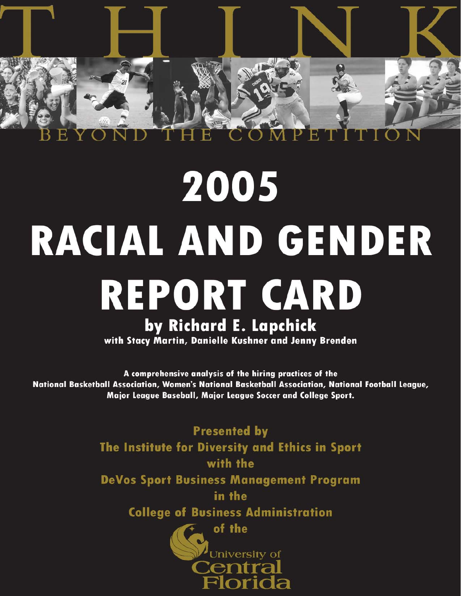

# 2005 **RACIAL AND GENDER REPORT CARD** by Richard E. Lapchick

with Stacy Martin, Danielle Kushner and Jenny Brenden

A comprehensive analysis of the hiring practices of the National Basketball Association, Women's National Basketball Association, National Football League, Major League Baseball, Major League Soccer and College Sport.

> **Presented by** The Institute for Diversity and Ethics in Sport with the **DeVos Sport Business Management Program** in the **College of Business Administration** of the University of entra orida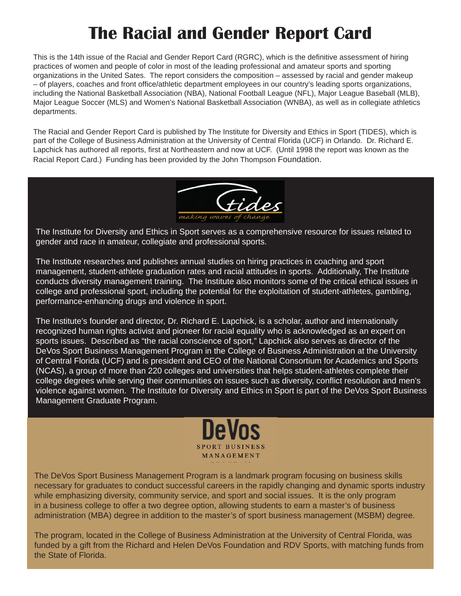# **The Racial and Gender Report Card**

This is the 14th issue of the Racial and Gender Report Card (RGRC), which is the definitive assessment of hiring practices of women and people of color in most of the leading professional and amateur sports and sporting organizations in the United Sates. The report considers the composition – assessed by racial and gender makeup – of players, coaches and front office/athletic department employees in our country's leading sports organizations, including the National Basketball Association (NBA), National Football League (NFL), Major League Baseball (MLB), Major League Soccer (MLS) and Women's National Basketball Association (WNBA), as well as in collegiate athletics departments.

The Racial and Gender Report Card is published by The Institute for Diversity and Ethics in Sport (TIDES), which is part of the College of Business Administration at the University of Central Florida (UCF) in Orlando. Dr. Richard E. Lapchick has authored all reports, first at Northeastern and now at UCF. (Until 1998 the report was known as the Racial Report Card.) Funding has been provided by the John Thompson Foundation.



The Institute for Diversity and Ethics in Sport serves as a comprehensive resource for issues related to gender and race in amateur, collegiate and professional sports.

The Institute researches and publishes annual studies on hiring practices in coaching and sport management, student-athlete graduation rates and racial attitudes in sports. Additionally, The Institute conducts diversity management training. The Institute also monitors some of the critical ethical issues in college and professional sport, including the potential for the exploitation of student-athletes, gambling, performance-enhancing drugs and violence in sport.

The Institute's founder and director, Dr. Richard E. Lapchick, is a scholar, author and internationally recognized human rights activist and pioneer for racial equality who is acknowledged as an expert on sports issues. Described as "the racial conscience of sport," Lapchick also serves as director of the DeVos Sport Business Management Program in the College of Business Administration at the University of Central Florida (UCF) and is president and CEO of the National Consortium for Academics and Sports (NCAS), a group of more than 220 colleges and universities that helps student-athletes complete their college degrees while serving their communities on issues such as diversity, conflict resolution and men's violence against women. The Institute for Diversity and Ethics in Sport is part of the DeVos Sport Business Management Graduate Program.



The DeVos Sport Business Management Program is a landmark program focusing on business skills necessary for graduates to conduct successful careers in the rapidly changing and dynamic sports industry while emphasizing diversity, community service, and sport and social issues. It is the only program in a business college to offer a two degree option, allowing students to earn a master's of business administration (MBA) degree in addition to the master's of sport business management (MSBM) degree.

The program, located in the College of Business Administration at the University of Central Florida, was funded by a gift from the Richard and Helen DeVos Foundation and RDV Sports, with matching funds from the State of Florida.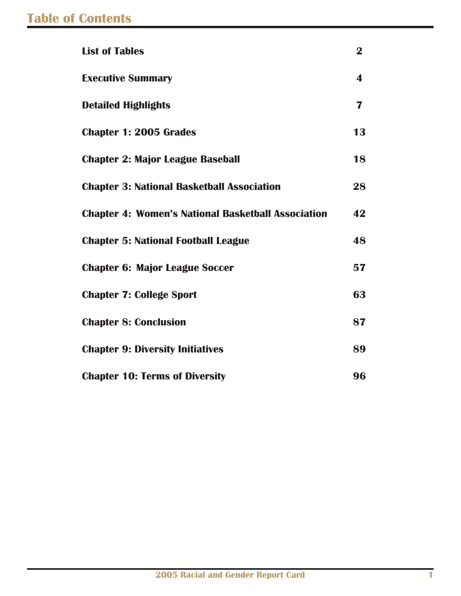| <b>List of Tables</b>                                     | $\overline{\mathbf{2}}$ |
|-----------------------------------------------------------|-------------------------|
| <b>Executive Summary</b>                                  | $\blacktriangleleft$    |
| <b>Detailed Highlights</b>                                | 7                       |
| <b>Chapter 1: 2005 Grades</b>                             | 13                      |
| <b>Chapter 2: Major League Baseball</b>                   | 18                      |
| <b>Chapter 3: National Basketball Association</b>         | 28                      |
| <b>Chapter 4: Women's National Basketball Association</b> | 42                      |
| <b>Chapter 5: National Football League</b>                | 48                      |
| <b>Chapter 6: Major League Soccer</b>                     | 57                      |
| <b>Chapter 7: College Sport</b>                           | 63                      |
| <b>Chapter 8: Conclusion</b>                              | 87                      |
| <b>Chapter 9: Diversity Initiatives</b>                   | 89                      |
| <b>Chapter 10: Terms of Diversity</b>                     | 96                      |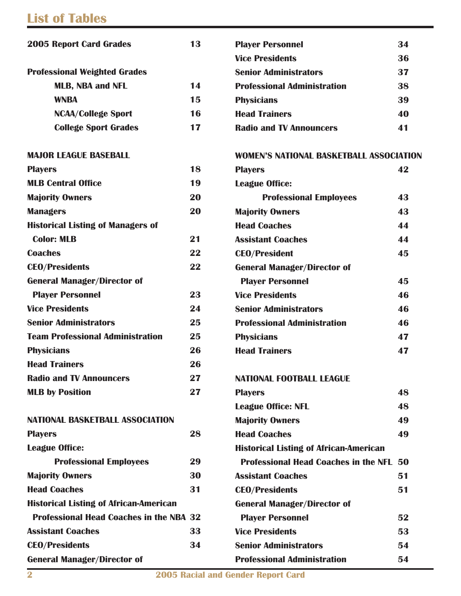# **List of Tables**

| <b>2005 Report Card Grades</b>                 | 13 | <b>Player Personnel</b>                        | 34 |
|------------------------------------------------|----|------------------------------------------------|----|
|                                                |    | <b>Vice Presidents</b>                         | 36 |
| <b>Professional Weighted Grades</b>            |    | <b>Senior Administrators</b>                   | 37 |
| <b>MLB, NBA and NFL</b>                        | 14 | <b>Professional Administration</b>             | 38 |
| <b>WNBA</b>                                    | 15 | <b>Physicians</b>                              | 39 |
| <b>NCAA/College Sport</b>                      | 16 | <b>Head Trainers</b>                           | 40 |
| <b>College Sport Grades</b>                    | 17 | <b>Radio and TV Announcers</b>                 | 41 |
| <b>MAJOR LEAGUE BASEBALL</b>                   |    | <b>WOMEN'S NATIONAL BASKETBALL ASSOCIATION</b> |    |
| <b>Players</b>                                 | 18 | <b>Players</b>                                 | 42 |
| <b>MLB Central Office</b>                      | 19 | <b>League Office:</b>                          |    |
| <b>Majority Owners</b>                         | 20 | <b>Professional Employees</b>                  | 43 |
| <b>Managers</b>                                | 20 | <b>Majority Owners</b>                         | 43 |
| <b>Historical Listing of Managers of</b>       |    | <b>Head Coaches</b>                            | 44 |
| <b>Color: MLB</b>                              | 21 | <b>Assistant Coaches</b>                       | 44 |
| <b>Coaches</b>                                 | 22 | <b>CEO/President</b>                           | 45 |
| <b>CEO/Presidents</b>                          | 22 | <b>General Manager/Director of</b>             |    |
| <b>General Manager/Director of</b>             |    | <b>Player Personnel</b>                        | 45 |
| <b>Player Personnel</b>                        | 23 | <b>Vice Presidents</b>                         | 46 |
| <b>Vice Presidents</b>                         | 24 | <b>Senior Administrators</b>                   | 46 |
| <b>Senior Administrators</b>                   | 25 | <b>Professional Administration</b>             | 46 |
| <b>Team Professional Administration</b>        | 25 | <b>Physicians</b>                              | 47 |
| <b>Physicians</b>                              | 26 | <b>Head Trainers</b>                           | 47 |
| <b>Head Trainers</b>                           | 26 |                                                |    |
| <b>Radio and TV Announcers</b>                 | 27 | <b>NATIONAL FOOTBALL LEAGUE</b>                |    |
| <b>MLB by Position</b>                         | 27 | <b>Players</b>                                 | 48 |
|                                                |    | <b>League Office: NFL</b>                      | 48 |
| <b>NATIONAL BASKETBALL ASSOCIATION</b>         |    | <b>Majority Owners</b>                         | 49 |
| <b>Players</b>                                 | 28 | <b>Head Coaches</b>                            | 49 |
| <b>League Office:</b>                          |    | <b>Historical Listing of African-American</b>  |    |
| <b>Professional Employees</b>                  | 29 | <b>Professional Head Coaches in the NFI 50</b> |    |
| <b>Majority Owners</b>                         | 30 | <b>Assistant Coaches</b>                       | 51 |
| <b>Head Coaches</b>                            | 31 | <b>CEO/Presidents</b>                          | 51 |
| <b>Historical Listing of African-American</b>  |    | <b>General Manager/Director of</b>             |    |
| <b>Professional Head Coaches in the NBA 32</b> |    | <b>Player Personnel</b>                        | 52 |
| <b>Assistant Coaches</b>                       | 33 | <b>Vice Presidents</b>                         | 53 |
| <b>CEO/Presidents</b>                          | 34 | <b>Senior Administrators</b>                   | 54 |
| <b>General Manager/Director of</b>             |    | <b>Professional Administration</b>             | 54 |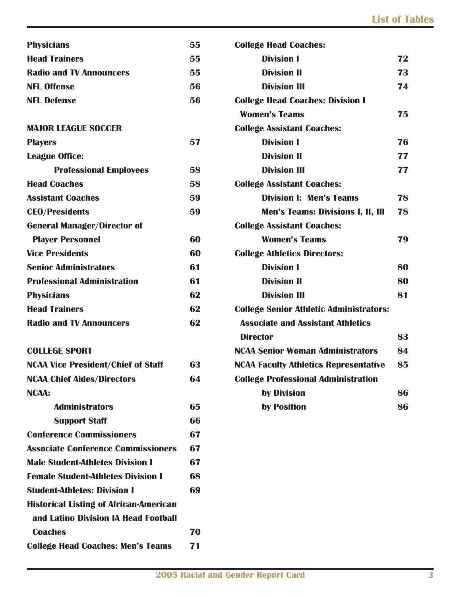| <b>Physicians</b>                             | 55 | <b>College Head Coaches:</b>                   |    |
|-----------------------------------------------|----|------------------------------------------------|----|
| <b>Head Trainers</b>                          | 55 | <b>Division I</b>                              | 72 |
| <b>Radio and TV Announcers</b>                | 55 | <b>Division II</b>                             | 73 |
| <b>NFL Offense</b>                            | 56 | <b>Division III</b>                            | 74 |
| <b>NFL Defense</b>                            | 56 | <b>College Head Coaches: Division I</b>        |    |
|                                               |    | <b>Women's Teams</b>                           | 75 |
| <b>MAJOR LEAGUE SOCCER</b>                    |    | <b>College Assistant Coaches:</b>              |    |
| <b>Players</b>                                | 57 | <b>Division I</b>                              | 76 |
| <b>League Office:</b>                         |    | <b>Division II</b>                             | 77 |
| <b>Professional Employees</b>                 | 58 | <b>Division III</b>                            | 77 |
| <b>Head Coaches</b>                           | 58 | <b>College Assistant Coaches:</b>              |    |
| <b>Assistant Coaches</b>                      | 59 | <b>Division I: Men's Teams</b>                 | 78 |
| <b>CEO/Presidents</b>                         | 59 | <b>Men's Teams: Divisions I, II, III</b>       | 78 |
| <b>General Manager/Director of</b>            |    | <b>College Assistant Coaches:</b>              |    |
| <b>Player Personnel</b>                       | 60 | <b>Women's Teams</b>                           | 79 |
| <b>Vice Presidents</b>                        | 60 | <b>College Athletics Directors:</b>            |    |
| <b>Senior Administrators</b>                  | 61 | <b>Division I</b>                              | 80 |
| <b>Professional Administration</b>            | 61 | <b>Division II</b>                             | 80 |
| <b>Physicians</b>                             | 62 | <b>Division III</b>                            | 81 |
| <b>Head Trainers</b>                          | 62 | <b>College Senior Athletic Administrators:</b> |    |
| <b>Radio and TV Announcers</b>                | 62 | <b>Associate and Assistant Athletics</b>       |    |
|                                               |    | <b>Director</b>                                | 83 |
| <b>COLLEGE SPORT</b>                          |    | <b>NCAA Senior Woman Administrators</b>        | 84 |
| <b>NCAA Vice President/Chief of Staff</b>     | 63 | <b>NCAA Faculty Athletics Representative</b>   | 85 |
| <b>NCAA Chief Aides/Directors</b>             | 64 | <b>College Professional Administration</b>     |    |
| <b>NCAA:</b>                                  |    | by Division                                    | 86 |
| <b>Administrators</b>                         | 65 | by Position                                    | 86 |
| <b>Support Staff</b>                          | 66 |                                                |    |
| <b>Conference Commissioners</b>               | 67 |                                                |    |
| <b>Associate Conference Commissioners</b>     | 67 |                                                |    |
| <b>Male Student-Athletes Division I</b>       | 67 |                                                |    |
| <b>Female Student-Athletes Division I</b>     | 68 |                                                |    |
| <b>Student-Athletes: Division I</b>           | 69 |                                                |    |
| <b>Historical Listing of African-American</b> |    |                                                |    |
| and Latino Division IA Head Football          |    |                                                |    |
| <b>Coaches</b>                                | 70 |                                                |    |
| <b>College Head Coaches: Men's Teams</b>      | 71 |                                                |    |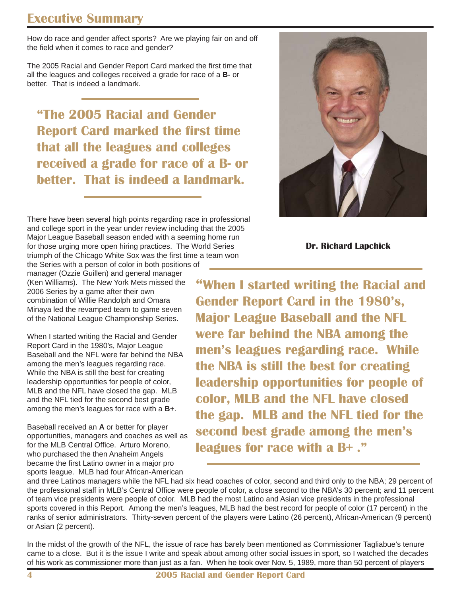# **Executive Summary**

How do race and gender affect sports? Are we playing fair on and off the field when it comes to race and gender?

The 2005 Racial and Gender Report Card marked the first time that all the leagues and colleges received a grade for race of a **B-** or better. That is indeed a landmark.

**"The 2005 Racial and Gender Report Card marked the first time that all the leagues and colleges received a grade for race of a B- or better. That is indeed a landmark.**



the Series with a person of color in both positions of manager (Ozzie Guillen) and general manager (Ken Williams). The New York Mets missed the 2006 Series by a game after their own combination of Willie Randolph and Omara Minaya led the revamped team to game seven of the National League Championship Series.

When I started writing the Racial and Gender Report Card in the 1980's, Major League Baseball and the NFL were far behind the NBA among the men's leagues regarding race. While the NBA is still the best for creating leadership opportunities for people of color, MLB and the NFL have closed the gap. MLB and the NFL tied for the second best grade among the men's leagues for race with a **B+**.

Baseball received an **A** or better for player opportunities, managers and coaches as well as for the MLB Central Office. Arturo Moreno, who purchased the then Anaheim Angels became the first Latino owner in a major pro sports league. MLB had four African-American



**Dr. Richard Lapchick**

**"When I started writing the Racial and Gender Report Card in the 1980's, Major League Baseball and the NFL were far behind the NBA among the men's leagues regarding race. While the NBA is still the best for creating leadership opportunities for people of color, MLB and the NFL have closed the gap. MLB and the NFL tied for the second best grade among the men's leagues for race with a B+ ."**

and three Latinos managers while the NFL had six head coaches of color, second and third only to the NBA; 29 percent of the professional staff in MLB's Central Office were people of color, a close second to the NBA's 30 percent; and 11 percent of team vice presidents were people of color. MLB had the most Latino and Asian vice presidents in the professional sports covered in this Report. Among the men's leagues, MLB had the best record for people of color (17 percent) in the ranks of senior administrators. Thirty-seven percent of the players were Latino (26 percent), African-American (9 percent) or Asian (2 percent).

In the midst of the growth of the NFL, the issue of race has barely been mentioned as Commissioner Tagliabue's tenure came to a close. But it is the issue I write and speak about among other social issues in sport, so I watched the decades of his work as commissioner more than just as a fan. When he took over Nov. 5, 1989, more than 50 percent of players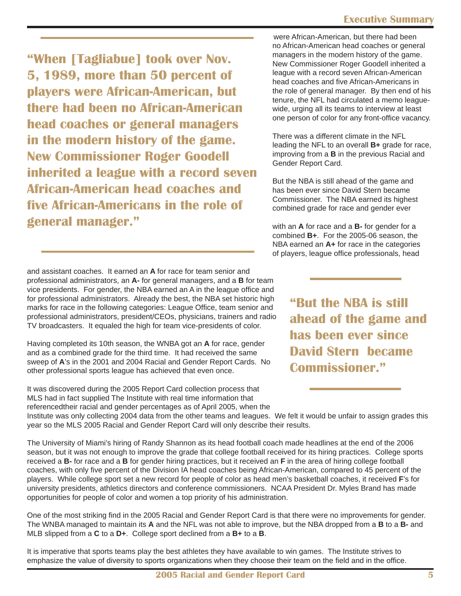**"When [Tagliabue] took over Nov. 5, 1989, more than 50 percent of players were African-American, but there had been no African-American head coaches or general managers in the modern history of the game. New Commissioner Roger Goodell inherited a league with a record seven African-American head coaches and five African-Americans in the role of general manager."**

were African-American, but there had been no African-American head coaches or general managers in the modern history of the game. New Commissioner Roger Goodell inherited a league with a record seven African-American head coaches and five African-Americans in the role of general manager. By then end of his tenure, the NFL had circulated a memo leaguewide, urging all its teams to interview at least one person of color for any front-office vacancy.

There was a different climate in the NFL leading the NFL to an overall **B+** grade for race, improving from a **B** in the previous Racial and Gender Report Card.

But the NBA is still ahead of the game and has been ever since David Stern became Commissioner. The NBA earned its highest combined grade for race and gender ever

with an **A** for race and a **B-** for gender for a combined **B+**. For the 2005-06 season, the NBA earned an **A+** for race in the categories of players, league office professionals, head

and assistant coaches. It earned an **A** for race for team senior and professional administrators, an **A-** for general managers, and a **B** for team vice presidents. For gender, the NBA earned an A in the league office and for professional administrators. Already the best, the NBA set historic high marks for race in the following categories: League Office, team senior and professional administrators, president/CEOs, physicians, trainers and radio TV broadcasters. It equaled the high for team vice-presidents of color.

Having completed its 10th season, the WNBA got an **A** for race, gender and as a combined grade for the third time. It had received the same sweep of **A**'s in the 2001 and 2004 Racial and Gender Report Cards. No other professional sports league has achieved that even once.

It was discovered during the 2005 Report Card collection process that MLS had in fact supplied The Institute with real time information that referencedtheir racial and gender percentages as of April 2005, when the

**"But the NBA is still ahead of the game and has been ever since David Stern became Commissioner."**

Institute was only collecting 2004 data from the other teams and leagues. We felt it would be unfair to assign grades this year so the MLS 2005 Racial and Gender Report Card will only describe their results.

The University of Miami's hiring of Randy Shannon as its head football coach made headlines at the end of the 2006 season, but it was not enough to improve the grade that college football received for its hiring practices. College sports received a **B-** for race and a **B** for gender hiring practices, but it received an **F** in the area of hiring college football coaches, with only five percent of the Division IA head coaches being African-American, compared to 45 percent of the players. While college sport set a new record for people of color as head men's basketball coaches, it received **F**'s for university presidents, athletics directors and conference commissioners. NCAA President Dr. Myles Brand has made opportunities for people of color and women a top priority of his administration.

One of the most striking find in the 2005 Racial and Gender Report Card is that there were no improvements for gender. The WNBA managed to maintain its **A** and the NFL was not able to improve, but the NBA dropped from a **B** to a **B-** and MLB slipped from a **C** to a **D+**. College sport declined from a **B+** to a **B**.

It is imperative that sports teams play the best athletes they have available to win games. The Institute strives to emphasize the value of diversity to sports organizations when they choose their team on the field and in the office.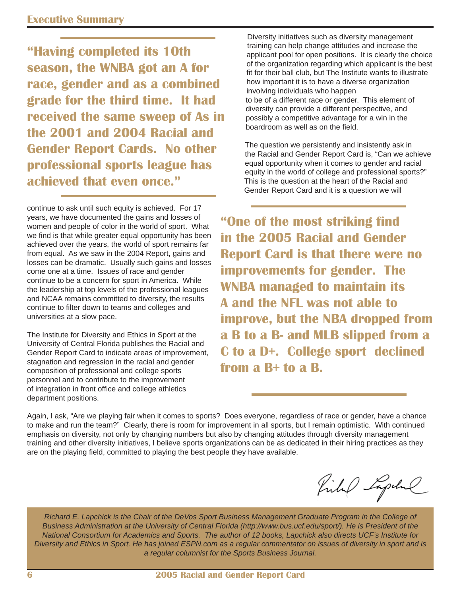**"Having completed its 10th season, the WNBA got an A for race, gender and as a combined grade for the third time. It had received the same sweep of As in the 2001 and 2004 Racial and Gender Report Cards. No other professional sports league has achieved that even once."**

continue to ask until such equity is achieved. For 17 years, we have documented the gains and losses of women and people of color in the world of sport. What we find is that while greater equal opportunity has been achieved over the years, the world of sport remains far from equal. As we saw in the 2004 Report, gains and losses can be dramatic. Usually such gains and losses come one at a time. Issues of race and gender continue to be a concern for sport in America. While the leadership at top levels of the professional leagues and NCAA remains committed to diversity, the results continue to filter down to teams and colleges and universities at a slow pace.

The Institute for Diversity and Ethics in Sport at the University of Central Florida publishes the Racial and Gender Report Card to indicate areas of improvement, stagnation and regression in the racial and gender composition of professional and college sports personnel and to contribute to the improvement of integration in front office and college athletics department positions.

Diversity initiatives such as diversity management training can help change attitudes and increase the applicant pool for open positions. It is clearly the choice of the organization regarding which applicant is the best fit for their ball club, but The Institute wants to illustrate how important it is to have a diverse organization involving individuals who happen to be of a different race or gender. This element of diversity can provide a different perspective, and possibly a competitive advantage for a win in the boardroom as well as on the field.

The question we persistently and insistently ask in the Racial and Gender Report Card is, "Can we achieve equal opportunity when it comes to gender and racial equity in the world of college and professional sports?" This is the question at the heart of the Racial and Gender Report Card and it is a question we will

**"One of the most striking find in the 2005 Racial and Gender Report Card is that there were no improvements for gender. The WNBA managed to maintain its A and the NFL was not able to improve, but the NBA dropped from a B to a B- and MLB slipped from a C to a D+. College sport declined from a B+ to a B.**

Again, I ask, "Are we playing fair when it comes to sports? Does everyone, regardless of race or gender, have a chance to make and run the team?" Clearly, there is room for improvement in all sports, but I remain optimistic. With continued emphasis on diversity, not only by changing numbers but also by changing attitudes through diversity management training and other diversity initiatives, I believe sports organizations can be as dedicated in their hiring practices as they are on the playing field, committed to playing the best people they have available.

Fish Lapitul

*Richard E. Lapchick is the Chair of the DeVos Sport Business Management Graduate Program in the College of Business Administration at the University of Central Florida (http://www.bus.ucf.edu/sport/). He is President of the National Consortium for Academics and Sports. The author of 12 books, Lapchick also directs UCF's Institute for Diversity and Ethics in Sport. He has joined ESPN.com as a regular commentator on issues of diversity in sport and is a regular columnist for the Sports Business Journal.*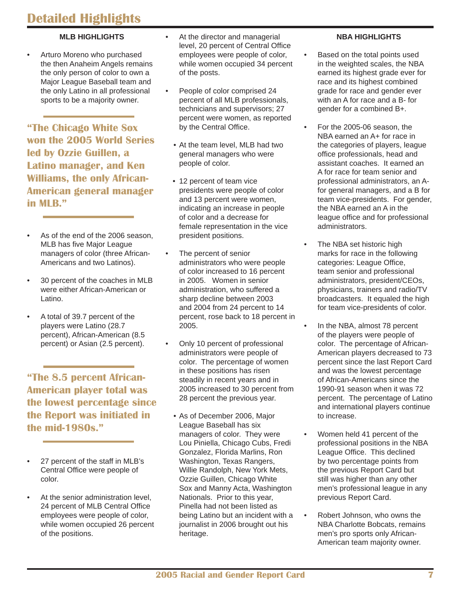# **MLB HIGHLIGHTS**

Arturo Moreno who purchased the then Anaheim Angels remains the only person of color to own a Major League Baseball team and the only Latino in all professional sports to be a majority owner.

**"The Chicago White Sox won the 2005 World Series led by Ozzie Guillen, a Latino manager, and Ken Williams, the only African-American general manager in MLB."**

- As of the end of the 2006 season, MLB has five Major League managers of color (three African-Americans and two Latinos).
- 30 percent of the coaches in MLB were either African-American or Latino.
- A total of 39.7 percent of the players were Latino (28.7 percent), African-American (8.5 percent) or Asian (2.5 percent).

**"The 8.5 percent African-American player total was the lowest percentage since the Report was initiated in the mid-1980s."**

- 27 percent of the staff in MLB's Central Office were people of color.
- At the senior administration level, 24 percent of MLB Central Office employees were people of color, while women occupied 26 percent of the positions.
- At the director and managerial level, 20 percent of Central Office employees were people of color, while women occupied 34 percent of the posts.
- People of color comprised 24 percent of all MLB professionals, technicians and supervisors; 27 percent were women, as reported by the Central Office.
	- At the team level, MLB had two general managers who were people of color.
- 12 percent of team vice presidents were people of color and 13 percent were women, indicating an increase in people of color and a decrease for female representation in the vice president positions.
- The percent of senior administrators who were people of color increased to 16 percent in 2005. Women in senior administration, who suffered a sharp decline between 2003 and 2004 from 24 percent to 14 percent, rose back to 18 percent in 2005.
- Only 10 percent of professional administrators were people of color. The percentage of women in these positions has risen steadily in recent years and in 2005 increased to 30 percent from 28 percent the previous year.
- As of December 2006, Major League Baseball has six managers of color. They were Lou Piniella, Chicago Cubs, Fredi Gonzalez, Florida Marlins, Ron Washington, Texas Rangers, Willie Randolph, New York Mets, Ozzie Guillen, Chicago White Sox and Manny Acta, Washington Nationals. Prior to this year, Pinella had not been listed as being Latino but an incident with a journalist in 2006 brought out his heritage.

## **NBA HIGHLIGHTS**

- Based on the total points used in the weighted scales, the NBA earned its highest grade ever for race and its highest combined grade for race and gender ever with an A for race and a B- for gender for a combined B+.
- For the 2005-06 season, the NBA earned an A+ for race in the categories of players, league office professionals, head and assistant coaches. It earned an A for race for team senior and professional administrators, an Afor general managers, and a B for team vice-presidents. For gender, the NBA earned an A in the league office and for professional administrators.
- The NBA set historic high marks for race in the following categories: League Office, team senior and professional administrators, president/CEOs, physicians, trainers and radio/TV broadcasters. It equaled the high for team vice-presidents of color.
- In the NBA, almost 78 percent of the players were people of color. The percentage of African-American players decreased to 73 percent since the last Report Card and was the lowest percentage of African-Americans since the 1990-91 season when it was 72 percent. The percentage of Latino and international players continue to increase.
- Women held 41 percent of the professional positions in the NBA League Office. This declined by two percentage points from the previous Report Card but still was higher than any other men's professional league in any previous Report Card.
- Robert Johnson, who owns the NBA Charlotte Bobcats, remains men's pro sports only African-American team majority owner.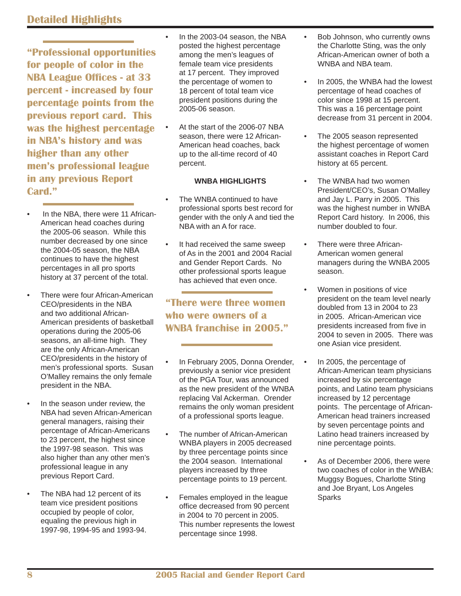**"Professional opportunities for people of color in the NBA League Offices - at 33 percent - increased by four percentage points from the previous report card. This was the highest percentage in NBA's history and was higher than any other men's professional league in any previous Report Card."**

- In the NBA, there were 11 African-American head coaches during the 2005-06 season. While this number decreased by one since the 2004-05 season, the NBA continues to have the highest percentages in all pro sports history at 37 percent of the total.
- There were four African-American CEO/presidents in the NBA and two additional African-American presidents of basketball operations during the 2005-06 seasons, an all-time high. They are the only African-American CEO/presidents in the history of men's professional sports. Susan O'Malley remains the only female president in the NBA.
- In the season under review, the NBA had seven African-American general managers, raising their percentage of African-Americans to 23 percent, the highest since the 1997-98 season. This was also higher than any other men's professional league in any previous Report Card.
- The NBA had 12 percent of its team vice president positions occupied by people of color, equaling the previous high in 1997-98, 1994-95 and 1993-94.
- In the 2003-04 season, the NBA posted the highest percentage among the men's leagues of female team vice presidents at 17 percent. They improved the percentage of women to 18 percent of total team vice president positions during the 2005-06 season.
- At the start of the 2006-07 NBA season, there were 12 African-American head coaches, back up to the all-time record of 40 percent.

#### **WNBA HIGHLIGHTS**

- The WNBA continued to have professional sports best record for gender with the only A and tied the NBA with an A for race.
- It had received the same sweep of As in the 2001 and 2004 Racial and Gender Report Cards. No other professional sports league has achieved that even once.

# **"There were three women who were owners of a WNBA franchise in 2005."**

- In February 2005, Donna Orender, previously a senior vice president of the PGA Tour, was announced as the new president of the WNBA replacing Val Ackerman. Orender remains the only woman president of a professional sports league.
- The number of African-American WNBA players in 2005 decreased by three percentage points since the 2004 season. International players increased by three percentage points to 19 percent.
- Females employed in the league office decreased from 90 percent in 2004 to 70 percent in 2005. This number represents the lowest percentage since 1998.
- Bob Johnson, who currently owns the Charlotte Sting, was the only African-American owner of both a WNBA and NBA team.
- In 2005, the WNBA had the lowest percentage of head coaches of color since 1998 at 15 percent. This was a 16 percentage point decrease from 31 percent in 2004.
- The 2005 season represented the highest percentage of women assistant coaches in Report Card history at 65 percent.
- The WNBA had two women President/CEO's, Susan O'Malley and Jay L. Parry in 2005. This was the highest number in WNBA Report Card history. In 2006, this number doubled to four.
- There were three African-American women general managers during the WNBA 2005 season.
- Women in positions of vice president on the team level nearly doubled from 13 in 2004 to 23 in 2005. African-American vice presidents increased from five in 2004 to seven in 2005. There was one Asian vice president.
- In 2005, the percentage of African-American team physicians increased by six percentage points, and Latino team physicians increased by 12 percentage points. The percentage of African-American head trainers increased by seven percentage points and Latino head trainers increased by nine percentage points.
- As of December 2006, there were two coaches of color in the WNBA: Muggsy Bogues, Charlotte Sting and Joe Bryant, Los Angeles Sparks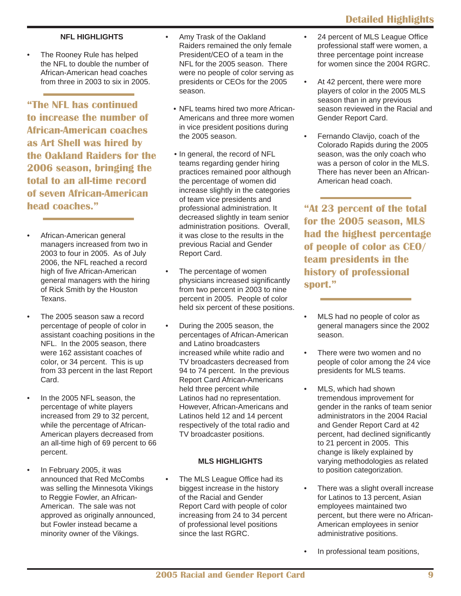# **NFL HIGHLIGHTS**

The Rooney Rule has helped the NFL to double the number of African-American head coaches from three in 2003 to six in 2005.

**"The NFL has continued to increase the number of African-American coaches as Art Shell was hired by the Oakland Raiders for the 2006 season, bringing the total to an all-time record of seven African-American** 

- African-American general managers increased from two in 2003 to four in 2005. As of July 2006, the NFL reached a record high of five African-American general managers with the hiring of Rick Smith by the Houston Texans.
- The 2005 season saw a record percentage of people of color in assistant coaching positions in the NFL. In the 2005 season, there were 162 assistant coaches of color, or 34 percent. This is up from 33 percent in the last Report Card.
- In the 2005 NFL season, the percentage of white players increased from 29 to 32 percent, while the percentage of African-American players decreased from an all-time high of 69 percent to 66 percent.
- In February 2005, it was announced that Red McCombs was selling the Minnesota Vikings to Reggie Fowler, an African-American. The sale was not approved as originally announced, but Fowler instead became a minority owner of the Vikings.
- Amy Trask of the Oakland Raiders remained the only female President/CEO of a team in the NFL for the 2005 season. There were no people of color serving as presidents or CEOs for the 2005 season.
- NFL teams hired two more African-Americans and three more women in vice president positions during the 2005 season.
- In general, the record of NFL teams regarding gender hiring practices remained poor although the percentage of women did increase slightly in the categories of team vice presidents and professional administration. It decreased slightly in team senior administration positions. Overall, it was close to the results in the previous Racial and Gender Report Card. **head coaches." Comment of the professional administration. It <b>4t 23 percent of the total** 
	- The percentage of women physicians increased significantly from two percent in 2003 to nine percent in 2005. People of color held six percent of these positions.
	- During the 2005 season, the percentages of African-American and Latino broadcasters increased while white radio and TV broadcasters decreased from 94 to 74 percent. In the previous Report Card African-Americans held three percent while Latinos had no representation. However, African-Americans and Latinos held 12 and 14 percent respectively of the total radio and TV broadcaster positions.

## **MLS HIGHLIGHTS**

The MLS League Office had its biggest increase in the history of the Racial and Gender Report Card with people of color increasing from 24 to 34 percent of professional level positions since the last RGRC.

- 24 percent of MLS League Office professional staff were women, a three percentage point increase for women since the 2004 RGRC.
- At 42 percent, there were more players of color in the 2005 MLS season than in any previous season reviewed in the Racial and Gender Report Card.
- Fernando Clavijo, coach of the Colorado Rapids during the 2005 season, was the only coach who was a person of color in the MLS. There has never been an African-American head coach.

**for the 2005 season, MLS had the highest percentage of people of color as CEO/ team presidents in the history of professional sport."**

- MLS had no people of color as general managers since the 2002 season.
- There were two women and no people of color among the 24 vice presidents for MLS teams.
- MLS, which had shown tremendous improvement for gender in the ranks of team senior administrators in the 2004 Racial and Gender Report Card at 42 percent, had declined significantly to 21 percent in 2005. This change is likely explained by varying methodologies as related to position categorization.
- There was a slight overall increase for Latinos to 13 percent, Asian employees maintained two percent, but there were no African-American employees in senior administrative positions.
- In professional team positions,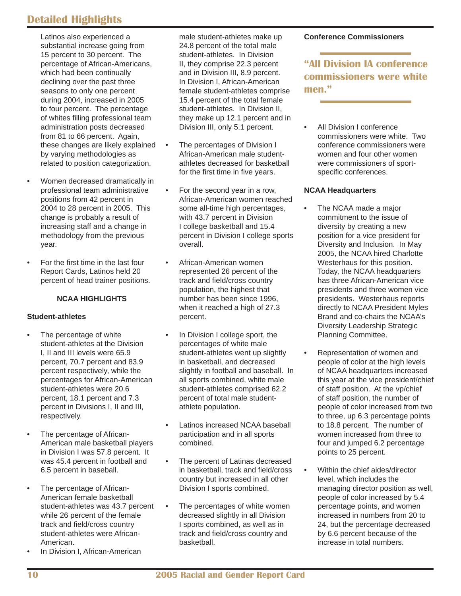Latinos also experienced a substantial increase going from 15 percent to 30 percent. The percentage of African-Americans, which had been continually declining over the past three seasons to only one percent during 2004, increased in 2005 to four percent. The percentage of whites filling professional team administration posts decreased from 81 to 66 percent. Again, these changes are likely explained by varying methodologies as related to position categorization.

- Women decreased dramatically in professional team administrative positions from 42 percent in 2004 to 28 percent in 2005. This change is probably a result of increasing staff and a change in methodology from the previous year.
- For the first time in the last four Report Cards, Latinos held 20 percent of head trainer positions.

# **NCAA HIGHLIGHTS**

## **Student-athletes**

- The percentage of white student-athletes at the Division I, II and III levels were 65.9 percent, 70.7 percent and 83.9 percent respectively, while the percentages for African-American student-athletes were 20.6 percent, 18.1 percent and 7.3 percent in Divisions I, II and III, respectively.
- The percentage of African-American male basketball players in Division I was 57.8 percent. It was 45.4 percent in football and 6.5 percent in baseball.
- The percentage of African-American female basketball student-athletes was 43.7 percent while 26 percent of the female track and field/cross country student-athletes were African-American.
- In Division I, African-American

male student-athletes make up 24.8 percent of the total male student-athletes. In Division II, they comprise 22.3 percent and in Division III, 8.9 percent. In Division I, African-American female student-athletes comprise 15.4 percent of the total female student-athletes. In Division II, they make up 12.1 percent and in Division III, only 5.1 percent.

- The percentages of Division I African-American male studentathletes decreased for basketball for the first time in five years.
- For the second year in a row, African-American women reached some all-time high percentages, with 43.7 percent in Division I college basketball and 15.4 percent in Division I college sports overall.
- African-American women represented 26 percent of the track and field/cross country population, the highest that number has been since 1996, when it reached a high of 27.3 percent.
- In Division I college sport, the percentages of white male student-athletes went up slightly in basketball, and decreased slightly in football and baseball. In all sports combined, white male student-athletes comprised 62.2 percent of total male studentathlete population.
- Latinos increased NCAA baseball participation and in all sports combined.
- The percent of Latinas decreased in basketball, track and field/cross country but increased in all other Division I sports combined.
- The percentages of white women decreased slightly in all Division I sports combined, as well as in track and field/cross country and basketball.

#### **Conference Commissioners**

**"All Division IA conference commissioners were white men."**

• All Division I conference commissioners were white. Two conference commissioners were women and four other women were commissioners of sportspecific conferences.

#### **NCAA Headquarters**

- The NCAA made a major commitment to the issue of diversity by creating a new position for a vice president for Diversity and Inclusion. In May 2005, the NCAA hired Charlotte Westerhaus for this position. Today, the NCAA headquarters has three African-American vice presidents and three women vice presidents. Westerhaus reports directly to NCAA President Myles Brand and co-chairs the NCAA's Diversity Leadership Strategic Planning Committee.
- Representation of women and people of color at the high levels of NCAA headquarters increased this year at the vice president/chief of staff position. At the vp/chief of staff position, the number of people of color increased from two to three, up 6.3 percentage points to 18.8 percent. The number of women increased from three to four and jumped 6.2 percentage points to 25 percent.
- Within the chief aides/director level, which includes the managing director position as well, people of color increased by 5.4 percentage points, and women increased in numbers from 20 to 24, but the percentage decreased by 6.6 percent because of the increase in total numbers.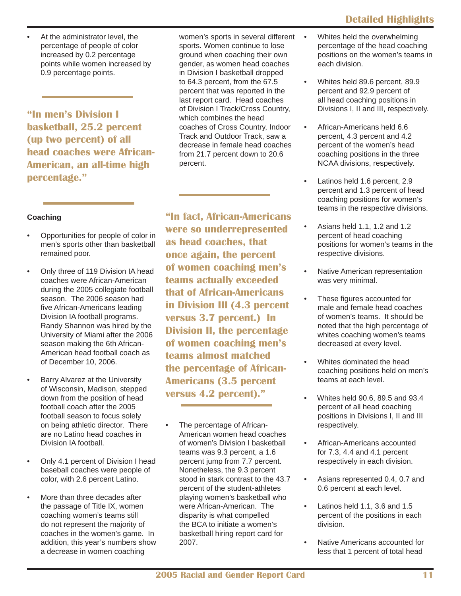At the administrator level, the percentage of people of color increased by 0.2 percentage points while women increased by 0.9 percentage points.

**"In men's Division I basketball, 25.2 percent (up two percent) of all head coaches were African-American, an all-time high percentage."**

## **Coaching**

- Opportunities for people of color in men's sports other than basketball remained poor.
- Only three of 119 Division IA head coaches were African-American during the 2005 collegiate football season. The 2006 season had five African-Americans leading Division IA football programs. Randy Shannon was hired by the University of Miami after the 2006 season making the 6th African-American head football coach as of December 10, 2006.
- Barry Alvarez at the University of Wisconsin, Madison, stepped down from the position of head football coach after the 2005 football season to focus solely on being athletic director. There are no Latino head coaches in Division IA football.
- Only 4.1 percent of Division I head baseball coaches were people of color, with 2.6 percent Latino.
- More than three decades after the passage of Title IX, women coaching women's teams still do not represent the majority of coaches in the women's game. In addition, this year's numbers show a decrease in women coaching

women's sports in several different sports. Women continue to lose ground when coaching their own gender, as women head coaches in Division I basketball dropped to 64.3 percent, from the 67.5 percent that was reported in the last report card. Head coaches of Division I Track/Cross Country, which combines the head coaches of Cross Country, Indoor Track and Outdoor Track, saw a decrease in female head coaches from 21.7 percent down to 20.6 percent.

**"In fact, African-Americans were so underrepresented as head coaches, that once again, the percent of women coaching men's teams actually exceeded that of African-Americans in Division III (4.3 percent versus 3.7 percent.) In Division II, the percentage of women coaching men's teams almost matched the percentage of African-Americans (3.5 percent versus 4.2 percent)."**

The percentage of African-American women head coaches of women's Division I basketball teams was 9.3 percent, a 1.6 percent jump from 7.7 percent. Nonetheless, the 9.3 percent stood in stark contrast to the 43.7 percent of the student-athletes playing women's basketball who were African-American. The disparity is what compelled the BCA to initiate a women's basketball hiring report card for 2007.

- Whites held the overwhelming percentage of the head coaching positions on the women's teams in each division.
- Whites held 89.6 percent, 89.9 percent and 92.9 percent of all head coaching positions in Divisions I, II and III, respectively.
- African-Americans held 6.6 percent, 4.3 percent and 4.2 percent of the women's head coaching positions in the three NCAA divisions, respectively.
- Latinos held 1.6 percent, 2.9 percent and 1.3 percent of head coaching positions for women's teams in the respective divisions.
- Asians held 1.1, 1.2 and 1.2 percent of head coaching positions for women's teams in the respective divisions.
- Native American representation was very minimal.
- These figures accounted for male and female head coaches of women's teams. It should be noted that the high percentage of whites coaching women's teams decreased at every level.
- Whites dominated the head coaching positions held on men's teams at each level.
- Whites held 90.6, 89.5 and 93.4 percent of all head coaching positions in Divisions I, II and III respectively.
- African-Americans accounted for 7.3, 4.4 and 4.1 percent respectively in each division.
- Asians represented 0.4, 0.7 and 0.6 percent at each level.
- Latinos held 1.1, 3.6 and 1.5 percent of the positions in each division.
- Native Americans accounted for less that 1 percent of total head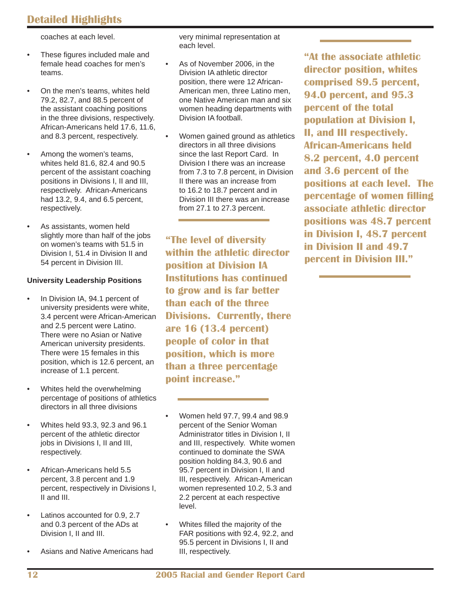coaches at each level.

- These figures included male and female head coaches for men's teams.
- On the men's teams, whites held 79.2, 82.7, and 88.5 percent of the assistant coaching positions in the three divisions, respectively. African-Americans held 17.6, 11.6, and 8.3 percent, respectively.
- Among the women's teams, whites held 81.6, 82.4 and 90.5 percent of the assistant coaching positions in Divisions I, II and III, respectively. African-Americans had 13.2, 9.4, and 6.5 percent, respectively.
- As assistants, women held slightly more than half of the jobs on women's teams with 51.5 in Division I, 51.4 in Division II and 54 percent in Division III.

#### **University Leadership Positions**

- In Division IA, 94.1 percent of university presidents were white, 3.4 percent were African-American and 2.5 percent were Latino. There were no Asian or Native American university presidents. There were 15 females in this position, which is 12.6 percent, an increase of 1.1 percent.
- Whites held the overwhelming percentage of positions of athletics directors in all three divisions
- Whites held 93.3, 92.3 and 96.1 percent of the athletic director jobs in Divisions I, II and III, respectively.
- African-Americans held 5.5 percent, 3.8 percent and 1.9 percent, respectively in Divisions I, II and III.
- Latinos accounted for 0.9, 2.7 and 0.3 percent of the ADs at Division I, II and III.
- Asians and Native Americans had

very minimal representation at each level.

- As of November 2006, in the Division IA athletic director position, there were 12 African-American men, three Latino men, one Native American man and six women heading departments with Division IA football.
- Women gained ground as athletics directors in all three divisions since the last Report Card. In Division I there was an increase from 7.3 to 7.8 percent, in Division II there was an increase from to 16.2 to 18.7 percent and in Division III there was an increase from 27.1 to 27.3 percent.

**"The level of diversity within the athletic director position at Division IA Institutions has continued to grow and is far better than each of the three Divisions. Currently, there are 16 (13.4 percent) people of color in that position, which is more than a three percentage point increase."**

• Women held 97.7, 99.4 and 98.9 percent of the Senior Woman Administrator titles in Division I, II and III, respectively. White women continued to dominate the SWA position holding 84.3, 90.6 and 95.7 percent in Division I, II and III, respectively. African-American women represented 10.2, 5.3 and 2.2 percent at each respective level.

Whites filled the majority of the FAR positions with 92.4, 92.2, and 95.5 percent in Divisions I, II and III, respectively.

**"At the associate athletic director position, whites comprised 89.5 percent, 94.0 percent, and 95.3 percent of the total population at Division I, II, and III respectively. African-Americans held 8.2 percent, 4.0 percent and 3.6 percent of the positions at each level. The percentage of women filling associate athletic director positions was 48.7 percent in Division I, 48.7 percent in Division II and 49.7 percent in Division III."**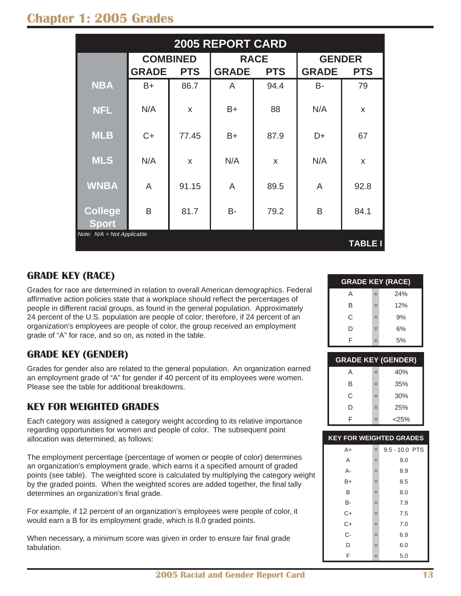# **Chapter 1: 2005 Grades**

| <b>2005 REPORT CARD</b>        |                |                 |              |             |               |                |  |  |
|--------------------------------|----------------|-----------------|--------------|-------------|---------------|----------------|--|--|
|                                |                | <b>COMBINED</b> |              | <b>RACE</b> | <b>GENDER</b> |                |  |  |
|                                | <b>GRADE</b>   | <b>PTS</b>      | <b>GRADE</b> | <b>PTS</b>  | <b>GRADE</b>  | <b>PTS</b>     |  |  |
| <b>NBA</b>                     | $B+$           | 86.7            | A            | 94.4        | <b>B-</b>     | 79             |  |  |
| <b>NFL</b>                     | N/A            | X               | $B+$         | 88          | N/A           | X              |  |  |
| <b>MLB</b>                     | $C+$           | 77.45           | $B+$         | 87.9        | D+            | 67             |  |  |
| <b>MLS</b>                     | N/A            | X               | N/A          | X           | N/A           | $\mathsf{x}$   |  |  |
| <b>WNBA</b>                    | $\overline{A}$ | 91.15           | A            | 89.5        | A             | 92.8           |  |  |
| <b>College</b><br><b>Sport</b> | B              | 81.7            | <b>B-</b>    | 79.2        | B             | 84.1           |  |  |
| Note: $N/A = Not Applicable$   |                |                 |              |             |               | <b>TABLE I</b> |  |  |

# **GRADE KEY (RACE)**

Grades for race are determined in relation to overall American demographics. Federal affirmative action policies state that a workplace should reflect the percentages of people in different racial groups, as found in the general population. Approximately 24 percent of the U.S. population are people of color; therefore, if 24 percent of an organization's employees are people of color, the group received an employment grade of "A" for race, and so on, as noted in the table.

# **GRADE KEY (GENDER)**

Grades for gender also are related to the general population. An organization earned an employment grade of "A" for gender if 40 percent of its employees were women. Please see the table for additional breakdowns.

# **KEY FOR WEIGHTED GRADES**

Each category was assigned a category weight according to its relative importance regarding opportunities for women and people of color. The subsequent point allocation was determined, as follows:

The employment percentage (percentage of women or people of color) determines an organization's employment grade, which earns it a specified amount of graded points (see table). The weighted score is calculated by multiplying the category weight by the graded points. When the weighted scores are added together, the final tally determines an organization's final grade.

For example, if 12 percent of an organization's employees were people of color, it would earn a B for its employment grade, which is 8.0 graded points.

When necessary, a minimum score was given in order to ensure fair final grade tabulation.

| <b>GRADE KEY (RACE)</b> |     |     |  |  |  |  |
|-------------------------|-----|-----|--|--|--|--|
| A                       | =   | 24% |  |  |  |  |
| B                       | $=$ | 12% |  |  |  |  |
| C                       | $=$ | 9%  |  |  |  |  |
| D                       | =   | 6%  |  |  |  |  |
| F                       |     | 5%  |  |  |  |  |

| <b>GRADE KEY (GENDER)</b> |     |         |  |  |  |  |
|---------------------------|-----|---------|--|--|--|--|
| Α                         | $=$ | 40%     |  |  |  |  |
| в                         | $=$ | 35%     |  |  |  |  |
| C                         | $=$ | 30%     |  |  |  |  |
| D                         | $=$ | 25%     |  |  |  |  |
| F                         | $=$ | $<$ 25% |  |  |  |  |

| <b>KEY FOR WEIGHTED GRADES</b> |     |                  |  |  |  |  |
|--------------------------------|-----|------------------|--|--|--|--|
| A+                             | $=$ | $9.5 - 10.0$ PTS |  |  |  |  |
| A                              | $=$ | 9.0              |  |  |  |  |
| А-                             | $=$ | 8.9              |  |  |  |  |
| B+                             | $=$ | 8.5              |  |  |  |  |
| B                              | $=$ | 8.0              |  |  |  |  |
| В-                             | $=$ | 7.9              |  |  |  |  |
| C+                             | $=$ | 7.5              |  |  |  |  |
| $C+$                           | $=$ | 7.0              |  |  |  |  |
| $C -$                          | $=$ | 6.9              |  |  |  |  |
| D                              | $=$ | 6.0              |  |  |  |  |
| F                              | $=$ | 5.0              |  |  |  |  |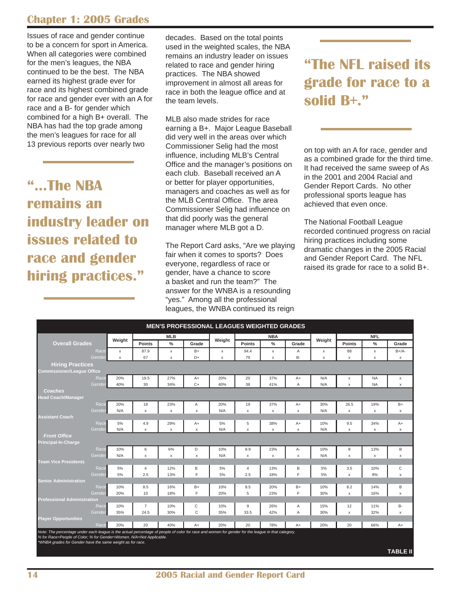# **Chapter 1: 2005 Grades**

Issues of race and gender continue to be a concern for sport in America. When all categories were combined for the men's leagues, the NBA continued to be the best. The NBA earned its highest grade ever for race and its highest combined grade for race and gender ever with an A for race and a B- for gender which combined for a high B+ overall. The NBA has had the top grade among the men's leagues for race for all 13 previous reports over nearly two

**"...The NBA remains an industry leader on issues related to race and gender hiring practices."**

decades. Based on the total points used in the weighted scales, the NBA remains an industry leader on issues related to race and gender hiring practices. The NBA showed improvement in almost all areas for race in both the league office and at the team levels.

MLB also made strides for race earning a B+. Major League Baseball did very well in the areas over which Commissioner Selig had the most influence, including MLB's Central Office and the manager's positions on each club. Baseball received an A or better for player opportunities, managers and coaches as well as for the MLB Central Office. The area Commissioner Selig had influence on that did poorly was the general manager where MLB got a D.

The Report Card asks, "Are we playing fair when it comes to sports? Does everyone, regardless of race or gender, have a chance to score a basket and run the team?" The answer for the WNBA is a resounding "yes." Among all the professional leagues, the WNBA continued its reign

# **"The NFL raised its grade for race to a solid B+."**

on top with an A for race, gender and as a combined grade for the third time. It had received the same sweep of As in the 2001 and 2004 Racial and Gender Report Cards. No other professional sports league has achieved that even once.

The National Football League recorded continued progress on racial hiring practices including some dramatic changes in the 2005 Racial and Gender Report Card. The NFL raised its grade for race to a solid B+.

| <b>MEN'S PROFESSIONAL LEAGUES WEIGHTED GRADES</b>                                                                                                                                                                                                                                     |          |                |               |       |        |                           |                           |                           |        |                           |               |                 |
|---------------------------------------------------------------------------------------------------------------------------------------------------------------------------------------------------------------------------------------------------------------------------------------|----------|----------------|---------------|-------|--------|---------------------------|---------------------------|---------------------------|--------|---------------------------|---------------|-----------------|
|                                                                                                                                                                                                                                                                                       |          |                | <b>MLB</b>    |       |        |                           | <b>NBA</b>                |                           |        |                           | <b>NFL</b>    |                 |
| <b>Overall Grades</b>                                                                                                                                                                                                                                                                 | Weight   | <b>Points</b>  | $\frac{9}{6}$ | Grade | Weight | <b>Points</b>             | $\frac{0}{0}$             | Grade                     | Weight | Points                    | $\frac{0}{0}$ | Grade           |
| Race                                                                                                                                                                                                                                                                                  | x        | 87.9           | x             | $B+$  | X      | 94.4                      | $\boldsymbol{\mathsf{X}}$ | Α                         | X      | 88                        | X             | $B+/A-$         |
| Gende                                                                                                                                                                                                                                                                                 | $\times$ | 67             | x             | $D+$  | X      | 79                        | X                         | B-                        | Х      | X                         | x             | X               |
| <b>Hiring Practices</b>                                                                                                                                                                                                                                                               |          |                |               |       |        |                           |                           |                           |        |                           |               |                 |
| <b>Commissioner/League Office</b>                                                                                                                                                                                                                                                     |          |                |               |       |        |                           |                           |                           |        |                           |               |                 |
| Race                                                                                                                                                                                                                                                                                  | 20%      | 19.5           | 27%           | A+    | 20%    | 20                        | 37%                       | $A+$                      | N/A    | x                         | <b>NA</b>     | х               |
| Gende                                                                                                                                                                                                                                                                                 | 40%      | 30             | 34%           | $C+$  | 40%    | 38                        | 41%                       | $\overline{A}$            | N/A    | X                         | <b>NA</b>     | X               |
| Coaches<br>lead Coach/Manager                                                                                                                                                                                                                                                         |          |                |               |       |        |                           |                           |                           |        |                           |               |                 |
| Race                                                                                                                                                                                                                                                                                  | 20%      | 18             | 23%           | Α     | 20%    | 19                        | 37%                       | $A+$                      | 30%    | 26.5                      | 19%           | $B+$            |
| Gende                                                                                                                                                                                                                                                                                 | N/A      | $\pmb{\times}$ | x             | X     | N/A    | $\boldsymbol{\mathsf{x}}$ | $\boldsymbol{\mathsf{x}}$ | $\boldsymbol{\mathsf{x}}$ | N/A    | $\boldsymbol{\mathsf{x}}$ | X             | X               |
| <b>Assistant Coach</b>                                                                                                                                                                                                                                                                |          |                |               |       |        |                           |                           |                           |        |                           |               |                 |
| Race                                                                                                                                                                                                                                                                                  | 5%       | 4.9            | 29%           | $A+$  | 5%     | 5                         | 38%                       | $A+$                      | 10%    | 9.5                       | 34%           | $A+$            |
| Gende                                                                                                                                                                                                                                                                                 | N/A      | $\pmb{\times}$ | x             | x     | N/A    | $\pmb{\times}$            | x                         | x                         | N/A    | X                         | х             | х               |
| <b>Front Office</b><br><b>Principal-In-Charge</b>                                                                                                                                                                                                                                     |          |                |               |       |        |                           |                           |                           |        |                           |               |                 |
| Race                                                                                                                                                                                                                                                                                  | 10%      | 6              | 6%            | D     | 10%    | 8.9                       | 23%                       | А-                        | 10%    | 8                         | 13%           | B               |
| Gende                                                                                                                                                                                                                                                                                 | N/A      | X              | x             | X     | N/A    | $\mathsf X$               | x                         | $\boldsymbol{\mathsf{x}}$ | N/A    | $\mathsf{x}$              | X             | x               |
| <b>Team Vice Presidents</b>                                                                                                                                                                                                                                                           |          |                |               |       |        |                           |                           |                           |        |                           |               |                 |
| Race                                                                                                                                                                                                                                                                                  | 5%       | 4              | 12%           | B     | 5%     | $\overline{4}$            | 13%                       | B                         | 5%     | 3.5                       | 10%           | C               |
| Gende                                                                                                                                                                                                                                                                                 | 5%       | 2.5            | 13%           | F     | 5%     | 2.5                       | 18%                       | F                         | 5%     | $\mathsf{x}$              | 8%            | x               |
| <b>Senior Administration</b>                                                                                                                                                                                                                                                          |          |                |               |       |        |                           |                           |                           |        |                           |               |                 |
| Race                                                                                                                                                                                                                                                                                  | 10%      | 8.5            | 16%           | $B+$  | 10%    | 8.5                       | 20%                       | $B+$                      | 10%    | 8.2                       | 14%           | B               |
| Gende                                                                                                                                                                                                                                                                                 | 20%      | 10             | 18%           | F     | 20%    | 5                         | 23%                       | F                         | 30%    | $\mathsf{x}$              | 16%           | $\mathsf{x}$    |
| <b>Professional Administration</b>                                                                                                                                                                                                                                                    |          |                |               |       |        |                           |                           |                           |        |                           |               |                 |
| Race                                                                                                                                                                                                                                                                                  | 10%      | $\overline{7}$ | 10%           | C     | 10%    | $\overline{9}$            | 26%                       | Α                         | 15%    | 12                        | 11%           | <b>B-</b>       |
| Gende                                                                                                                                                                                                                                                                                 | 35%      | 24.5           | 30%           | C     | 35%    | 33.5                      | 42%                       | A                         | 30%    | $\pmb{\times}$            | 32%           | x               |
| <b>Player Opportunities</b><br>Race                                                                                                                                                                                                                                                   |          |                |               |       |        |                           |                           |                           |        |                           |               |                 |
|                                                                                                                                                                                                                                                                                       | 20%      | 20             | 40%           | $A+$  | 20%    | 20                        | 78%                       | $A+$                      | 20%    | 20                        | 66%           | A+              |
| Note: The percentage under each league is the actual percentage of people of color for race and women for gender for the league in that category.<br>% for Race=People of Color; % for Gender=Women. N/A=Not Applicable.<br>*WNBA grades for Gender have the same weight as for race. |          |                |               |       |        |                           |                           |                           |        |                           |               | <b>TABLE II</b> |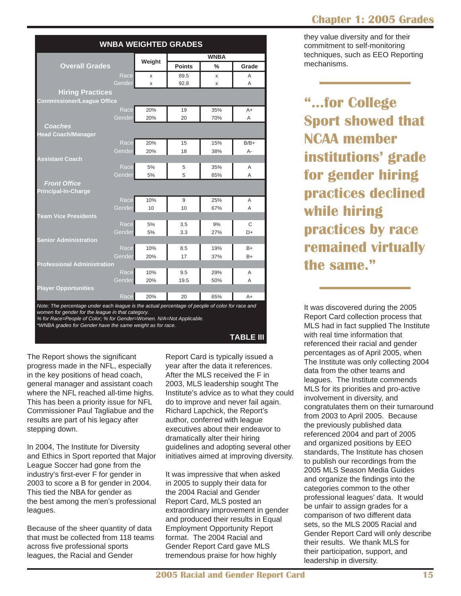| <b>WNBA WEIGHTED GRADES</b>        |        |               |               |        |  |  |  |
|------------------------------------|--------|---------------|---------------|--------|--|--|--|
|                                    |        | <b>WNBA</b>   |               |        |  |  |  |
| <b>Overall Grades</b>              | Weight | <b>Points</b> | $\frac{0}{0}$ | Grade  |  |  |  |
| Race                               | x      | 89.5          | X             | A      |  |  |  |
| Gender                             | X      | 92.8          | X             | A      |  |  |  |
| <b>Hiring Practices</b>            |        |               |               |        |  |  |  |
| <b>Commissioner/League Office</b>  |        |               |               |        |  |  |  |
| Race                               | 20%    | 19            | 35%           | $A+$   |  |  |  |
| Gender                             | 20%    | 20            | 70%           | A      |  |  |  |
| <b>Coaches</b>                     |        |               |               |        |  |  |  |
| <b>Head Coach/Manager</b>          |        |               |               |        |  |  |  |
| Race                               | 20%    | 15            | 15%           | $B/B+$ |  |  |  |
| Gender                             | 20%    | 18            | 38%           | А-     |  |  |  |
| <b>Assistant Coach</b>             |        |               |               |        |  |  |  |
| Race                               | 5%     | 5             | 35%           | A      |  |  |  |
| Gender                             | 5%     | 5             | 65%           | A      |  |  |  |
| <b>Front Office</b>                |        |               |               |        |  |  |  |
| Principal-In-Charge                |        |               |               |        |  |  |  |
| Race                               | 10%    | $9\,$         | 25%           | A      |  |  |  |
| Gender                             | 10     | 10            | 67%           | A      |  |  |  |
| <b>Team Vice Presidents</b>        |        |               |               |        |  |  |  |
| Race                               | 5%     | 3.5           | 9%            | C      |  |  |  |
| Gender                             | 5%     | 3.3           | 27%           | D+     |  |  |  |
| <b>Senior Administration</b>       |        |               |               |        |  |  |  |
| Race<br>Gender                     | 10%    | 8.5<br>17     | 19%<br>37%    | $B+$   |  |  |  |
| <b>Professional Administration</b> | 20%    |               |               | $B+$   |  |  |  |
| Race                               | 10%    | 9.5           | 29%           | A      |  |  |  |
| Gender                             | 20%    | 19.5          | 50%           | A      |  |  |  |
| <b>Player Opportunities</b>        |        |               |               |        |  |  |  |
|                                    |        |               |               |        |  |  |  |
| Race<br>TL                         | 20%    | 20            | 65%<br>٠.     | $A+$   |  |  |  |

*Note: The percentage under each league is the actual percentage of people of color for race and women for gender for the league in that category.*

*% for Race=People of Color; % for Gender=Women. N/A=Not Applicable.* 

*\*WNBA grades for Gender have the same weight as for race.*

**TABLE III**

The Report shows the significant progress made in the NFL, especially in the key positions of head coach, general manager and assistant coach where the NFL reached all-time highs. This has been a priority issue for NFL Commissioner Paul Tagliabue and the results are part of his legacy after stepping down.

In 2004, The Institute for Diversity and Ethics in Sport reported that Major League Soccer had gone from the industry's first-ever F for gender in 2003 to score a B for gender in 2004. This tied the NBA for gender as the best among the men's professional leagues.

Because of the sheer quantity of data that must be collected from 118 teams across five professional sports leagues, the Racial and Gender

Report Card is typically issued a year after the data it references. After the MLS received the F in 2003, MLS leadership sought The Institute's advice as to what they could do to improve and never fail again. Richard Lapchick, the Report's author, conferred with league executives about their endeavor to dramatically alter their hiring guidelines and adopting several other initiatives aimed at improving diversity.

It was impressive that when asked in 2005 to supply their data for the 2004 Racial and Gender Report Card, MLS posted an extraordinary improvement in gender and produced their results in Equal Employment Opportunity Report format. The 2004 Racial and Gender Report Card gave MLS tremendous praise for how highly

they value diversity and for their commitment to self-monitoring techniques, such as EEO Reporting mechanisms.

**"...for College Sport showed that NCAA member institutions' grade for gender hiring practices declined while hiring practices by race remained virtually the same."**

It was discovered during the 2005 Report Card collection process that MLS had in fact supplied The Institute with real time information that referenced their racial and gender percentages as of April 2005, when The Institute was only collecting 2004 data from the other teams and leagues. The Institute commends MLS for its priorities and pro-active involvement in diversity, and congratulates them on their turnaround from 2003 to April 2005. Because the previously published data referenced 2004 and part of 2005 and organized positions by EEO standards, The Institute has chosen to publish our recordings from the 2005 MLS Season Media Guides and organize the findings into the categories common to the other professional leagues' data. It would be unfair to assign grades for a comparison of two different data sets, so the MLS 2005 Racial and Gender Report Card will only describe their results. We thank MLS for their participation, support, and leadership in diversity.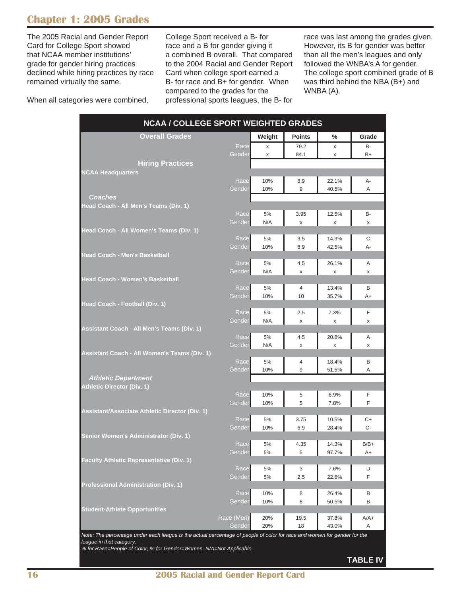# **Chapter 1: 2005 Grades**

The 2005 Racial and Gender Report Card for College Sport showed that NCAA member institutions' grade for gender hiring practices declined while hiring practices by race remained virtually the same.

When all categories were combined,

College Sport received a B- for race and a B for gender giving it a combined B overall. That compared to the 2004 Racial and Gender Report Card when college sport earned a B- for race and B+ for gender. When compared to the grades for the professional sports leagues, the B- for race was last among the grades given. However, its B for gender was better than all the men's leagues and only followed the WNBA's A for gender. The college sport combined grade of B was third behind the NBA (B+) and WNBA (A).

**TABLE IV**

| <b>Overall Grades</b>                               |                | Weight    | <b>Points</b> | $\%$           | Grade  |
|-----------------------------------------------------|----------------|-----------|---------------|----------------|--------|
|                                                     | Race           | x         | 79.2          | X              | B-     |
|                                                     | Gender         | х         | 84.1          | х              | B+     |
| <b>Hiring Practices</b>                             |                |           |               |                |        |
| <b>NCAA Headquarters</b>                            |                |           |               |                |        |
|                                                     | Race           | 10%       | 8.9           | 22.1%          | А-     |
| <b>Coaches</b>                                      | Gender         | 10%       | 9             | 40.5%          | Α      |
| Head Coach - All Men's Teams (Div. 1)               |                |           |               |                |        |
|                                                     | Race           | 5%        | 3.95          | 12.5%          | B-     |
|                                                     | Gender         | N/A       | X             | X              | X      |
| Head Coach - All Women's Teams (Div. 1)             |                |           |               |                |        |
|                                                     | Race           | 5%        | 3.5           | 14.9%          | С      |
|                                                     | Gender         | 10%       | 8.9           | 42.5%          | А-     |
| <b>Head Coach - Men's Basketball</b>                |                |           |               |                |        |
|                                                     | Race           | 5%        | 4.5           | 26.1%          | Α      |
|                                                     | Gender         | N/A       | х             | X              | X      |
| <b>Head Coach - Women's Basketball</b>              | Race           | 5%        | 4             | 13.4%          | В      |
|                                                     | Gender         | 10%       | 10            | 35.7%          | A+     |
| Head Coach - Football (Div. 1)                      |                |           |               |                |        |
|                                                     | Race           | 5%        | 2.5           | 7.3%           | F      |
|                                                     | Gender         | N/A       | х             | X              | X      |
| <b>Assistant Coach - All Men's Teams (Div. 1)</b>   |                |           |               |                |        |
|                                                     | Race           | 5%        | 4.5           | 20.8%          | Α      |
|                                                     | Gender         | N/A       | х             | X              | X      |
| <b>Assistant Coach - All Women's Teams (Div. 1)</b> |                |           |               |                |        |
|                                                     | Race<br>Gender | 5%<br>10% | 4<br>9        | 18.4%<br>51.5% | B      |
| <b>Athletic Department</b>                          |                |           |               |                | Α      |
| <b>Athletic Director (Div. 1)</b>                   |                |           |               |                |        |
|                                                     | Race           | 10%       | 5             | 6.9%           | F      |
|                                                     | Gender         | 10%       | 5             | 7.8%           | F      |
| Assistant/Associate Athletic Director (Div. 1)      |                |           |               |                |        |
|                                                     | Race           | 5%        | 3.75          | 10.5%          | C+     |
|                                                     | Gender         | 10%       | 6.9           | 28.4%          | $C-$   |
| Senior Women's Administrator (Div. 1)               |                |           |               |                |        |
|                                                     | Race           | 5%        | 4.35          | 14.3%          | $B/B+$ |
| <b>Faculty Athletic Representative (Div. 1)</b>     | Gender         | 5%        | b             | 97.7%          | $A+$   |
|                                                     | Race           | 5%        | 3             | 7.6%           | D      |
|                                                     | Gender         | 5%        | 2.5           | 22.6%          | F      |
| <b>Professional Administration (Div. 1)</b>         |                |           |               |                |        |
|                                                     | Race           | 10%       | 8             | 26.4%          | B      |
|                                                     | Gender         | 10%       | 8             | 50.5%          | B      |
| <b>Student-Athlete Opportunities</b>                |                |           |               |                |        |
|                                                     | Race (Men)     | 20%       | 19.5          | 37.8%          | $A/A+$ |
|                                                     | Gender         | 20%       | 18            | 43.0%          | Α      |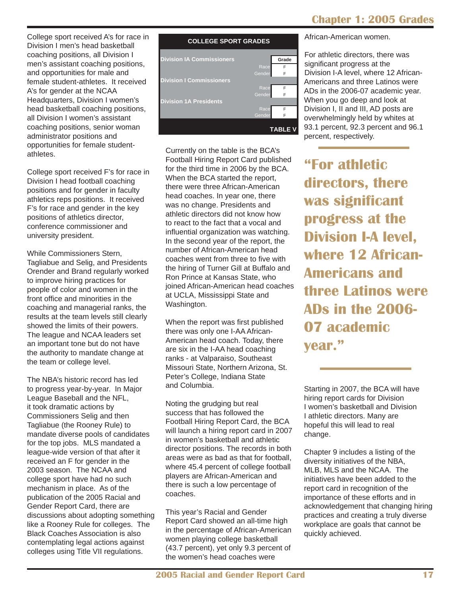# **Chapter 1: 2005 Grades**

College sport received A's for race in Division I men's head basketball coaching positions, all Division I men's assistant coaching positions, and opportunities for male and female student-athletes. It received A's for gender at the NCAA Headquarters, Division I women's head basketball coaching positions, all Division I women's assistant coaching positions, senior woman administrator positions and opportunities for female studentathletes.

College sport received F's for race in Division I head football coaching positions and for gender in faculty athletics reps positions. It received F's for race and gender in the key positions of athletics director, conference commissioner and university president.

While Commissioners Stern, Tagliabue and Selig, and Presidents Orender and Brand regularly worked to improve hiring practices for people of color and women in the front office and minorities in the coaching and managerial ranks, the results at the team levels still clearly showed the limits of their powers. The league and NCAA leaders set an important tone but do not have the authority to mandate change at the team or college level.

The NBA's historic record has led to progress year-by-year. In Major League Baseball and the NFL, it took dramatic actions by Commissioners Selig and then Tagliabue (the Rooney Rule) to mandate diverse pools of candidates for the top jobs. MLS mandated a league-wide version of that after it received an F for gender in the 2003 season. The NCAA and college sport have had no such mechanism in place. As of the publication of the 2005 Racial and Gender Report Card, there are discussions about adopting something like a Rooney Rule for colleges. The Black Coaches Association is also contemplating legal actions against colleges using Title VII regulations.

#### **COLLEGE SPORT GRADES**



Currently on the table is the BCA's Football Hiring Report Card published for the third time in 2006 by the BCA. When the BCA started the report, there were three African-American head coaches. In year one, there was no change. Presidents and athletic directors did not know how to react to the fact that a vocal and influential organization was watching. In the second year of the report, the number of African-American head coaches went from three to five with the hiring of Turner Gill at Buffalo and Ron Prince at Kansas State, who joined African-American head coaches at UCLA, Mississippi State and Washington.

When the report was first published there was only one I-AA African-American head coach. Today, there are six in the I-AA head coaching ranks - at Valparaiso, Southeast Missouri State, Northern Arizona, St. Peter's College, Indiana State and Columbia.

Noting the grudging but real success that has followed the Football Hiring Report Card, the BCA will launch a hiring report card in 2007 in women's basketball and athletic director positions. The records in both areas were as bad as that for football, where 45.4 percent of college football players are African-American and there is such a low percentage of coaches.

This year's Racial and Gender Report Card showed an all-time high in the percentage of African-American women playing college basketball (43.7 percent), yet only 9.3 percent of the women's head coaches were

African-American women.

For athletic directors, there was significant progress at the Division I-A level, where 12 African-Americans and three Latinos were ADs in the 2006-07 academic year. When you go deep and look at Division I, II and III, AD posts are overwhelmingly held by whites at 93.1 percent, 92.3 percent and 96.1 percent, respectively.

**"For athletic directors, there was significant progress at the Division I-A level, where 12 African-Americans and three Latinos were ADs in the 2006- 07 academic year."**

Starting in 2007, the BCA will have hiring report cards for Division I women's basketball and Division I athletic directors. Many are hopeful this will lead to real change.

Chapter 9 includes a listing of the diversity initiatives of the NBA, MLB, MLS and the NCAA. The initiatives have been added to the report card in recognition of the importance of these efforts and in acknowledgement that changing hiring practices and creating a truly diverse workplace are goals that cannot be quickly achieved.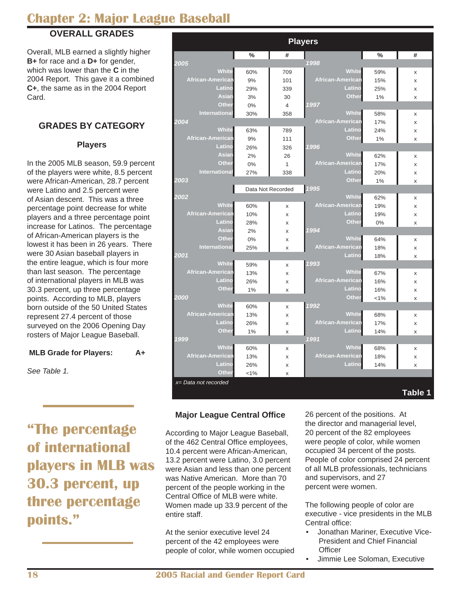# **OVERALL GRADES**

Overall, MLB earned a slightly higher **B+** for race and a **D+** for gender, which was lower than the **C** in the 2004 Report. This gave it a combined **C+**, the same as in the 2004 Report Card.

# **GRADES BY CATEGORY**

# **Players**

In the 2005 MLB season, 59.9 percent of the players were white, 8.5 percent were African-American, 28.7 percent were Latino and 2.5 percent were of Asian descent. This was a three percentage point decrease for white players and a three percentage point increase for Latinos. The percentage of African-American players is the lowest it has been in 26 years. There were 30 Asian baseball players in the entire league, which is four more than last season. The percentage of international players in MLB was 30.3 percent, up three percentage points. According to MLB, players born outside of the 50 United States represent 27.4 percent of those surveyed on the 2006 Opening Day rosters of Major League Baseball.

#### **MLB Grade for Players: A+**

*See Table 1.*

**"The percentage of international players in MLB was 30.3 percent, up three percentage points."**

|                      |               | <b>Players</b>    |                  |               |                |
|----------------------|---------------|-------------------|------------------|---------------|----------------|
|                      | $\frac{0}{0}$ | #                 |                  | $\frac{0}{0}$ | #              |
| 2005                 |               |                   | 1998             |               |                |
| <b>White</b>         | 60%           | 709               | <b>White</b>     | 59%           | X              |
| African-American     | 9%            | 101               | African-American | 15%           | X              |
| Latino               | 29%           | 339               | Latino           | 25%           | x              |
| Asian                | 3%            | 30                | Other            | 1%            | x              |
| Other                | 0%            | $\overline{4}$    | 1997             |               |                |
| International        | 30%           | 358               | <b>White</b>     | 58%           | x              |
| 2004                 |               |                   | African-American | 17%           | X              |
| <b>White</b>         | 63%           | 789               | Latino           | 24%           | x              |
| African-American     | 9%            | 111               | Other            | 1%            | X              |
| Latino               | 26%           | 326               | 1996             |               |                |
| Asian                | 2%            | 26                | <b>White</b>     | 62%           | X              |
| Other                | 0%            | $\mathbf{1}$      | African-American | 17%           | x              |
| International        | 27%           | 338               | Latino           | 20%           | x              |
| 2003                 |               |                   | <b>Other</b>     | 1%            | X              |
|                      |               | Data Not Recorded | 1995             |               |                |
| 2002                 |               |                   | <b>White</b>     | 62%           | X              |
| <b>White</b>         | 60%           | x                 | African-American | 19%           | x              |
| African-American     | 10%           | X                 | Latino           | 19%           | x              |
| Latino               | 28%           | X                 | Other            | 0%            | X              |
| Asian                | 2%            | X                 | 1994             |               |                |
| Other                | 0%            | X                 | <b>White</b>     | 64%           | X              |
| International        | 25%           | X                 | African-American | 18%           | X              |
| 2001                 |               |                   | Latino           | 18%           | X              |
| <b>White</b>         | 59%           | X                 | 1993             |               |                |
| African-American     | 13%           | X                 | <b>White</b>     | 67%           | X              |
| Latino               | 26%           | X                 | African-American | 16%           | х              |
| Other                | 1%            | X                 | Latino           | 16%           | х              |
| 2000                 |               |                   | Other            | $< 1\%$       | X              |
| <b>White</b>         | 60%           | X                 | 1992             |               |                |
| African-American     | 13%           | X                 | <b>White</b>     | 68%           | X              |
| Latino               | 26%           | X                 | African-American | 17%           | x              |
| Other                | 1%            | X                 | Latino           | 14%           | x              |
| 1999                 |               |                   | 1991             |               |                |
| <b>White</b>         | 60%           | X                 | <b>White</b>     | 68%           | X              |
| African-American     | 13%           | X                 | African-American | 18%           | X              |
| Latino               | 26%           | x                 | Latino           | 14%           | X              |
| Other                | < 1%          | X                 |                  |               |                |
| x= Data not recorded |               |                   |                  |               | <b>Table 1</b> |

## **Major League Central Office**

According to Major League Baseball, of the 462 Central Office employees, 10.4 percent were African-American, 13.2 percent were Latino, 3.0 percent were Asian and less than one percent was Native American. More than 70 percent of the people working in the Central Office of MLB were white. Women made up 33.9 percent of the entire staff.

At the senior executive level 24 percent of the 42 employees were people of color, while women occupied 26 percent of the positions. At the director and managerial level, 20 percent of the 82 employees were people of color, while women occupied 34 percent of the posts. People of color comprised 24 percent of all MLB professionals, technicians and supervisors, and 27 percent were women.

The following people of color are executive - vice presidents in the MLB Central office:

- Jonathan Mariner, Executive Vice-President and Chief Financial Officer
- Jimmie Lee Soloman, Executive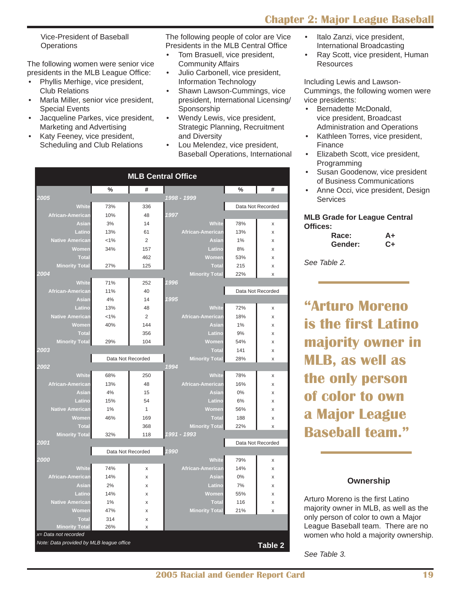Vice-President of Baseball **Operations** 

The following women were senior vice presidents in the MLB League Office:

- Phyllis Merhige, vice president, Club Relations
- Marla Miller, senior vice president, Special Events
- Jacqueline Parkes, vice president, Marketing and Advertising
- Katy Feeney, vice president, Scheduling and Club Relations

The following people of color are Vice Presidents in the MLB Central Office

- Tom Brasuell, vice president, Community Affairs
- Julio Carbonell, vice president, Information Technology
- Shawn Lawson-Cummings, vice president, International Licensing/ Sponsorship
- Wendy Lewis, vice president, Strategic Planning, Recruitment and Diversity
- Lou Melendez, vice president, Baseball Operations, International

| <b>MLB Central Office</b>                     |                   |                |                       |     |                   |  |  |  |
|-----------------------------------------------|-------------------|----------------|-----------------------|-----|-------------------|--|--|--|
|                                               | %                 | #              |                       | %   | #                 |  |  |  |
| 2005                                          |                   |                | 1998 - 1999           |     |                   |  |  |  |
| White                                         | 73%               | 336            |                       |     | Data Not Recorded |  |  |  |
| African-American                              | 10%               | 48             | 1997                  |     |                   |  |  |  |
| Asian                                         | 3%                | 14             | <b>White</b>          | 78% | X                 |  |  |  |
| Latino                                        | 13%               | 61             | African-American      | 13% | X                 |  |  |  |
| <b>Native American</b>                        | $< 1\%$           | $\overline{2}$ | Asian                 | 1%  | X                 |  |  |  |
| Women                                         | 34%               | 157            | Latino                | 8%  | X                 |  |  |  |
| Total                                         |                   | 462            | Women                 | 53% | X                 |  |  |  |
| <b>Minority Total</b>                         | 27%               | 125            | Total                 | 215 | X                 |  |  |  |
| 2004                                          |                   |                | <b>Minority Total</b> | 22% | X                 |  |  |  |
| <b>White</b>                                  | 71%               | 252            | 1996                  |     |                   |  |  |  |
| African-American                              | 11%               | 40             |                       |     | Data Not Recorded |  |  |  |
| Asian                                         | 4%                | 14             | 1995                  |     |                   |  |  |  |
| Latino                                        | 13%               | 48             | <b>White</b>          | 72% | X                 |  |  |  |
| <b>Native American</b>                        | $< 1\%$           | $\overline{2}$ | African-American      | 18% | X                 |  |  |  |
| Women                                         | 40%               | 144            | Asian                 | 1%  | X                 |  |  |  |
| <b>Total</b>                                  |                   | 356            | Latino                | 9%  | X                 |  |  |  |
| <b>Minority Total</b>                         | 29%               | 104            | Women                 | 54% | X                 |  |  |  |
| 2003                                          |                   |                | Total                 | 141 | X                 |  |  |  |
|                                               | Data Not Recorded |                | <b>Minority Total</b> | 28% | X                 |  |  |  |
| 2002                                          |                   |                | 1994                  |     |                   |  |  |  |
| White                                         | 68%               | 250            | <b>White</b>          | 78% | X                 |  |  |  |
| African-American                              | 13%               | 48             | African-American      | 16% | X                 |  |  |  |
| Asian                                         | 4%                | 15             | Asian                 | 0%  | X                 |  |  |  |
| Latino                                        | 15%               | 54             | Latino                | 6%  | X                 |  |  |  |
| <b>Native American</b>                        | 1%                | $\mathbf{1}$   | Women                 | 56% | X                 |  |  |  |
| Women                                         | 46%               | 169            | Total                 | 188 | X                 |  |  |  |
| <b>Total</b>                                  |                   | 368            | <b>Minority Total</b> | 22% | x                 |  |  |  |
| <b>Minority Total</b>                         | 32%               | 118            | 1991 - 1993           |     |                   |  |  |  |
| 2001                                          |                   |                |                       |     | Data Not Recorded |  |  |  |
|                                               | Data Not Recorded |                | 1990                  |     |                   |  |  |  |
| 2000                                          |                   |                | <b>White</b>          | 79% | X                 |  |  |  |
| White                                         | 74%               | X              | African-American      | 14% | x                 |  |  |  |
| African-American                              | 14%               | Χ              | Asian                 | 0%  | x                 |  |  |  |
| <b>Asian</b>                                  | 2%                | х              | Latino                | 7%  | X                 |  |  |  |
| Latino                                        | 14%               | X              | Women                 | 55% | X                 |  |  |  |
| <b>Native American</b>                        | 1%                | х              | Total                 | 116 | X                 |  |  |  |
| Women                                         | 47%               | X              | <b>Minority Total</b> | 21% | x                 |  |  |  |
| <b>Total</b>                                  | 314               | X              |                       |     |                   |  |  |  |
| <b>Minority Total</b><br>x= Data not recorded | 26%               | X              |                       |     |                   |  |  |  |
| Note: Data provided by MLB league office      |                   |                |                       |     | Table 2           |  |  |  |

- Italo Zanzi, vice president, International Broadcasting
- Ray Scott, vice president, Human Resources

Including Lewis and Lawson-Cummings, the following women were vice presidents:

- Bernadette McDonald, vice president, Broadcast Administration and Operations
- Kathleen Torres, vice president, Finance
- Elizabeth Scott, vice president, Programming
- Susan Goodenow, vice president of Business Communications
- Anne Occi, vice president, Design **Services**

#### **MLB Grade for League Central Offi ces:**

| Race:   | A+ |
|---------|----|
| Gender: | C+ |

*See Table 2.*

**"Arturo Moreno is the first Latino majority owner in MLB, as well as the only person of color to own a Major League Baseball team."**

## **Ownership**

Arturo Moreno is the first Latino majority owner in MLB, as well as the only person of color to own a Major League Baseball team. There are no women who hold a majority ownership.

*See Table 3.*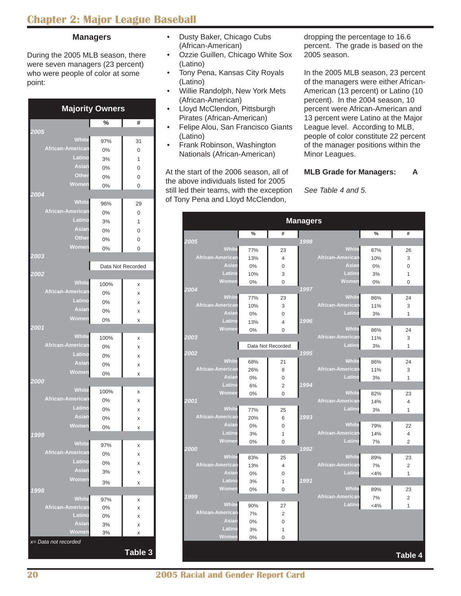#### **Managers**

During the 2005 MLB season, there were seven managers (23 percent) who were people of color at some point:

|                      | <b>Majority Owners</b> |                    |
|----------------------|------------------------|--------------------|
|                      | %                      | #                  |
| 2005                 |                        |                    |
| <b>White</b>         | 97%                    | 31                 |
| African-American     | 0%                     | 0                  |
| Latino               | 3%                     | 1                  |
| Asian                | 0%                     | 0                  |
| Other                | 0%                     | 0                  |
| Women                | 0%                     | 0                  |
| 2004                 |                        |                    |
| White                | 96%                    | 29                 |
| African-American     | 0%                     | 0                  |
| Latino               | 3%                     | 1                  |
| Asian                | 0%                     | 0                  |
| Other                | 0%                     | 0                  |
| Women                | 0%                     | 0                  |
| 2003                 |                        |                    |
| 2002                 |                        | Data Not Recorded  |
| <b>White</b>         |                        |                    |
| African-American     | 100%                   | X                  |
| Latino               | 0%                     | X                  |
| Asian                | 0%                     | X                  |
| Women                | 0%                     | X                  |
| 2001                 | 0%                     | X                  |
| White                | 100%                   | X                  |
| African-American     | 0%                     | X                  |
| Latino               | 0%                     | X                  |
| Asian                | 0%                     | X                  |
| Women                | 0%                     | X                  |
| 2000                 |                        |                    |
| White                | 100%                   | X                  |
| African-American     | 0%                     | X                  |
| Latino               | 0%                     | X                  |
| Asian                | 0%                     | X                  |
| Women                | 0%                     | X                  |
| 1999                 |                        |                    |
| White                | 97%                    | х                  |
| African-American     | 0%                     | X                  |
| Latino               | 0%                     | X                  |
| Asian                | 3%                     | X                  |
| Women                | 3%                     | X                  |
| 1998                 |                        |                    |
| White                | 97%                    | X                  |
| African-American     | 0%                     | X                  |
| Latino               | $0\%$                  | X                  |
| Asian                | 3%                     | X                  |
| Women                | 3%                     | X                  |
| x= Data not recorded |                        |                    |
|                      |                        | Table <sub>3</sub> |
|                      |                        |                    |

- Dusty Baker, Chicago Cubs (African-American)
- Ozzie Guillen, Chicago White Sox (Latino)
- Tony Pena, Kansas City Royals (Latino)
- Willie Randolph, New York Mets (African-American)
- Lloyd McClendon, Pittsburgh Pirates (African-American)
- Felipe Alou, San Francisco Giants (Latino)
- Frank Robinson, Washington Nationals (African-American)

At the start of the 2006 season, all of the above individuals listed for 2005 still led their teams, with the exception of Tony Pena and Lloyd McClendon,

dropping the percentage to 16.6 percent. The grade is based on the 2005 season.

In the 2005 MLB season, 23 percent of the managers were either African-American (13 percent) or Latino (10 percent). In the 2004 season, 10 percent were African-American and 13 percent were Latino at the Major League level. According to MLB, people of color constitute 22 percent of the manager positions within the Minor Leagues.

#### **MLB Grade for Managers: A**

*See Table 4 and 5.*

| <b>Managers</b>         |      |                   |                         |        |                |
|-------------------------|------|-------------------|-------------------------|--------|----------------|
|                         | $\%$ | #                 |                         | $\%$   | #              |
| 2005                    |      |                   | 1998                    |        |                |
| <b>White</b>            | 77%  | 23                | <b>White</b>            | 87%    | 26             |
| African-American        | 13%  | $\overline{4}$    | African-American        | 10%    | 3              |
| Asian                   | 0%   | $\mathbf 0$       | Asian                   | 0%     | 0              |
| Latino                  | 10%  | 3                 | Latino                  | 3%     | 1              |
| Women                   | 0%   | $\Omega$          | Women                   | 0%     | $\mathbf 0$    |
| 2004                    |      |                   | 1997                    |        |                |
| <b>White</b>            | 77%  | 23                | <b>White</b>            | 86%    | 24             |
| African-American        | 10%  | 3                 | African-American        | 11%    | 3              |
| Asian                   | 0%   | 0                 | Latino                  | 3%     | 1              |
| Latino                  | 13%  | 4                 | 1996                    |        |                |
| Women                   | 0%   | $\Omega$          | <b>White</b>            | 86%    | 24             |
| 2003                    |      |                   | <b>African-American</b> | 11%    | 3              |
|                         |      | Data Not Recorded | Latino                  | 3%     | 1              |
| 2002                    |      |                   | 1995                    |        |                |
| <b>White</b>            | 68%  | 21                | <b>White</b>            | 86%    | 24             |
| African-American        | 26%  | 8                 | African-American        | 11%    | 3              |
| Asian                   | 0%   | 0                 | Latino                  | 3%     | 1              |
| Latino                  | 6%   | $\overline{c}$    | 1994                    |        |                |
| Women                   | 0%   | $\mathbf 0$       | <b>White</b>            | 82%    | 23             |
| 2001                    |      |                   | African-American        | 14%    | $\overline{4}$ |
| <b>White</b>            | 77%  | 25                | Latino                  | 3%     | 1              |
| African-American        | 20%  | 6                 | 1993                    |        |                |
| Asian                   | 0%   | 0                 | <b>White</b>            | 79%    | 22             |
| Latino                  | 3%   | 1                 | African-American        | 14%    | $\overline{4}$ |
| Women                   | 0%   | $\mathbf 0$       | Latino                  | 7%     | $\overline{2}$ |
| 2000                    |      |                   | 1992                    |        |                |
| <b>White</b>            | 83%  | 25                | <b>White</b>            | 89%    | 23             |
| <b>African-American</b> | 13%  | $\overline{4}$    | <b>African-American</b> | 7%     | 2              |
| Asian                   | 0%   | 0                 | Latino                  | $<$ 4% | $\mathbf{1}$   |
| Latino                  | 3%   | 1                 | 1991                    |        |                |
| Women                   | 0%   | $\mathbf 0$       | <b>White</b>            | 89%    | 23             |
| 1999                    |      |                   | African-American        | 7%     | 2              |
| <b>White</b>            | 90%  | 27                | Latino                  | $<$ 4% | $\mathbf{1}$   |
| African-American        | 7%   | 2                 |                         |        |                |
| Asian                   | 0%   | $\mathbf 0$       |                         |        |                |
| Latino                  | 3%   | 1                 |                         |        |                |
| Women                   | 0%   | $\Omega$          |                         |        |                |
|                         |      |                   |                         |        | Table 4        |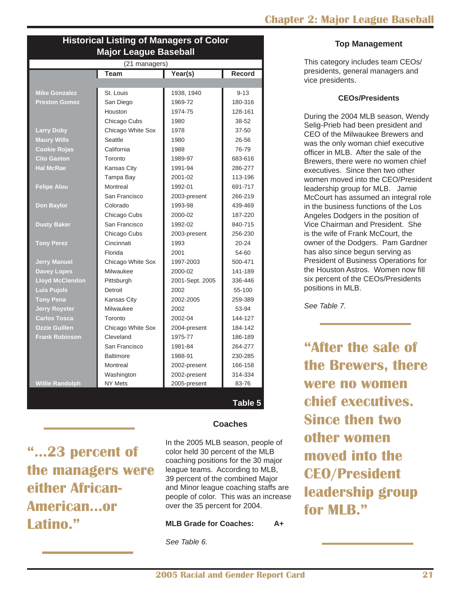# **Historical Listing of Managers of Color Major League Baseball**

| wajer<br>Luaguu Dasupan<br>(21 managers) |                    |                 |          |  |  |
|------------------------------------------|--------------------|-----------------|----------|--|--|
|                                          | <b>Team</b>        | Year(s)         | Record   |  |  |
|                                          |                    |                 |          |  |  |
| <b>Mike Gonzalez</b>                     | St. Louis          | 1938, 1940      | $9 - 13$ |  |  |
| <b>Preston Gomez</b>                     | San Diego          | 1969-72         | 180-316  |  |  |
|                                          | Houston            | 1974-75         | 128-161  |  |  |
|                                          | Chicago Cubs       | 1980            | 38-52    |  |  |
| <b>Larry Doby</b>                        | Chicago White Sox  | 1978            | 37-50    |  |  |
| <b>Maury Wills</b>                       | Seattle            | 1980            | 26-56    |  |  |
| <b>Cookie Rojas</b>                      | California         | 1988            | 76-79    |  |  |
| <b>Cito Gaston</b>                       | Toronto            | 1989-97         | 683-616  |  |  |
| <b>Hal McRae</b>                         | <b>Kansas City</b> | 1991-94         | 286-277  |  |  |
|                                          | Tampa Bay          | 2001-02         | 113-196  |  |  |
| <b>Felipe Alou</b>                       | Montreal           | 1992-01         | 691-717  |  |  |
|                                          | San Francisco      | 2003-present    | 266-219  |  |  |
| <b>Don Baylor</b>                        | Colorado           | 1993-98         | 439-469  |  |  |
|                                          | Chicago Cubs       | 2000-02         | 187-220  |  |  |
| <b>Dusty Baker</b>                       | San Francisco      | 1992-02         | 840-715  |  |  |
|                                          | Chicago Cubs       | 2003-present    | 256-230  |  |  |
| <b>Tony Perez</b>                        | Cincinnati         | 1993            | 20-24    |  |  |
|                                          | Florida            | 2001            | 54-60    |  |  |
| <b>Jerry Manuel</b>                      | Chicago White Sox  | 1997-2003       | 500-471  |  |  |
| <b>Davey Lopes</b>                       | Milwaukee          | 2000-02         | 141-189  |  |  |
| <b>Lloyd McClendon</b>                   | Pittsburgh         | 2001-Sept. 2005 | 336-446  |  |  |
| <b>Luis Pujols</b>                       | Detroit            | 2002            | 55-100   |  |  |
| <b>Tony Pena</b>                         | Kansas City        | 2002-2005       | 259-389  |  |  |
| <b>Jerry Royster</b>                     | Milwaukee          | 2002            | 53-94    |  |  |
| <b>Carlos Tosca</b>                      | Toronto            | 2002-04         | 144-127  |  |  |
| <b>Ozzie Guillen</b>                     | Chicago White Sox  | 2004-present    | 184-142  |  |  |
| <b>Frank Robinson</b>                    | Cleveland          | 1975-77         | 186-189  |  |  |
|                                          | San Francisco      | 1981-84         | 264-277  |  |  |
|                                          | <b>Baltimore</b>   | 1988-91         | 230-285  |  |  |
|                                          | Montreal           | 2002-present    | 166-158  |  |  |
|                                          | Washington         | 2002-present    | 314-334  |  |  |
| <b>Willie Randolph</b>                   | <b>NY Mets</b>     | 2005-present    | 83-76    |  |  |

**Table 5**

**"...23 percent of the managers were either African-American...or Latino."**

# **Coaches**

In the 2005 MLB season, people of color held 30 percent of the MLB coaching positions for the 30 major league teams. According to MLB, 39 percent of the combined Major and Minor league coaching staffs are people of color. This was an increase over the 35 percent for 2004.

**MLB Grade for Coaches: A+** 

*See Table 6.*

# **Top Management**

This category includes team CEOs/ presidents, general managers and vice presidents.

#### **CEOs/Presidents**

During the 2004 MLB season, Wendy Selig-Prieb had been president and CEO of the Milwaukee Brewers and was the only woman chief executive officer in MLB. After the sale of the Brewers, there were no women chief executives. Since then two other women moved into the CEO/President leadership group for MLB. Jamie McCourt has assumed an integral role in the business functions of the Los Angeles Dodgers in the position of Vice Chairman and President. She is the wife of Frank McCourt, the owner of the Dodgers. Pam Gardner has also since begun serving as President of Business Operations for the Houston Astros. Women now fill six percent of the CEOs/Presidents positions in MLB.

*See Table 7.*

**"After the sale of the Brewers, there were no women chief executives. Since then two other women moved into the CEO/President leadership group for MLB."**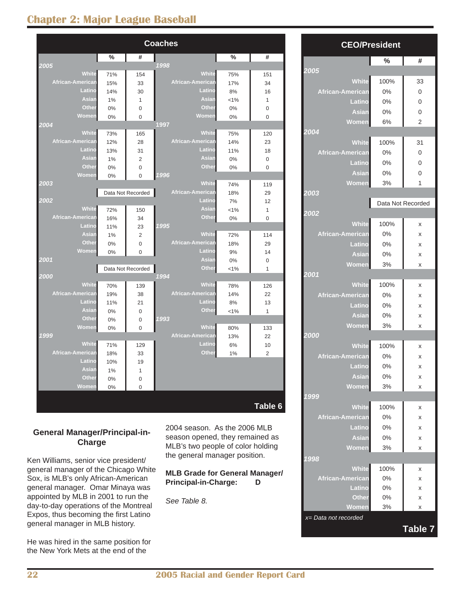| <b>Coaches</b>          |      |                   |                         |               |                |
|-------------------------|------|-------------------|-------------------------|---------------|----------------|
|                         | $\%$ | #                 |                         | $\frac{0}{0}$ | #              |
| 2005                    |      |                   | 1998                    |               |                |
| <b>White</b>            | 71%  | 154               | <b>White</b>            | 75%           | 151            |
| African-American        | 15%  | 33                | African-American        | 17%           | 34             |
| Latino                  | 14%  | 30                | Latino                  | 8%            | 16             |
| Asian                   | 1%   | 1                 | Asian                   | $< 1\%$       | 1              |
| Other                   | 0%   | 0                 | Other                   | 0%            | 0              |
| Women                   | 0%   | $\overline{0}$    | Women                   | 0%            | 0              |
| 2004                    |      |                   | 1997                    |               |                |
| <b>White</b>            | 73%  | 165               | <b>White</b>            | 75%           | 120            |
| African-American        | 12%  | 28                | African-American        | 14%           | 23             |
| Latino                  | 13%  | 31                | Latino                  | 11%           | 18             |
| Asian                   | 1%   | $\overline{2}$    | Asian                   | 0%            | 0              |
| Other                   | 0%   | $\overline{0}$    | Other                   | 0%            | 0              |
| Women                   | 0%   | $\Omega$          | 1996                    |               |                |
| 2003                    |      |                   | White                   | 74%           | 119            |
|                         |      | Data Not Recorded | <b>African-American</b> | 18%           | 29             |
| 2002                    |      |                   | Latino                  | 7%            | 12             |
| <b>White</b>            | 72%  | 150               | Asian                   | $< 1\%$       | 1              |
| <b>African-American</b> | 16%  | 34                | Other                   | 0%            | 0              |
| Latino                  | 11%  | 23                | 1995                    |               |                |
| Asian                   | 1%   | $\overline{2}$    | <b>White</b>            | 72%           | 114            |
| Other                   | 0%   | $\mathbf 0$       | <b>African-American</b> | 18%           | 29             |
| Women                   | 0%   | $\Omega$          | Latino                  | 9%            | 14             |
| 2001                    |      |                   | Asian                   | 0%            | 0              |
|                         |      | Data Not Recorded | Other                   | $< 1\%$       | 1              |
| 2000                    |      |                   | 1994                    |               |                |
| White                   | 70%  | 139               | <b>White</b>            | 78%           | 126            |
| African-American        | 19%  | 38                | African-American        | 14%           | 22             |
| Latino                  | 11%  | 21                | Latino                  | 8%            | 13             |
| Asian                   | 0%   | 0                 | Other                   | $< 1\%$       | 1              |
| Other                   | 0%   | $\mathbf 0$       | 1993                    |               |                |
| Women                   | 0%   | $\Omega$          | <b>White</b>            | 80%           | 133            |
| 1999                    |      |                   | African-American        | 13%           | 22             |
| <b>White</b>            | 71%  | 129               | Latino                  | 6%            | 10             |
| African-American        | 18%  | 33                | Other                   | 1%            | 2              |
| Latino                  | 10%  | 19                |                         |               |                |
| Asian                   | 1%   | 1                 |                         |               |                |
| Other                   | 0%   | 0                 |                         |               |                |
| Women                   | 0%   | 0                 |                         |               |                |
|                         |      |                   |                         |               | <b>Table 6</b> |

# **General Manager/Principal-in-Charge**

Ken Williams, senior vice president/ general manager of the Chicago White Sox, is MLB's only African-American general manager. Omar Minaya was appointed by MLB in 2001 to run the day-to-day operations of the Montreal Expos, thus becoming the first Latino general manager in MLB history.

He was hired in the same position for the New York Mets at the end of the

2004 season. As the 2006 MLB season opened, they remained as MLB's two people of color holding the general manager position.

#### **MLB Grade for General Manager/ Principal-in-Charge: D**

*See Table 8.*

| $\frac{0}{0}$<br>#<br>2005<br><b>White</b><br>100%<br>33<br>African-American<br>$0\%$<br>0<br>Latino<br>$0\%$<br>0<br><b>Asian</b><br>$0\%$<br>0<br>Women<br>6%<br>$\overline{2}$<br>2004<br><b>White</b><br>100%<br>31<br>African-American<br>$0\%$<br>0<br>Latino<br>$0\%$<br>0<br><b>Asian</b><br>$0\%$<br>0<br>Women<br>3%<br>1<br>2003<br>Data Not Recorded<br>2002<br><b>White</b><br>100%<br>X<br>African-American<br>$0\%$<br>X<br>Latino<br>$0\%$<br>X<br><b>Asian</b><br>$0\%$<br>Χ<br>3%<br>Women<br>X<br>2001<br>100%<br><b>White</b><br>Χ<br>African-American<br>$0\%$<br>X<br>Latino<br>$0\%$<br>X |  |
|------------------------------------------------------------------------------------------------------------------------------------------------------------------------------------------------------------------------------------------------------------------------------------------------------------------------------------------------------------------------------------------------------------------------------------------------------------------------------------------------------------------------------------------------------------------------------------------------------------------|--|
|                                                                                                                                                                                                                                                                                                                                                                                                                                                                                                                                                                                                                  |  |
|                                                                                                                                                                                                                                                                                                                                                                                                                                                                                                                                                                                                                  |  |
|                                                                                                                                                                                                                                                                                                                                                                                                                                                                                                                                                                                                                  |  |
|                                                                                                                                                                                                                                                                                                                                                                                                                                                                                                                                                                                                                  |  |
|                                                                                                                                                                                                                                                                                                                                                                                                                                                                                                                                                                                                                  |  |
|                                                                                                                                                                                                                                                                                                                                                                                                                                                                                                                                                                                                                  |  |
|                                                                                                                                                                                                                                                                                                                                                                                                                                                                                                                                                                                                                  |  |
|                                                                                                                                                                                                                                                                                                                                                                                                                                                                                                                                                                                                                  |  |
|                                                                                                                                                                                                                                                                                                                                                                                                                                                                                                                                                                                                                  |  |
|                                                                                                                                                                                                                                                                                                                                                                                                                                                                                                                                                                                                                  |  |
|                                                                                                                                                                                                                                                                                                                                                                                                                                                                                                                                                                                                                  |  |
|                                                                                                                                                                                                                                                                                                                                                                                                                                                                                                                                                                                                                  |  |
|                                                                                                                                                                                                                                                                                                                                                                                                                                                                                                                                                                                                                  |  |
|                                                                                                                                                                                                                                                                                                                                                                                                                                                                                                                                                                                                                  |  |
|                                                                                                                                                                                                                                                                                                                                                                                                                                                                                                                                                                                                                  |  |
|                                                                                                                                                                                                                                                                                                                                                                                                                                                                                                                                                                                                                  |  |
|                                                                                                                                                                                                                                                                                                                                                                                                                                                                                                                                                                                                                  |  |
|                                                                                                                                                                                                                                                                                                                                                                                                                                                                                                                                                                                                                  |  |
|                                                                                                                                                                                                                                                                                                                                                                                                                                                                                                                                                                                                                  |  |
|                                                                                                                                                                                                                                                                                                                                                                                                                                                                                                                                                                                                                  |  |
|                                                                                                                                                                                                                                                                                                                                                                                                                                                                                                                                                                                                                  |  |
|                                                                                                                                                                                                                                                                                                                                                                                                                                                                                                                                                                                                                  |  |
|                                                                                                                                                                                                                                                                                                                                                                                                                                                                                                                                                                                                                  |  |
|                                                                                                                                                                                                                                                                                                                                                                                                                                                                                                                                                                                                                  |  |
|                                                                                                                                                                                                                                                                                                                                                                                                                                                                                                                                                                                                                  |  |
| <b>Asian</b><br>0%<br>Χ                                                                                                                                                                                                                                                                                                                                                                                                                                                                                                                                                                                          |  |
| Women<br>3%<br>X                                                                                                                                                                                                                                                                                                                                                                                                                                                                                                                                                                                                 |  |
| 2000<br>100%                                                                                                                                                                                                                                                                                                                                                                                                                                                                                                                                                                                                     |  |
| <b>White</b><br>Χ<br>African-American<br>0%<br>X                                                                                                                                                                                                                                                                                                                                                                                                                                                                                                                                                                 |  |
| Latino<br>$0\%$<br>x                                                                                                                                                                                                                                                                                                                                                                                                                                                                                                                                                                                             |  |
| Asian<br>0%<br>Χ                                                                                                                                                                                                                                                                                                                                                                                                                                                                                                                                                                                                 |  |
| 3%<br>Women<br>X                                                                                                                                                                                                                                                                                                                                                                                                                                                                                                                                                                                                 |  |
| 1999                                                                                                                                                                                                                                                                                                                                                                                                                                                                                                                                                                                                             |  |
| <b>White</b><br>100%<br>Χ                                                                                                                                                                                                                                                                                                                                                                                                                                                                                                                                                                                        |  |
| African-American<br>$0\%$<br>X                                                                                                                                                                                                                                                                                                                                                                                                                                                                                                                                                                                   |  |
| Latino<br>0%<br>X                                                                                                                                                                                                                                                                                                                                                                                                                                                                                                                                                                                                |  |
| Asian<br>0%<br>X                                                                                                                                                                                                                                                                                                                                                                                                                                                                                                                                                                                                 |  |
| Women<br>3%<br>X                                                                                                                                                                                                                                                                                                                                                                                                                                                                                                                                                                                                 |  |
| 1998                                                                                                                                                                                                                                                                                                                                                                                                                                                                                                                                                                                                             |  |
| <b>White</b><br>100%<br>X                                                                                                                                                                                                                                                                                                                                                                                                                                                                                                                                                                                        |  |
| <b>African-American</b><br>$0\%$<br>X                                                                                                                                                                                                                                                                                                                                                                                                                                                                                                                                                                            |  |
| Latino<br>$0\%$<br>X                                                                                                                                                                                                                                                                                                                                                                                                                                                                                                                                                                                             |  |
| $0\%$<br>Other<br>Χ                                                                                                                                                                                                                                                                                                                                                                                                                                                                                                                                                                                              |  |
| Women<br>3%<br>X                                                                                                                                                                                                                                                                                                                                                                                                                                                                                                                                                                                                 |  |

**Table 7**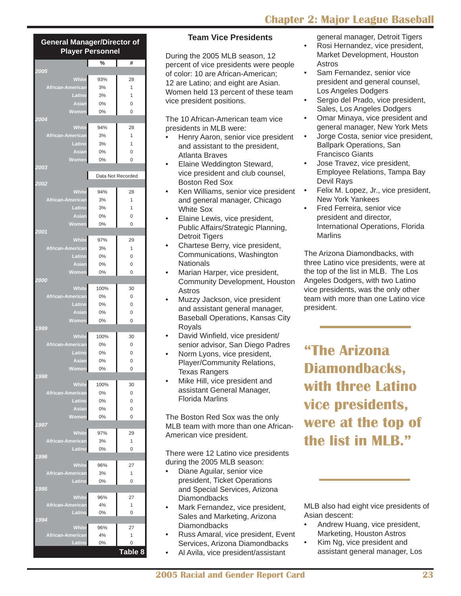| <b>General Manager/Director of</b><br><b>Player Personnel</b> |           |                   |
|---------------------------------------------------------------|-----------|-------------------|
|                                                               | %         | #                 |
| 2005                                                          |           |                   |
| <b>White</b>                                                  | 93%       | 28                |
| African-American                                              | 3%        | 1                 |
| Latino                                                        | 3%        | 1                 |
| Asian                                                         | 0%        | 0                 |
| <b>Women</b>                                                  | 0%        | 0                 |
| 2004                                                          |           |                   |
| White                                                         | 94%       | 28                |
| African-American                                              | 3%        | 1                 |
| Latino                                                        | 3%        | 1                 |
| Asian                                                         | 0%        | 0                 |
| Women                                                         | 0%        | 0                 |
| 2003                                                          |           |                   |
|                                                               |           | Data Not Recorded |
| 2002                                                          |           |                   |
| <b>White</b>                                                  | 94%       | 28                |
| African-American                                              | 3%<br>3%  | 1<br>1            |
| Latino<br><b>Asian</b>                                        |           |                   |
|                                                               | 0%<br>0%  | 0<br>0            |
| Women<br>2001                                                 |           |                   |
| <b>White</b>                                                  | 97%       | 29                |
| African-American                                              | 3%        | 1                 |
| Latino                                                        | 0%        | 0                 |
| Asian                                                         | 0%        | 0                 |
| <b>Women</b>                                                  | 0%        | 0                 |
| 2000                                                          |           |                   |
| <b>White</b>                                                  | 100%      | 30                |
| African-American                                              | 0%        | 0                 |
| Latino                                                        | 0%        | 0                 |
| Asian                                                         | 0%        | 0                 |
| Women                                                         | 0%        | 0                 |
| 1999                                                          |           |                   |
| White                                                         | 100%      | 30                |
| African-American                                              | 0%        | 0                 |
| Latino                                                        | 0%        | 0                 |
| Asian                                                         | 0%        | 0                 |
| Women                                                         | 0%        | 0                 |
| 1998                                                          |           |                   |
| White                                                         | 100%      | 30                |
| African-American                                              | 0%        | 0                 |
| Latino                                                        | 0%        | 0                 |
| Asian                                                         | 0%        | 0                 |
| Women                                                         | 0%        | 0                 |
| 1997                                                          |           |                   |
| White                                                         | 97%       | 29                |
| <b>African-American</b>                                       | 3%        | 1                 |
| Latino                                                        | 0%        | 0                 |
| 1996                                                          |           |                   |
| <b>White</b>                                                  | 96%       | 27                |
| African-Americar                                              | 3%        | 1                 |
| Latino                                                        | 0%        | 0                 |
| 1995                                                          |           |                   |
| White                                                         | 96%<br>4% | 27<br>1           |
| African-American<br>Latino                                    | 0%        | 0                 |
| 1994                                                          |           |                   |
| White                                                         | 96%       | 27                |
| African-American                                              | 4%        | 1                 |
| Latino                                                        | 0%        | 0                 |
|                                                               |           | <b>Table</b>      |

#### **Team Vice Presidents**

During the 2005 MLB season, 12 percent of vice presidents were people of color: 10 are African-American; 12 are Latino; and eight are Asian. Women held 13 percent of these team vice president positions.

The 10 African-American team vice presidents in MLB were:

- Henry Aaron, senior vice president and assistant to the president, Atlanta Braves
- Elaine Weddington Steward, vice president and club counsel, Boston Red Sox
- Ken Williams, senior vice president and general manager, Chicago White Sox
- Elaine Lewis, vice president, Public Affairs/Strategic Planning, Detroit Tigers
- Chartese Berry, vice president, Communications, Washington **Nationals**
- Marian Harper, vice president, Community Development, Houston Astros
- Muzzy Jackson, vice president and assistant general manager, Baseball Operations, Kansas City Royals
- David Winfield, vice president/ senior advisor, San Diego Padres
- Norm Lyons, vice president, Player/Community Relations, Texas Rangers
- Mike Hill, vice president and assistant General Manager, Florida Marlins

The Boston Red Sox was the only MLB team with more than one African-American vice president.

There were 12 Latino vice presidents during the 2005 MLB season:

- Diane Aguilar, senior vice president, Ticket Operations and Special Services, Arizona **Diamondbacks**
- Mark Fernandez, vice president, Sales and Marketing, Arizona **Diamondbacks**
- Russ Amaral, vice president, Event Services, Arizona Diamondbacks
- Al Avila, vice president/assistant
- general manager, Detroit Tigers • Rosi Hernandez, vice president,
- Market Development, Houston Astros
- Sam Fernandez, senior vice president and general counsel, Los Angeles Dodgers
- Sergio del Prado, vice president, Sales, Los Angeles Dodgers
- Omar Minaya, vice president and general manager, New York Mets
- Jorge Costa, senior vice president, Ballpark Operations, San Francisco Giants
- Jose Travez, vice president, Employee Relations, Tampa Bay Devil Rays
- Felix M. Lopez, Jr., vice president, New York Yankees
- Fred Ferreira, senior vice president and director, International Operations, Florida **Marlins**

The Arizona Diamondbacks, with three Latino vice presidents, were at the top of the list in MLB. The Los Angeles Dodgers, with two Latino vice presidents, was the only other team with more than one Latino vice president.

**"The Arizona Diamondbacks, with three Latino vice presidents, were at the top of the list in MLB."**

MLB also had eight vice presidents of Asian descent:

- Andrew Huang, vice president, Marketing, Houston Astros
- Kim Ng, vice president and assistant general manager, Los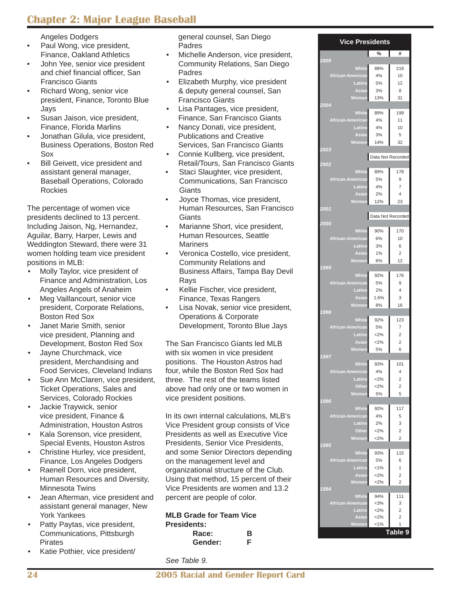Angeles Dodgers

- Paul Wong, vice president, Finance, Oakland Athletics
- John Yee, senior vice president and chief financial officer, San Francisco Giants
- Richard Wong, senior vice president, Finance, Toronto Blue Jays
- Susan Jaison, vice president, Finance, Florida Marlins
- Jonathan Gilula, vice president, Business Operations, Boston Red Sox
- Bill Geivett, vice president and assistant general manager, Baseball Operations, Colorado Rockies

The percentage of women vice presidents declined to 13 percent. Including Jaison, Ng, Hernandez, Aguilar, Barry, Harper, Lewis and Weddington Steward, there were 31 women holding team vice president positions in MLB:

- Molly Taylor, vice president of Finance and Administration, Los Angeles Angels of Anaheim
- Meg Vaillancourt, senior vice president, Corporate Relations, Boston Red Sox
- Janet Marie Smith, senior vice president, Planning and Development, Boston Red Sox
- Jayne Churchmack, vice president, Merchandising and Food Services, Cleveland Indians
- Sue Ann McClaren, vice president, Ticket Operations, Sales and Services, Colorado Rockies
- Jackie Traywick, senior vice president, Finance & Administration, Houston Astros
- Kala Sorenson, vice president, Special Events, Houston Astros
- Christine Hurley, vice president, Finance, Los Angeles Dodgers
- Raenell Dorn, vice president, Human Resources and Diversity, Minnesota Twins
- Jean Afterman, vice president and assistant general manager, New York Yankees
- Patty Paytas, vice president, Communications, Pittsburgh Pirates
- Katie Pothier, vice president/

general counsel, San Diego Padres

- Michelle Anderson, vice president, Community Relations, San Diego Padres
- Elizabeth Murphy, vice president & deputy general counsel, San Francisco Giants
- Lisa Pantages, vice president, Finance, San Francisco Giants
- Nancy Donati, vice president, Publications and Creative Services, San Francisco Giants
- Connie Kullberg, vice president, Retail/Tours, San Francisco Giants
- Staci Slaughter, vice president, Communications, San Francisco **Giants**
- Joyce Thomas, vice president, Human Resources, San Francisco **Giants**
- Marianne Short, vice president, Human Resources, Seattle **Mariners**
- Veronica Costello, vice president, Community Relations and Business Affairs, Tampa Bay Devil Rays
- Kellie Fischer, vice president, Finance, Texas Rangers
- Lisa Novak, senior vice president, Operations & Corporate Development, Toronto Blue Jays

The San Francisco Giants led MLB with six women in vice president positions. The Houston Astros had four, while the Boston Red Sox had three. The rest of the teams listed above had only one or two women in vice president positions.

In its own internal calculations, MLB's Vice President group consists of Vice Presidents as well as Executive Vice Presidents, Senior Vice Presidents, and some Senior Directors depending on the management level and organizational structure of the Club. Using that method, 15 percent of their Vice Presidents are women and 13.2 percent are people of color.

#### **MLB Grade for Team Vice Presidents:**

| Race:   | в  |
|---------|----|
| Gender: | F. |

*See Table 9.*

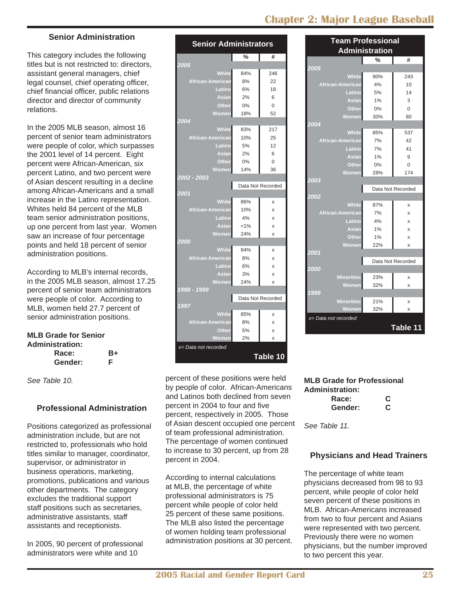# **Senior Administration**

This category includes the following titles but is not restricted to: directors, assistant general managers, chief legal counsel, chief operating officer, chief financial officer, public relations director and director of community relations.

In the 2005 MLB season, almost 16 percent of senior team administrators were people of color, which surpasses the 2001 level of 14 percent. Eight percent were African-American, six percent Latino, and two percent were of Asian descent resulting in a decline among African-Americans and a small increase in the Latino representation. Whites held 84 percent of the MLB team senior administration positions, up one percent from last year. Women saw an increase of four percentage points and held 18 percent of senior administration positions.

According to MLB's internal records, in the 2005 MLB season, almost 17.25 percent of senior team administrators were people of color. According to MLB, women held 27.7 percent of senior administration positions.

#### **MLB Grade for Senior Administration:**

| Race:   | B+ |
|---------|----|
| Gender: | F. |

*See Table 10.*

# **Professional Administration**

Positions categorized as professional administration include, but are not restricted to, professionals who hold titles similar to manager, coordinator, supervisor, or administrator in business operations, marketing, promotions, publications and various other departments. The category excludes the traditional support staff positions such as secretaries, administrative assistants, staff assistants and receptionists.

In 2005, 90 percent of professional administrators were white and 10

| <b>Senior Administrators</b> |         |                         |  |
|------------------------------|---------|-------------------------|--|
|                              | %       | #                       |  |
| 2005                         |         |                         |  |
| <b>White</b>                 | 84%     | 246                     |  |
| African-American             | 8%      | 22                      |  |
| Latino                       | 6%      | 18                      |  |
| <b>Asian</b>                 | 2%      | 6                       |  |
| Other                        | 0%      | $\Omega$                |  |
| Women                        | 18%     | 52                      |  |
| 2004                         |         |                         |  |
| <b>White</b>                 | 83%     | 217                     |  |
| African-American             | 10%     | 25                      |  |
| Latino                       | 5%      | 12                      |  |
| <b>Asian</b>                 | 2%      | 6                       |  |
| Other                        | 0%      | 0                       |  |
| Women                        | 14%     | 36                      |  |
| 2002 - 2003                  |         |                         |  |
|                              |         | Data Not Recorded       |  |
| 2001                         |         |                         |  |
| <b>White</b>                 | 86%     | Χ                       |  |
| African-American             | 10%     | X                       |  |
| Latino                       | 4%      | X                       |  |
| <b>Asian</b>                 | $< 1\%$ | X                       |  |
| Women                        | 24%     | X                       |  |
| 2000                         |         |                         |  |
| <b>White</b>                 | 84%     | X                       |  |
| African-American             | 8%      | X                       |  |
| Latino                       | 6%      | X                       |  |
| <b>Asian</b>                 | 3%      | X                       |  |
| Women<br>1998 - 1999         | 24%     | X                       |  |
|                              |         | Data Not Recorded       |  |
| 1997                         |         |                         |  |
| White                        | 85%     | X                       |  |
| African-American             | 8%      | X                       |  |
|                              | 5%      | Χ                       |  |
|                              |         |                         |  |
| Other<br>Women               | 2%      | $\overline{\mathsf{x}}$ |  |

percent of these positions were held by people of color. African-Americans and Latinos both declined from seven percent in 2004 to four and five percent, respectively in 2005. Those of Asian descent occupied one percent of team professional administration. The percentage of women continued to increase to 30 percent, up from 28 percent in 2004.

According to internal calculations at MLB, the percentage of white professional administrators is 75 percent while people of color held 25 percent of these same positions. The MLB also listed the percentage of women holding team professional administration positions at 30 percent.

| <b>Team Professional</b> |                       |                   |  |
|--------------------------|-----------------------|-------------------|--|
|                          | <b>Administration</b> |                   |  |
|                          | $\frac{0}{0}$         | #                 |  |
| 2005                     |                       |                   |  |
| <b>White</b>             | 90%                   | 243               |  |
| African-American         | 4%                    | 10                |  |
| Latino                   | 5%                    | 14                |  |
| Asian                    | 1%                    | 3                 |  |
| Other                    | 0%                    | 0                 |  |
| Women                    | 30%                   | 80                |  |
| 2004                     |                       |                   |  |
| <b>White</b>             | 85%                   | 537               |  |
| African-American         | 7%                    | 42                |  |
| Latino                   | 7%                    | 41                |  |
| Asian                    | 1%                    | 9                 |  |
| Other                    | 0%                    | $\Omega$          |  |
| Women                    | 28%                   | 174               |  |
| 2003                     |                       |                   |  |
|                          |                       | Data Not Recorded |  |
| 2002                     |                       |                   |  |
| <b>White</b>             | 87%                   | X                 |  |
| African-American         | 7%                    | X                 |  |
| Latino                   | 4%                    | X                 |  |
| Asian                    | 1%                    | X                 |  |
| Other                    | 1%                    | X                 |  |
| Women                    | 22%                   | X                 |  |
| 2001                     |                       |                   |  |
|                          |                       | Data Not Recorded |  |
| 2000                     |                       |                   |  |
| <b>Minorities</b>        | 23%                   | X                 |  |
| Women                    | 32%                   | X                 |  |
| 1999                     |                       |                   |  |
| <b>Minorities</b>        | 21%                   | X                 |  |
| Women                    | 32%                   | X                 |  |
| x= Data not recorded     |                       |                   |  |
|                          |                       | Table 11          |  |
|                          |                       |                   |  |

| <b>MLB Grade for Professional</b> |   |  |
|-----------------------------------|---|--|
| <b>Administration:</b>            |   |  |
| Race:                             | C |  |
| Gender:                           | C |  |

*See Table 11.*

# **Physicians and Head Trainers**

The percentage of white team physicians decreased from 98 to 93 percent, while people of color held seven percent of these positions in MLB. African-Americans increased from two to four percent and Asians were represented with two percent. Previously there were no women physicians, but the number improved to two percent this year.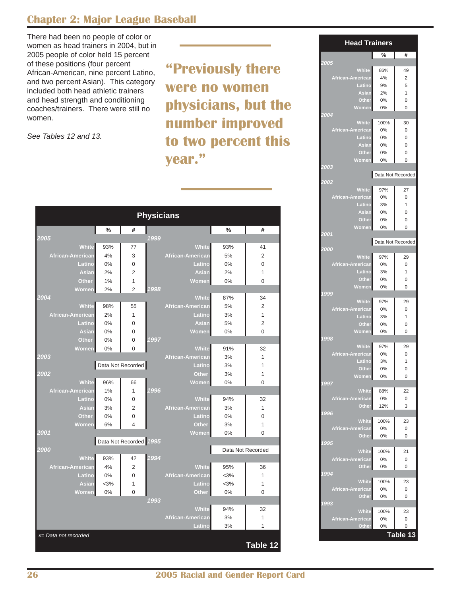There had been no people of color or women as head trainers in 2004, but in 2005 people of color held 15 percent of these positions (four percent African-American, nine percent Latino, and two percent Asian). This category included both head athletic trainers and head strength and conditioning coaches/trainers. There were still no women.

*See Tables 12 and 13.*

**"Previously there were no women physicians, but the number improved to two percent this year."**

| <b>Physicians</b>     |        |                        |                  |               |                   |  |
|-----------------------|--------|------------------------|------------------|---------------|-------------------|--|
|                       | %      | #                      |                  | $\frac{0}{0}$ | #                 |  |
| 2005                  |        |                        | 1999             |               |                   |  |
| <b>White</b>          | 93%    | 77                     | <b>White</b>     | 93%           | 41                |  |
| African-American      | 4%     | 3                      | African-American | 5%            | 2                 |  |
| Latino                | 0%     | 0                      | Latino           | 0%            | 0                 |  |
| Asian                 | 2%     | $\overline{2}$         | Asian            | 2%            | 1                 |  |
| Other                 | 1%     | 1                      | Women            | 0%            | $\Omega$          |  |
| <b>Women</b>          | 2%     | $\overline{2}$         | 1998             |               |                   |  |
| 2004                  |        |                        | <b>White</b>     | 87%           | 34                |  |
| <b>White</b>          | 98%    | 55                     | African-American | 5%            | $\overline{2}$    |  |
| African-American      | 2%     | 1                      | Latino           | 3%            | 1                 |  |
| Latino                | 0%     | 0                      | Asian            | 5%            | $\overline{2}$    |  |
| Asian                 | $0\%$  | 0                      | Women            | 0%            | $\Omega$          |  |
| Other                 | 0%     | 0                      | 1997             |               |                   |  |
| Women                 | 0%     | $\Omega$               | <b>White</b>     | 91%           | 32                |  |
| 2003                  |        |                        | African-American | 3%            | 1                 |  |
|                       |        | Data Not Recorded      | Latino           | 3%            | 1                 |  |
| 2002                  |        |                        | Other            | 3%            | 1                 |  |
| <b>White</b>          | 96%    | 66                     | Women            | 0%            | $\Omega$          |  |
| African-American      | 1%     | 1                      | 1996             |               |                   |  |
| Latino                | 0%     | 0                      | <b>White</b>     | 94%           | 32                |  |
| Asian                 | 3%     | 2                      | African-American | 3%            | $\mathbf{1}$      |  |
| Other                 | 0%     | 0                      | Latino           | 0%            | 0                 |  |
| Women                 | 6%     | 4                      | Other            | 3%            | 1                 |  |
| 2001                  |        |                        | Women            | 0%            | $\Omega$          |  |
|                       |        | Data Not Recorded 1995 |                  |               |                   |  |
| 2000                  |        |                        |                  |               | Data Not Recorded |  |
| <b>White</b>          | 93%    | 42                     | 1994             |               |                   |  |
| African-American      | 4%     | $\overline{2}$         | <b>White</b>     | 95%           | 36                |  |
| Latino                | 0%     | 0                      | African-American | $<$ 3%        | $\mathbf{1}$      |  |
| Asian                 | $<$ 3% | 1                      | Latino           | $<$ 3%        | 1                 |  |
| Women                 | 0%     | 0                      | Other            | 0%            | $\Omega$          |  |
|                       |        |                        | 1993             |               |                   |  |
|                       |        |                        | <b>White</b>     | 94%           | 32                |  |
|                       |        |                        | African-American | 3%            | 1                 |  |
|                       |        |                        | Latino           | 3%            | 1                 |  |
| $x=Data$ not recorded |        |                        |                  |               |                   |  |
|                       |        |                        |                  |               | Table 12          |  |

| %<br>#<br>2005<br><b>White</b><br>86%<br>49<br>4%<br>African-American<br>2<br>Latino<br>9%<br>5<br>Asian<br>1<br>2%<br>Other<br>0%<br>0<br>0%<br><b>Women</b><br>0<br>2004<br><b>White</b><br>100%<br>30<br>African-American<br>0%<br>0<br>Latino<br>0%<br>0<br>Asian<br>0%<br>0<br>0%<br>Other<br>0<br>0%<br>Women<br>$\Omega$<br>2003<br>Data Not Recorded<br>2002<br>White<br>97%<br>27<br>African-American<br>0%<br>0<br>1<br>Latino<br>3%<br>Asian<br>0%<br>0<br>Other<br>0%<br>0<br>0%<br>Women<br>0<br>2001<br>Data Not Recorded<br>2000<br>White<br>97%<br>29<br>African-American<br>0%<br>0<br>Latino<br>3%<br>1<br>Other<br>0%<br>0<br>0<br>Women<br>0%<br>1999<br>97%<br><b>White</b><br>29<br>African-American<br>0%<br>0<br>Latino<br>3%<br>1<br>0%<br>Other<br>0<br>$\overline{0}$<br>Women<br>0%<br>1998<br><b>White</b><br>97%<br>29<br>African-American<br>0%<br>0<br>3%<br>1<br>Latino<br>Other<br>0%<br>0<br>Women<br>0%<br>0<br>1997<br>White<br>88%<br>22<br>African-American<br>0%<br>0<br>Other<br>12%<br>3<br>1996<br><b>White</b><br>100%<br>23<br>African-American<br>0%<br>0<br>Other<br>0%<br>0<br>1995<br><b>White</b><br>100%<br>21<br>African-American<br>0%<br>0<br>0%<br>Other<br>0<br>1994<br><b>White</b><br>100%<br>23<br>African-Americar<br>0%<br>0<br>Other<br>0%<br>0<br>1993<br>100%<br>White<br>23<br>African-American<br>0%<br>0<br>0%<br>0<br>Other | <b>Head Trainers</b> |  |
|-------------------------------------------------------------------------------------------------------------------------------------------------------------------------------------------------------------------------------------------------------------------------------------------------------------------------------------------------------------------------------------------------------------------------------------------------------------------------------------------------------------------------------------------------------------------------------------------------------------------------------------------------------------------------------------------------------------------------------------------------------------------------------------------------------------------------------------------------------------------------------------------------------------------------------------------------------------------------------------------------------------------------------------------------------------------------------------------------------------------------------------------------------------------------------------------------------------------------------------------------------------------------------------------------------------------------------------------------------------------------------------------------|----------------------|--|
|                                                                                                                                                                                                                                                                                                                                                                                                                                                                                                                                                                                                                                                                                                                                                                                                                                                                                                                                                                                                                                                                                                                                                                                                                                                                                                                                                                                                 |                      |  |
|                                                                                                                                                                                                                                                                                                                                                                                                                                                                                                                                                                                                                                                                                                                                                                                                                                                                                                                                                                                                                                                                                                                                                                                                                                                                                                                                                                                                 |                      |  |
|                                                                                                                                                                                                                                                                                                                                                                                                                                                                                                                                                                                                                                                                                                                                                                                                                                                                                                                                                                                                                                                                                                                                                                                                                                                                                                                                                                                                 |                      |  |
|                                                                                                                                                                                                                                                                                                                                                                                                                                                                                                                                                                                                                                                                                                                                                                                                                                                                                                                                                                                                                                                                                                                                                                                                                                                                                                                                                                                                 |                      |  |
|                                                                                                                                                                                                                                                                                                                                                                                                                                                                                                                                                                                                                                                                                                                                                                                                                                                                                                                                                                                                                                                                                                                                                                                                                                                                                                                                                                                                 |                      |  |
|                                                                                                                                                                                                                                                                                                                                                                                                                                                                                                                                                                                                                                                                                                                                                                                                                                                                                                                                                                                                                                                                                                                                                                                                                                                                                                                                                                                                 |                      |  |
|                                                                                                                                                                                                                                                                                                                                                                                                                                                                                                                                                                                                                                                                                                                                                                                                                                                                                                                                                                                                                                                                                                                                                                                                                                                                                                                                                                                                 |                      |  |
|                                                                                                                                                                                                                                                                                                                                                                                                                                                                                                                                                                                                                                                                                                                                                                                                                                                                                                                                                                                                                                                                                                                                                                                                                                                                                                                                                                                                 |                      |  |
|                                                                                                                                                                                                                                                                                                                                                                                                                                                                                                                                                                                                                                                                                                                                                                                                                                                                                                                                                                                                                                                                                                                                                                                                                                                                                                                                                                                                 |                      |  |
|                                                                                                                                                                                                                                                                                                                                                                                                                                                                                                                                                                                                                                                                                                                                                                                                                                                                                                                                                                                                                                                                                                                                                                                                                                                                                                                                                                                                 |                      |  |
|                                                                                                                                                                                                                                                                                                                                                                                                                                                                                                                                                                                                                                                                                                                                                                                                                                                                                                                                                                                                                                                                                                                                                                                                                                                                                                                                                                                                 |                      |  |
|                                                                                                                                                                                                                                                                                                                                                                                                                                                                                                                                                                                                                                                                                                                                                                                                                                                                                                                                                                                                                                                                                                                                                                                                                                                                                                                                                                                                 |                      |  |
|                                                                                                                                                                                                                                                                                                                                                                                                                                                                                                                                                                                                                                                                                                                                                                                                                                                                                                                                                                                                                                                                                                                                                                                                                                                                                                                                                                                                 |                      |  |
|                                                                                                                                                                                                                                                                                                                                                                                                                                                                                                                                                                                                                                                                                                                                                                                                                                                                                                                                                                                                                                                                                                                                                                                                                                                                                                                                                                                                 |                      |  |
|                                                                                                                                                                                                                                                                                                                                                                                                                                                                                                                                                                                                                                                                                                                                                                                                                                                                                                                                                                                                                                                                                                                                                                                                                                                                                                                                                                                                 |                      |  |
|                                                                                                                                                                                                                                                                                                                                                                                                                                                                                                                                                                                                                                                                                                                                                                                                                                                                                                                                                                                                                                                                                                                                                                                                                                                                                                                                                                                                 |                      |  |
|                                                                                                                                                                                                                                                                                                                                                                                                                                                                                                                                                                                                                                                                                                                                                                                                                                                                                                                                                                                                                                                                                                                                                                                                                                                                                                                                                                                                 |                      |  |
|                                                                                                                                                                                                                                                                                                                                                                                                                                                                                                                                                                                                                                                                                                                                                                                                                                                                                                                                                                                                                                                                                                                                                                                                                                                                                                                                                                                                 |                      |  |
|                                                                                                                                                                                                                                                                                                                                                                                                                                                                                                                                                                                                                                                                                                                                                                                                                                                                                                                                                                                                                                                                                                                                                                                                                                                                                                                                                                                                 |                      |  |
|                                                                                                                                                                                                                                                                                                                                                                                                                                                                                                                                                                                                                                                                                                                                                                                                                                                                                                                                                                                                                                                                                                                                                                                                                                                                                                                                                                                                 |                      |  |
|                                                                                                                                                                                                                                                                                                                                                                                                                                                                                                                                                                                                                                                                                                                                                                                                                                                                                                                                                                                                                                                                                                                                                                                                                                                                                                                                                                                                 |                      |  |
|                                                                                                                                                                                                                                                                                                                                                                                                                                                                                                                                                                                                                                                                                                                                                                                                                                                                                                                                                                                                                                                                                                                                                                                                                                                                                                                                                                                                 |                      |  |
|                                                                                                                                                                                                                                                                                                                                                                                                                                                                                                                                                                                                                                                                                                                                                                                                                                                                                                                                                                                                                                                                                                                                                                                                                                                                                                                                                                                                 |                      |  |
|                                                                                                                                                                                                                                                                                                                                                                                                                                                                                                                                                                                                                                                                                                                                                                                                                                                                                                                                                                                                                                                                                                                                                                                                                                                                                                                                                                                                 |                      |  |
|                                                                                                                                                                                                                                                                                                                                                                                                                                                                                                                                                                                                                                                                                                                                                                                                                                                                                                                                                                                                                                                                                                                                                                                                                                                                                                                                                                                                 |                      |  |
|                                                                                                                                                                                                                                                                                                                                                                                                                                                                                                                                                                                                                                                                                                                                                                                                                                                                                                                                                                                                                                                                                                                                                                                                                                                                                                                                                                                                 |                      |  |
|                                                                                                                                                                                                                                                                                                                                                                                                                                                                                                                                                                                                                                                                                                                                                                                                                                                                                                                                                                                                                                                                                                                                                                                                                                                                                                                                                                                                 |                      |  |
|                                                                                                                                                                                                                                                                                                                                                                                                                                                                                                                                                                                                                                                                                                                                                                                                                                                                                                                                                                                                                                                                                                                                                                                                                                                                                                                                                                                                 |                      |  |
|                                                                                                                                                                                                                                                                                                                                                                                                                                                                                                                                                                                                                                                                                                                                                                                                                                                                                                                                                                                                                                                                                                                                                                                                                                                                                                                                                                                                 |                      |  |
|                                                                                                                                                                                                                                                                                                                                                                                                                                                                                                                                                                                                                                                                                                                                                                                                                                                                                                                                                                                                                                                                                                                                                                                                                                                                                                                                                                                                 |                      |  |
|                                                                                                                                                                                                                                                                                                                                                                                                                                                                                                                                                                                                                                                                                                                                                                                                                                                                                                                                                                                                                                                                                                                                                                                                                                                                                                                                                                                                 |                      |  |
|                                                                                                                                                                                                                                                                                                                                                                                                                                                                                                                                                                                                                                                                                                                                                                                                                                                                                                                                                                                                                                                                                                                                                                                                                                                                                                                                                                                                 |                      |  |
|                                                                                                                                                                                                                                                                                                                                                                                                                                                                                                                                                                                                                                                                                                                                                                                                                                                                                                                                                                                                                                                                                                                                                                                                                                                                                                                                                                                                 |                      |  |
|                                                                                                                                                                                                                                                                                                                                                                                                                                                                                                                                                                                                                                                                                                                                                                                                                                                                                                                                                                                                                                                                                                                                                                                                                                                                                                                                                                                                 |                      |  |
|                                                                                                                                                                                                                                                                                                                                                                                                                                                                                                                                                                                                                                                                                                                                                                                                                                                                                                                                                                                                                                                                                                                                                                                                                                                                                                                                                                                                 |                      |  |
|                                                                                                                                                                                                                                                                                                                                                                                                                                                                                                                                                                                                                                                                                                                                                                                                                                                                                                                                                                                                                                                                                                                                                                                                                                                                                                                                                                                                 |                      |  |
|                                                                                                                                                                                                                                                                                                                                                                                                                                                                                                                                                                                                                                                                                                                                                                                                                                                                                                                                                                                                                                                                                                                                                                                                                                                                                                                                                                                                 |                      |  |
|                                                                                                                                                                                                                                                                                                                                                                                                                                                                                                                                                                                                                                                                                                                                                                                                                                                                                                                                                                                                                                                                                                                                                                                                                                                                                                                                                                                                 |                      |  |
|                                                                                                                                                                                                                                                                                                                                                                                                                                                                                                                                                                                                                                                                                                                                                                                                                                                                                                                                                                                                                                                                                                                                                                                                                                                                                                                                                                                                 |                      |  |
|                                                                                                                                                                                                                                                                                                                                                                                                                                                                                                                                                                                                                                                                                                                                                                                                                                                                                                                                                                                                                                                                                                                                                                                                                                                                                                                                                                                                 |                      |  |
|                                                                                                                                                                                                                                                                                                                                                                                                                                                                                                                                                                                                                                                                                                                                                                                                                                                                                                                                                                                                                                                                                                                                                                                                                                                                                                                                                                                                 |                      |  |
|                                                                                                                                                                                                                                                                                                                                                                                                                                                                                                                                                                                                                                                                                                                                                                                                                                                                                                                                                                                                                                                                                                                                                                                                                                                                                                                                                                                                 |                      |  |
|                                                                                                                                                                                                                                                                                                                                                                                                                                                                                                                                                                                                                                                                                                                                                                                                                                                                                                                                                                                                                                                                                                                                                                                                                                                                                                                                                                                                 |                      |  |
|                                                                                                                                                                                                                                                                                                                                                                                                                                                                                                                                                                                                                                                                                                                                                                                                                                                                                                                                                                                                                                                                                                                                                                                                                                                                                                                                                                                                 |                      |  |
|                                                                                                                                                                                                                                                                                                                                                                                                                                                                                                                                                                                                                                                                                                                                                                                                                                                                                                                                                                                                                                                                                                                                                                                                                                                                                                                                                                                                 |                      |  |
|                                                                                                                                                                                                                                                                                                                                                                                                                                                                                                                                                                                                                                                                                                                                                                                                                                                                                                                                                                                                                                                                                                                                                                                                                                                                                                                                                                                                 |                      |  |
|                                                                                                                                                                                                                                                                                                                                                                                                                                                                                                                                                                                                                                                                                                                                                                                                                                                                                                                                                                                                                                                                                                                                                                                                                                                                                                                                                                                                 |                      |  |
|                                                                                                                                                                                                                                                                                                                                                                                                                                                                                                                                                                                                                                                                                                                                                                                                                                                                                                                                                                                                                                                                                                                                                                                                                                                                                                                                                                                                 |                      |  |
|                                                                                                                                                                                                                                                                                                                                                                                                                                                                                                                                                                                                                                                                                                                                                                                                                                                                                                                                                                                                                                                                                                                                                                                                                                                                                                                                                                                                 |                      |  |
|                                                                                                                                                                                                                                                                                                                                                                                                                                                                                                                                                                                                                                                                                                                                                                                                                                                                                                                                                                                                                                                                                                                                                                                                                                                                                                                                                                                                 |                      |  |
|                                                                                                                                                                                                                                                                                                                                                                                                                                                                                                                                                                                                                                                                                                                                                                                                                                                                                                                                                                                                                                                                                                                                                                                                                                                                                                                                                                                                 |                      |  |
|                                                                                                                                                                                                                                                                                                                                                                                                                                                                                                                                                                                                                                                                                                                                                                                                                                                                                                                                                                                                                                                                                                                                                                                                                                                                                                                                                                                                 |                      |  |
|                                                                                                                                                                                                                                                                                                                                                                                                                                                                                                                                                                                                                                                                                                                                                                                                                                                                                                                                                                                                                                                                                                                                                                                                                                                                                                                                                                                                 |                      |  |
|                                                                                                                                                                                                                                                                                                                                                                                                                                                                                                                                                                                                                                                                                                                                                                                                                                                                                                                                                                                                                                                                                                                                                                                                                                                                                                                                                                                                 |                      |  |
|                                                                                                                                                                                                                                                                                                                                                                                                                                                                                                                                                                                                                                                                                                                                                                                                                                                                                                                                                                                                                                                                                                                                                                                                                                                                                                                                                                                                 |                      |  |
|                                                                                                                                                                                                                                                                                                                                                                                                                                                                                                                                                                                                                                                                                                                                                                                                                                                                                                                                                                                                                                                                                                                                                                                                                                                                                                                                                                                                 |                      |  |
|                                                                                                                                                                                                                                                                                                                                                                                                                                                                                                                                                                                                                                                                                                                                                                                                                                                                                                                                                                                                                                                                                                                                                                                                                                                                                                                                                                                                 |                      |  |
|                                                                                                                                                                                                                                                                                                                                                                                                                                                                                                                                                                                                                                                                                                                                                                                                                                                                                                                                                                                                                                                                                                                                                                                                                                                                                                                                                                                                 |                      |  |
|                                                                                                                                                                                                                                                                                                                                                                                                                                                                                                                                                                                                                                                                                                                                                                                                                                                                                                                                                                                                                                                                                                                                                                                                                                                                                                                                                                                                 |                      |  |
|                                                                                                                                                                                                                                                                                                                                                                                                                                                                                                                                                                                                                                                                                                                                                                                                                                                                                                                                                                                                                                                                                                                                                                                                                                                                                                                                                                                                 |                      |  |
|                                                                                                                                                                                                                                                                                                                                                                                                                                                                                                                                                                                                                                                                                                                                                                                                                                                                                                                                                                                                                                                                                                                                                                                                                                                                                                                                                                                                 |                      |  |
| Table 13                                                                                                                                                                                                                                                                                                                                                                                                                                                                                                                                                                                                                                                                                                                                                                                                                                                                                                                                                                                                                                                                                                                                                                                                                                                                                                                                                                                        |                      |  |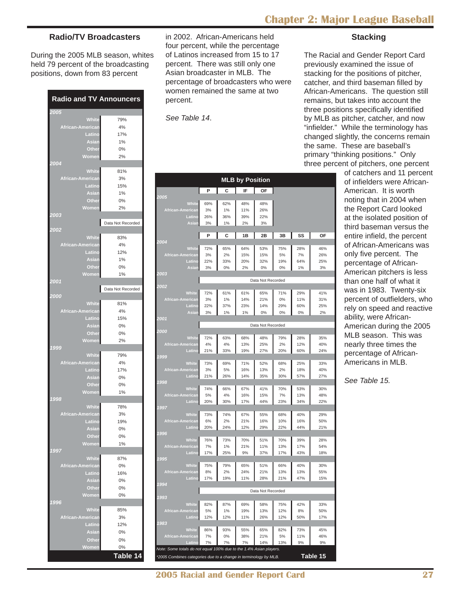*\*2005 Combines categories due to a change in terminology by MLB.* **Table 15**

*Note: Some totals do not equal 100% due to the 1.4% Asian players.*

# **Radio/TV Broadcasters**

During the 2005 MLB season, whites held 79 percent of the broadcasting positions, down from 83 percent

| <b>Radio and TV Announcers</b> |                   |
|--------------------------------|-------------------|
| 2005                           |                   |
| White                          | 79%               |
| African-American               | 4%                |
| Latino                         | 17%               |
| Asian                          | 1%                |
| Other                          | 0%                |
| Women                          | 2%                |
| 2004                           |                   |
| White                          | 81%               |
| African-American               | 3%                |
| Latino                         | 15%               |
| Asian                          | 1%                |
| Other                          | 0%                |
| Women                          | 2%                |
| 2003                           |                   |
|                                | Data Not Recorded |
| 2002                           |                   |
| White                          | 83%               |
| African-American               | 4%                |
| Latino                         | 12%               |
| Asian                          | 1%                |
| Other                          | 0%                |
| Women                          | 1%                |
| 2001                           |                   |
|                                | Data Not Recorded |
| 2000                           |                   |
| White                          | 81%               |
| African-American               | 4%                |
| Latino                         | 15%               |
| Asian                          | 0%                |
| Other                          | 0%<br>2%          |
| Women<br>1999                  |                   |
|                                | 79%               |
| White<br>African-American      | 4%                |
| Latino                         | 17%               |
| Asian                          | 0%                |
| Other                          | 0%                |
| Women                          | 1%                |
| 1998                           |                   |
| <b>White</b>                   | 78%               |
| African-American               | 3%                |
| Latino                         | 19%               |
| Asiar                          | $0\%$             |
| Other                          | 0%                |
| Women                          | 1%                |
| 1997                           |                   |
| White                          | 87%               |
| African-American               | 0%                |
| Latino                         | 16%               |
| Asian                          | 0%                |
| Other                          | 0%                |
| Women                          | 0%                |
| 1996                           |                   |
| White                          | 85%               |
| African-American               | 3%                |
| Latino                         | 12%               |
| Asian                          | 0%                |
| Other                          | 0%                |
|                                |                   |
| <u>Women</u>                   | 0%                |

in 2002. African-Americans held four percent, while the percentage of Latinos increased from 15 to 17 percent. There was still only one Asian broadcaster in MLB. The percentage of broadcasters who were women remained the same at two percent.

> **MLB by Position P C IF OF**

**P | C | 1B | 2B | 3B | SS | OF** 

Data Not Recorded

Data Not Recorded

**White** 72% 65% 64% 53% 75% 28% 46% **African-American** 3% 2% 15% 15% 5% 7% 26% **Latino** 22% 33% 20% 32% 19% 64% 25% **Asian** 3% 0% 2% 0% 0% 1% 3%

**White** 72% 61% 61% 65% 71% 29% 41% **African-American** 3% 1% 14% 21% 0% 11% 31% **Latino** 22% 37% 23% 14% 29% 60% 25% **Asian** 3% 1% 1% 0% 0% 0% 2%

**White** 72% 63% 68% 48% 79% 28% 35% **African-American** 4% 4% 13% 25% 2% 12% 40% **Latino** 21% 33% 19% 27% 20% 60% 24%

**White** 73% 69% 71% 52% 68% 25% 33% **African-American** 3% 5% 16% 13% 2% 18% 40% **Latino** 21% 26% 14% 35% 30% 57% 27%

**White** 74% 66% 67% 41% 70% 53% 30% **African-American** 5% 4% 16% 15% 7% 13% 48% **Latino** 20% 30% 17% 44% 23% 34% 22%

**White** 73% 74% 67% 55% 68% 40% 29% **African-American** 6% 2% 21% 16% 10% 16% 50% **Latino** 20% 24% 12% 29% 22% 44% 21%

**White** 76% 73% 70% 51% 70% 39% 28% **African-American** 7% 1% 21% 11% 13% 17% 54% **Latino** 17% 25% 9% 37% 17% 43% 18%

**White** 75% 79% 65% 51% 66% 40% 30% **African-American** 8% 2% 24% 21% 13% 13% 55% **Latino** 17% 19% 11% 28% 21% 47% 15%

**White** 82% 87% 69% 58% 75% 42% 33% **African-American** 5% 1% 19% 13% 12% 8% 50% **Latino** 12% 12% 11% 26% 12% 50% 17%

**White** 86% 93% 55% 65% 82% 73% 45% **African-American** 7% 0% 38% 21% 5% 11% 46% **Latino** 7% 7% 7% 14% 13% 9% 9%

Data Not Recorded

**White** 69% 62% 48% 48% **African-American** 3% 1% 11% 26%

> **Latino** 26% 36% 39% 22% **Asian** 3% 1% 2% 3%

*See Table 14*.

*2005*

*2004*

*2003*

*2002*

*2001*

*2000*

*1999*

*1998*

*1997*

*1996*

*1995*

*1994*

*1993*

*1983*

#### **Stacking**

**Chapter 2: Major League Baseball**

The Racial and Gender Report Card previously examined the issue of stacking for the positions of pitcher, catcher, and third baseman filled by African-Americans. The question still remains, but takes into account the three positions specifically identified by MLB as pitcher, catcher, and now "infielder." While the terminology has changed slightly, the concerns remain the same. These are baseball's primary "thinking positions." Only three percent of pitchers, one percent

of catchers and 11 percent of infielders were African-American. It is worth noting that in 2004 when the Report Card looked at the isolated position of third baseman versus the entire infield, the percent of African-Americans was only five percent. The percentage of African-American pitchers is less than one half of what it was in 1983. Twenty-six percent of outfielders, who rely on speed and reactive ability, were African-American during the 2005 MLB season. This was nearly three times the percentage of African-Americans in MLB.

*See Table 15.*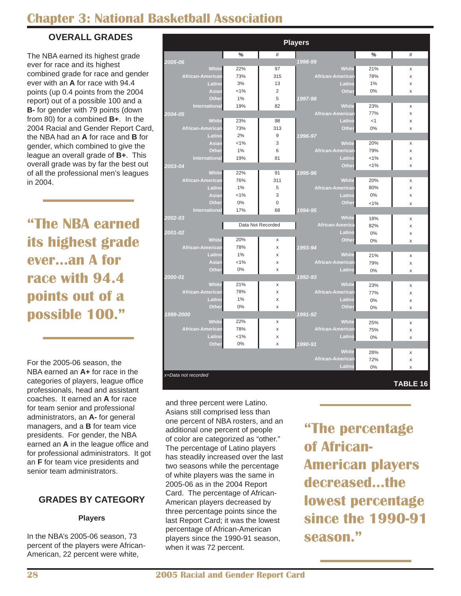# **OVERALL GRADES**

The NBA earned its highest grade ever for race and its highest combined grade for race and gender ever with an **A** for race with 94.4 points (up 0.4 points from the 2004 report) out of a possible 100 and a **B-** for gender with 79 points (down from 80) for a combined **B+**. In the 2004 Racial and Gender Report Card, the NBA had an **A** for race and **B** for gender, which combined to give the league an overall grade of **B+**. This overall grade was by far the best out of all the professional men's leagues in 2004.

**"The NBA earned its highest grade ever...an A for race with 94.4 points out of a possible 100."**

For the 2005-06 season, the NBA earned an **A+** for race in the categories of players, league office professionals, head and assistant coaches. It earned an **A** for race for team senior and professional administrators, an **A-** for general managers, and a **B** for team vice presidents. For gender, the NBA earned an A in the league office and for professional administrators. It got an **F** for team vice presidents and senior team administrators.

# **GRADES BY CATEGORY**

## **Players**

In the NBA's 2005-06 season, 73 percent of the players were African-American, 22 percent were white,

| <b>Players</b>      |         |                   |                  |         |                           |  |  |
|---------------------|---------|-------------------|------------------|---------|---------------------------|--|--|
|                     | %       | #                 |                  | $\%$    | #                         |  |  |
| 2005-06             |         |                   | 1998-99          |         |                           |  |  |
| White               | 22%     | 97                | White            | 21%     | $\boldsymbol{\mathsf{x}}$ |  |  |
| African-American    | 73%     | 315               | African-American | 78%     | $\boldsymbol{\mathsf{x}}$ |  |  |
| Latino              | 3%      | 13                | Latino           | 1%      | x                         |  |  |
| Asian               | $< 1\%$ | $\overline{2}$    | Other            | 0%      | X                         |  |  |
| Other               | 1%      | 5                 | 1997-98          |         |                           |  |  |
| International       | 19%     | 82                | White            | 23%     | х                         |  |  |
| 2004-05             |         |                   | African-American | 77%     | X                         |  |  |
| White               | 23%     | 98                | Latino           | $<$ 1   | X                         |  |  |
| African-American    | 73%     | 313               | Other            | 0%      | $\mathsf{x}$              |  |  |
| Latino              | 2%      | 9                 | 1996-97          |         |                           |  |  |
| Asian               | $< 1\%$ | 3                 | White            | 20%     | x                         |  |  |
| Other               | 1%      | 6                 | African-American | 79%     | X                         |  |  |
| International       | 19%     | 81                | Latino           | $< 1\%$ | X                         |  |  |
| 2003-04             |         |                   | Other            | $< 1\%$ | x                         |  |  |
| White               | 22%     | 91                | 1995-96          |         |                           |  |  |
| African-American    | 76%     | 311               | White            | 20%     | $\boldsymbol{\mathsf{x}}$ |  |  |
| Latino              | 1%      | 5                 | African-American | 80%     | X                         |  |  |
| Asian               | $< 1\%$ | 3                 | Latino           | 0%      | X                         |  |  |
| Other               | 0%      | $\mathbf 0$       | Other            | $< 1\%$ | X                         |  |  |
| International       | 17%     | 68                | 1994-95          |         |                           |  |  |
| 2002-03             |         |                   | White            | 18%     | X                         |  |  |
|                     |         | Data Not Recorded | African-America  | 82%     | X                         |  |  |
| 2001-02             |         |                   | Latino           | 0%      | X                         |  |  |
| White               | 20%     | х                 | Other            | 0%      | $\mathsf{x}$              |  |  |
| African-American    | 78%     | x                 | 1993-94          |         |                           |  |  |
| Latino              | 1%      | x                 | White            | 21%     | X                         |  |  |
| Asian               | $< 1\%$ | x                 | African-American | 79%     | X                         |  |  |
| Other               | 0%      | X                 | Latino           | 0%      | $\mathsf{x}$              |  |  |
| 2000-01             |         |                   | 1992-93          |         |                           |  |  |
| White               | 21%     | x                 | White            | 23%     | X                         |  |  |
| African-American    | 78%     | x                 | African-American | 77%     | х                         |  |  |
| Latino              | 1%      | x                 | Latino           | 0%      | х                         |  |  |
| Other               | 0%      | X                 | Other            | 0%      | x                         |  |  |
| 1999-2000           |         |                   | 1991-92          |         |                           |  |  |
| White               | 22%     | x                 | White            | 25%     | X                         |  |  |
| African-American    | 78%     | x                 | African-American | 75%     | x                         |  |  |
| Latino              | $< 1\%$ | х                 | Latino           | 0%      | X                         |  |  |
| Other               | 0%      | X                 | 1990-91          |         |                           |  |  |
|                     |         |                   | White            | 28%     | х                         |  |  |
|                     |         |                   | African-American | 72%     | x                         |  |  |
|                     |         |                   | Latino           | 0%      | X                         |  |  |
| x=Data not recorded |         |                   |                  |         |                           |  |  |
|                     |         |                   |                  |         | <b>TABLE 16</b>           |  |  |

and three percent were Latino. Asians still comprised less than one percent of NBA rosters, and an additional one percent of people of color are categorized as "other." The percentage of Latino players has steadily increased over the last two seasons while the percentage of white players was the same in 2005-06 as in the 2004 Report Card. The percentage of African-American players decreased by three percentage points since the last Report Card; it was the lowest percentage of African-American players since the 1990-91 season, when it was 72 percent.

**"The percentage of African-American players decreased...the lowest percentage since the 1990-91 season."**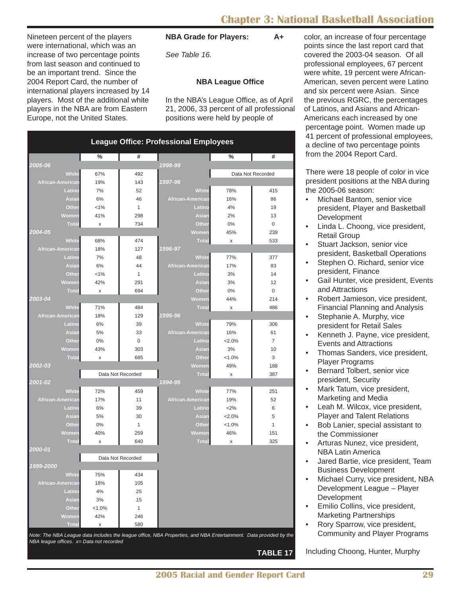Nineteen percent of the players were international, which was an increase of two percentage points from last season and continued to be an important trend. Since the 2004 Report Card, the number of international players increased by 14 players. Most of the additional white players in the NBA are from Eastern Europe, not the United States.

#### **NBA Grade for Players: A+**

*See Table 16.*

#### **NBA League Offi ce**

In the NBA's League Office, as of April 21, 2006, 33 percent of all professional positions were held by people of

| <b>League Office: Professional Employees</b> |           |                   |                                                                                                                   |         |                   |  |  |
|----------------------------------------------|-----------|-------------------|-------------------------------------------------------------------------------------------------------------------|---------|-------------------|--|--|
|                                              | %         | #                 |                                                                                                                   | %       | #                 |  |  |
| 2005-06                                      |           |                   | 1998-99                                                                                                           |         |                   |  |  |
| <b>White</b>                                 | 67%       | 492               |                                                                                                                   |         | Data Not Recorded |  |  |
| African-American                             | 19%       | 143               | 1997-98                                                                                                           |         |                   |  |  |
| Latino                                       | 7%        | 52                | White                                                                                                             | 78%     | 415               |  |  |
| Asian                                        | 6%        | 46                | African-American                                                                                                  | 16%     | 86                |  |  |
| Other                                        | $< 1\%$   | $\mathbf{1}$      | Latino                                                                                                            | 4%      | 19                |  |  |
| Women                                        | 41%       | 298               | Asian                                                                                                             | 2%      | 13                |  |  |
| Total                                        | x         | 734               | Other                                                                                                             | 0%      | $\mathbf 0$       |  |  |
| 2004-05                                      |           |                   | Women                                                                                                             | 45%     | 239               |  |  |
| <b>White</b>                                 | 68%       | 474               | <b>Total</b>                                                                                                      | X       | 533               |  |  |
| African-American                             | 18%       | 127               | 1996-97                                                                                                           |         |                   |  |  |
| Latino                                       | 7%        | 48                | <b>White</b>                                                                                                      | 77%     | 377               |  |  |
| Asian                                        | 6%        | 44                | African-American                                                                                                  | 17%     | 83                |  |  |
| Other                                        | $< 1\%$   | $\mathbf{1}$      | Latino                                                                                                            | 3%      | 14                |  |  |
| Women                                        | 42%       | 291               | Asian                                                                                                             | 3%      | 12                |  |  |
| Total                                        | x         | 694               | Other                                                                                                             | 0%      | $\mathbf 0$       |  |  |
| 2003-04                                      |           |                   | Women                                                                                                             | 44%     | 214               |  |  |
| <b>White</b>                                 | 71%       | 484               | Total                                                                                                             | Х       | 486               |  |  |
| African-American                             | 18%       | 129               | 1995-96                                                                                                           |         |                   |  |  |
| Latino                                       | 6%        | 39                | <b>White</b>                                                                                                      | 79%     | 306               |  |  |
| Asian                                        | 5%        | 33                | African-American                                                                                                  | 16%     | 61                |  |  |
| Other                                        | 0%        | 0                 | Latino                                                                                                            | $2.0\%$ | $\overline{7}$    |  |  |
| Women                                        | 43%       | 303               | Asian                                                                                                             | 3%      | 10                |  |  |
| <b>Total</b>                                 | x         | 685               | Other                                                                                                             | < 1.0%  | 3                 |  |  |
| 2002-03                                      |           |                   | Women                                                                                                             | 49%     | 188               |  |  |
|                                              |           | Data Not Recorded | <b>Total</b>                                                                                                      | X       | 387               |  |  |
| 2001-02                                      |           |                   | 1994-95                                                                                                           |         |                   |  |  |
| <b>White</b>                                 | 72%       | 459               | <b>White</b>                                                                                                      | 77%     | 251               |  |  |
| African-American                             | 17%       | 11                | African-American                                                                                                  | 19%     | 52                |  |  |
| Latino                                       | 6%        | 39                | Latino                                                                                                            | <2%     | 6                 |  |  |
| Asian                                        | 5%        | 30                | Asian                                                                                                             | $2.0\%$ | 5                 |  |  |
| Other                                        | 0%        | $\mathbf{1}$      | Other                                                                                                             | < 1.0%  | 1                 |  |  |
| Women                                        | 40%       | 259               | Women                                                                                                             | 46%     | 151               |  |  |
| <b>Total</b>                                 | X         | 640               | <b>Total</b>                                                                                                      | X       | 325               |  |  |
| 2000-01                                      |           |                   |                                                                                                                   |         |                   |  |  |
|                                              |           | Data Not Recorded |                                                                                                                   |         |                   |  |  |
| 1999-2000                                    |           |                   |                                                                                                                   |         |                   |  |  |
| <b>White</b>                                 | 75%       | 434               |                                                                                                                   |         |                   |  |  |
| African-American                             | 18%       | 105               |                                                                                                                   |         |                   |  |  |
| Latino                                       | 4%        | 25                |                                                                                                                   |         |                   |  |  |
| Asian                                        | 3%        | 15                |                                                                                                                   |         |                   |  |  |
| Other                                        | $< 1.0\%$ | $\mathbf{1}$      |                                                                                                                   |         |                   |  |  |
| Women                                        | 42%       | 246               |                                                                                                                   |         |                   |  |  |
| Total                                        | x         | 580               |                                                                                                                   |         |                   |  |  |
|                                              |           |                   | Note: The NBA League data includes the league office, NBA Properties, and NBA Entertainment. Data provided by the |         |                   |  |  |

*NBA league offices. x= Data not recorded*

color, an increase of four percentage points since the last report card that covered the 2003-04 season. Of all professional employees, 67 percent were white, 19 percent were African-American, seven percent were Latino and six percent were Asian. Since the previous RGRC, the percentages of Latinos, and Asians and African-Americans each increased by one percentage point. Women made up 41 percent of professional employees, a decline of two percentage points from the 2004 Report Card.

There were 18 people of color in vice president positions at the NBA during the 2005-06 season:

- Michael Bantom, senior vice president, Player and Basketball Development
- Linda L. Choong, vice president, Retail Group
- Stuart Jackson, senior vice president, Basketball Operations
- Stephen O. Richard, senior vice president, Finance
- Gail Hunter, vice president, Events and Attractions
- Robert Jamieson, vice president, Financial Planning and Analysis
- Stephanie A. Murphy, vice president for Retail Sales
- Kenneth J. Payne, vice president, Events and Attractions
- Thomas Sanders, vice president, Player Programs
- Bernard Tolbert, senior vice president, Security
- Mark Tatum, vice president, Marketing and Media
- Leah M. Wilcox, vice president, Player and Talent Relations
- Bob Lanier, special assistant to the Commissioner
- Arturas Nunez, vice president, NBA Latin America
- Jared Bartie, vice president, Team Business Development
- Michael Curry, vice president, NBA Development League – Player Development
- Emilio Collins, vice president, Marketing Partnerships
- Rory Sparrow, vice president, Community and Player Programs

Including Choong, Hunter, Murphy

**TABLE 17**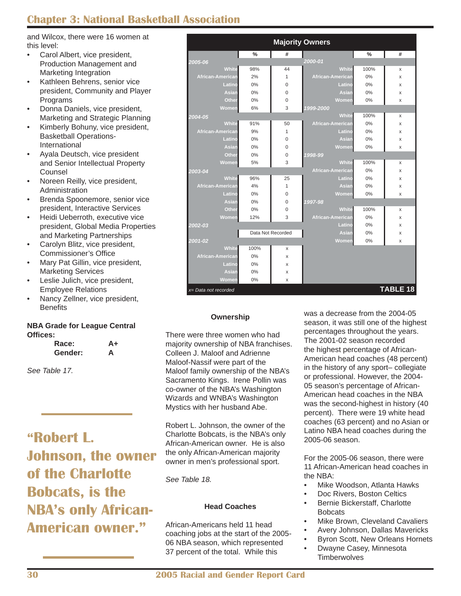and Wilcox, there were 16 women at this level:

- Carol Albert, vice president, Production Management and Marketing Integration
- Kathleen Behrens, senior vice president, Community and Player Programs
- Donna Daniels, vice president, Marketing and Strategic Planning
- Kimberly Bohuny, vice president, Basketball Operations-International
- Ayala Deutsch, vice president and Senior Intellectual Property Counsel
- Noreen Reilly, vice president, Administration
- Brenda Spoonemore, senior vice president, Interactive Services
- Heidi Ueberroth, executive vice president, Global Media Properties and Marketing Partnerships
- Carolyn Blitz, vice president, Commissioner's Office
- Mary Pat Gillin, vice president, Marketing Services
- Leslie Julich, vice president, Employee Relations
- Nancy Zellner, vice president, **Benefits**

#### **NBA Grade for League Central Offi ces:**

| Race:   | $A+$ |
|---------|------|
| Gender: | A    |

*See Table 17.*

**"Robert L. Johnson, the owner of the Charlotte Bobcats, is the NBA's only African-American owner."**

| <b>Majority Owners</b> |               |                   |                  |               |                 |  |
|------------------------|---------------|-------------------|------------------|---------------|-----------------|--|
|                        | $\frac{0}{0}$ | #                 |                  | $\frac{0}{0}$ | #               |  |
| 2005-06                |               |                   | 2000-01          |               |                 |  |
| White                  | 98%           | 44                | White            | 100%          | X               |  |
| African-American       | 2%            | 1                 | African-American | 0%            | X               |  |
| Latino                 | 0%            | $\mathbf 0$       | Latino           | 0%            | X               |  |
| Asian                  | 0%            | $\mathbf 0$       | Asian            | 0%            | X               |  |
| Other                  | 0%            | 0                 | Women            | $0\%$         | X               |  |
| Women                  | 6%            | 3                 | 1999-2000        |               |                 |  |
| 2004-05                |               |                   | <b>White</b>     | 100%          | x               |  |
| White                  | 91%           | 50                | African-American | 0%            | X               |  |
| African-American       | 9%            | 1                 | Latino           | 0%            | X               |  |
| Latino                 | 0%            | 0                 | Asian            | 0%            | X               |  |
| Asian                  | 0%            | $\mathbf 0$       | Women            | 0%            | X               |  |
| Other                  | 0%            | 0                 | 1998-99          |               |                 |  |
| Women                  | 5%            | 3                 | <b>White</b>     | 100%          | x               |  |
| 2003-04                |               |                   | African-American | $0\%$         | X               |  |
| White                  | 96%           | 25                | Latino           | $0\%$         | X               |  |
| African-American       | 4%            | 1                 | Asian            | $0\%$         | X               |  |
| Latino                 | 0%            | 0                 | Women            | 0%            | X               |  |
| Asian                  | 0%            | 0                 | 1997-98          |               |                 |  |
| Other                  | 0%            | 0                 | White            | 100%          | X               |  |
| Women                  | 12%           | 3                 | African-American | 0%            | x               |  |
| 2002-03                |               |                   | Latino           | 0%            | x               |  |
|                        |               | Data Not Recorded | Asian            | 0%            | x               |  |
| $2001 - 02$            |               |                   | Women            | 0%            | x               |  |
| White                  | 100%          | X                 |                  |               |                 |  |
| African-American       | 0%            | X                 |                  |               |                 |  |
| Latino                 | 0%            | X                 |                  |               |                 |  |
| Asian                  | 0%            | X                 |                  |               |                 |  |
| Women                  | 0%            | X                 |                  |               |                 |  |
| x= Data not recorded   |               |                   |                  |               | <b>TABLE 18</b> |  |

#### **Ownership**

There were three women who had majority ownership of NBA franchises. Colleen J. Maloof and Adrienne Maloof-Nassif were part of the Maloof family ownership of the NBA's Sacramento Kings. Irene Pollin was co-owner of the NBA's Washington Wizards and WNBA's Washington Mystics with her husband Abe.

Robert L. Johnson, the owner of the Charlotte Bobcats, is the NBA's only African-American owner. He is also the only African-American majority owner in men's professional sport.

*See Table 18.*

#### **Head Coaches**

African-Americans held 11 head coaching jobs at the start of the 2005- 06 NBA season, which represented 37 percent of the total. While this

was a decrease from the 2004-05 season, it was still one of the highest percentages throughout the years. The 2001-02 season recorded the highest percentage of African-American head coaches (48 percent) in the history of any sport– collegiate or professional. However, the 2004- 05 season's percentage of African-American head coaches in the NBA was the second-highest in history (40 percent). There were 19 white head coaches (63 percent) and no Asian or Latino NBA head coaches during the 2005-06 season.

For the 2005-06 season, there were 11 African-American head coaches in the NBA:

- Mike Woodson, Atlanta Hawks
- Doc Rivers, Boston Celtics
- Bernie Bickerstaff, Charlotte **Bobcats**
- Mike Brown, Cleveland Cavaliers
- Avery Johnson, Dallas Mavericks
- Byron Scott, New Orleans Hornets
- Dwayne Casey, Minnesota **Timberwolves**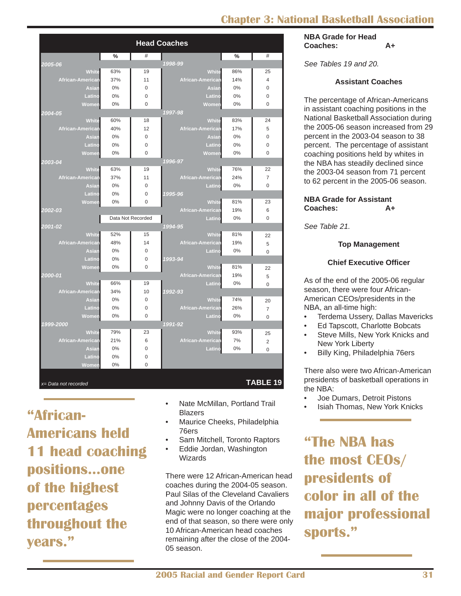| <b>Head Coaches</b>  |               |                   |                  |               |                 |  |
|----------------------|---------------|-------------------|------------------|---------------|-----------------|--|
|                      | $\frac{9}{6}$ | #                 |                  | $\frac{0}{0}$ | #               |  |
| 2005-06              |               |                   | 1998-99          |               |                 |  |
| White                | 63%           | 19                | White            | 86%           | 25              |  |
| African-American     | 37%           | 11                | African-American | 14%           | $\overline{4}$  |  |
| Asian                | 0%            | $\mathbf 0$       | Asian            | 0%            | $\Omega$        |  |
| Latino               | 0%            | $\mathbf 0$       | Latino           | 0%            | 0               |  |
| Women                | 0%            | 0                 | Women            | 0%            | 0               |  |
| 2004-05              |               |                   | 1997-98          |               |                 |  |
| <b>White</b>         | 60%           | 18                | White            | 83%           | 24              |  |
| African-American     | 40%           | 12                | African-American | 17%           | 5               |  |
| Asian                | 0%            | 0                 | Asian            | 0%            | $\mathbf 0$     |  |
| Latino               | 0%            | 0                 | Latino           | 0%            | 0               |  |
| Women                | 0%            | 0                 | Women            | $0\%$         | $\Omega$        |  |
| 2003-04              |               |                   | 1996-97          |               |                 |  |
| <b>White</b>         | 63%           | 19                | <b>White</b>     | 76%           | 22              |  |
| African-American     | 37%           | 11                | African-American | 24%           | $\overline{7}$  |  |
| Asian                | 0%            | $\mathbf 0$       | Latino           | 0%            | $\Omega$        |  |
| Latino               | 0%            | $\mathbf 0$       | 1995-96          |               |                 |  |
| Women                | 0%            | 0                 | <b>White</b>     | 81%           | 23              |  |
| 2002-03              |               |                   | African-American | 19%           | 6               |  |
|                      |               | Data Not Recorded | Latino           | 0%            | $\Omega$        |  |
| 2001-02              |               |                   | 1994-95          |               |                 |  |
| <b>White</b>         | 52%           | 15                | <b>White</b>     | 81%           | 22              |  |
| African-American     | 48%           | 14                | African-American | 19%           | 5               |  |
| Asian                | 0%            | $\mathbf 0$       | Latino           | 0%            | 0               |  |
| Latino               | 0%            | 0                 | 1993-94          |               |                 |  |
| Women                | 0%            | $\Omega$          | <b>White</b>     | 81%           | 22              |  |
| 2000-01              |               |                   | African-American | 19%           | 5               |  |
| White                | 66%           | 19                | Latino           | 0%            | 0               |  |
| African-American     | 34%           | 10                | 1992-93          |               |                 |  |
| Asian                | 0%            | $\mathbf 0$       | White            | 74%           | 20              |  |
| Latino               | 0%            | $\mathbf 0$       | African-American | 26%           | 7               |  |
| Women                | 0%            | 0                 | Latino           | $0\%$         | $\mathbf 0$     |  |
| 1999-2000            |               |                   | 1991-92          |               |                 |  |
| <b>White</b>         | 79%           | 23                | <b>White</b>     | 93%           | 25              |  |
| African-American     | 21%           | 6                 | African-American | 7%            | 2               |  |
| Asian                | 0%            | 0                 | Latino           | 0%            | 0               |  |
| Latino               | 0%            | 0                 |                  |               |                 |  |
| Women                | 0%            | $\Omega$          |                  |               |                 |  |
|                      |               |                   |                  |               |                 |  |
| x= Data not recorded |               |                   |                  |               | <b>TABLE 19</b> |  |

**"African-Americans held 11 head coaching positions...one of the highest percentages throughout the years."**

- Nate McMillan, Portland Trail **Blazers** •
- Maurice Cheeks, Philadelphia 76ers •
- Sam Mitchell, Toronto Raptors
- Eddie Jordan, Washington Wizards

There were 12 African-American head coaches during the 2004-05 season. Paul Silas of the Cleveland Cavaliers and Johnny Davis of the Orlando Magic were no longer coaching at the end of that season, so there were only 10 African-American head coaches remaining after the close of the 2004- 05 season.

**NBA Grade for Head Coaches: A+**

*See Tables 19 and 20.*

#### **Assistant Coaches**

The percentage of African-Americans in assistant coaching positions in the National Basketball Association during the 2005-06 season increased from 29 percent in the 2003-04 season to 38 percent. The percentage of assistant coaching positions held by whites in the NBA has steadily declined since the 2003-04 season from 71 percent to 62 percent in the 2005-06 season.

#### **NBA Grade for Assistant Coaches: A+**

*See Table 21.*

#### **Top Management**

## **Chief Executive Officer**

As of the end of the 2005-06 regular season, there were four African-American CEOs/presidents in the NBA, an all-time high:

- Terdema Ussery, Dallas Mavericks
- Ed Tapscott, Charlotte Bobcats
- Steve Mills, New York Knicks and New York Liberty
- Billy King, Philadelphia 76ers

There also were two African-American presidents of basketball operations in the NBA:

- Joe Dumars, Detroit Pistons
- Isiah Thomas, New York Knicks

**"The NBA has the most CEOs/ presidents of color in all of the major professional sports."**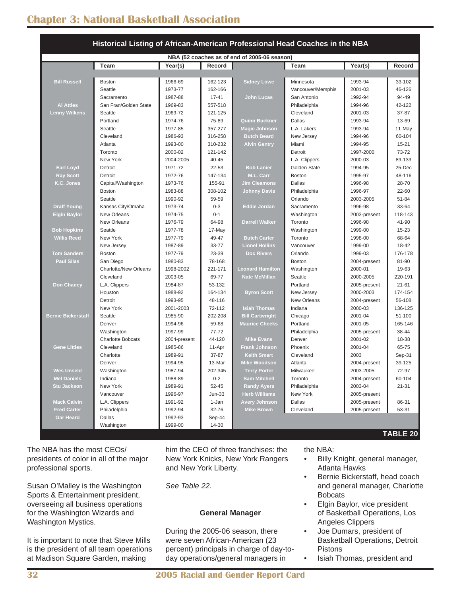| Historical Listing of African-American Professional Head Coaches in the NBA |                                              |              |           |                         |                    |              |                 |  |  |  |
|-----------------------------------------------------------------------------|----------------------------------------------|--------------|-----------|-------------------------|--------------------|--------------|-----------------|--|--|--|
|                                                                             | NBA (52 coaches as of end of 2005-06 season) |              |           |                         |                    |              |                 |  |  |  |
|                                                                             | <b>Team</b>                                  | Year(s)      | Record    |                         | Team               | Year(s)      | Record          |  |  |  |
|                                                                             |                                              |              |           |                         |                    |              |                 |  |  |  |
| <b>Bill Russell</b>                                                         | <b>Boston</b>                                | 1966-69      | 162-123   | <b>Sidney Lowe</b>      | Minnesota          | 1993-94      | 33-102          |  |  |  |
|                                                                             | Seattle                                      | 1973-77      | 162-166   |                         | Vancouver/Memphis  | 2001-03      | 46-126          |  |  |  |
|                                                                             | Sacramento                                   | 1987-88      | $17 - 41$ | <b>John Lucas</b>       | San Antonio        | 1992-94      | 94-49           |  |  |  |
| <b>Al Attles</b>                                                            | San Fran/Golden State                        | 1969-83      | 557-518   |                         | Philadelphia       | 1994-96      | 42-122          |  |  |  |
| <b>Lenny Wilkens</b>                                                        | Seattle                                      | 1969-72      | 121-125   |                         | Cleveland          | 2001-03      | 37-87           |  |  |  |
|                                                                             | Portland                                     | 1974-76      | 75-89     | <b>Quinn Buckner</b>    | Dallas             | 1993-94      | 13-69           |  |  |  |
|                                                                             | Seattle                                      | 1977-85      | 357-277   | <b>Magic Johnson</b>    | L.A. Lakers        | 1993-94      | 11-May          |  |  |  |
|                                                                             | Cleveland                                    | 1986-93      | 316-258   | <b>Butch Beard</b>      | New Jersey         | 1994-96      | 60-104          |  |  |  |
|                                                                             | Atlanta                                      | 1993-00      | 310-232   | <b>Alvin Gentry</b>     | Miami              | 1994-95      | $15 - 21$       |  |  |  |
|                                                                             | Toronto                                      | 2000-02      | 121-142   |                         | Detroit            | 1997-2000    | 73-72           |  |  |  |
|                                                                             | New York                                     | 2004-2005    | 40-45     |                         | L.A. Clippers      | 2000-03      | 89-133          |  |  |  |
| Earl Loyd                                                                   | Detroit                                      | 1971-72      | 22-53     | <b>Bob Lanier</b>       | Golden State       | 1994-95      | 25-Dec          |  |  |  |
| <b>Ray Scott</b>                                                            | Detroit                                      | 1972-76      | 147-134   | M.L. Carr               | <b>Boston</b>      | 1995-97      | 48-116          |  |  |  |
| K.C. Jones                                                                  | Capital/Washington                           | 1973-76      | 155-91    | <b>Jim Cleamons</b>     | Dallas             | 1996-98      | 28-70           |  |  |  |
|                                                                             | <b>Boston</b>                                | 1983-88      | 308-102   | <b>Johnny Davis</b>     | Philadelphia       | 1996-97      | $22 - 60$       |  |  |  |
|                                                                             | Seattle                                      | 1990-92      | 59-59     |                         | Orlando            | 2003-2005    | 51-84           |  |  |  |
| <b>Draff Young</b>                                                          | Kansas City/Omaha                            | 1973-74      | $0 - 3$   | <b>Eddie Jordan</b>     | Sacramento         | 1996-98      | 33-64           |  |  |  |
| <b>Elgin Baylor</b>                                                         | New Orleans                                  | 1974-75      | $0 - 1$   |                         | Washington         | 2003-present | 118-143         |  |  |  |
|                                                                             | New Orleans                                  | 1976-79      | 64-98     | <b>Darrell Walker</b>   | Toronto            | 1996-98      | 41-90           |  |  |  |
| <b>Bob Hopkins</b>                                                          | Seattle                                      | 1977-78      | 17-May    |                         | Washington         | 1999-00      | $15 - 23$       |  |  |  |
| <b>Willis Reed</b>                                                          | New York                                     | 1977-79      | 49-47     | <b>Butch Carter</b>     | Toronto            | 1998-00      | 68-64           |  |  |  |
|                                                                             | New Jersey                                   | 1987-89      | 33-77     | <b>Lionel Hollins</b>   | Vancouver          | 1999-00      | 18-42           |  |  |  |
| <b>Tom Sanders</b>                                                          | <b>Boston</b>                                | 1977-79      | 23-39     | <b>Doc Rivers</b>       | Orlando            | 1999-03      | 176-178         |  |  |  |
| <b>Paul Silas</b>                                                           | San Diego                                    | 1980-83      | 78-168    |                         | <b>Boston</b>      | 2004-present | 81-90           |  |  |  |
|                                                                             | <b>Charlotte/New Orleans</b>                 | 1998-2002    | 221-171   | <b>Leonard Hamilton</b> | Washington         | 2000-01      | 19-63           |  |  |  |
|                                                                             | Cleveland                                    | 2003-05      | 69-77     | <b>Nate McMillan</b>    | Seattle            | 2000-2005    | 220-191         |  |  |  |
| <b>Don Chaney</b>                                                           | L.A. Clippers                                | 1984-87      | 53-132    |                         | Portland           | 2005-present | $21 - 61$       |  |  |  |
|                                                                             | Houston                                      | 1988-92      | 164-134   | <b>Byron Scott</b>      | New Jersey         | 2000-2003    | 174-154         |  |  |  |
|                                                                             | Detroit                                      | 1993-95      | 48-116    |                         | <b>New Orleans</b> | 2004-present | 56-108          |  |  |  |
|                                                                             | New York                                     | 2001-2003    | 72-112    | <b>Isiah Thomas</b>     | Indiana            | 2000-03      | 136-125         |  |  |  |
| <b>Bernie Bickerstaff</b>                                                   | Seattle                                      | 1985-90      | 202-208   | <b>Bill Cartwright</b>  | Chicago            | 2001-04      | 51-100          |  |  |  |
|                                                                             | Denver                                       | 1994-96      | 59-68     | <b>Maurice Cheeks</b>   | Portland           | 2001-05      | 165-146         |  |  |  |
|                                                                             | Washington                                   | 1997-99      | 77-72     |                         | Philadelphia       | 2005-present | 38-44           |  |  |  |
|                                                                             | <b>Charlotte Bobcats</b>                     | 2004-present | 44-120    | <b>Mike Evans</b>       | Denver             | 2001-02      | 18-38           |  |  |  |
| <b>Gene Littles</b>                                                         | Cleveland                                    | 1985-86      | 11-Apr    | <b>Frank Johnson</b>    | Phoenix            | 2001-04      | 65-75           |  |  |  |
|                                                                             | Charlotte                                    | 1989-91      | 37-87     | <b>Keith Smart</b>      | Cleveland          | 2003         | Sep-31          |  |  |  |
|                                                                             | Denver                                       | 1994-95      | 13-Mar    | <b>Mike Woodson</b>     | Atlanta            | 2004-present | 39-125          |  |  |  |
| <b>Wes Unseld</b>                                                           | Washington                                   | 1987-94      | 202-345   | <b>Terry Porter</b>     | Milwaukee          | 2003-2005    | 72-97           |  |  |  |
| <b>Mel Daniels</b>                                                          | Indiana                                      | 1988-89      | $0 - 2$   | <b>Sam Mitchell</b>     | Toronto            | 2004-present | 60-104          |  |  |  |
| <b>Stu Jackson</b>                                                          | New York                                     | 1989-91      | 52-45     | <b>Randy Ayers</b>      | Philadelphia       | 2003-04      | $21 - 31$       |  |  |  |
|                                                                             | Vancouver                                    | 1996-97      | $Jun-33$  | <b>Herb Williams</b>    | New York           | 2005-present |                 |  |  |  |
| <b>Mack Calvin</b>                                                          | L.A. Clippers                                | 1991-92      | 1-Jan     | <b>Avery Johnson</b>    | Dallas             | 2005-present | 86-31           |  |  |  |
| <b>Fred Carter</b>                                                          | Philadelphia                                 | 1992-94      | 32-76     | <b>Mike Brown</b>       | Cleveland          | 2005-present | 53-31           |  |  |  |
| <b>Gar Heard</b>                                                            | Dallas                                       | 1992-93      | Sep-44    |                         |                    |              |                 |  |  |  |
|                                                                             | Washington                                   | 1999-00      | 14-30     |                         |                    |              |                 |  |  |  |
|                                                                             |                                              |              |           |                         |                    |              | <b>TABLE 20</b> |  |  |  |

The NBA has the most CEOs/ presidents of color in all of the major professional sports.

Susan O'Malley is the Washington Sports & Entertainment president, overseeing all business operations for the Washington Wizards and Washington Mystics.

It is important to note that Steve Mills is the president of all team operations at Madison Square Garden, making

him the CEO of three franchises: the New York Knicks, New York Rangers and New York Liberty.

*See Table 22.*

#### **General Manager**

During the 2005-06 season, there were seven African-American (23 percent) principals in charge of day-today operations/general managers in

the NBA:

- Billy Knight, general manager, Atlanta Hawks
- Bernie Bickerstaff, head coach and general manager, Charlotte Bobcats
- Elgin Baylor, vice president of Basketball Operations, Los Angeles Clippers
- Joe Dumars, president of Basketball Operations, Detroit Pistons
- Isiah Thomas, president and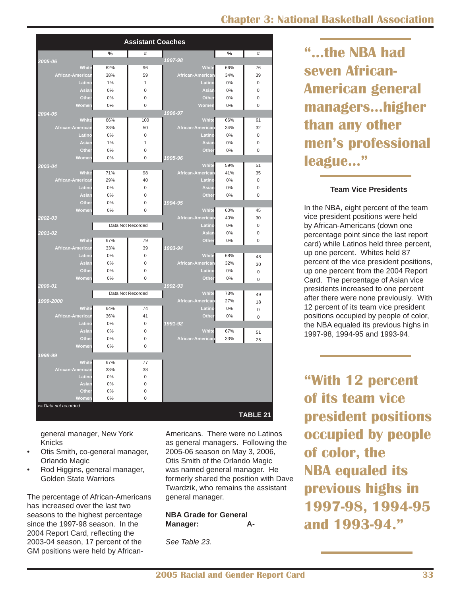| <b>Assistant Coaches</b> |               |                   |                  |       |                 |  |  |
|--------------------------|---------------|-------------------|------------------|-------|-----------------|--|--|
|                          | $\frac{0}{0}$ | #                 |                  | $\%$  | #               |  |  |
| 2005-06                  |               |                   | 1997-98          |       |                 |  |  |
| White                    | 62%           | 96                | White            | 66%   | 76              |  |  |
| African-American         | 38%           | 59                | African-American | 34%   | 39              |  |  |
| Latino                   | 1%            | 1                 | Latino           | 0%    | 0               |  |  |
| Asian                    | 0%            | 0                 | Asiar            | 0%    | 0               |  |  |
| Other                    | 0%            | 0                 | Other            | 0%    | 0               |  |  |
| <b>Women</b>             | 0%            | $\Omega$          | Women            | 0%    | $\Omega$        |  |  |
| 2004-05                  |               |                   | 1996-97          |       |                 |  |  |
| White                    | 66%           | 100               | White            | 66%   | 61              |  |  |
| African-American         | 33%           | 50                | African-American | 34%   | 32              |  |  |
| Latino                   | 0%            | 0                 | Latino           | 0%    | 0               |  |  |
| Asian                    | 1%            | 1                 | Asiar            | $0\%$ | $\mathbf 0$     |  |  |
| Other                    | 0%            | $\mathbf 0$       | Other            | 0%    | 0               |  |  |
| Women                    | 0%            | $\overline{0}$    | 1995-96          |       |                 |  |  |
| 2003-04                  |               |                   | <b>White</b>     | 59%   | 51              |  |  |
| <b>White</b>             | 71%           | 98                | African-American | 41%   | 35              |  |  |
| African-American         | 29%           | 40                | Latino           | 0%    | 0               |  |  |
| Latino                   | 0%            | 0                 | Asiar            | 0%    | 0               |  |  |
| Asian                    | 0%            | $\mathbf 0$       | Other            | 0%    | $\mathbf 0$     |  |  |
| Other                    | 0%            | $\mathbf 0$       | 1994-95          |       |                 |  |  |
|                          | 0%            | $\mathbf 0$       |                  | 60%   | 45              |  |  |
| Womer                    |               |                   | <b>White</b>     | 40%   |                 |  |  |
| 2002-03                  |               |                   | African-American |       | 30              |  |  |
|                          |               | Data Not Recorded | Latino           | 0%    | 0               |  |  |
| 2001-02                  |               |                   | Asiar            | 0%    | 0               |  |  |
| White                    | 67%           | 79                | Othe             | 0%    | $\mathbf 0$     |  |  |
| African-American         | 33%           | 39                | 1993-94          |       |                 |  |  |
| Latino                   | 0%            | 0                 | White            | 68%   | 48              |  |  |
| Asian                    | 0%            | $\mathbf 0$       | African-American | 32%   | 30              |  |  |
| Other                    | 0%            | $\mathbf 0$       | Latino           | 0%    | 0               |  |  |
| Womer                    | 0%            | $\mathbf 0$       | Other            | 0%    | 0               |  |  |
| 2000-01                  |               |                   | 1992-93          |       |                 |  |  |
|                          |               | Data Not Recorded | White            | 73%   | 49              |  |  |
| 1999-2000                |               |                   | African-American | 27%   | 18              |  |  |
| White                    | 64%           | 74                | Latino           | 0%    | 0               |  |  |
| African-American         | 36%           | 41                | Other            | 0%    | $\overline{0}$  |  |  |
| Latino                   | 0%            | 0                 | 1991-92          |       |                 |  |  |
| Asiar                    | 0%            | 0                 | White            | 67%   | 51              |  |  |
| Othe                     | 0%            | 0                 | African-American | 33%   | 25              |  |  |
| Womer                    | 0%            | 0                 |                  |       |                 |  |  |
| 1998-99                  |               |                   |                  |       |                 |  |  |
| White                    | 67%           | 77                |                  |       |                 |  |  |
| African-American         | 33%           | 38                |                  |       |                 |  |  |
| Latino                   | 0%            | 0                 |                  |       |                 |  |  |
| Asian                    | 0%            | $\mathbf 0$       |                  |       |                 |  |  |
| Other                    | 0%            | 0                 |                  |       |                 |  |  |
| Nomer                    | 0%            | $\mathbf 0$       |                  |       |                 |  |  |
| x= Data not recorded     |               |                   |                  |       |                 |  |  |
|                          |               |                   |                  |       | <b>TABLE 21</b> |  |  |

general manager, New York Knicks

- Otis Smith, co-general manager, Orlando Magic
- Rod Higgins, general manager, Golden State Warriors

The percentage of African-Americans has increased over the last two seasons to the highest percentage since the 1997-98 season. In the 2004 Report Card, reflecting the 2003-04 season, 17 percent of the GM positions were held by AfricanAmericans. There were no Latinos as general managers. Following the 2005-06 season on May 3, 2006, Otis Smith of the Orlando Magic was named general manager. He formerly shared the position with Dave Twardzik, who remains the assistant general manager.

#### **NBA Grade for General Manager: A-**

*See Table 23.*

**"...the NBA had seven African-American general managers...higher than any other men's professional league..."**

## **Team Vice Presidents**

In the NBA, eight percent of the team vice president positions were held by African-Americans (down one percentage point since the last report card) while Latinos held three percent, up one percent. Whites held 87 percent of the vice president positions, up one percent from the 2004 Report Card. The percentage of Asian vice presidents increased to one percent after there were none previously. With 12 percent of its team vice president positions occupied by people of color, the NBA equaled its previous highs in 1997-98, 1994-95 and 1993-94.

**"With 12 percent of its team vice president positions occupied by people of color, the NBA equaled its previous highs in 1997-98, 1994-95 and 1993-94."**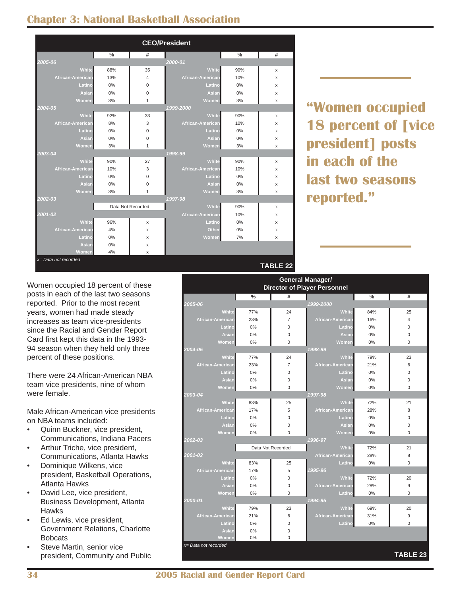| <b>CEO/President</b>   |               |                   |                  |               |                 |  |
|------------------------|---------------|-------------------|------------------|---------------|-----------------|--|
|                        | $\frac{9}{6}$ | #                 |                  | $\frac{0}{0}$ | #               |  |
| 2005-06                |               |                   | 2000-01          |               |                 |  |
| White                  | 88%           | 35                | White            | 90%           | X               |  |
| African-American       | 13%           | 4                 | African-American | 10%           | X               |  |
| Latino                 | 0%            | $\mathbf 0$       | Latino           | 0%            | X               |  |
| Asian                  | 0%            | $\mathbf 0$       | <b>Asian</b>     | $0\%$         | X               |  |
| Women                  | 3%            | 1                 | Women            | 3%            | X               |  |
| 2004-05                |               |                   | 1999-2000        |               |                 |  |
| White                  | 92%           | 33                | White            | 90%           | X               |  |
| African-American       | 8%            | 3                 | African-American | 10%           | X               |  |
| Latino                 | 0%            | $\mathbf 0$       | Latino           | 0%            | X               |  |
| Asian                  | 0%            | $\mathbf 0$       | Asian            | 0%            | X               |  |
| Women                  | 3%            | 1                 | Women            | 3%            | X               |  |
| 2003-04                |               |                   | 1998-99          |               |                 |  |
| White                  | 90%           | 27                | White            | 90%           | X               |  |
| African-American       | 10%           | 3                 | African-American | 10%           | X               |  |
| Latino                 | 0%            | $\mathbf 0$       | Latino           | 0%            | X               |  |
| Asian                  | 0%            | 0                 | Asian            | 0%            | X               |  |
| Women                  | 3%            | 1                 | Women            | 3%            | X               |  |
| 2002-03                |               |                   | 1997-98          |               |                 |  |
|                        |               | Data Not Recorded | White            | 90%           | X               |  |
| 2001-02                |               |                   | African-American | 10%           | X               |  |
| White                  | 96%           | X                 | Latino           | 0%            | X               |  |
| African-American       | 4%            | X                 | Other            | 0%            | X               |  |
| Latino                 | 0%            | X                 | Women            | 7%            | X               |  |
| Asian                  | 0%            | х                 |                  |               |                 |  |
| Women                  | 4%            | X                 |                  |               |                 |  |
| $x=$ Data not recorded |               |                   |                  |               | <b>TABLE 22</b> |  |

**"Women occupied 18 percent of [vice president] posts in each of the last two seasons reported."**

Women occupied 18 percent of these posts in each of the last two seasons reported. Prior to the most recent years, women had made steady increases as team vice-presidents since the Racial and Gender Report Card first kept this data in the 1993-94 season when they held only three percent of these positions.

There were 24 African-American NBA team vice presidents, nine of whom were female.

Male African-American vice presidents on NBA teams included:

- Quinn Buckner, vice president, Communications, Indiana Pacers
- Arthur Triche, vice president, Communications, Atlanta Hawks
- Dominique Wilkens, vice president, Basketball Operations, Atlanta Hawks
- David Lee, vice president, Business Development, Atlanta **Hawks**
- Ed Lewis, vice president, Government Relations, Charlotte **Bobcats**
- Steve Martin, senior vice president, Community and Public

| ГΑ | RШ |  |  |
|----|----|--|--|
|    |    |  |  |

| <b>General Manager/</b><br><b>Director of Player Personnel</b> |                   |                |                  |               |                 |
|----------------------------------------------------------------|-------------------|----------------|------------------|---------------|-----------------|
|                                                                | $\frac{0}{0}$     | #              |                  | $\frac{0}{0}$ | #               |
| 2005-06                                                        |                   |                | 1999-2000        |               |                 |
| White                                                          | 77%               | 24             | White            | 84%           | 25              |
| African-American                                               | 23%               | $\overline{7}$ | African-American | 16%           | $\overline{4}$  |
| Latino                                                         | 0%                | 0              | Latino           | 0%            | $\mathbf 0$     |
| Asian                                                          | 0%                | $\mathbf 0$    | Asian            | 0%            | 0               |
| Women                                                          | 0%                | $\mathbf 0$    | Women            | 0%            | $\mathbf 0$     |
| 2004-05<br>1998-99                                             |                   |                |                  |               |                 |
| White                                                          | 77%               | 24             | White            | 79%           | 23              |
| African-American                                               | 23%               | $\overline{7}$ | African-American | 21%           | 6               |
| Latino                                                         | 0%                | $\mathbf 0$    | Latino           | 0%            | $\mathbf 0$     |
| Asian                                                          | 0%                | 0              | Asian            | 0%            | 0               |
| Women                                                          | 0%                | $\mathbf 0$    | Women            | 0%            | $\mathbf 0$     |
| 2003-04<br>1997-98                                             |                   |                |                  |               |                 |
| <b>White</b>                                                   | 83%               | 25             | <b>White</b>     | 72%           | 21              |
| African-American                                               | 17%               | 5              | African-American | 28%           | 8               |
| Latino                                                         | 0%                | 0              | Latino           | 0%            | 0               |
| Asian                                                          | 0%                | $\mathbf 0$    | Asian            | 0%            | 0               |
| Women                                                          | 0%                | 0              | Women            | 0%            | $\mathbf 0$     |
| 2002-03<br>1996-97                                             |                   |                |                  |               |                 |
|                                                                | Data Not Recorded |                | White            | 72%           | 21              |
| 2001-02                                                        |                   |                | African-American | 28%           | 8               |
| White                                                          | 83%               | 25             | Latino           | 0%            | $\Omega$        |
| African-American                                               | 17%               | 5              | 1995-96          |               |                 |
| Latino                                                         | 0%                | 0              | <b>White</b>     | 72%           | 20              |
| Asian                                                          | 0%                | 0              | African-American | 28%           | 9               |
| Women                                                          | 0%                | 0              | Latino           | 0%            | $\Omega$        |
| 2000-01                                                        |                   |                | 1994-95          |               |                 |
| <b>White</b>                                                   | 79%               | 23             | White            | 69%           | 20              |
| African-American                                               | 21%               | 6              | African-American | 31%           | 9               |
| Latino                                                         | 0%                | 0              | <b>Latino</b>    | 0%            | $\mathbf 0$     |
| Asian                                                          | 0%                | 0              |                  |               |                 |
| Women                                                          | 0%                | $\Omega$       |                  |               |                 |
| $x=$ Data not recorded                                         |                   |                |                  |               |                 |
|                                                                |                   |                |                  |               | <b>TABLE 23</b> |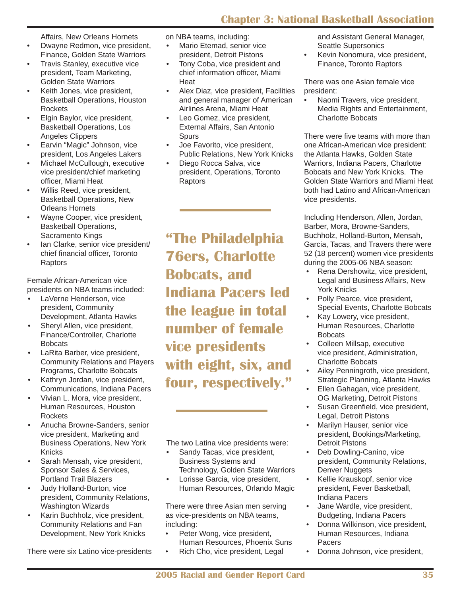# **Chapter 3: National Basketball Association**

Affairs, New Orleans Hornets

- Dwayne Redmon, vice president, Finance, Golden State Warriors
- Travis Stanley, executive vice president, Team Marketing, Golden State Warriors
- Keith Jones, vice president, Basketball Operations, Houston Rockets
- Elgin Baylor, vice president, Basketball Operations, Los Angeles Clippers
- Earvin "Magic" Johnson, vice president, Los Angeles Lakers
- Michael McCullough, executive vice president/chief marketing officer, Miami Heat
- Willis Reed, vice president, Basketball Operations, New Orleans Hornets
- Wayne Cooper, vice president, Basketball Operations, Sacramento Kings
- lan Clarke, senior vice president/ chief financial officer, Toronto **Raptors**

Female African-American vice presidents on NBA teams included:

- LaVerne Henderson, vice president, Community Development, Atlanta Hawks
- Sheryl Allen, vice president, Finance/Controller, Charlotte Bobcats
- LaRita Barber, vice president, Community Relations and Players Programs, Charlotte Bobcats
- Kathryn Jordan, vice president, Communications, Indiana Pacers
- Vivian L. Mora, vice president, Human Resources, Houston Rockets
- Anucha Browne-Sanders, senior vice president, Marketing and Business Operations, New York Knicks
- Sarah Mensah, vice president, Sponsor Sales & Services, Portland Trail Blazers
- Judy Holland-Burton, vice president, Community Relations, Washington Wizards
- Karin Buchholz, vice president, Community Relations and Fan Development, New York Knicks

There were six Latino vice-presidents

on NBA teams, including:

- Mario Etemad, senior vice president, Detroit Pistons
- Tony Coba, vice president and chief information officer, Miami **Heat**
- Alex Diaz, vice president, Facilities and general manager of American Airlines Arena, Miami Heat
- Leo Gomez, vice president, External Affairs, San Antonio Spurs
- Joe Favorito, vice president, Public Relations, New York Knicks
- Diego Rocca Salva, vice president, Operations, Toronto Raptors

**"The Philadelphia 76ers, Charlotte Bobcats, and Indiana Pacers led the league in total number of female vice presidents with eight, six, and four, respectively."**

The two Latina vice presidents were:

- Sandy Tacas, vice president, Business Systems and Technology, Golden State Warriors
- Lorisse Garcia, vice president, Human Resources, Orlando Magic

There were three Asian men serving as vice-presidents on NBA teams, including:

- Peter Wong, vice president, Human Resources, Phoenix Suns
- Rich Cho, vice president, Legal

and Assistant General Manager, Seattle Supersonics

• Kevin Nonomura, vice president, Finance, Toronto Raptors

There was one Asian female vice president:

• Naomi Travers, vice president, Media Rights and Entertainment, Charlotte Bobcats

There were five teams with more than one African-American vice president: the Atlanta Hawks, Golden State Warriors, Indiana Pacers, Charlotte Bobcats and New York Knicks. The Golden State Warriors and Miami Heat both had Latino and African-American vice presidents.

Including Henderson, Allen, Jordan, Barber, Mora, Browne-Sanders, Buchholz, Holland-Burton, Mensah, Garcia, Tacas, and Travers there were 52 (18 percent) women vice presidents during the 2005-06 NBA season:

- Rena Dershowitz, vice president, Legal and Business Affairs, New York Knicks
- Polly Pearce, vice president, Special Events, Charlotte Bobcats
- Kay Lowery, vice president, Human Resources, Charlotte **Bobcats**
- Colleen Millsap, executive vice president, Administration, Charlotte Bobcats
- Ailey Penningroth, vice president, Strategic Planning, Atlanta Hawks
- Ellen Gahagan, vice president, OG Marketing, Detroit Pistons
- Susan Greenfield, vice president, Legal, Detroit Pistons
- Marilyn Hauser, senior vice president, Bookings/Marketing, Detroit Pistons
- Deb Dowling-Canino, vice president, Community Relations, Denver Nuggets
- Kellie Krauskopf, senior vice president, Fever Basketball, Indiana Pacers
- Jane Wardle, vice president, Budgeting, Indiana Pacers
- Donna Wilkinson, vice president, Human Resources, Indiana Pacers
- Donna Johnson, vice president,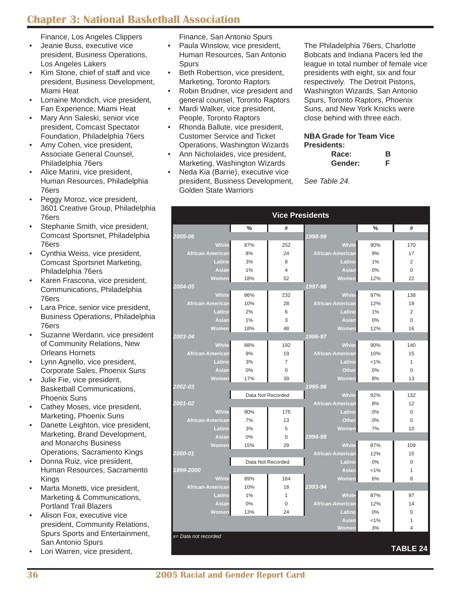# **Chapter 3: National Basketball Association**

Finance, Los Angeles Clippers

- Jeanie Buss, executive vice president, Business Operations, Los Angeles Lakers
- Kim Stone, chief of staff and vice president, Business Development, Miami Heat
- Lorraine Mondich, vice president, Fan Experience, Miami Heat
- Mary Ann Saleski, senior vice president, Comcast Spectator Foundation, Philadelphia 76ers
- Amy Cohen, vice president, Associate General Counsel, Philadelphia 76ers
- Alice Marini, vice president, Human Resources, Philadelphia 76ers
- Peggy Moroz, vice president, 3601 Creative Group, Philadelphia 76ers
- Stephanie Smith, vice president, Comcast Sportsnet, Philadelphia 76ers
- Cynthia Weiss, vice president, Comcast Sportsnet Marketing, Philadelphia 76ers
- Karen Frascona, vice president, Communications, Philadelphia 76ers
- Lara Price, senior vice president, Business Operations, Philadelphia 76ers
- Suzanne Werdann, vice president of Community Relations, New Orleans Hornets
- Lynn Agnello, vice president, Corporate Sales, Phoenix Suns
- Julie Fie, vice president, Basketball Communications, Phoenix Suns
- Cathey Moses, vice president, Marketing, Phoenix Suns
- Danette Leighton, vice president, Marketing, Brand Development, and Monarchs Business Operations, Sacramento Kings
- Donna Ruiz, vice president, Human Resources, Sacramento Kings
- Marta Monetti, vice president, Marketing & Communications, Portland Trail Blazers
- Alison Fox, executive vice president, Community Relations, Spurs Sports and Entertainment, San Antonio Spurs
- Lori Warren, vice president,

Finance, San Antonio Spurs

- Paula Winslow, vice president, Human Resources, San Antonio Spurs
- Beth Robertson, vice president, Marketing, Toronto Raptors
- Robin Brudner, vice president and general counsel, Toronto Raptors
- Mardi Walker, vice president, People, Toronto Raptors
- Rhonda Ballute, vice president, Customer Service and Ticket Operations, Washington Wizards
- Ann Nicholaides, vice president, Marketing, Washington Wizards
- Neda Kia (Barrie), executive vice president, Business Development, Golden State Warriors

The Philadelphia 76ers, Charlotte Bobcats and Indiana Pacers led the league in total number of female vice presidents with eight, six and four respectively. The Detroit Pistons, Washington Wizards, San Antonio Spurs, Toronto Raptors, Phoenix Suns, and New York Knicks were close behind with three each.

# **NBA Grade for Team Vice Presidents:**

| Race:   | в |
|---------|---|
| Gender: | F |

*See Table 24.* 

|                      |                   | <b>Vice Presidents</b> |                  |         |                 |
|----------------------|-------------------|------------------------|------------------|---------|-----------------|
|                      | $\frac{0}{0}$     | #                      |                  | %       | #               |
| 2005-06              |                   |                        | 1998-99          |         |                 |
| <b>White</b>         | 87%               | 252                    | <b>White</b>     | 90%     | 170             |
| African-American     | 8%                | 24                     | African-American | 9%      | 17              |
| Latino               | 3%                | 8                      | Latino           | 1%      | $\overline{2}$  |
| Asian                | 1%                | $\overline{4}$         | Asian            | 0%      | 0               |
| Women                | 18%               | 52                     | Women            | 12%     | 22              |
| 2004-05              |                   |                        | 1997-98          |         |                 |
| <b>White</b>         | 86%               | 232                    | <b>White</b>     | 87%     | 138             |
| African-American     | 10%               | 28                     | African-American | 12%     | 19              |
| Latino               | 2%                | 6                      | Latino           | 1%      | 2               |
| <b>Asian</b>         | 1%                | 3                      | Asian            | 0%      | 0               |
| Women                | 18%               | 48                     | Women            | 12%     | 16              |
| 2003-04              |                   |                        | 1996-97          |         |                 |
| <b>White</b>         | 88%               | 192                    | <b>White</b>     | 90%     | 140             |
| African-American     | 9%                | 19                     | African-American | 10%     | 15              |
| Latino               | 3%                | $\overline{7}$         | Latino           | $< 1\%$ | 1               |
| Asian                | 0%                | 0                      | Other            | 0%      | 0               |
| Women                | 17%               | 39                     | Women            | 8%      | 13              |
| 2002-03              |                   |                        | 1995-96          |         |                 |
|                      | Data Not Recorded |                        | White            | 92%     | 132             |
| $2001 - 02$          |                   |                        | African-American | 8%      | 12              |
| <b>White</b>         | 90%               | 175                    | Latino           | 0%      | $\Omega$        |
| African-American     | 7%                | 13                     | Other            | 0%      | 0               |
| Latino               | 3%                | 5                      | Women            | 7%      | 10              |
| <b>Asian</b>         | 0%                | 0                      | 1994-95          |         |                 |
| Women                | 15%               | 29                     | <b>White</b>     | 87%     | 109             |
| 2000-01              |                   |                        | African-American | 12%     | 15              |
|                      | Data Not Recorded |                        | Latino           | 0%      | 0               |
| 1999-2000            |                   |                        | Asian            | $< 1\%$ | 1               |
| <b>White</b>         | 89%               | 164                    | Women            | 6%      | 8               |
| African-American     | 10%               | 18                     | 1993-94          |         |                 |
| Latino               | 1%                | 1                      | <b>White</b>     | 87%     | 97              |
| Asian                | 0%                | 0                      | African-American | 12%     | 14              |
| <b>Women</b>         | 13%               | 24                     | Latino           | 0%      | 0               |
|                      |                   |                        | <b>Asian</b>     | $< 1\%$ | 1               |
|                      |                   |                        | Women            | 3%      | 4               |
| x= Data not recorded |                   |                        |                  |         | <b>TABLE 24</b> |
|                      |                   |                        |                  |         |                 |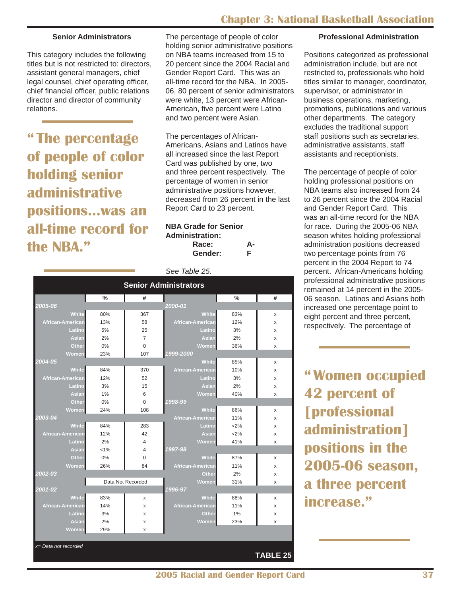### **Senior Administrators**

This category includes the following titles but is not restricted to: directors, assistant general managers, chief legal counsel, chief operating officer, chief financial officer, public relations director and director of community relations.

**" The percentage of people of color holding senior administrative positions...was an all-time record for the NBA."**

The percentage of people of color holding senior administrative positions on NBA teams increased from 15 to 20 percent since the 2004 Racial and Gender Report Card. This was an all-time record for the NBA. In 2005- 06, 80 percent of senior administrators were white, 13 percent were African-American, five percent were Latino and two percent were Asian.

The percentages of African-Americans, Asians and Latinos have all increased since the last Report Card was published by one, two and three percent respectively. The percentage of women in senior administrative positions however, decreased from 26 percent in the last Report Card to 23 percent.

#### **NBA Grade for Senior Administration: Race: A- Gender: F**

*See Table 25.* **Senior Administrators % # %#** *2005-06 2000-01* **White** 80% 367 **White** 83% x **African-American** 13% 58 **African-American** 12% x **Latino** 5% 25 **Latino** 3% x **Asian** 2% 7 **Asian** 2% x **Other** 0% 0 **Women** 36% x **Women** 23% 107 *1999-2000 2004-05* **White** 85% x **White** 84% 370 **African-American** 10% x **African-American** 12% 52 **Latino** 3% x **Latino** 3% 15 **Asian** 2% x **Asian** 1% 6 **Women** 40% x **Other** 0% 0 *1998-99* **Women** 24% 108 **White** 86% x *2003-04* **African-American** 11% x **White** 84% 283 **Latino** <2% x **African-American** 12% 42 **Asian** <2% x **Latino** 2% 4 **Women** 41% x **Asian** <1% 4 *1997-98* **Other** 0% 0 **White** 87% x **Women** 26% 84 **African-American** 11% x *2002-03* **Other** 2% x Data Not Recorded **Not All Accorded Women** 31% x *2001-02 1996-97* **White** 83% x **White** 88% x **African-American** 14% x **African-American** 11% x **Latino** 3% x **Other** 1% x **Asian** 2% x **Women** 23% x **Women** 29% x *x= Data not recorded* **TABLE 25**

### **Professional Administration**

Positions categorized as professional administration include, but are not restricted to, professionals who hold titles similar to manager, coordinator, supervisor, or administrator in business operations, marketing, promotions, publications and various other departments. The category excludes the traditional support staff positions such as secretaries, administrative assistants, staff assistants and receptionists.

The percentage of people of color holding professional positions on NBA teams also increased from 24 to 26 percent since the 2004 Racial and Gender Report Card. This was an all-time record for the NBA for race. During the 2005-06 NBA season whites holding professional administration positions decreased two percentage points from 76 percent in the 2004 Report to 74 percent. African-Americans holding professional administrative positions remained at 14 percent in the 2005- 06 season. Latinos and Asians both increased one percentage point to eight percent and three percent, respectively. The percentage of

**"Women occupied 42 percent of [professional administration] positions in the 2005-06 season, a three percent increase."**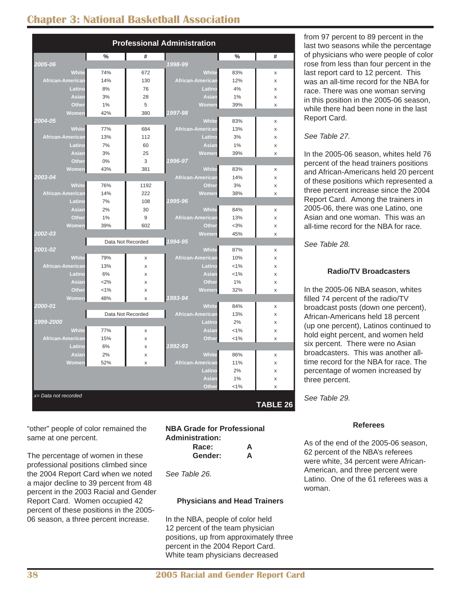# **Chapter 3: National Basketball Association**

| <b>Professional Administration</b> |               |                   |                  |         |                 |  |  |
|------------------------------------|---------------|-------------------|------------------|---------|-----------------|--|--|
|                                    | $\frac{0}{0}$ | #                 |                  | %       | #               |  |  |
| 2005-06                            | 1998-99       |                   |                  |         |                 |  |  |
| <b>White</b>                       | 74%           | 672               | White            | 83%     | X               |  |  |
| African-American                   | 14%           | 130               | African-American | 12%     | X               |  |  |
| Latino                             | 8%            | 76                | Latino           | 4%      | X               |  |  |
| Asian                              | 3%            | 28                | <b>Asian</b>     | 1%      | X               |  |  |
| Other                              | 1%            | 5                 | Women            | 39%     | X               |  |  |
| Women                              | 42%           | 380               | 1997-98          |         |                 |  |  |
| 2004-05                            |               |                   | <b>White</b>     | 83%     | x               |  |  |
| <b>White</b>                       | 77%           | 684               | African-American | 13%     | X               |  |  |
| African-American                   | 13%           | 112               | Latino           | 3%      | X               |  |  |
| Latino                             | 7%            | 60                | Asian            | 1%      | X               |  |  |
| Asian                              | 3%            | 25                | Women            | 39%     | X               |  |  |
| Other                              | 0%            | 3                 | 1996-97          |         |                 |  |  |
| Women                              | 43%           | 381               | <b>White</b>     | 83%     | х               |  |  |
| 2003-04                            |               |                   | African-American | 14%     | X               |  |  |
| <b>White</b>                       | 76%           | 1192              | Other            | 3%      | X               |  |  |
| African-American                   | 14%           | 222               | Women            | 38%     | X               |  |  |
| Latino                             | 7%            | 108               | 1995-96          |         |                 |  |  |
| Asian                              | 2%            | 30                | <b>White</b>     | 84%     | X               |  |  |
| Other                              | 1%            | 9                 | African-American | 13%     | X               |  |  |
| Women                              | 39%           | 602               | Other            | $<$ 3%  | X               |  |  |
| 2002-03                            |               |                   | Women            | 45%     | X               |  |  |
|                                    |               | Data Not Recorded | 1994-95          |         |                 |  |  |
| 2001-02                            |               |                   | <b>White</b>     | 87%     | X               |  |  |
| White                              | 79%           | x                 | African-American | 10%     | X               |  |  |
| African-American                   | 13%           | X                 | Latino           | $< 1\%$ | X               |  |  |
| Latino                             | 6%            | X                 | Asian            | $< 1\%$ | X               |  |  |
| Asian                              | 2%            | X                 | Other            | 1%      | X               |  |  |
| Other                              | $< 1\%$       | X                 | Women            | 32%     | X               |  |  |
| Women                              | 48%           | $\mathbf{x}$      | 1993-94          |         |                 |  |  |
| 2000-01                            |               |                   | <b>White</b>     | 84%     | X               |  |  |
|                                    |               | Data Not Recorded | African-American | 13%     | X               |  |  |
| 1999-2000                          |               |                   | Latino           | 2%      | X               |  |  |
| <b>White</b>                       | 77%           | x                 | Asian            | $< 1\%$ | X               |  |  |
| African-American                   | 15%           | X                 | Other            | $< 1\%$ | X               |  |  |
| Latino                             | 6%            | х                 | 1992-93          |         |                 |  |  |
| Asian                              | 2%            | X                 | White            | 86%     | X               |  |  |
| Women                              | 52%           | X                 | African-American | 11%     | X               |  |  |
|                                    |               |                   | Latino           | 2%      | X               |  |  |
|                                    |               |                   | Asian            | 1%      | X               |  |  |
|                                    |               |                   | Other            | $< 1\%$ | X               |  |  |
| x= Data not recorded               |               |                   |                  |         | <b>TABLE 26</b> |  |  |

"other" people of color remained the same at one percent.

The percentage of women in these professional positions climbed since the 2004 Report Card when we noted a major decline to 39 percent from 48 percent in the 2003 Racial and Gender Report Card. Women occupied 42 percent of these positions in the 2005- 06 season, a three percent increase.

# **NBA Grade for Professional Administration:**

| Race:   | A |
|---------|---|
| Gender: | А |

*See Table 26.*

# **Physicians and Head Trainers**

In the NBA, people of color held 12 percent of the team physician positions, up from approximately three percent in the 2004 Report Card. White team physicians decreased

from 97 percent to 89 percent in the last two seasons while the percentage of physicians who were people of color rose from less than four percent in the last report card to 12 percent. This was an all-time record for the NBA for race. There was one woman serving in this position in the 2005-06 season, while there had been none in the last Report Card.

# *See Table 27.*

In the 2005-06 season, whites held 76 percent of the head trainers positions and African-Americans held 20 percent of these positions which represented a three percent increase since the 2004 Report Card. Among the trainers in 2005-06, there was one Latino, one Asian and one woman. This was an all-time record for the NBA for race.

*See Table 28.*

# **Radio/TV Broadcasters**

In the 2005-06 NBA season, whites filled 74 percent of the radio/TV broadcast posts (down one percent), African-Americans held 18 percent (up one percent), Latinos continued to hold eight percent, and women held six percent. There were no Asian broadcasters. This was another alltime record for the NBA for race. The percentage of women increased by three percent.

*See Table 29.*

## **Referees**

As of the end of the 2005-06 season, 62 percent of the NBA's referees were white, 34 percent were African-American, and three percent were Latino. One of the 61 referees was a woman.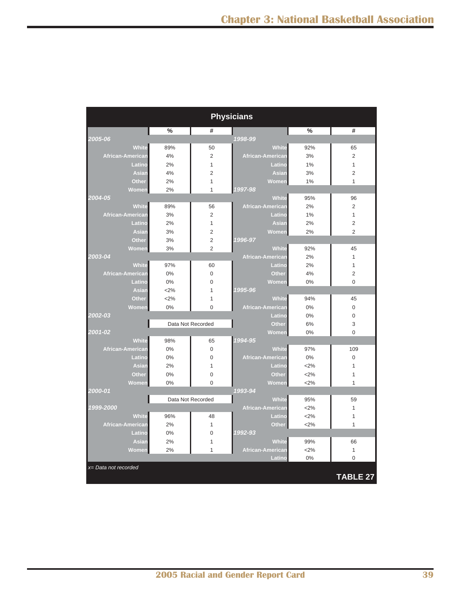| <b>Physicians</b>    |                            |                   |                  |               |                 |
|----------------------|----------------------------|-------------------|------------------|---------------|-----------------|
|                      | $\frac{0}{0}$              | #                 |                  | $\frac{0}{0}$ | #               |
| 2005-06              |                            |                   | 1998-99          |               |                 |
| <b>White</b>         | 89%                        | 50                | <b>White</b>     | 92%           | 65              |
| African-American     | 4%                         | $\overline{2}$    | African-American | 3%            | 2               |
| Latino               | 2%                         | 1                 | Latino           | 1%            | 1               |
| Asian                | 4%                         | $\overline{2}$    | Asian            | 3%            | $\overline{2}$  |
| Other                | 2%                         | 1                 | Women            | 1%            | 1               |
| Women                | 2%                         | 1                 | 1997-98          |               |                 |
| 2004-05              |                            |                   | <b>White</b>     | 95%           | 96              |
| <b>White</b>         | 89%                        | 56                | African-American | 2%            | 2               |
| African-American     | 3%                         | $\overline{2}$    | Latino           | 1%            | 1               |
| Latino               | 2%                         | $\mathbf{1}$      | Asian            | 2%            | $\overline{2}$  |
| <b>Asian</b>         | 3%                         | $\overline{2}$    | Women            | 2%            | $\overline{2}$  |
| Other                | 3%                         | $\overline{2}$    | 1996-97          |               |                 |
| Women                | 3%                         | $\overline{2}$    | <b>White</b>     | 92%           | 45              |
| 2003-04              |                            |                   | African-American | 2%            | 1               |
| <b>White</b>         | 97%                        | 60                | Latino           | 2%            | 1               |
| African-American     | 0%                         | $\mathbf 0$       | <b>Other</b>     | 4%            | $\overline{2}$  |
| Latino               | 0%                         | $\mathbf 0$       | Women            | 0%            | $\mathbf 0$     |
| Asian                | <2%                        | 1                 | 1995-96          |               |                 |
| Other                | 2%                         | 1                 | <b>White</b>     | 94%           | 45              |
| Women                | 0%                         | $\Omega$          | African-American | 0%            | $\mathbf 0$     |
| 2002-03<br>Latino    |                            | 0%                | $\mathbf 0$      |               |                 |
|                      | Data Not Recorded<br>Other |                   | 6%               | 3             |                 |
| 2001-02              |                            |                   | Women            | 0%            | $\Omega$        |
| <b>White</b>         | 98%                        | 65                | 1994-95          |               |                 |
| African-American     | 0%                         | $\mathbf 0$       | <b>White</b>     | 97%           | 109             |
| Latino               | 0%                         | $\mathbf 0$       | African-American | 0%            | $\mathbf 0$     |
| Asian                | 2%                         | 1                 | Latino           | 2%            | 1               |
| Other                | 0%                         | 0                 | Other            | 2%            | 1               |
| Women                | 0%                         | $\Omega$          | Women            | <2%           | 1               |
| 2000-01              |                            |                   | 1993-94          |               |                 |
|                      |                            | Data Not Recorded | <b>White</b>     | 95%           | 59              |
| 1999-2000            |                            |                   | African-American | 2%            | 1               |
| <b>White</b>         | 96%                        | 48                | Latino           | 2%            | 1               |
| African-American     | 2%                         | $\mathbf{1}$      | Other            | 2%            | 1               |
| Latino               | 0%                         | $\mathbf 0$       | 1992-93          |               |                 |
| Asian                | 2%                         | 1                 | <b>White</b>     | 99%           | 66              |
| Women                | 2%                         | 1                 | African-American | 2%            | 1               |
|                      |                            |                   | Latino           | 0%            | $\mathbf 0$     |
| x= Data not recorded |                            |                   |                  |               | <b>TABLE 27</b> |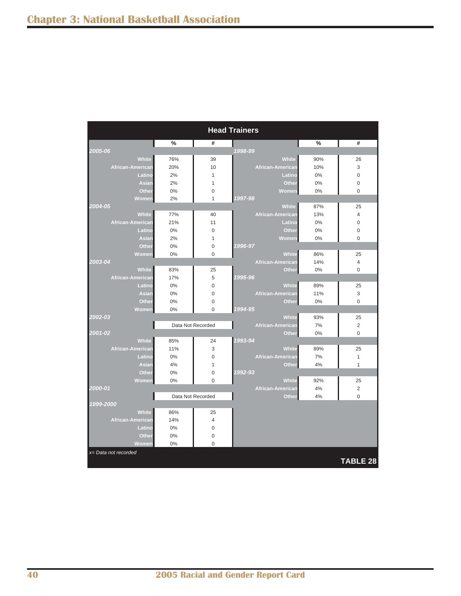|                         |       |                   | <b>Head Trainers</b>    |       |                         |
|-------------------------|-------|-------------------|-------------------------|-------|-------------------------|
|                         | $\%$  | #                 |                         | $\%$  | #                       |
| 2005-06                 |       |                   | 1998-99                 |       |                         |
| <b>White</b>            | 76%   | 39                | <b>White</b>            | 90%   | 26                      |
| <b>African-American</b> | 20%   | 10                | African-American        | 10%   | 3                       |
| Latino                  | 2%    | 1                 | Latino                  | 0%    | $\mathbf 0$             |
| Asian                   | 2%    | 1                 | Other                   | 0%    | 0                       |
| Other                   | 0%    | $\boldsymbol{0}$  | Women                   | 0%    | 0                       |
| Women                   | 2%    | 1                 | 1997-98                 |       |                         |
| 2004-05                 |       |                   | <b>White</b>            | 87%   | 25                      |
| <b>White</b>            | 77%   | 40                | African-American        | 13%   | 4                       |
| African-American        | 21%   | 11                | Latino                  | $0\%$ | 0                       |
| Latino                  | 0%    | $\mathbf 0$       | Other                   | 0%    | 0                       |
| Asian                   | 2%    | 1                 | Women                   | 0%    | 0                       |
| Other                   | 0%    | $\mathbf 0$       | 1996-97                 |       |                         |
| Women                   | 0%    | 0                 | <b>White</b>            | 86%   | 25                      |
| 2003-04                 |       |                   | African-American        | 14%   | $\overline{4}$          |
| <b>White</b>            | 83%   | 25                | Other                   | 0%    | $\Omega$                |
| <b>African-American</b> | 17%   | 5                 | 1995-96                 |       |                         |
| Latino                  | 0%    | $\mathbf 0$       | White                   | 89%   | 25                      |
| Asian                   | 0%    | $\boldsymbol{0}$  | African-American        | 11%   | 3                       |
| Other                   | 0%    | 0                 | Other                   | 0%    | 0                       |
| Women                   | 0%    | 0                 | 1994-95                 |       |                         |
| 2002-03                 |       |                   | White                   | 93%   | 25                      |
|                         |       | Data Not Recorded | African-American        | 7%    | $\overline{\mathbf{c}}$ |
| 2001-02                 |       |                   | Other                   | 0%    | $\Omega$                |
| <b>White</b>            | 85%   | 24                | 1993-94                 |       |                         |
| African-American        | 11%   | 3                 | White                   | 89%   | 25                      |
| Latino                  | 0%    | 0                 | African-American        | 7%    | 1                       |
| <b>Asian</b>            | 4%    | 1                 | Other                   | 4%    | $\mathbf{1}$            |
| Other                   | 0%    | $\boldsymbol{0}$  | 1992-93                 |       |                         |
| Women                   | $0\%$ | 0                 | <b>White</b>            | 92%   | 25                      |
| $2000 - 01$             |       |                   | <b>African-American</b> | 4%    | $\overline{2}$          |
|                         |       | Data Not Recorded | Other                   | 4%    | $\mathbf 0$             |
| 1999-2000               |       |                   |                         |       |                         |
| <b>White</b>            | 86%   | 25                |                         |       |                         |
| African-American        | 14%   | $\overline{4}$    |                         |       |                         |
| Latino                  | 0%    | 0                 |                         |       |                         |
| Other                   | 0%    | $\boldsymbol{0}$  |                         |       |                         |
| Women                   | 0%    | 0                 |                         |       |                         |
| x= Data not recorded    |       |                   |                         |       |                         |
|                         |       |                   |                         |       | <b>TABLE 28</b>         |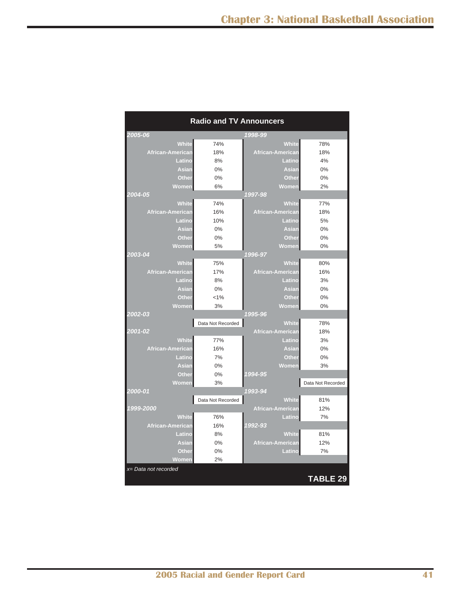| <b>Radio and TV Announcers</b> |                   |                            |                   |  |
|--------------------------------|-------------------|----------------------------|-------------------|--|
| 2005-06                        |                   | 1998-99                    |                   |  |
| <b>White</b>                   | 74%               | <b>White</b>               | 78%               |  |
| African-American               | 18%               | African-American           | 18%               |  |
| Latino                         | 8%                | Latino                     | 4%                |  |
| <b>Asian</b>                   | 0%                | Asian                      | 0%                |  |
| Other                          | 0%                | Other                      | 0%                |  |
| Women                          | 6%                | Women                      | 2%                |  |
| 2004-05                        |                   | 1997-98                    |                   |  |
| <b>White</b>                   | 74%               | <b>White</b>               | 77%               |  |
| African-American               | 16%               | African-American           | 18%               |  |
| Latino                         | 10%               | Latino                     | 5%                |  |
| Asian                          | 0%                | Asian                      | 0%                |  |
| Other                          | 0%                | Other                      | 0%                |  |
| <b>Women</b>                   | 5%                | Women                      | 0%                |  |
| 2003-04                        |                   | 1996-97                    |                   |  |
| <b>White</b>                   | 75%               | <b>White</b>               | 80%               |  |
| African-American               | 17%               | African-American           | 16%               |  |
| Latino                         | 8%                | Latino                     | 3%                |  |
| <b>Asian</b>                   | 0%                | Asian                      | 0%                |  |
| Other                          | $< 1\%$           | Other                      | 0%                |  |
| Women                          | 3%                | Women                      | 0%                |  |
| 2002-03                        |                   | 1995-96                    |                   |  |
|                                | Data Not Recorded | <b>White</b>               | 78%               |  |
| 2001-02                        |                   | African-American           | 18%               |  |
| <b>White</b>                   | 77%               | Latino                     | 3%                |  |
| African-American               | 16%               | Asian                      | 0%                |  |
| Latino                         | 7%                | Other                      | 0%                |  |
| Asian                          | 0%                | Women                      | 3%                |  |
| Other                          | 0%                | 1994-95                    |                   |  |
| Women                          | 3%                |                            | Data Not Recorded |  |
| 2000-01                        |                   | 1993-94                    |                   |  |
| 1999-2000                      | Data Not Recorded | <b>White</b>               | 81%               |  |
|                                | 76%               | African-American           | 12%<br>7%         |  |
| <b>White</b>                   | 16%               | Latino<br>1992-93          |                   |  |
| African-American               | 8%                |                            | 81%               |  |
| Latino                         |                   | <b>White</b>               | 12%               |  |
| Asian                          | 0%<br>0%          | African-American<br>Latino | 7%                |  |
| Other<br>Women                 | 2%                |                            |                   |  |
| x= Data not recorded           |                   |                            |                   |  |
|                                |                   |                            | <b>TABLE 29</b>   |  |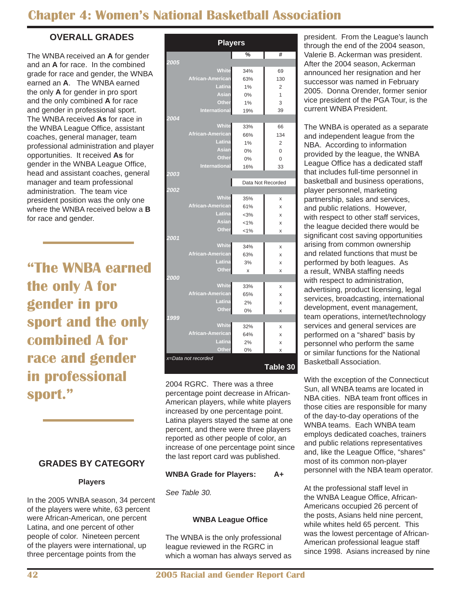# **OVERALL GRADES**

The WNBA received an **A** for gender and an **A** for race. In the combined grade for race and gender, the WNBA earned an **A**. The WNBA earned the only **A** for gender in pro sport and the only combined **A** for race and gender in professional sport. The WNBA received **As** for race in the WNBA League Office, assistant coaches, general manager, team professional administration and player opportunities. It received **As** for gender in the WNBA League Office, head and assistant coaches, general manager and team professional administration. The team vice president position was the only one where the WNBA received below a **B** for race and gender.

**"The WNBA earned the only A for gender in pro sport and the only combined A for race and gender in professional sport."**

# **GRADES BY CATEGORY**

## **Players**

In the 2005 WNBA season, 34 percent of the players were white, 63 percent were African-American, one percent Latina, and one percent of other people of color. Nineteen percent of the players were international, up three percentage points from the

| <b>Players</b>      |         |                   |  |
|---------------------|---------|-------------------|--|
|                     | $\%$    | #                 |  |
| 2005                |         |                   |  |
| <b>White</b>        | 34%     | 69                |  |
| African-American    | 63%     | 130               |  |
| Latina              | 1%      | $\overline{2}$    |  |
| <b>Asian</b>        | 0%      | 1                 |  |
| Other               | 1%      | 3                 |  |
| International       | 19%     | 39                |  |
| 2004                |         |                   |  |
| <b>White</b>        | 33%     | 66                |  |
| African-American    | 66%     | 134               |  |
| Latina              | 1%      | $\overline{2}$    |  |
| <b>Asian</b>        | 0%      | $\mathbf 0$       |  |
| Other               | 0%      | $\mathbf 0$       |  |
| International       | 16%     | 33                |  |
| 2003                |         |                   |  |
|                     |         | Data Not Recorded |  |
| 2002                |         |                   |  |
| <b>White</b>        | 35%     | X                 |  |
| African-American    | 61%     | X                 |  |
| Latina              | $<$ 3%  | X                 |  |
| <b>Asian</b>        | $< 1\%$ | X                 |  |
| Other               | < 1%    | X                 |  |
| 2001                |         |                   |  |
| <b>White</b>        | 34%     | X                 |  |
| African-American    | 63%     | X                 |  |
| Latina              | 3%      | X                 |  |
| Other               | X       | X                 |  |
| 2000                |         |                   |  |
| <b>White</b>        | 33%     | X                 |  |
| African-American    | 65%     | X                 |  |
| Latina              | 2%      | X                 |  |
| Other               | 0%      | X                 |  |
| 1999                |         |                   |  |
| <b>White</b>        | 32%     | X                 |  |
| African-American    | 64%     | X                 |  |
| Latina              | 2%      | X                 |  |
| Other               | 0%      | X                 |  |
| x=Data not recorded |         | Table 30          |  |

2004 RGRC. There was a three percentage point decrease in African-American players, while white players increased by one percentage point. Latina players stayed the same at one percent, and there were three players reported as other people of color, an increase of one percentage point since the last report card was published.

## **WNBA Grade for Players: A+**

*See Table 30.*

## **WNBA League Offi ce**

The WNBA is the only professional league reviewed in the RGRC in which a woman has always served as president. From the League's launch through the end of the 2004 season, Valerie B. Ackerman was president. After the 2004 season, Ackerman announced her resignation and her successor was named in February 2005. Donna Orender, former senior vice president of the PGA Tour, is the current WNBA President.

The WNBA is operated as a separate and independent league from the NBA. According to information provided by the league, the WNBA League Office has a dedicated staff that includes full-time personnel in basketball and business operations, player personnel, marketing partnership, sales and services, and public relations. However, with respect to other staff services, the league decided there would be significant cost saving opportunities arising from common ownership and related functions that must be performed by both leagues. As a result, WNBA staffing needs with respect to administration, advertising, product licensing, legal services, broadcasting, international development, event management, team operations, internet/technology services and general services are performed on a "shared" basis by personnel who perform the same or similar functions for the National Basketball Association.

With the exception of the Connecticut Sun, all WNBA teams are located in NBA cities. NBA team front offices in those cities are responsible for many of the day-to-day operations of the WNBA teams. Each WNBA team employs dedicated coaches, trainers and public relations representatives and, like the League Office, "shares" most of its common non-player personnel with the NBA team operator.

At the professional staff level in the WNBA League Office, African-Americans occupied 26 percent of the posts, Asians held nine percent, while whites held 65 percent. This was the lowest percentage of African-American professional league staff since 1998. Asians increased by nine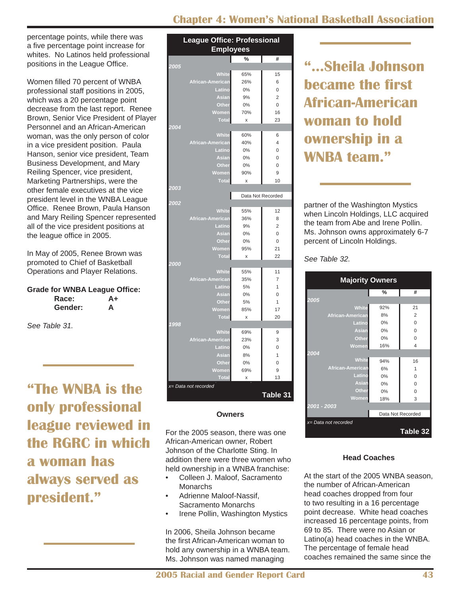percentage points, while there was a five percentage point increase for whites. No Latinos held professional positions in the League Office.

Women filled 70 percent of WNBA professional staff positions in 2005, which was a 20 percentage point decrease from the last report. Renee Brown, Senior Vice President of Player Personnel and an African-American woman, was the only person of color in a vice president position. Paula Hanson, senior vice president, Team Business Development, and Mary Reiling Spencer, vice president, Marketing Partnerships, were the other female executives at the vice president level in the WNBA League Office. Renee Brown, Paula Hanson and Mary Reiling Spencer represented all of the vice president positions at the league office in 2005.

In May of 2005, Renee Brown was promoted to Chief of Basketball Operations and Player Relations.

### **Grade for WNBA League Office: Race: A+ Gender: A**

*See Table 31.*

**"The WNBA is the only professional league reviewed in the RGRC in which a woman has always served as president."**

| League Office: Professional<br><b>Employees</b> |               |                   |  |
|-------------------------------------------------|---------------|-------------------|--|
|                                                 | $\frac{0}{0}$ | #                 |  |
| 2005                                            |               |                   |  |
| White                                           | 65%           | 15                |  |
| African-American                                | 26%           | 6                 |  |
| Latino                                          | 0%            | $\mathbf 0$       |  |
| Asian                                           | 9%            | $\overline{2}$    |  |
| Other                                           | 0%            | $\mathbf 0$       |  |
| Women                                           | 70%           | 16                |  |
| Total                                           | X             | 23                |  |
| 2004                                            |               |                   |  |
| <b>White</b>                                    | 60%           | 6                 |  |
| African-American                                | 40%           | $\overline{4}$    |  |
| Latino                                          | 0%            | $\overline{0}$    |  |
| Asian                                           | 0%            | $\mathbf 0$       |  |
| Other                                           | 0%            | 0                 |  |
| Womer                                           | 90%           | 9                 |  |
| Tota                                            | X             | 10                |  |
| 2003                                            |               |                   |  |
|                                                 |               | Data Not Recorded |  |
| 2002                                            |               |                   |  |
| <b>White</b>                                    | 55%           | 12                |  |
| African-American                                | 36%           | 8                 |  |
| Latino                                          | 9%            | $\overline{2}$    |  |
| Asian                                           | 0%            | $\mathbf 0$       |  |
| Other                                           | 0%            | 0                 |  |
| Women                                           | 95%           | 21                |  |
| <b>Tota</b>                                     | X             | 22                |  |
| 2000                                            |               |                   |  |
| <b>White</b>                                    | 55%           | 11                |  |
| African-American                                | 35%           | $\overline{7}$    |  |
| Latino                                          | 5%            | 1                 |  |
| Asian                                           | 0%            | 0                 |  |
| Other                                           | 5%            | 1                 |  |
| Women                                           | 85%           | 17                |  |
| Total<br>1998                                   | X             | 20                |  |
|                                                 | 69%           | 9                 |  |
| White<br>African-American                       | 23%           | 3                 |  |
| Latino                                          | 0%            | 0                 |  |
| Asian                                           | 8%            | 1                 |  |
| Other                                           | 0%            | 0                 |  |
| Women                                           | 69%           | 9                 |  |
| Tota                                            | x             | 13                |  |
| x= Data not recorded                            |               |                   |  |
|                                                 |               | Table 31          |  |

#### **Owners**

For the 2005 season, there was one African-American owner, Robert Johnson of the Charlotte Sting. In addition there were three women who held ownership in a WNBA franchise:

- Colleen J. Maloof, Sacramento **Monarchs**
- Adrienne Maloof-Nassif, Sacramento Monarchs
- Irene Pollin, Washington Mystics

In 2006, Sheila Johnson became the first African-American woman to hold any ownership in a WNBA team. Ms. Johnson was named managing

**"...Sheila Johnson became the first African-American woman to hold ownership in a WNBA team."**

partner of the Washington Mystics when Lincoln Holdings, LLC acquired the team from Abe and Irene Pollin. Ms. Johnson owns approximately 6-7 percent of Lincoln Holdings.

*See Table 32.*

| <b>Majority Owners</b> |     |                   |  |  |
|------------------------|-----|-------------------|--|--|
|                        | %   | #                 |  |  |
| 2005                   |     |                   |  |  |
| <b>White</b>           | 92% | 21                |  |  |
| African-American       | 8%  | $\overline{2}$    |  |  |
| Latino                 | 0%  | $\Omega$          |  |  |
| Asian                  | 0%  | $\Omega$          |  |  |
| Other                  | 0%  | $\Omega$          |  |  |
| Women                  | 16% | 4                 |  |  |
| 2004                   |     |                   |  |  |
| White                  | 94% | 16                |  |  |
| African-American       | 6%  | 1                 |  |  |
| Latino                 | 0%  | $\Omega$          |  |  |
| <b>Asian</b>           | 0%  | $\Omega$          |  |  |
| Other                  | 0%  | $\Omega$          |  |  |
| Women                  | 18% | 3                 |  |  |
| 2001 - 2003            |     |                   |  |  |
|                        |     | Data Not Recorded |  |  |
| x= Data not recorded   |     |                   |  |  |
|                        |     | Table 32          |  |  |

# **Head Coaches**

At the start of the 2005 WNBA season, the number of African-American head coaches dropped from four to two resulting in a 16 percentage point decrease. White head coaches increased 16 percentage points, from 69 to 85. There were no Asian or Latino(a) head coaches in the WNBA. The percentage of female head coaches remained the same since the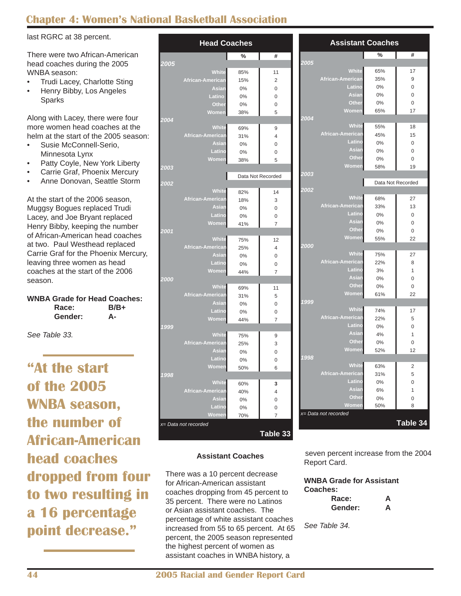last RGRC at 38 percent.

There were two African-American head coaches during the 2005 WNBA season:

- Trudi Lacey, Charlotte Sting
- Henry Bibby, Los Angeles Sparks

Along with Lacey, there were four more women head coaches at the helm at the start of the 2005 season:

- Susie McConnell-Serio, Minnesota Lynx
- Patty Coyle, New York Liberty
- Carrie Graf, Phoenix Mercury
- Anne Donovan, Seattle Storm

At the start of the 2006 season, Muggsy Bogues replaced Trudi Lacey, and Joe Bryant replaced Henry Bibby, keeping the number of African-American head coaches at two. Paul Westhead replaced Carrie Graf for the Phoenix Mercury, leaving three women as head coaches at the start of the 2006 season.

### **WNBA Grade for Head Coaches: Race: B/B+ Gender: A-**

*See Table 33.*

**"At the start of the 2005 WNBA season, the number of African-American head coaches dropped from four to two resulting in a 16 percentage point decrease."**

|      |                  | %     | #                 |
|------|------------------|-------|-------------------|
| 2005 |                  |       |                   |
|      | <b>White</b>     | 85%   | 11                |
|      | African-American | 15%   | $\overline{2}$    |
|      | Asian            | 0%    | 0                 |
|      | Latino           | 0%    | 0                 |
|      | Other            | 0%    | 0                 |
|      | Women            | 38%   | 5                 |
| 2004 |                  |       |                   |
|      | White            | 69%   | 9                 |
|      | African-American | 31%   | $\overline{4}$    |
|      | Asian            | 0%    | 0                 |
|      | Latino           | 0%    | 0                 |
|      | Women            | 38%   | 5                 |
| 2003 |                  |       |                   |
|      |                  |       | Data Not Recorded |
| 2002 |                  |       |                   |
|      | <b>White</b>     | 82%   | 14                |
|      | African-American | 18%   | 3                 |
|      | <b>Asian</b>     | 0%    | 0                 |
|      | Latino           | 0%    | 0                 |
|      | Women            | 41%   | 7                 |
| 2001 |                  |       |                   |
|      | <b>White</b>     | 75%   | 12                |
|      | African-American | 25%   | $\overline{4}$    |
|      | Asian            | 0%    | 0                 |
|      | Latino           | 0%    | 0                 |
|      | Women            | 44%   | $\overline{7}$    |
| 2000 |                  |       |                   |
|      | <b>White</b>     | 69%   | 11                |
|      | African-American | 31%   | 5                 |
|      | Asian            | 0%    | 0                 |
|      | Latino           | 0%    | 0                 |
|      | Women            | 44%   | 7                 |
| 1999 |                  |       |                   |
|      | <b>White</b>     | 75%   | 9                 |
|      | African-American | 25%   | 3                 |
|      | Asian            | 0%    | 0                 |
|      | Latino           | 0%    | 0                 |
|      | Women            | 50%   | 6                 |
| 1998 |                  |       |                   |
|      | White            | 60%   | 3                 |
|      | African-Americar | 40%   | 4                 |
|      | Asian            | $0\%$ | 0                 |
|      | Latino           | $0\%$ | 0                 |
|      | Women            | 70%   | 7                 |
|      |                  |       |                   |

## **Assistant Coaches**

There was a 10 percent decrease for African-American assistant coaches dropping from 45 percent to 35 percent. There were no Latinos or Asian assistant coaches. The percentage of white assistant coaches increased from 55 to 65 percent. At 65 percent, the 2005 season represented the highest percent of women as assistant coaches in WNBA history, a

|                      |              | <b>Assistant Coaches</b> |                |
|----------------------|--------------|--------------------------|----------------|
|                      |              | %                        | #              |
| 2005                 |              |                          |                |
|                      | <b>White</b> | 65%                      | 17             |
| African-American     |              | 35%                      | 9              |
|                      | Latino       | 0%                       | $\mathbf 0$    |
|                      | Asian        | 0%                       | 0              |
|                      | Other        | 0%                       | 0              |
|                      | Women        | 65%                      | 17             |
| 2004                 |              |                          |                |
|                      | White        | 55%                      | 18             |
| African-American     |              | 45%                      | 15             |
|                      | Latino       | 0%                       | 0              |
|                      | Asian        | 0%                       | 0              |
|                      | Other        | 0%                       | 0              |
|                      | Women        | 58%                      | 19             |
| 2003                 |              |                          |                |
|                      |              | Data Not Recorded        |                |
| 2002                 |              |                          |                |
|                      | <b>White</b> | 68%                      | 27             |
| African-American     |              | 33%                      | 13             |
|                      | Latino       | 0%                       | 0              |
|                      | Asian        | 0%                       | 0              |
|                      | Other        | 0%                       | 0              |
|                      | Women        | 55%                      | 22             |
| 2000                 |              |                          |                |
|                      | <b>White</b> | 75%                      | 27             |
| African-American     |              | 22%                      | 8              |
|                      | Latino       | 3%                       | $\mathbf{1}$   |
|                      | Asian        | 0%                       | $\mathbf 0$    |
|                      | Other        | 0%                       | 0              |
|                      | Women        | 61%                      | 22             |
| 1999                 |              |                          |                |
|                      | White        | 74%                      | 17             |
| African-American     |              | 22%                      | 5              |
|                      | Latino       | 0%                       | $\mathbf 0$    |
|                      | Asian        | 4%                       | 1              |
|                      | Other        | 0%                       | 0              |
|                      | Women        | 52%                      | 12             |
| 1998                 |              |                          |                |
|                      | White        | 63%                      | $\overline{2}$ |
| African-American     |              | 31%                      | 5              |
|                      | Latino       | 0%                       | 0              |
|                      | Asian        | 6%                       | 1              |
|                      | Other        | 0%                       | 0              |
|                      | Women        | 50%                      | 8              |
| x= Data not recorded |              |                          |                |
|                      |              |                          | Table 34       |

seven percent increase from the 2004 Report Card.

| <b>WNBA Grade for Assistant</b> |   |
|---------------------------------|---|
| <b>Coaches:</b>                 |   |
| Race:                           | A |
| Gender:                         | А |

*See Table 34.*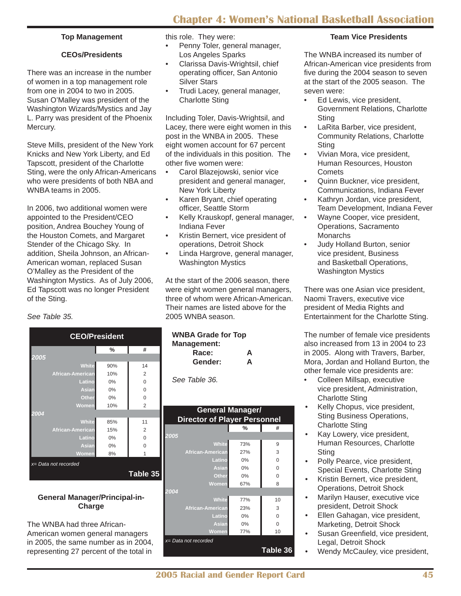# **Top Management**

# **CEOs/Presidents**

There was an increase in the number of women in a top management role from one in 2004 to two in 2005. Susan O'Malley was president of the Washington Wizards/Mystics and Jay L. Parry was president of the Phoenix Mercury.

Steve Mills, president of the New York Knicks and New York Liberty, and Ed Tapscott, president of the Charlotte Sting, were the only African-Americans who were presidents of both NBA and WNBA teams in 2005.

In 2006, two additional women were appointed to the President/CEO position, Andrea Bouchey Young of the Houston Comets, and Margaret Stender of the Chicago Sky. In addition, Sheila Johnson, an African-American woman, replaced Susan O'Malley as the President of the Washington Mystics. As of July 2006, Ed Tapscott was no longer President of the Sting.

## *See Table 35.*

| <b>CEO/President</b>    |               |                |
|-------------------------|---------------|----------------|
|                         | $\frac{0}{2}$ | #              |
| 2005                    |               |                |
| White                   | 90%           | 14             |
| African-American        | 10%           | $\overline{2}$ |
| Latino                  | 0%            | $\Omega$       |
| <b>Asian</b>            | 0%            | $\Omega$       |
| <b>Other</b>            | 0%            | $\Omega$       |
| Women                   | 10%           | $\overline{2}$ |
| 2004                    |               |                |
| White                   | 85%           | 11             |
| <b>African-American</b> | 15%           | $\overline{2}$ |
| Latino                  | 0%            | $\Omega$       |
| <b>Asian</b>            | 0%            | $\Omega$       |
| Women                   | 8%            |                |
| x= Data not recorded    |               |                |
|                         |               | Table 35       |

## **General Manager/Principal-in-Charge**

The WNBA had three African-American women general managers in 2005, the same number as in 2004, representing 27 percent of the total in

this role. They were:

- Penny Toler, general manager, Los Angeles Sparks
- Clarissa Davis-Wrightsil, chief operating officer, San Antonio Silver Stars
- Trudi Lacey, general manager, Charlotte Sting

Including Toler, Davis-Wrightsil, and Lacey, there were eight women in this post in the WNBA in 2005. These eight women account for 67 percent of the individuals in this position. The other five women were:

- Carol Blazejowski, senior vice president and general manager, New York Liberty
- Karen Bryant, chief operating officer, Seattle Storm
- Kelly Krauskopf, general manager, Indiana Fever
- Kristin Bernert, vice president of operations, Detroit Shock
- Linda Hargrove, general manager, Washington Mystics

At the start of the 2006 season, there were eight women general managers, three of whom were African-American. Their names are listed above for the 2005 WNBA season.

| <b>WNBA Grade for Top</b> |   |
|---------------------------|---|
| <b>Management:</b>        |   |
| Race:                     | A |
| Gender:                   | A |

*See Table 36.*

| <b>General Manager/</b><br><b>Director of Player Personnel</b> |     |          |
|----------------------------------------------------------------|-----|----------|
|                                                                | %   | #        |
| 2005                                                           |     |          |
| <b>White</b>                                                   | 73% | 9        |
| African-American                                               | 27% | 3        |
| Latino                                                         | 0%  | $\Omega$ |
| <b>Asian</b>                                                   | 0%  | $\Omega$ |
| Other                                                          | 0%  | $\Omega$ |
| Women                                                          | 67% | 8        |
| 2004                                                           |     |          |
| <b>White</b>                                                   | 77% | 10       |
| African-American                                               | 23% | 3        |
| Latino                                                         | 0%  | $\Omega$ |
| <b>Asian</b>                                                   | 0%  | $\Omega$ |
| Women                                                          | 77% | 10       |
| x= Data not recorded                                           |     |          |
|                                                                |     | Table 36 |

### **Team Vice Presidents**

The WNBA increased its number of African-American vice presidents from five during the 2004 season to seven at the start of the 2005 season. The seven were:

- Ed Lewis, vice president, Government Relations, Charlotte **Sting**
- LaRita Barber, vice president, Community Relations, Charlotte **Sting**
- Vivian Mora, vice president, Human Resources, Houston **Comets**
- Quinn Buckner, vice president, Communications, Indiana Fever
- Kathryn Jordan, vice president, Team Development, Indiana Fever
- Wayne Cooper, vice president, Operations, Sacramento Monarchs
- Judy Holland Burton, senior vice president, Business and Basketball Operations, Washington Mystics

There was one Asian vice president, Naomi Travers, executive vice president of Media Rights and Entertainment for the Charlotte Sting.

The number of female vice presidents also increased from 13 in 2004 to 23 in 2005. Along with Travers, Barber, Mora, Jordan and Holland Burton, the other female vice presidents are:

- Colleen Millsap, executive vice president, Administration, Charlotte Sting
- Kelly Chopus, vice president, Sting Business Operations, Charlotte Sting
- Kay Lowery, vice president, Human Resources, Charlotte **Sting**
- Polly Pearce, vice president, Special Events, Charlotte Sting
- Kristin Bernert, vice president, Operations, Detroit Shock
- Marilyn Hauser, executive vice president, Detroit Shock
- Ellen Gahagan, vice president, Marketing, Detroit Shock
- Susan Greenfield, vice president, Legal, Detroit Shock
- Wendy McCauley, vice president,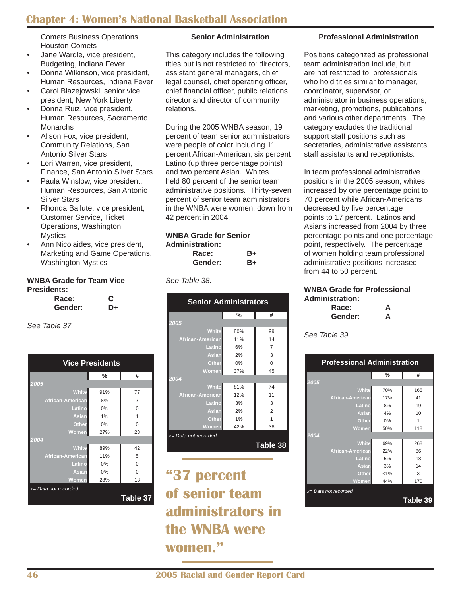Comets Business Operations, Houston Comets

- Jane Wardle, vice president, Budgeting, Indiana Fever
- Donna Wilkinson, vice president, Human Resources, Indiana Fever
- Carol Blazejowski, senior vice president, New York Liberty
- Donna Ruiz, vice president, Human Resources, Sacramento Monarchs
- Alison Fox, vice president, Community Relations, San Antonio Silver Stars
- Lori Warren, vice president, Finance, San Antonio Silver Stars
- Paula Winslow, vice president, Human Resources, San Antonio Silver Stars
- Rhonda Ballute, vice president, Customer Service, Ticket Operations, Washington **Mystics**
- Ann Nicolaides, vice president, Marketing and Game Operations, Washington Mystics

#### **WNBA Grade for Team Vice Presidents:**

| .       |    |
|---------|----|
| Race:   | C  |
| Gender: | D+ |

*See Table 37.*



## **Senior Administration**

This category includes the following titles but is not restricted to: directors, assistant general managers, chief legal counsel, chief operating officer, chief financial officer, public relations director and director of community relations.

During the 2005 WNBA season, 19 percent of team senior administrators were people of color including 11 percent African-American, six percent Latino (up three percentage points) and two percent Asian. Whites held 80 percent of the senior team administrative positions. Thirty-seven percent of senior team administrators in the WNBA were women, down from 42 percent in 2004.

#### **WNBA Grade for Senior Administration:**

| лчшное честн |      |
|--------------|------|
| Race:        | B+   |
| Gender:      | $B+$ |

*See Table 38.*

| <b>Senior Administrators</b> |     |                |
|------------------------------|-----|----------------|
|                              | %   | #              |
| 2005                         |     |                |
| <b>White</b>                 | 80% | 99             |
| African-American             | 11% | 14             |
| Latino                       | 6%  | $\overline{7}$ |
| Asian                        | 2%  | 3              |
| <b>Other</b>                 | 0%  | $\Omega$       |
| Women                        | 37% | 45             |
| 2004                         |     |                |
| <b>White</b>                 | 81% | 74             |
| African-American             | 12% | 11             |
| Latino                       | 3%  | 3              |
| <b>Asian</b>                 | 2%  | $\overline{2}$ |
| <b>Other</b>                 | 1%  | 1              |
| Women                        | 42% | 38             |
| x= Data not recorded         |     |                |
|                              |     | Table 38       |

**"37 percent of senior team administrators in the WNBA were women."**

### **Professional Administration**

Positions categorized as professional team administration include, but are not restricted to, professionals who hold titles similar to manager, coordinator, supervisor, or administrator in business operations, marketing, promotions, publications and various other departments. The category excludes the traditional support staff positions such as secretaries, administrative assistants, staff assistants and receptionists.

In team professional administrative positions in the 2005 season, whites increased by one percentage point to 70 percent while African-Americans decreased by five percentage points to 17 percent. Latinos and Asians increased from 2004 by three percentage points and one percentage point, respectively. The percentage of women holding team professional administrative positions increased from 44 to 50 percent.

# **WNBA Grade for Professional Administration:**

| Race:   | A |
|---------|---|
| Gender: | A |

*See Table 39.*

| <b>Professional Administration</b> |         |     |
|------------------------------------|---------|-----|
|                                    | $\%$    | #   |
| 2005                               |         |     |
| <b>White</b>                       | 70%     | 165 |
| African-American                   | 17%     | 41  |
| Latino                             | 8%      | 19  |
| Asian                              | 4%      | 10  |
| Other                              | 0%      | 1   |
| Women                              | 50%     | 118 |
| 2004                               |         |     |
| <b>White</b>                       | 69%     | 268 |
| African-American                   | 22%     | 86  |
| Latino                             | 5%      | 18  |
| Asian                              | 3%      | 14  |
| Other                              | $< 1\%$ | 3   |
| Women                              | 44%     | 170 |
| x= Data not recorded               |         |     |

# **Table 39**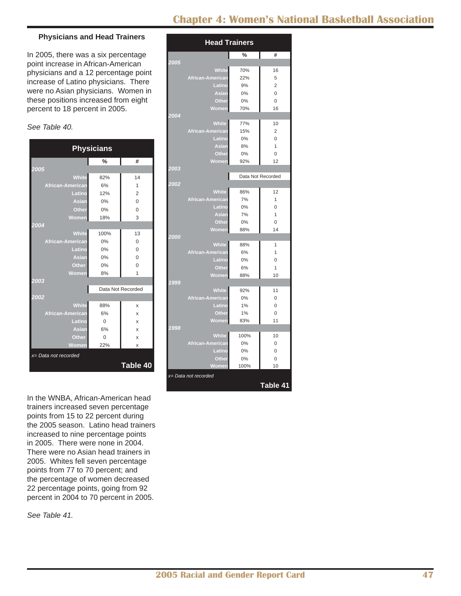### **Physicians and Head Trainers**

In 2005, there was a six percentage point increase in African-American physicians and a 12 percentage point increase of Latino physicians. There were no Asian physicians. Women in these positions increased from eight percent to 18 percent in 2005.



| <b>Physicians</b>    |               |                   |
|----------------------|---------------|-------------------|
|                      | $\frac{0}{0}$ | #                 |
| 2005                 |               |                   |
| <b>White</b>         | 82%           | 14                |
| African-American     | 6%            | 1                 |
| Latino               | 12%           | $\overline{2}$    |
| <b>Asian</b>         | 0%            | $\Omega$          |
| Other                | 0%            | $\Omega$          |
| Women                | 18%           | 3                 |
| 2004                 |               |                   |
| <b>White</b>         | 100%          | 13                |
| African-American     | 0%            | 0                 |
| Latino               | 0%            | $\Omega$          |
| Asian                | 0%            | $\Omega$          |
| <b>Other</b>         | 0%            | $\Omega$          |
| Women                | 8%            | 1                 |
| 2003                 |               |                   |
|                      |               | Data Not Recorded |
| 2002                 |               |                   |
| <b>White</b>         | 88%           | x                 |
| African-American     | 6%            | X                 |
| Latino               | $\mathbf 0$   | X                 |
| Asian                | 6%            | X                 |
| <b>Other</b>         | $\Omega$      | X                 |
| <b>Women</b>         | 22%           | X                 |
| x= Data not recorded |               |                   |
|                      |               | Table 40          |

In the WNBA, African-American head trainers increased seven percentage points from 15 to 22 percent during the 2005 season. Latino head trainers increased to nine percentage points in 2005. There were none in 2004. There were no Asian head trainers in 2005. Whites fell seven percentage points from 77 to 70 percent; and the percentage of women decreased 22 percentage points, going from 92 percent in 2004 to 70 percent in 2005.

*See Table 41.*

| <b>Head Trainers</b>             |            |                      |
|----------------------------------|------------|----------------------|
|                                  | %          | #                    |
| 2005                             |            |                      |
| <b>White</b>                     | 70%        | 16                   |
| African-American                 | 22%        | 5                    |
| Latino                           | 9%         | $\overline{2}$       |
| Asian                            | 0%         | $\overline{0}$       |
| Other                            | 0%         | 0                    |
| Women                            | 70%        | 16                   |
| 2004                             |            |                      |
| White                            | 77%        | 10                   |
| African-American                 | 15%        | $\overline{2}$       |
| Latino                           | 0%         | $\overline{0}$       |
| Asian                            | 8%         | 1                    |
| Other                            | 0%         | 0                    |
| Women                            | 92%        | 12                   |
| 2003                             |            |                      |
| 2002                             |            | Data Not Recorded    |
| <b>White</b>                     | 86%        | 12                   |
| African-American                 | 7%         | 1                    |
| Latino                           | 0%         | $\overline{0}$       |
| Asian                            | 7%         | 1                    |
| Other                            | 0%         | 0                    |
| Women                            | 88%        | 14                   |
| 2000                             |            |                      |
| <b>White</b>                     | 88%        | 1                    |
| African-American                 | 6%         | 1                    |
| Latino                           | 0%         | 0                    |
| Other                            | 6%         | 1                    |
| Women                            | 88%        | 10                   |
| 1999                             |            |                      |
| <b>White</b>                     | 92%        | 11                   |
| African-American                 | 0%         | $\overline{0}$       |
| Latino                           | 1%         | 0                    |
| Other                            | 1%         | $\overline{0}$       |
| Women                            | 83%        | 11                   |
| 1998                             |            |                      |
| <b>White</b><br>African-American | 100%<br>0% | 10<br>$\overline{0}$ |
| Latino                           | 0%         | $\overline{0}$       |
| Other                            | 0%         | 0                    |
| Women                            | 100%       | 10                   |
|                                  |            |                      |
| x= Data not recorded             |            |                      |
|                                  |            | Table 41             |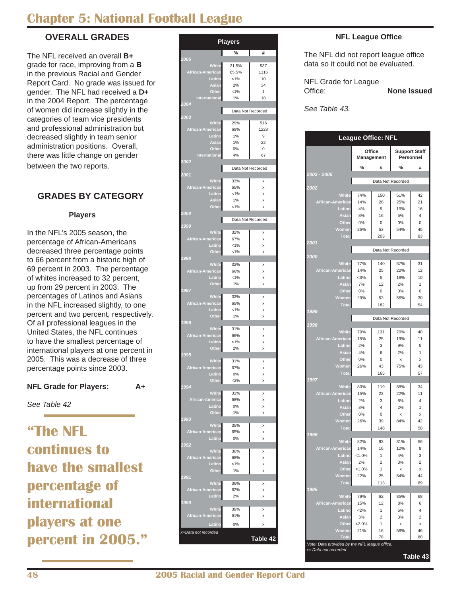# **OVERALL GRADES**

The NFL received an overall **B+** grade for race, improving from a **B** in the previous Racial and Gender Report Card. No grade was issued for gender. The NFL had received a **D+** in the 2004 Report. The percentage of women did increase slightly in the categories of team vice presidents and professional administration but decreased slightly in team senior administration positions. Overall, there was little change on gender between the two reports.

# **GRADES BY CATEGORY**

# **Players**

In the NFL's 2005 season, the percentage of African-Americans decreased three percentage points to 66 percent from a historic high of 69 percent in 2003. The percentage of whites increased to 32 percent, up from 29 percent in 2003. The percentages of Latinos and Asians in the NFL increased slightly, to one percent and two percent, respectively. Of all professional leagues in the United States, the NFL continues to have the smallest percentage of international players at one percent in 2005. This was a decrease of three percentage points since 2003.

## **NFL Grade for Players: A+**

*See Table 42*

**"The NFL continues to have the smallest percentage of international players at one percent in 2005."** 

| <b>Players</b>                   |                   |                   |
|----------------------------------|-------------------|-------------------|
|                                  | %                 | #                 |
| 2005                             |                   |                   |
| White                            | 31.5%             | 537               |
| African-American                 | 65.5%             | 1116              |
| Latino                           | $< 1\%$           | 10                |
| Asian                            | 2%<br>$< 1\%$     | 34<br>1           |
| Other<br>International           | 1%                | 18                |
| 2004                             |                   |                   |
|                                  | Data Not Recorded |                   |
| 2003                             |                   |                   |
| <b>White</b>                     | 29%               | 516               |
| African-American                 | 69%               | 1228              |
| Latino                           | 1%                | 9                 |
| Asian                            | 1%                | 22                |
| Other                            | 0%                | 0                 |
| International                    | 4%                | 67                |
| 2002                             |                   |                   |
| 2001                             |                   | Data Not Recorded |
| <b>White</b>                     | 33%               | X                 |
| African-American                 | 65%               | X                 |
| Latino                           | $< 1\%$           | X                 |
| Asian                            | 1%                | X                 |
| Other                            | $< 1\%$           | X                 |
| 2000                             |                   |                   |
|                                  |                   | Data Not Recorded |
| 1999                             |                   |                   |
| White                            | 32%               | X                 |
| African-American                 | 67%               | X                 |
| Latino                           | $< 1\%$           | X                 |
| Other                            | 1%                | X                 |
| 1998                             | 32%               |                   |
| <b>White</b><br>African-American | 66%               | X<br>X            |
| Latino                           | 1%                | X                 |
| Other                            | 1%                | X                 |
| 1997                             |                   |                   |
| White                            | 33%               | X                 |
| African-American                 | 65%               | X                 |
| Latino                           | $< 1\%$           | X                 |
| Other                            | 1%                | X                 |
| 1996                             |                   |                   |
| <b>White</b>                     | 31%               | x                 |
| African-American                 | 66%               | x                 |
| Latino                           | $< 1\%$           | X                 |
| Other                            | 2%                | X                 |
| 1995                             |                   |                   |
| White                            | 31%               | X                 |
| African-American                 | 67%               | X                 |
| Latino                           | 0%                | X                 |
| Other<br>1994                    | 2%                | X                 |
| <b>White</b>                     | 31%               | X                 |
| African-America                  | 68%               | X                 |
| Latino                           | 0%                | X                 |
| Other                            | 1%                | X                 |
| 1993                             |                   |                   |
| White                            | 35%               | X                 |
| African-American                 | 65%               | X                 |
| Latino                           | 0%                | X                 |
| 1992                             |                   |                   |
| White                            | 30%               | x                 |
| African-American                 | 68%               | X                 |
| Latino                           | 1%                | X                 |
| Other<br>1991                    | 1%                | X                 |
| White                            | 36%               | X                 |
| African-American                 | 62%               | X                 |
| Latino                           | 2%                | X                 |
| 1990                             |                   |                   |
| White                            | 39%               | X                 |
| African-American                 | 61%               | X                 |
| Latino                           | 0%                | X                 |
|                                  |                   |                   |
| x=Data not recorded              |                   |                   |
|                                  |                   | Table 42          |

# **NFL League Offi ce**

The NFL did not report league office data so it could not be evaluated.

| NFL Grade for League |                    |
|----------------------|--------------------|
| Office:              | <b>None Issued</b> |

*See Table 43.*

| League Office: NFL                            |                      |                |                   |                                   |
|-----------------------------------------------|----------------------|----------------|-------------------|-----------------------------------|
|                                               | Office<br>Management |                |                   | <b>Support Staff</b><br>Personnel |
|                                               | $\%$                 | #              | $\frac{9}{6}$     | #                                 |
| 2003 - 2005                                   |                      |                |                   |                                   |
|                                               |                      |                | Data Not Recorded |                                   |
| 2002<br>White                                 | 74%                  | 150            | 51%               | 42                                |
| African-American                              | 14%                  | 28             | 25%               | 21                                |
| Latino                                        | 4%                   | 9              | 19%               | 16                                |
| Asian                                         | 8%                   | 16             | 5%                | 4                                 |
| Other                                         | 0%                   | 0              | 0%                | 0                                 |
| Women                                         | 26%                  | 53             | 54%               | 45                                |
| <b>Total</b><br>2001                          |                      | 203            |                   | 83                                |
|                                               |                      |                | Data Not Recorded |                                   |
| 2000                                          |                      |                |                   |                                   |
| <b>White</b>                                  | 77%                  | 140            | 57%               | 31                                |
| African-American                              | 14%                  | 25             | 22%               | 12                                |
| Latino                                        | $<3\%$<br>7%         | 5<br>12        | 19%               | 10                                |
| Asian<br>Other                                | 0%                   | 0              | 2%<br>0%          | 1<br>0                            |
| Women                                         | 29%                  | 53             | 56%               | 30                                |
| <b>Total</b>                                  |                      | 182            |                   | 54                                |
| 1999                                          |                      |                |                   |                                   |
|                                               |                      |                | Data Not Recorded |                                   |
| 1998<br><b>White</b>                          | 79%                  | 131            | 70%               | 40                                |
| African-American                              | 15%                  | 25             | 19%               | 11                                |
| Latino                                        | 2%                   | 3              | 9%                | 5                                 |
| Asian                                         | 4%                   | 6              | 2%                | 1                                 |
| Other                                         | 0%                   | 0              | X                 | X                                 |
| Women                                         | 26%                  | 43             | 75%               | 43                                |
| <b>Total</b><br>1997                          |                      | 165            |                   | 57                                |
| <b>White</b>                                  | 80%                  | 119            | 68%               | 34                                |
| African-American                              | 15%                  | 22             | 22%               | 11                                |
| Latino                                        | 2%                   | 3              | 8%                | 4                                 |
| Asian                                         | 3%                   | $\overline{4}$ | 2%                | 1                                 |
| Other                                         | 0%                   | 0              | X                 | X                                 |
| Women<br><b>Total</b>                         | 26%                  | 39<br>148      | 84%               | 42<br>50                          |
| 1996                                          |                      |                |                   |                                   |
| White                                         | 82%                  | 93             | 81%               | 56                                |
| African-American                              | 14%                  | 16             | 12%               | 8                                 |
| Latino                                        | < 1.0%               | 1              | 4%                | 3                                 |
| Asian                                         | 2%                   | $\overline{2}$ | 3%                | $\overline{2}$                    |
| Other<br>Women                                | $<1.0\%$<br>22%      | 1<br>25        | X<br>64%          | X<br>44                           |
| Total                                         |                      | 113            |                   | 69                                |
| 1995                                          |                      |                |                   |                                   |
| White                                         | 79%                  | 62             | 85%               | 68                                |
| African-Americar                              | 15%                  | 12             | 8%                | 6                                 |
| Latino                                        | 2%<br>3%             | 1<br>2         | 5%<br>3%          | 4                                 |
| Asian<br>Other                                | 2.0%                 | 1              | X                 | 2<br>Χ                            |
| Women                                         | 21%                  | 16             | 58%               | 46                                |
| Tota                                          |                      | 78             |                   | 80                                |
| Note: Data provided by the NFL league office. |                      |                |                   |                                   |
| x= Data not recorded                          |                      |                |                   | Table 43                          |
|                                               |                      |                |                   |                                   |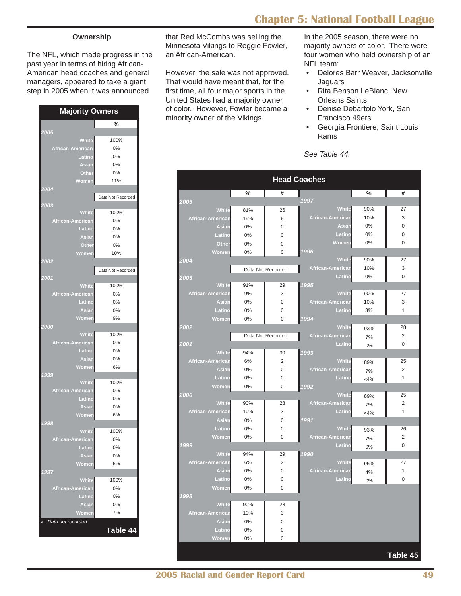# **Ownership**

The NFL, which made progress in the past year in terms of hiring African-American head coaches and general managers, appeared to take a giant step in 2005 when it was announced

| <b>Majority Owners</b>     |                   |
|----------------------------|-------------------|
|                            | %                 |
| 2005                       |                   |
| <b>White</b>               | 100%              |
| African-American           | 0%                |
| Latino                     | 0%                |
| Asian                      | 0%                |
| Other                      | 0%                |
| Women                      | 11%               |
| 2004                       |                   |
|                            | Data Not Recorded |
| 2003                       |                   |
| <b>White</b>               | 100%              |
| African-American           | 0%                |
| Latino                     | 0%                |
| Asian                      | 0%                |
| Other                      | 0%                |
| Women                      | 10%               |
| 2002                       |                   |
|                            | Data Not Recorded |
| 2001                       |                   |
| <b>White</b>               | 100%              |
| African-American           | 0%                |
| <u>Latino</u>              | 0%                |
| Asian                      | 0%                |
| Women                      | 9%                |
| 2000                       |                   |
| White                      | 100%              |
| African-American           | 0%                |
| Latino                     | 0%                |
| Asian                      | 0%                |
| Women                      | 6%                |
| 1999                       | 100%              |
| <b>White</b>               | 0%                |
| African-American<br>Latino | 0%                |
| Asian                      | 0%                |
| Women                      | 6%                |
| 1998                       |                   |
| <b>White</b>               | 100%              |
| African-American           | 0%                |
| Latino                     | 0%                |
| Asian                      | 0%                |
| Women                      | 6%                |
| 1997                       |                   |
| White                      | 100%              |
| African-American           | 0%                |
| Latino                     | 0%                |
| Asian                      | 0%                |
| Women                      | 7%                |
| x= Data not recorded       |                   |
|                            | Table 44          |
|                            |                   |

that Red McCombs was selling the Minnesota Vikings to Reggie Fowler, an African-American.

However, the sale was not approved. That would have meant that, for the first time, all four major sports in the United States had a majority owner of color. However, Fowler became a minority owner of the Vikings.

In the 2005 season, there were no majority owners of color. There were four women who held ownership of an NFL team:

- Delores Barr Weaver, Jacksonville Jaguars
- Rita Benson LeBlanc, New Orleans Saints
- Denise Debartolo York, San Francisco 49ers
- Georgia Frontiere, Saint Louis Rams

*See Table 44.*

| <b>Head Coaches</b> |               |                   |                  |        |                |
|---------------------|---------------|-------------------|------------------|--------|----------------|
|                     | $\frac{0}{0}$ | #                 |                  | %      | #              |
| 2005                |               |                   | 1997             |        |                |
| <b>White</b>        | 81%           | 26                | White            | 90%    | 27             |
| African-American    | 19%           | 6                 | African-American | 10%    | 3              |
| Asian               | 0%            | $\Omega$          | Asian            | 0%     | $\mathbf 0$    |
| Latino              | 0%            | 0                 | Latino           | 0%     | $\mathbf 0$    |
| Other               | 0%            | 0                 | Women            | 0%     | 0              |
| Women               | 0%            | 0                 | 1996             |        |                |
| 2004                |               |                   | <b>White</b>     | 90%    | 27             |
|                     |               | Data Not Recorded | African-American | 10%    | 3              |
| 2003                |               |                   | Latino           | $0\%$  | $\mathbf 0$    |
| <b>White</b>        | 91%           | 29                | 1995             |        |                |
| African-American    | 9%            | 3                 | <b>White</b>     | 90%    | 27             |
| Asian               | 0%            | 0                 | African-American | 10%    | 3              |
| Latino              | 0%            | 0                 | Latino           | 3%     | $\mathbf{1}$   |
| Women               | 0%            | 0                 | 994              |        |                |
| 2002                |               |                   | <b>White</b>     | 93%    | 28             |
|                     |               | Data Not Recorded | African-American | 7%     | $\overline{2}$ |
| 2001                |               |                   | Latino           | 0%     | $\Omega$       |
| White               | 94%           | 30                | 1993             |        |                |
| African-American    | 6%            | $\overline{2}$    | <b>White</b>     | 89%    | 25             |
| <b>Asian</b>        | 0%            | 0                 | African-American | 7%     | $\overline{2}$ |
| Latino              | 0%            | 0                 | Latino           | $<$ 4% | 1              |
| Women               | 0%            | $\mathbf 0$       | 1992             |        |                |
| 2000                |               |                   | <b>White</b>     | 89%    | 25             |
| <b>White</b>        | 90%           | 28                | African-American | 7%     | $\overline{2}$ |
| African-American    | 10%           | 3                 | Latino           | $<$ 4% | 1              |
| Asian               | 0%            | 0                 | 1991             |        |                |
| Latino              | 0%            | 0                 | <b>White</b>     | 93%    | 26             |
| Women               | 0%            | 0                 | African-American | 7%     | $\overline{2}$ |
| 1999                |               |                   | Latino           | 0%     | $\mathbf 0$    |
| <b>White</b>        | 94%           | 29                | 1990             |        |                |
| African-American    | 6%            | 2                 | <b>White</b>     | 96%    | 27             |
| Asian               | 0%            | 0                 | African-American | 4%     | 1              |
| Latino              | 0%            | 0                 | Latino           | 0%     | $\Omega$       |
| Women               | 0%            | 0                 |                  |        |                |
| 1998                |               |                   |                  |        |                |
| White               | 90%           | 28                |                  |        |                |
| African-American    | 10%           | 3                 |                  |        |                |
| Asian               | 0%            | 0                 |                  |        |                |
| Latino              | 0%            | 0                 |                  |        |                |
| Women               | 0%            | $\mathbf 0$       |                  |        |                |
|                     |               |                   |                  |        | Table 45       |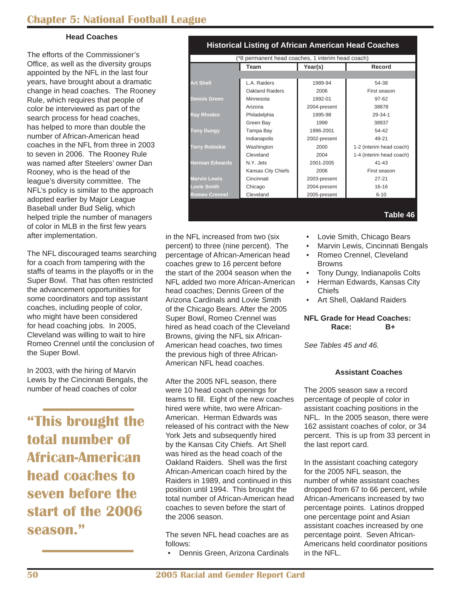# **Head Coaches**

The efforts of the Commissioner's Office, as well as the diversity groups appointed by the NFL in the last four years, have brought about a dramatic change in head coaches. The Rooney Rule, which requires that people of color be interviewed as part of the search process for head coaches, has helped to more than double the number of African-American head coaches in the NFL from three in 2003 to seven in 2006. The Rooney Rule was named after Steelers' owner Dan Rooney, who is the head of the league's diversity committee. The NFL's policy is similar to the approach adopted earlier by Major League Baseball under Bud Selig, which helped triple the number of managers of color in MLB in the first few years after implementation.

The NFL discouraged teams searching for a coach from tampering with the staffs of teams in the playoffs or in the Super Bowl. That has often restricted the advancement opportunities for some coordinators and top assistant coaches, including people of color, who might have been considered for head coaching jobs. In 2005, Cleveland was willing to wait to hire Romeo Crennel until the conclusion of the Super Bowl.

In 2003, with the hiring of Marvin Lewis by the Cincinnati Bengals, the number of head coaches of color

**"This brought the total number of African-American head coaches to seven before the start of the 2006 season."**

| <b>Historical Listing of African American Head Coaches</b> |                                                   |              |                          |  |
|------------------------------------------------------------|---------------------------------------------------|--------------|--------------------------|--|
|                                                            | (*8 permanent head coaches, 1 interim head coach) |              |                          |  |
|                                                            | Team                                              | Year(s)      | Record                   |  |
|                                                            |                                                   |              |                          |  |
| <b>Art Shell</b>                                           | L.A. Raiders                                      | 1989-94      | 54-38                    |  |
|                                                            | Oakland Raiders                                   | 2006         | First season             |  |
| <b>Dennis Green</b>                                        | Minnesota                                         | 1992-01      | 97-62                    |  |
|                                                            | Arizona                                           | 2004-present | 38878                    |  |
| <b>Ray Rhodes</b>                                          | Philadelphia                                      | 1995-98      | $29 - 34 - 1$            |  |
|                                                            | Green Bay                                         | 1999         | 38937                    |  |
| <b>Tony Dungy</b>                                          | Tampa Bay                                         | 1996-2001    | 54-42                    |  |
|                                                            | Indianapolis                                      | 2002-present | 49-21                    |  |
| <b>Terry Robiskie</b>                                      | Washington                                        | 2000         | 1-2 (interim head coach) |  |
|                                                            | Cleveland                                         | 2004         | 1-4 (interim head coach) |  |
| Herman Edwards                                             | N.Y. Jets                                         | 2001-2005    | $41 - 43$                |  |
|                                                            | Kansas City Chiefs                                | 2006         | First season             |  |
| <b>Marvin Lewis</b>                                        | Cincinnati                                        | 2003-present | $27 - 21$                |  |
| <b>Lovie Smith</b>                                         | Chicago                                           | 2004-present | $16 - 16$                |  |
| <b>Romeo Crennel</b>                                       | Cleveland                                         | 2005-present | $6 - 10$                 |  |
|                                                            |                                                   |              |                          |  |
|                                                            |                                                   |              | Table 46                 |  |

in the NFL increased from two (six percent) to three (nine percent). The percentage of African-American head coaches grew to 16 percent before the start of the 2004 season when the NFL added two more African-American head coaches; Dennis Green of the Arizona Cardinals and Lovie Smith of the Chicago Bears. After the 2005 Super Bowl, Romeo Crennel was hired as head coach of the Cleveland Browns, giving the NFL six African-American head coaches, two times the previous high of three African-American NFL head coaches.

After the 2005 NFL season, there were 10 head coach openings for teams to fill. Eight of the new coaches hired were white, two were African-American. Herman Edwards was released of his contract with the New York Jets and subsequently hired by the Kansas City Chiefs. Art Shell was hired as the head coach of the Oakland Raiders. Shell was the first African-American coach hired by the Raiders in 1989, and continued in this position until 1994. This brought the total number of African-American head coaches to seven before the start of the 2006 season

The seven NFL head coaches are as follows:

• Dennis Green, Arizona Cardinals

- Lovie Smith, Chicago Bears
- Marvin Lewis, Cincinnati Bengals
- Romeo Crennel, Cleveland **Browns**
- Tony Dungy, Indianapolis Colts
- Herman Edwards, Kansas City **Chiefs**
- Art Shell, Oakland Raiders

### **NFL Grade for Head Coaches: Race: B+**

*See Tables 45 and 46.* 

### **Assistant Coaches**

The 2005 season saw a record percentage of people of color in assistant coaching positions in the NFL. In the 2005 season, there were 162 assistant coaches of color, or 34 percent. This is up from 33 percent in the last report card.

In the assistant coaching category for the 2005 NFL season, the number of white assistant coaches dropped from 67 to 66 percent, while African-Americans increased by two percentage points. Latinos dropped one percentage point and Asian assistant coaches increased by one percentage point. Seven African-Americans held coordinator positions in the NFL.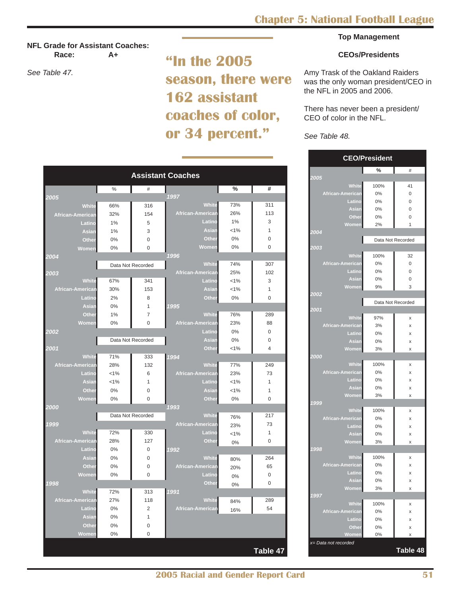#### **NFL Grade for Assistant Coaches: Race: A+**

*See Table 47.*

**"In the 2005 season, there were 162 assistant coaches of color, or 34 percent."**

# **Top Management**

# **CEOs/Presidents**

Amy Trask of the Oakland Raiders was the only woman president/CEO in the NFL in 2005 and 2006.

There has never been a president/ CEO of color in the NFL.

*See Table 48.*

|                      | <b>CEO/President</b> |                   |
|----------------------|----------------------|-------------------|
|                      |                      |                   |
|                      | %                    | #                 |
| 2005                 |                      |                   |
| <b>White</b>         | 100%                 | 41                |
| African-American     | 0%                   | 0                 |
| Latino               | 0%                   | 0                 |
| Asian                | 0%                   | 0                 |
| Other                | 0%                   | 0                 |
| Women                | 2%                   | 1                 |
| 2004                 |                      |                   |
|                      |                      | Data Not Recorded |
| 2003                 |                      |                   |
| <b>White</b>         | 100%                 | 32                |
| African-American     | 0%                   | 0                 |
| Latino               | 0%                   | 0                 |
| Asian                | 0%                   | 0                 |
| Women                | 9%                   | 3                 |
| 2002                 |                      |                   |
|                      |                      | Data Not Recorded |
| 2001                 |                      |                   |
| <b>White</b>         | 97%                  | X                 |
| African-American     | 3%                   | x                 |
| Latino               | 0%                   | X                 |
| Asian                | 0%                   | X                 |
| Women                | 3%                   | X                 |
| 2000                 |                      |                   |
| <b>White</b>         | 100%                 | x                 |
| African-American     | 0%                   | X                 |
| Latino               | 0%                   | X                 |
| Asian                | 0%                   | X                 |
| Women                | 3%                   | X                 |
| 1999                 |                      |                   |
| <b>White</b>         | 100%                 | X                 |
| African-American     | 0%                   | X                 |
| Latino               | 0%                   | x                 |
| Asian                | 0%                   | X                 |
| Women                | 3%                   | X                 |
| 1998                 |                      |                   |
| <b>White</b>         | 100%                 | X                 |
| African-American     | 0%                   | X                 |
| Latino               | 0%                   | X                 |
| Asian                | 0%                   | X                 |
| Women<br>1997        | 3%                   | X                 |
|                      |                      |                   |
| White                | 100%                 | x                 |
| African-American     | 0%                   | X                 |
| Latino               | 0%                   | x                 |
| Other                | 0%                   | X                 |
| Vomen                | 0%                   | x                 |
| x= Data not recorded |                      |                   |
|                      |                      | Table 48          |

|                         |               |                   | <b>Assistant Coaches</b> |         |          |
|-------------------------|---------------|-------------------|--------------------------|---------|----------|
|                         | $\frac{0}{0}$ | #                 |                          | $\%$    | #        |
| 2005                    |               |                   | 1997                     |         |          |
| <b>White</b>            | 66%           | 316               | <b>White</b>             | 73%     | 311      |
| African-American        | 32%           | 154               | African-American         | 26%     | 113      |
| Latino                  | 1%            | 5                 | Latino                   | 1%      | 3        |
| Asian                   | 1%            | 3                 | Asian                    | $< 1\%$ | 1        |
| Other                   | 0%            | 0                 | Other                    | 0%      | 0        |
| Women                   | 0%            | 0                 | Women                    | 0%      | 0        |
| 2004                    |               |                   | 1996                     |         |          |
|                         |               | Data Not Recorded | <b>White</b>             | 74%     | 307      |
| 2003                    |               |                   | African-American         | 25%     | 102      |
| <b>White</b>            | 67%           | 341               | Latino                   | $< 1\%$ | 3        |
| African-American        | 30%           | 153               | Asian                    | < 1%    | 1        |
| Latino                  | 2%            | 8                 | Other                    | 0%      | 0        |
| Asian                   | 0%            | 1                 | 1995                     |         |          |
| Other                   | 1%            | $\overline{7}$    | <b>White</b>             | 76%     | 289      |
| Women                   | 0%            | 0                 | African-American         | 23%     | 88       |
| 2002                    |               |                   | Latino                   | 0%      | 0        |
|                         |               | Data Not Recorded | Asian                    | 0%      | 0        |
| 2001                    |               |                   | Other                    | $< 1\%$ | 4        |
| <b>White</b>            | 71%           | 333               | 1994                     |         |          |
| <b>African-American</b> | 28%           | 132               | <b>White</b>             | 77%     | 249      |
| Latino                  | $< 1\%$       | 6                 | African-American         | 23%     | 73       |
| Asian                   | $< 1\%$       | 1                 | Latino                   | < 1%    | 1        |
| Other                   | 0%            | 0                 | Asian                    | $< 1\%$ | 1        |
| Women                   | 0%            | 0                 | Other                    | 0%      | 0        |
| 2000                    |               |                   | 1993                     |         |          |
|                         |               | Data Not Recorded | <b>White</b>             | 76%     | 217      |
| 1999                    |               |                   | African-American         | 23%     | 73       |
| <b>White</b>            | 72%           | 330               | Latino                   | < 1%    | 1        |
| African-American        | 28%           | 127               | Other                    | 0%      | 0        |
| Latino                  | 0%            | 0                 | 1992                     |         |          |
| Asian                   | 0%            | 0                 | <b>White</b>             | 80%     | 264      |
| Other                   | 0%            | 0                 | African-American         | 20%     | 65       |
| Women                   | 0%            | 0                 | Latino                   | 0%      | 0        |
| 1998                    |               |                   | Other                    | 0%      | 0        |
| <b>White</b>            | 72%           | 313               | 1991                     |         |          |
| African-American        | 27%           | 118               | <b>White</b>             | 84%     | 289      |
| Latino                  | 0%            | 2                 | African-American         | 16%     | 54       |
| Asian                   | 0%            | 1                 |                          |         |          |
| Other                   | 0%            | 0                 |                          |         |          |
| Women                   | 0%            | 0                 |                          |         |          |
|                         |               |                   |                          |         | Table 47 |
|                         |               |                   |                          |         |          |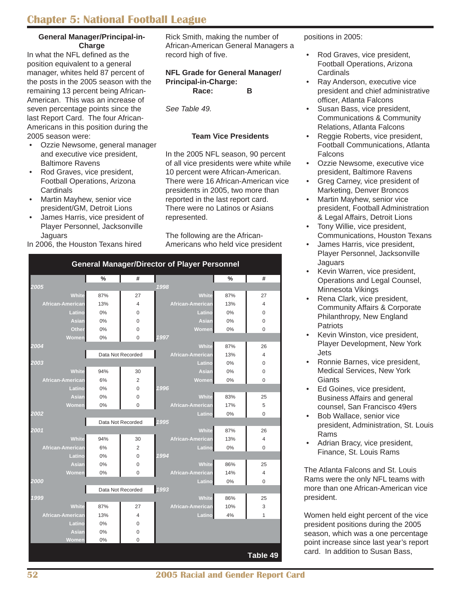### **General Manager/Principal-in-Charge**

In what the NFL defined as the position equivalent to a general manager, whites held 87 percent of the posts in the 2005 season with the remaining 13 percent being African-American. This was an increase of seven percentage points since the last Report Card. The four African-Americans in this position during the 2005 season were:

- Ozzie Newsome, general manager and executive vice president, Baltimore Ravens
- Rod Graves, vice president, Football Operations, Arizona **Cardinals**
- Martin Mayhew, senior vice president/GM, Detroit Lions
- James Harris, vice president of Player Personnel, Jacksonville Jaguars

In 2006, the Houston Texans hired

Rick Smith, making the number of African-American General Managers a record high of five.

### **NFL Grade for General Manager/ Principal-in-Charge: Race: B**

*See Table 49.*

# **Team Vice Presidents**

In the 2005 NFL season, 90 percent of all vice presidents were white while 10 percent were African-American. There were 16 African-American vice presidents in 2005, two more than reported in the last report card. There were no Latinos or Asians represented.

The following are the African-Americans who held vice president

| <b>General Manager/Director of Player Personnel</b> |     |                   |                  |       |                |
|-----------------------------------------------------|-----|-------------------|------------------|-------|----------------|
|                                                     | %   | #                 |                  | %     | #              |
| 2005                                                |     |                   | 1998             |       |                |
| White                                               | 87% | 27                | <b>White</b>     | 87%   | 27             |
| African-American                                    | 13% | 4                 | African-American | 13%   | 4              |
| Latino                                              | 0%  | 0                 | Latino           | 0%    | 0              |
| Asian                                               | 0%  | 0                 | <b>Asian</b>     | 0%    | 0              |
| Other                                               | 0%  | 0                 | Women            | $0\%$ | $\Omega$       |
| Women                                               | 0%  | 0                 | 1997             |       |                |
| 2004                                                |     |                   | <b>White</b>     | 87%   | 26             |
|                                                     |     | Data Not Recorded | African-American | 13%   | $\overline{4}$ |
| 2003                                                |     |                   | Latino           | 0%    | 0              |
| White                                               | 94% | 30                | Asian            | 0%    | 0              |
| African-American                                    | 6%  | 2                 | Women            | 0%    | $\Omega$       |
| Latino                                              | 0%  | 0                 | 1996             |       |                |
| Asian                                               | 0%  | 0                 | <b>White</b>     | 83%   | 25             |
| Women                                               | 0%  | $\mathbf 0$       | African-American | 17%   | 5              |
| 2002                                                |     |                   | Latino           | 0%    | $\mathbf 0$    |
|                                                     |     | Data Not Recorded | 1995             |       |                |
| 2001                                                |     |                   | <b>White</b>     | 87%   | 26             |
| <b>White</b>                                        | 94% | 30                | African-American | 13%   | 4              |
| African-American                                    | 6%  | $\overline{2}$    | Latino           | 0%    | $\Omega$       |
| Latino                                              | 0%  | $\mathbf 0$       | 1994             |       |                |
| Asian                                               | 0%  | 0                 | <b>White</b>     | 86%   | 25             |
| Women                                               | 0%  | $\Omega$          | African-American | 14%   | 4              |
| 2000                                                |     |                   | Latino           | 0%    | $\Omega$       |
|                                                     |     | Data Not Recorded | 1993             |       |                |
| 1999                                                |     |                   | <b>White</b>     | 86%   | 25             |
| <b>White</b>                                        | 87% | 27                | African-American | 10%   | 3              |
| African-American                                    | 13% | 4                 | Latino           | 4%    | 1              |
| Latino                                              | 0%  | 0                 |                  |       |                |
| <b>Asian</b>                                        | 0%  | 0                 |                  |       |                |
| Women                                               | 0%  | $\mathbf 0$       |                  |       |                |
|                                                     |     |                   |                  |       | Table 49       |
|                                                     |     |                   |                  |       |                |

positions in 2005:

- Rod Graves, vice president, Football Operations, Arizona **Cardinals**
- Ray Anderson, executive vice president and chief administrative officer, Atlanta Falcons
- Susan Bass, vice president, Communications & Community Relations, Atlanta Falcons
- Reggie Roberts, vice president, Football Communications, Atlanta **Falcons**
- Ozzie Newsome, executive vice president, Baltimore Ravens
- Greg Carney, vice president of Marketing, Denver Broncos
- Martin Mayhew, senior vice president, Football Administration & Legal Affairs, Detroit Lions
- Tony Willie, vice president, Communications, Houston Texans
- James Harris, vice president, Player Personnel, Jacksonville **Jaguars**
- Kevin Warren, vice president, Operations and Legal Counsel, Minnesota Vikings
- Rena Clark, vice president, Community Affairs & Corporate Philanthropy, New England **Patriots**
- Kevin Winston, vice president, Player Development, New York Jets
- Ronnie Barnes, vice president, Medical Services, New York **Giants**
- Ed Goines, vice president, Business Affairs and general counsel, San Francisco 49ers
- Bob Wallace, senior vice president, Administration, St. Louis Rams
- Adrian Bracy, vice president, Finance, St. Louis Rams

The Atlanta Falcons and St. Louis Rams were the only NFL teams with more than one African-American vice president.

Women held eight percent of the vice president positions during the 2005 season, which was a one percentage point increase since last year's report card. In addition to Susan Bass,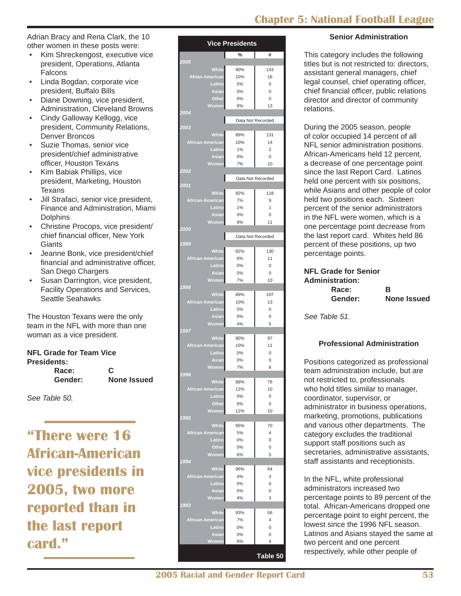Adrian Bracy and Rena Clark, the 10 other women in these posts were:

- Kim Shreckengost, executive vice president, Operations, Atlanta Falcons
- Linda Bogdan, corporate vice president, Buffalo Bills
- Diane Downing, vice president, Administration, Cleveland Browns
- Cindy Galloway Kellogg, vice president, Community Relations, Denver Broncos
- Suzie Thomas, senior vice president/chief administrative officer, Houston Texans
- Kim Babiak Phillips, vice president, Marketing, Houston **Texans**
- Jill Strafaci, senior vice president, Finance and Administration, Miami **Dolphins**
- Christine Procops, vice president/ chief financial officer, New York **Giants**
- Jeanne Bonk, vice president/chief financial and administrative officer, San Diego Chargers
- Susan Darrington, vice president, Facility Operations and Services, Seattle Seahawks

The Houston Texans were the only team in the NFL with more than one woman as a vice president.

# **NFL Grade for Team Vice Presidents:**

| Race:   | C                  |
|---------|--------------------|
| Gender: | <b>None Issued</b> |

*See Table 50.*

**"There were 16 African-American vice presidents in 2005, two more reported than in the last report card."** 

|                  | <b>Vice Presidents</b> |                   |
|------------------|------------------------|-------------------|
|                  | $\%$                   | #                 |
| 2005             | 90%                    | 143               |
| White            |                        |                   |
| Afrian-American  | 10%                    | 16                |
| Latino           | 0%                     | 0                 |
| Asian            | 0%                     | $\mathbf 0$       |
| Other            | 0%                     | 0                 |
| Women            | 8%                     | 13                |
| 2004             |                        |                   |
| 2003             |                        | Data Not Recorded |
| <b>White</b>     | 89%                    | 131               |
|                  |                        |                   |
| African-American | 10%                    | 14                |
| Latino           | 1%                     | $\overline{2}$    |
| Asian            | 0%                     | 0                 |
| Women            | 7%                     | 10                |
| 2002             |                        | Data Not Recorded |
| 2001             |                        |                   |
| <b>White</b>     | 92%                    | 118               |
| African-American | 7%                     | 9                 |
| Latino           | 1%                     | 1                 |
| Asian            | 0%                     | 0                 |
| Women            | 9%                     | 11                |
| 2000             |                        |                   |
|                  |                        | Data Not Recorded |
| 1999<br>White    | 92%                    | 130               |
| African-American | 8%                     | 11                |
| Latino           | 0%                     | 0                 |
|                  |                        |                   |
| Asian            | 0%                     | 0                 |
| Women            | 7%                     | 10                |
| 1998             |                        |                   |
| White            | 89%                    | 107               |
| African-American | 10%                    | 13                |
| Latino           | 0%                     | 0                 |
| Asian            | 0%                     | 0                 |
| Women            | 4%                     | 5                 |
| 1997             |                        |                   |
| White            | 90%                    | 97                |
| African-American | 10%                    | 11                |
| Latino           | 0%                     | 0                 |
| Asian            | 0%                     | 0                 |
|                  |                        |                   |
| Women            | 7%                     | 8                 |
| 1996             |                        |                   |
| White            | 88%                    | 76                |
| African-American | 12%                    | 10                |
| Latino           | 0%                     | 0                 |
| Other            | 0%                     | 0                 |
| Women            | 12%                    | 10                |
| 1995             |                        |                   |
| White            | 95%                    | 70                |
| African-American | 5%                     | $\overline{4}$    |
| Latino           | 0%                     | 0                 |
| Other            | 0%                     | 0                 |
| Women            | 6%                     | 5                 |
| 1994             |                        |                   |
| White            | 96%                    | 64                |
| African-American | 4%                     | 3                 |
|                  | 0%                     | 0                 |
| Latino           |                        | 0                 |
| Asian            | 0%                     |                   |
| Women            | 4%                     | 3                 |
| 1993             |                        |                   |
| White            | 93%                    | 56                |
| African-Americar | 7%                     | 4                 |
| Latino           | 0%                     | 0                 |
| Asian<br>Women   | 0%<br>6%               | 0<br>4            |

# **Senior Administration**

This category includes the following titles but is not restricted to: directors, assistant general managers, chief legal counsel, chief operating officer, chief financial officer, public relations director and director of community relations.

During the 2005 season, people of color occupied 14 percent of all NFL senior administration positions. African-Americans held 12 percent, a decrease of one percentage point since the last Report Card. Latinos held one percent with six positions, while Asians and other people of color held two positions each. Sixteen percent of the senior administrators in the NFL were women, which is a one percentage point decrease from the last report card. Whites held 86 percent of these positions, up two percentage points.

#### **NFL Grade for Senior Administration: Race: B**

| Race:   | в                  |
|---------|--------------------|
| Gender: | <b>None Issued</b> |

*See Table 51.*

## **Professional Administration**

Positions categorized as professional team administration include, but are not restricted to, professionals who hold titles similar to manager, coordinator, supervisor, or administrator in business operations, marketing, promotions, publications and various other departments. The category excludes the traditional support staff positions such as secretaries, administrative assistants, staff assistants and receptionists.

In the NFL, white professional administrators increased two percentage points to 89 percent of the total. African-Americans dropped one percentage point to eight percent, the lowest since the 1996 NFL season. Latinos and Asians stayed the same at two percent and one percent respectively, while other people of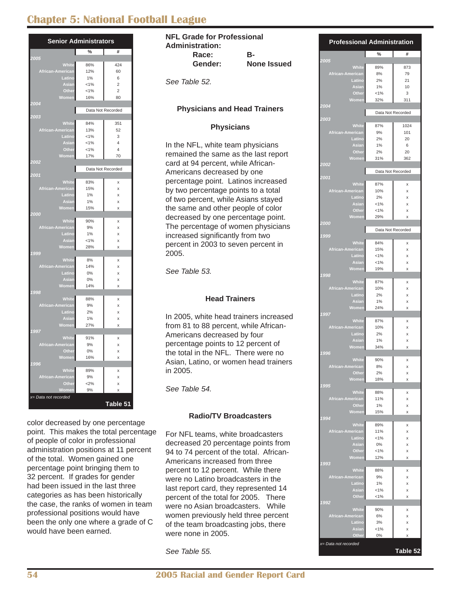| <b>Senior Administrators</b>     |               |                         |  |
|----------------------------------|---------------|-------------------------|--|
|                                  | $\frac{0}{6}$ | #                       |  |
| 2005                             |               |                         |  |
| White                            | 86%           | 424                     |  |
| African-American                 | 12%           | 60                      |  |
| Latino                           | 1%            | 6                       |  |
| Asian                            | 1%            | $\overline{c}$          |  |
| Other                            | $< 1\%$       | $\overline{c}$          |  |
| Women                            | 16%           | 80                      |  |
| 2004                             |               |                         |  |
|                                  |               | Data Not Recorded       |  |
| 2003                             |               |                         |  |
| White                            | 84%           | 351                     |  |
| African-American                 | 13%           | 52                      |  |
| Latino                           | $< 1\%$       | 3                       |  |
| Asian                            | $< 1\%$       | 4                       |  |
| Other                            | $< 1\%$       | $\overline{4}$          |  |
| Women                            | 17%           | 70                      |  |
| 2002                             |               |                         |  |
| 2001                             |               | Data Not Recorded       |  |
|                                  | 83%           | x                       |  |
| <b>White</b><br>African-American | 15%           |                         |  |
| Latino                           | 1%            | X<br>x                  |  |
| Asian                            | 1%            | X                       |  |
| Women                            | 15%           | X                       |  |
| 2000                             |               |                         |  |
| White                            | 90%           | x                       |  |
| African-American                 | 9%            | x                       |  |
| Latino                           | 1%            | x                       |  |
| Asian                            | 1%            | x                       |  |
| <b>Jomer</b>                     | 28%           | X                       |  |
| 1999                             |               |                         |  |
| White                            | 8%            | x                       |  |
| African-American                 | 14%           | $\mathsf{x}$            |  |
| Latino                           | 0%            | $\overline{\mathsf{x}}$ |  |
| Asian                            | 0%            | x                       |  |
| Vomer                            | 14%           | X                       |  |
| 1998                             |               |                         |  |
| White                            | 88%           | x                       |  |
| African-American                 | 9%            | $\mathsf{x}$            |  |
| Latino                           | 2%            | X                       |  |
| Asian                            | 1%            | x                       |  |
| Women                            | 27%           | x                       |  |
| 1997                             |               |                         |  |
| White                            | 91%           | x                       |  |
| African-American                 | 9%            | x                       |  |
| Other                            | 0%            | x                       |  |
| <b>/omer</b>                     | 16%           | X                       |  |
| 1996                             |               |                         |  |
| White                            | 89%           | x                       |  |
| African-American                 | 9%            | x                       |  |
| Other                            | 2%            | x                       |  |
| Womer                            | 9%            | x                       |  |
| x= Data not recorded<br>Table 51 |               |                         |  |

color decreased by one percentage point. This makes the total percentage of people of color in professional administration positions at 11 percent of the total. Women gained one percentage point bringing them to 32 percent. If grades for gender had been issued in the last three categories as has been historically the case, the ranks of women in team professional positions would have been the only one where a grade of C would have been earned.

| <b>NFL Grade for Professional</b><br>Administration: |             |
|------------------------------------------------------|-------------|
| Race:                                                | R-          |
| Gender:                                              | None Issued |
|                                                      |             |

*See Table 52.*

#### **Physicians and Head Trainers**

#### **Physicians**

In the NFL, white team physicians remained the same as the last report card at 94 percent, while African-Americans decreased by one percentage point. Latinos increased by two percentage points to a total of two percent, while Asians stayed the same and other people of color decreased by one percentage point. The percentage of women physicians increased significantly from two percent in 2003 to seven percent in 2005.

*See Table 53.*

#### **Head Trainers**

In 2005, white head trainers increased from 81 to 88 percent, while African-Americans decreased by four percentage points to 12 percent of the total in the NFL. There were no Asian, Latino, or women head trainers in 2005.

*See Table 54.*

#### **Radio/TV Broadcasters**

For NFL teams, white broadcasters decreased 20 percentage points from 94 to 74 percent of the total. African-Americans increased from three percent to 12 percent. While there were no Latino broadcasters in the last report card, they represented 14 percent of the total for 2005. There were no Asian broadcasters. While women previously held three percent of the team broadcasting jobs, there were none in 2005.

*See Table 55.*

|                                  |               | <b>Professional Administration</b> |
|----------------------------------|---------------|------------------------------------|
|                                  | $\%$          | #                                  |
| 2005<br>White                    | 89%           | 873                                |
| African-American                 | 8%            | 79                                 |
| Latino                           | 2%            | 21                                 |
| Asian                            | 1%            | 10                                 |
| Other                            | $< 1\%$       | 3                                  |
| Women                            | 32%           | 311                                |
| 2004                             |               |                                    |
|                                  |               | Data Not Recorded                  |
| 2003<br><b>White</b>             | 87%           | 1024                               |
| African-American                 | 9%            | 101                                |
| Latino                           | 2%            | 20                                 |
| Asian                            | 1%            | 6                                  |
| Other                            | 2%            | 20                                 |
| Women                            | 31%           | 362                                |
| 2002                             |               |                                    |
| 2001                             |               | Data Not Recorded                  |
| <b>White</b>                     | 87%           | x                                  |
| African-American                 | 10%           | X                                  |
| Latino                           | 2%            | X                                  |
| Asian                            | $< 1\%$       | x                                  |
| Other                            | $< 1\%$       | X                                  |
| Women                            | 29%           | X                                  |
| 2000                             |               |                                    |
| 1999                             |               | Data Not Recorded                  |
| White                            | 84%           | X                                  |
| African-American                 | 15%           | x                                  |
| Latino                           | $< 1\%$       | x                                  |
| Asian                            | $< 1\%$       | X                                  |
| Women                            | 19%           | X                                  |
| 1998<br>White                    | 87%           | x                                  |
| African-American                 | 10%           | x                                  |
| Latino                           | 2%            | X                                  |
| Asian                            | 1%            | X                                  |
| Women                            | 24%           | X                                  |
| 1997                             |               |                                    |
| <b>White</b>                     | 87%           | x                                  |
| African-American                 | 10%           | x                                  |
| Latino                           | 2%<br>1%      | x                                  |
| Asian<br>Women                   | 34%           | X<br>X                             |
| 1996                             |               |                                    |
| White                            | 90%           | x                                  |
| African-American                 | 8%            | x                                  |
| Other                            | 2%            | X                                  |
| Women                            | 18%           | X                                  |
| 1995                             |               |                                    |
| <b>White</b><br>African-American | 88%<br>11%    | X<br>X                             |
| Other                            | 1%            | x                                  |
| Women                            | 15%           | X                                  |
| 1994                             |               |                                    |
| <b>White</b>                     | 89%           | X                                  |
| African-American                 | 11%           | x                                  |
| Latino                           | $< 1\%$       | X                                  |
| Asian                            | 0%            | X                                  |
| Other                            | $< 1\%$       | X                                  |
| <b>Women</b>                     | 12%           | x                                  |
| 1993<br>White                    | 88%           | X                                  |
| African-American                 | 9%            | X                                  |
| Latino                           | 1%            | x                                  |
| Asian                            | $< 1\%$       | x                                  |
| Other                            | $< 1\%$       | X                                  |
|                                  |               |                                    |
| 1992                             |               |                                    |
| White                            | 90%           | X                                  |
| African-American                 | 6%            | x                                  |
| Latino                           | 3%            | X                                  |
| Asian<br>Other                   | $< 1\%$<br>0% | x<br>X                             |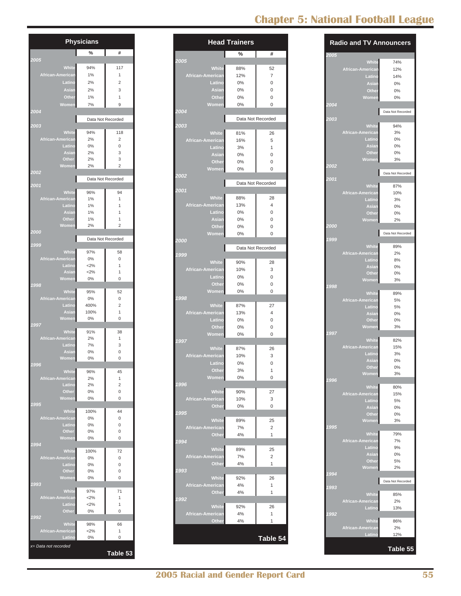| $\frac{1}{6}$<br>94%<br>1%<br>2%<br>2%<br>1%<br>7%<br>94%<br>2%<br>0%<br>2%<br>2%<br>2%<br>96%<br>1%<br>1%<br>1%<br>1%<br>2%<br>97%<br>0%<br>2%<br>2%<br>0%<br>95%<br>0%<br>400%<br>100%<br>0% | #<br>117<br>1<br>$\overline{2}$<br>3<br>1<br>9<br>Data Not Recorded<br>118<br>$\overline{2}$<br>0<br>3<br>3<br>$\overline{2}$<br>Data Not Recorded<br>94<br>1<br>1<br>1<br>1<br>$\overline{2}$<br>Data Not Recorded<br>58<br>0<br>1<br>1<br>$\overline{0}$<br>52<br>0<br>$\overline{2}$<br>1 |
|------------------------------------------------------------------------------------------------------------------------------------------------------------------------------------------------|----------------------------------------------------------------------------------------------------------------------------------------------------------------------------------------------------------------------------------------------------------------------------------------------|
|                                                                                                                                                                                                |                                                                                                                                                                                                                                                                                              |
|                                                                                                                                                                                                |                                                                                                                                                                                                                                                                                              |
|                                                                                                                                                                                                |                                                                                                                                                                                                                                                                                              |
|                                                                                                                                                                                                |                                                                                                                                                                                                                                                                                              |
|                                                                                                                                                                                                |                                                                                                                                                                                                                                                                                              |
|                                                                                                                                                                                                |                                                                                                                                                                                                                                                                                              |
|                                                                                                                                                                                                |                                                                                                                                                                                                                                                                                              |
|                                                                                                                                                                                                |                                                                                                                                                                                                                                                                                              |
|                                                                                                                                                                                                |                                                                                                                                                                                                                                                                                              |
|                                                                                                                                                                                                |                                                                                                                                                                                                                                                                                              |
|                                                                                                                                                                                                |                                                                                                                                                                                                                                                                                              |
|                                                                                                                                                                                                |                                                                                                                                                                                                                                                                                              |
|                                                                                                                                                                                                |                                                                                                                                                                                                                                                                                              |
|                                                                                                                                                                                                |                                                                                                                                                                                                                                                                                              |
|                                                                                                                                                                                                |                                                                                                                                                                                                                                                                                              |
|                                                                                                                                                                                                |                                                                                                                                                                                                                                                                                              |
|                                                                                                                                                                                                |                                                                                                                                                                                                                                                                                              |
|                                                                                                                                                                                                |                                                                                                                                                                                                                                                                                              |
|                                                                                                                                                                                                |                                                                                                                                                                                                                                                                                              |
|                                                                                                                                                                                                |                                                                                                                                                                                                                                                                                              |
|                                                                                                                                                                                                |                                                                                                                                                                                                                                                                                              |
|                                                                                                                                                                                                |                                                                                                                                                                                                                                                                                              |
|                                                                                                                                                                                                |                                                                                                                                                                                                                                                                                              |
|                                                                                                                                                                                                |                                                                                                                                                                                                                                                                                              |
|                                                                                                                                                                                                |                                                                                                                                                                                                                                                                                              |
|                                                                                                                                                                                                |                                                                                                                                                                                                                                                                                              |
|                                                                                                                                                                                                |                                                                                                                                                                                                                                                                                              |
|                                                                                                                                                                                                |                                                                                                                                                                                                                                                                                              |
|                                                                                                                                                                                                |                                                                                                                                                                                                                                                                                              |
|                                                                                                                                                                                                |                                                                                                                                                                                                                                                                                              |
|                                                                                                                                                                                                |                                                                                                                                                                                                                                                                                              |
|                                                                                                                                                                                                |                                                                                                                                                                                                                                                                                              |
|                                                                                                                                                                                                |                                                                                                                                                                                                                                                                                              |
|                                                                                                                                                                                                | 0                                                                                                                                                                                                                                                                                            |
|                                                                                                                                                                                                |                                                                                                                                                                                                                                                                                              |
| 91%<br>2%                                                                                                                                                                                      | 38<br>1                                                                                                                                                                                                                                                                                      |
| 7%                                                                                                                                                                                             | 3                                                                                                                                                                                                                                                                                            |
| 0%                                                                                                                                                                                             | 0                                                                                                                                                                                                                                                                                            |
| 0%                                                                                                                                                                                             | 0                                                                                                                                                                                                                                                                                            |
|                                                                                                                                                                                                |                                                                                                                                                                                                                                                                                              |
|                                                                                                                                                                                                | 45<br>1                                                                                                                                                                                                                                                                                      |
| 2%                                                                                                                                                                                             | $\overline{2}$                                                                                                                                                                                                                                                                               |
| 0%                                                                                                                                                                                             | 0                                                                                                                                                                                                                                                                                            |
| 0%                                                                                                                                                                                             | $\mathbf 0$                                                                                                                                                                                                                                                                                  |
|                                                                                                                                                                                                |                                                                                                                                                                                                                                                                                              |
|                                                                                                                                                                                                | 44<br>0                                                                                                                                                                                                                                                                                      |
| 0%                                                                                                                                                                                             | 0                                                                                                                                                                                                                                                                                            |
| 0%                                                                                                                                                                                             | 0                                                                                                                                                                                                                                                                                            |
| 0%                                                                                                                                                                                             | 0                                                                                                                                                                                                                                                                                            |
|                                                                                                                                                                                                | 72                                                                                                                                                                                                                                                                                           |
| 0%                                                                                                                                                                                             | 0                                                                                                                                                                                                                                                                                            |
| 0%                                                                                                                                                                                             | 0                                                                                                                                                                                                                                                                                            |
| 0%                                                                                                                                                                                             | 0                                                                                                                                                                                                                                                                                            |
| 0%                                                                                                                                                                                             | 0                                                                                                                                                                                                                                                                                            |
|                                                                                                                                                                                                | 71                                                                                                                                                                                                                                                                                           |
|                                                                                                                                                                                                | 1                                                                                                                                                                                                                                                                                            |
| 2%                                                                                                                                                                                             | 1                                                                                                                                                                                                                                                                                            |
| 0%                                                                                                                                                                                             | $\mathbf 0$                                                                                                                                                                                                                                                                                  |
|                                                                                                                                                                                                |                                                                                                                                                                                                                                                                                              |
| 98%                                                                                                                                                                                            | 66                                                                                                                                                                                                                                                                                           |
|                                                                                                                                                                                                | 1<br>0                                                                                                                                                                                                                                                                                       |
|                                                                                                                                                                                                |                                                                                                                                                                                                                                                                                              |
|                                                                                                                                                                                                |                                                                                                                                                                                                                                                                                              |
|                                                                                                                                                                                                | 96%<br>2%<br>100%<br>0%<br>100%<br>97%<br>2%<br>2%<br>0%                                                                                                                                                                                                                                     |

|                           | <b>Head Trainers</b> |                   |
|---------------------------|----------------------|-------------------|
|                           | %                    | #                 |
| $\frac{1}{2005}$          |                      |                   |
| <b>White</b>              | 88%                  | 52                |
| African-American          | 12%                  | 7                 |
| Latino                    | 0%                   | 0                 |
| Asian                     | 0%                   | 0                 |
| Other                     | 0%                   | 0                 |
| Women<br>2004             | 0%                   | 0                 |
|                           |                      | Data Not Recorded |
| 2003                      |                      |                   |
| <b>White</b>              | 81%                  | 26                |
| African-American          | 16%                  | 5                 |
| Latino                    | 3%                   | 1                 |
| Asian                     | 0%                   | 0                 |
| Other                     | 0%                   | 0                 |
| Women<br>2002             | 0%                   | 0                 |
|                           |                      | Data Not Recorded |
| 2001                      |                      |                   |
| <b>White</b>              | 88%                  | 28                |
| African-American          | 13%                  | 4                 |
| Latino                    | 0%                   | 0                 |
| Asian                     | 0%                   | 0                 |
| Other                     | 0%                   | 0                 |
| Women<br>2000             | 0%                   | 0                 |
|                           |                      | Data Not Recorded |
| 1999                      |                      |                   |
| <b>White</b>              | 90%                  | 28                |
| African-American          | 10%                  | 3                 |
| Latino                    | 0%                   | 0                 |
| Other                     | 0%                   | 0                 |
| Women                     | 0%                   | 0                 |
| 1998                      |                      | 27                |
| <b>White</b>              | 87%<br>13%           | $\overline{4}$    |
| African-American          |                      |                   |
| Latino                    | 0%<br>0%             | 0<br>0            |
| Other<br>Women            | 0%                   | 0                 |
| 1997                      |                      |                   |
| <b>White</b>              | 87%                  | 26                |
| African-American          | 10%                  | 3                 |
| Latino                    | 0%                   | 0                 |
| Other                     | 3%                   | 1                 |
| Women                     | 0%                   | 0                 |
| 1996                      |                      |                   |
| White                     | 90%                  | 27                |
| African-American          | 10%                  | 3                 |
| Other                     | 0%                   | 0                 |
| 1995                      |                      |                   |
| <b>White</b>              | 89%<br>7%            | 25                |
| African-American<br>Other | 4%                   | 2<br>1            |
| 1994                      |                      |                   |
| <b>White</b>              | 89%                  | 25                |
| African-American          | 7%                   | 2                 |
| Other                     | 4%                   | 1                 |
| 1993                      |                      |                   |
| White                     | 92%                  | 26                |
| African-American          | 4%                   | 1                 |
| Other<br>1992             | 4%                   | 1                 |
| White                     | 92%                  | 26                |
| African-American          | 4%                   | 1                 |
| Other                     | 4%                   | 1                 |
|                           |                      |                   |
|                           |                      | Table 54          |

|      | <b>Radio and TV Announcers</b> |                   |
|------|--------------------------------|-------------------|
| 2005 |                                |                   |
|      | <b>White</b>                   | 74%               |
|      | African-American               | 12%               |
|      | Latino                         | 14%               |
|      | Asian                          | 0%                |
|      |                                |                   |
|      | Other                          | 0%                |
|      | Women                          | 0%                |
| 2004 |                                | Data Not Recorded |
| 2003 |                                |                   |
|      | White                          | 94%               |
|      | African-American               | 3%                |
|      | Latino                         | 0%                |
|      | Asian                          | 0%                |
|      | Other                          | 0%                |
|      | Women                          | 3%                |
| 2002 |                                |                   |
|      |                                | Data Not Recorded |
| 2001 |                                |                   |
|      | <b>White</b>                   | 87%               |
|      | African-American               | 10%               |
|      | Latino                         | 3%                |
|      | Asian                          | 0%                |
|      | Other                          | 0%                |
|      | <b>Women</b>                   | 2%                |
| 2000 |                                |                   |
|      |                                | Data Not Recorded |
| 1999 |                                |                   |
|      | White                          | 89%               |
|      | African-American               | 2%                |
|      | Latino                         | 8%                |
|      | Asian                          | 0%                |
|      | Other                          | 0%                |
|      | Women                          | 3%                |
| 1998 |                                |                   |
|      | White                          | 89%               |
|      | African-American               | 5%                |
|      | Latino                         | 5%                |
|      | Asian                          | 0%                |
|      | Other                          | 0%                |
|      | Women                          | 3%                |
| 1997 |                                |                   |
|      | White                          | 82%               |
|      | African-American               | 15%               |
|      | Latino                         | 3%                |
|      | Asian                          | 0%                |
|      | Other                          | 0%                |
|      | Women                          | 3%                |
| 1996 |                                |                   |
|      | White                          | 80%               |
|      | African-American               | 15%               |
|      | Latino                         | 5%                |
|      | Asian                          | 0%                |
|      | Other                          | 0%                |
|      | Women                          | 3%                |
| 1995 |                                |                   |
|      | White                          | 79%               |
|      | African-American               | 7%                |
|      | Latino                         | 9%                |
|      | Asian                          | 0%                |
|      | Other                          | 5%                |
|      | Women                          | 2%                |
| 1994 |                                | Data Not Recorded |
| 1993 |                                |                   |
|      | White                          | 85%               |
|      | African-American               | 2%                |
|      | Latino                         | 13%               |
| 1992 |                                |                   |
|      | White                          | 86%               |
|      | African-American<br>Latino     | 2%<br>12%         |
|      |                                |                   |
|      |                                | Table 55          |
|      |                                |                   |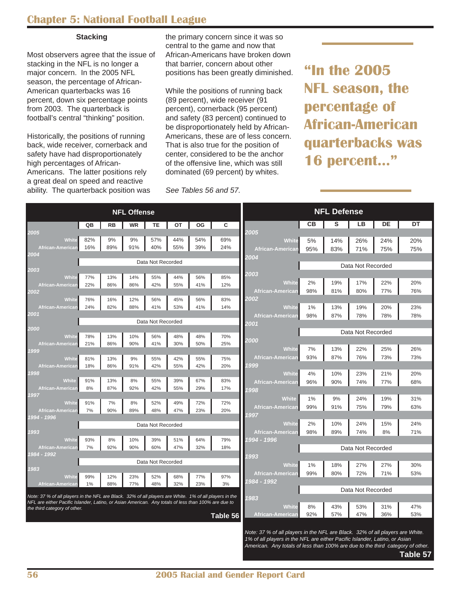#### **Stacking**

Most observers agree that the issue of stacking in the NFL is no longer a major concern. In the 2005 NFL season, the percentage of African-American quarterbacks was 16 percent, down six percentage points from 2003. The quarterback is football's central "thinking" position.

Historically, the positions of running back, wide receiver, cornerback and safety have had disproportionately high percentages of African-Americans. The latter positions rely a great deal on speed and reactive ability. The quarterback position was the primary concern since it was so central to the game and now that African-Americans have broken down that barrier, concern about other positions has been greatly diminished.

While the positions of running back (89 percent), wide receiver (91 percent), cornerback (95 percent) and safety (83 percent) continued to be disproportionately held by African-Americans, these are of less concern. That is also true for the position of center, considered to be the anchor of the offensive line, which was still dominated (69 percent) by whites.

**"In the 2005 NFL season, the percentage of African-American quarterbacks was 16 percent..."**

|                                                                                                        |     |           | <b>NFL Offense</b> |                   |     |     |             |                                                                                                                                                             |     | <b>NFL Defense</b> |                   |     |     |
|--------------------------------------------------------------------------------------------------------|-----|-----------|--------------------|-------------------|-----|-----|-------------|-------------------------------------------------------------------------------------------------------------------------------------------------------------|-----|--------------------|-------------------|-----|-----|
|                                                                                                        | QB  | <b>RB</b> | <b>WR</b>          | <b>TE</b>         | OT  | OG  | $\mathbf c$ |                                                                                                                                                             | CВ  | S                  | LB                | DE  | DT  |
| 2005                                                                                                   |     |           |                    |                   |     |     |             | 2005                                                                                                                                                        |     |                    |                   |     |     |
| White                                                                                                  | 82% | 9%        | 9%                 | 57%               | 44% | 54% | 69%         | White                                                                                                                                                       | 5%  | 14%                | 26%               | 24% | 20% |
| African-American                                                                                       | 16% | 89%       | 91%                | 40%               | 55% | 39% | 24%         | African-American                                                                                                                                            | 95% | 83%                | 71%               | 75% | 75% |
| 2004                                                                                                   |     |           |                    |                   |     |     |             | 2004                                                                                                                                                        |     |                    |                   |     |     |
| 2003                                                                                                   |     |           |                    | Data Not Recorded |     |     |             |                                                                                                                                                             |     |                    | Data Not Recorded |     |     |
| White                                                                                                  | 77% | 13%       | 14%                | 55%               | 44% | 56% | 85%         | 2003                                                                                                                                                        |     |                    |                   |     |     |
| African-American                                                                                       | 22% | 86%       | 86%                | 42%               | 55% | 41% | 12%         | White                                                                                                                                                       | 2%  | 19%                | 17%               | 22% | 20% |
| 2002                                                                                                   |     |           |                    |                   |     |     |             | African-American                                                                                                                                            | 98% | 81%                | 80%               | 77% | 76% |
| White                                                                                                  | 76% | 16%       | 12%                | 56%               | 45% | 56% | 83%         | 2002                                                                                                                                                        |     |                    |                   |     |     |
| African-American                                                                                       | 24% | 82%       | 88%                | 41%               | 53% | 41% | 14%         | White                                                                                                                                                       | 1%  | 13%                | 19%               | 20% | 23% |
| 2001                                                                                                   |     |           |                    |                   |     |     |             | African-American                                                                                                                                            | 98% | 87%                | 78%               | 78% | 78% |
|                                                                                                        |     |           |                    | Data Not Recorded |     |     |             | 2001                                                                                                                                                        |     |                    |                   |     |     |
| 2000                                                                                                   |     |           |                    |                   |     |     |             |                                                                                                                                                             |     |                    | Data Not Recorded |     |     |
| White                                                                                                  | 78% | 13%       | 10%                | 56%               | 48% | 48% | 70%         | 2000                                                                                                                                                        |     |                    |                   |     |     |
| African-American<br>1999                                                                               | 21% | 86%       | 90%                | 41%               | 30% | 50% | 25%         | White                                                                                                                                                       | 7%  | 13%                | 22%               | 25% | 26% |
| White                                                                                                  | 81% | 13%       | 9%                 | 55%               | 42% | 55% | 75%         | African-American                                                                                                                                            | 93% | 87%                | 76%               | 73% | 73% |
| African-American                                                                                       | 18% | 86%       | 91%                | 42%               | 55% | 42% | 20%         | 1999                                                                                                                                                        |     |                    |                   |     |     |
| 1998                                                                                                   |     |           |                    |                   |     |     |             | White                                                                                                                                                       | 4%  | 10%                | 23%               | 21% | 20% |
| <b>White</b>                                                                                           | 91% | 13%       | 8%                 | 55%               | 39% | 67% | 83%         | African-American                                                                                                                                            | 96% | 90%                | 74%               | 77% | 68% |
| African-American                                                                                       | 8%  | 87%       | 92%                | 42%               | 55% | 29% | 17%         | 1998                                                                                                                                                        |     |                    |                   |     |     |
| 1997                                                                                                   |     |           |                    |                   |     |     |             | <b>White</b>                                                                                                                                                | 1%  | 9%                 | 24%               | 19% | 31% |
| White                                                                                                  | 91% | 7%        | 8%                 | 52%               | 49% | 72% | 72%         | African-American                                                                                                                                            | 99% | 91%                | 75%               | 79% | 63% |
| African-American<br>1994 - 1996                                                                        | 7%  | 90%       | 89%                | 48%               | 47% | 23% | 20%         | 1997                                                                                                                                                        |     |                    |                   |     |     |
|                                                                                                        |     |           |                    | Data Not Recorded |     |     |             | <b>White</b>                                                                                                                                                | 2%  | 10%                | 24%               | 15% | 24% |
| 1993                                                                                                   |     |           |                    |                   |     |     |             | African-American                                                                                                                                            | 98% | 89%                | 74%               | 8%  | 71% |
| White                                                                                                  | 93% | 8%        | 10%                | 39%               | 51% | 64% | 79%         | 1994 - 1996                                                                                                                                                 |     |                    |                   |     |     |
| African-American                                                                                       | 7%  | 92%       | 90%                | 60%               | 47% | 32% | 18%         |                                                                                                                                                             |     |                    | Data Not Recorded |     |     |
| 1984 - 1992                                                                                            |     |           |                    |                   |     |     |             | 1993                                                                                                                                                        |     |                    |                   |     |     |
|                                                                                                        |     |           |                    | Data Not Recorded |     |     |             | White                                                                                                                                                       | 1%  | 18%                | 27%               | 27% | 30% |
| 1983                                                                                                   |     |           |                    |                   |     |     |             | African-American                                                                                                                                            | 99% | 80%                | 72%               | 71% | 53% |
| White                                                                                                  | 99% | 12%       | 23%                | 52%               | 68% | 77% | 97%         | 1984 - 1992                                                                                                                                                 |     |                    |                   |     |     |
| African-American                                                                                       | 1%  | 88%       | 77%                | 48%               | 32% | 23% | 3%          |                                                                                                                                                             |     |                    | Data Not Recorded |     |     |
| Note: 37 % of all players in the NFL are Black. 32% of all players are White. 1% of all players in the |     |           |                    |                   |     |     |             | 1983                                                                                                                                                        |     |                    |                   |     |     |
| NFL are either Pacific Islander, Latino, or Asian American. Any totals of less than 100% are due to    |     |           |                    |                   |     |     |             | <b>White</b>                                                                                                                                                | 8%  | 43%                | 53%               | 31% | 47% |
| the third category of other.                                                                           |     |           |                    |                   |     |     | Table 56    | African-American                                                                                                                                            | 92% | 57%                | 47%               | 36% | 53% |
|                                                                                                        |     |           |                    |                   |     |     |             |                                                                                                                                                             |     |                    |                   |     |     |
|                                                                                                        |     |           |                    |                   |     |     |             | Note: 37 % of all players in the NFL are Black. 32% of all players are White.<br>1% of all players in the NFL are either Pacific Islander, Latino, or Asian |     |                    |                   |     |     |

*See Tables 56 and 57.*

*American. Any totals of less than 100% are due to the third category of other.*

**Table 57**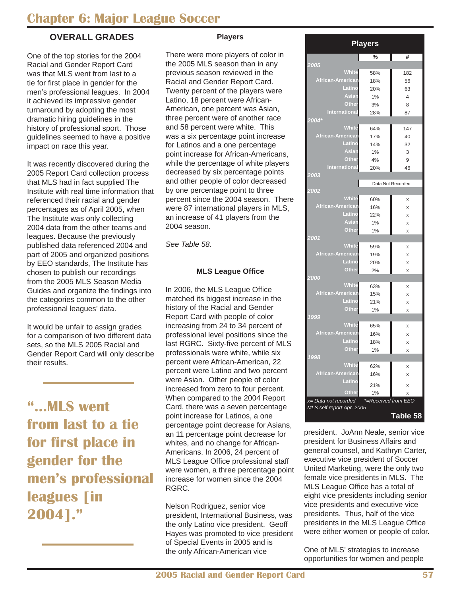# **OVERALL GRADES**

One of the top stories for the 2004 Racial and Gender Report Card was that MLS went from last to a tie for first place in gender for the men's professional leagues. In 2004 it achieved its impressive gender turnaround by adopting the most dramatic hiring guidelines in the history of professional sport. Those guidelines seemed to have a positive impact on race this year.

It was recently discovered during the 2005 Report Card collection process that MLS had in fact supplied The Institute with real time information that referenced their racial and gender percentages as of April 2005, when The Institute was only collecting 2004 data from the other teams and leagues. Because the previously published data referenced 2004 and part of 2005 and organized positions by EEO standards, The Institute has chosen to publish our recordings from the 2005 MLS Season Media Guides and organize the findings into the categories common to the other professional leagues' data.

It would be unfair to assign grades for a comparison of two different data sets, so the MLS 2005 Racial and Gender Report Card will only describe their results.

**"...MLS went from last to a tie for first place in gender for the men's professional leagues [in 2004]."**

# **Players**

There were more players of color in the 2005 MLS season than in any previous season reviewed in the Racial and Gender Report Card. Twenty percent of the players were Latino, 18 percent were African-American, one percent was Asian, three percent were of another race and 58 percent were white. This was a six percentage point increase for Latinos and a one percentage point increase for African-Americans, while the percentage of white players decreased by six percentage points and other people of color decreased by one percentage point to three percent since the 2004 season. There were 87 international players in MLS, an increase of 41 players from the 2004 season.

*See Table 58.*

# **MLS League Offi ce**

In 2006, the MLS League Office matched its biggest increase in the history of the Racial and Gender Report Card with people of color increasing from 24 to 34 percent of professional level positions since the last RGRC. Sixty-five percent of MLS professionals were white, while six percent were African-American, 22 percent were Latino and two percent were Asian. Other people of color increased from zero to four percent. When compared to the 2004 Report Card, there was a seven percentage point increase for Latinos, a one percentage point decrease for Asians, an 11 percentage point decrease for whites, and no change for African-Americans. In 2006, 24 percent of MLS League Office professional staff were women, a three percentage point increase for women since the 2004 RGRC.

Nelson Rodriguez, senior vice president, International Business, was the only Latino vice president. Geoff Hayes was promoted to vice president of Special Events in 2005 and is the only African-American vice

| <b>Players</b>                                    |                     |                   |  |  |  |  |
|---------------------------------------------------|---------------------|-------------------|--|--|--|--|
|                                                   | $\frac{1}{2}$       | #                 |  |  |  |  |
| 2005                                              |                     |                   |  |  |  |  |
| <b>White</b>                                      | 58%                 | 182               |  |  |  |  |
| African-Americar                                  | 18%                 | 56                |  |  |  |  |
| Latino                                            | 20%                 | 63                |  |  |  |  |
| Asian                                             | 1%                  | $\overline{4}$    |  |  |  |  |
| Other                                             | 3%                  | 8                 |  |  |  |  |
| International                                     | 28%                 | 87                |  |  |  |  |
| $2004*$                                           |                     |                   |  |  |  |  |
| White                                             | 64%                 | 147               |  |  |  |  |
| African-American                                  | 17%                 | 40                |  |  |  |  |
| Latino                                            | 14%                 | 32                |  |  |  |  |
| Asian                                             | 1%                  | 3                 |  |  |  |  |
| Other                                             | 4%                  | 9                 |  |  |  |  |
| International                                     | 20%                 | 46                |  |  |  |  |
| 2003                                              |                     |                   |  |  |  |  |
|                                                   |                     | Data Not Recorded |  |  |  |  |
| 2002                                              |                     |                   |  |  |  |  |
| <b>White</b>                                      | 60%                 | X                 |  |  |  |  |
| African-American                                  | 16%                 | X                 |  |  |  |  |
| Latino                                            | 22%                 | X                 |  |  |  |  |
| Asian                                             | 1%                  | X                 |  |  |  |  |
| Other                                             | 1%                  | X                 |  |  |  |  |
| 2001                                              |                     |                   |  |  |  |  |
| White                                             | 59%                 | X                 |  |  |  |  |
| African-American                                  | 19%                 | X                 |  |  |  |  |
| Latino                                            | 20%                 | X                 |  |  |  |  |
| Other                                             | 2%                  | X                 |  |  |  |  |
| 2000                                              |                     |                   |  |  |  |  |
| <b>White</b>                                      | 63%                 | X                 |  |  |  |  |
| African-American                                  | 15%                 | X                 |  |  |  |  |
| Latino                                            | 21%                 | X                 |  |  |  |  |
| Other                                             | 1%                  | X                 |  |  |  |  |
| 1999                                              |                     |                   |  |  |  |  |
| White                                             | 65%                 | X                 |  |  |  |  |
| African-American                                  | 16%                 | X                 |  |  |  |  |
| Latino                                            | 18%                 | X                 |  |  |  |  |
| Other                                             | 1%                  | X                 |  |  |  |  |
| 1998                                              |                     |                   |  |  |  |  |
| White                                             | 62%                 | X                 |  |  |  |  |
| African-American                                  | 16%                 | X                 |  |  |  |  |
| Latino                                            |                     |                   |  |  |  |  |
| Other                                             | 21%<br>1%           | X                 |  |  |  |  |
|                                                   |                     | X                 |  |  |  |  |
| x= Data not recorded<br>MLS self report Apr. 2005 | *=Received from EEO |                   |  |  |  |  |
|                                                   |                     | Table 58          |  |  |  |  |

president. JoAnn Neale, senior vice president for Business Affairs and general counsel, and Kathryn Carter, executive vice president of Soccer United Marketing, were the only two female vice presidents in MLS. The MLS League Office has a total of eight vice presidents including senior vice presidents and executive vice presidents. Thus, half of the vice presidents in the MLS League Office were either women or people of color.

One of MLS' strategies to increase opportunities for women and people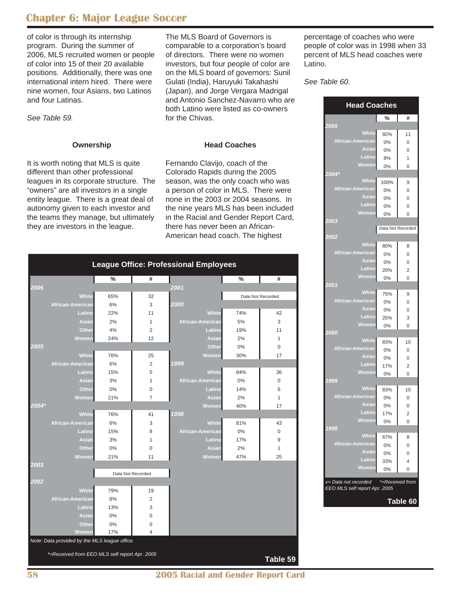of color is through its internship program. During the summer of 2006, MLS recruited women or people of color into 15 of their 20 available positions. Additionally, there was one international intern hired. There were nine women, four Asians, two Latinos and four Latinas.

*See Table 59.*

### **Ownership**

It is worth noting that MLS is quite different than other professional leagues in its corporate structure. The "owners" are all investors in a single entity league. There is a great deal of autonomy given to each investor and the teams they manage, but ultimately they are investors in the league.

The MLS Board of Governors is comparable to a corporation's board of directors. There were no women investors, but four people of color are on the MLS board of governors: Sunil Gulati (India), Haruyuki Takahashi (Japan), and Jorge Vergara Madrigal and Antonio Sanchez-Navarro who are both Latino were listed as co-owners for the Chivas.

#### **Head Coaches**

Fernando Clavijo, coach of the Colorado Rapids during the 2005 season, was the only coach who was a person of color in MLS. There were none in the 2003 or 2004 seasons. In the nine years MLS has been included in the Racial and Gender Report Card, there has never been an African-American head coach. The highest

| <b>League Office: Professional Employees</b>  |               |                   |                  |               |                   |  |  |
|-----------------------------------------------|---------------|-------------------|------------------|---------------|-------------------|--|--|
|                                               | $\frac{0}{0}$ | #                 |                  | $\frac{0}{0}$ | #                 |  |  |
| 2006                                          |               |                   | 2001             |               |                   |  |  |
| White                                         | 65%           | 32                |                  |               | Data Not Recorded |  |  |
| African-American                              | 6%            | 3                 | 2000             |               |                   |  |  |
| Latino                                        | 22%           | 11                | <b>White</b>     | 74%           | 42                |  |  |
| Asian                                         | 2%            | 1                 | African-American | 5%            | 3                 |  |  |
| Other                                         | 4%            | $\overline{2}$    | Latino           | 19%           | 11                |  |  |
| Women                                         | 24%           | 12                | Asian            | 2%            | 1                 |  |  |
| 2005                                          |               |                   | Other            | 0%            | $\mathbf 0$       |  |  |
| <b>White</b>                                  | 76%           | 25                | Women            | 30%           | 17                |  |  |
| African-American                              | 6%            | $\overline{2}$    | 1999             |               |                   |  |  |
| Latino                                        | 15%           | 5                 | <b>White</b>     | 84%           | 36                |  |  |
| Asian                                         | 3%            | 1                 | African-American | 0%            | 0                 |  |  |
| Other                                         | 0%            | 0                 | Latino           | 14%           | 6                 |  |  |
| Women                                         | 21%           | $\overline{7}$    | Asian            | 2%            | 1                 |  |  |
| 2004*                                         |               |                   | Women            | 40%           | 17                |  |  |
| <b>White</b>                                  | 76%           | 41                | 1998             |               |                   |  |  |
| African-American                              | 6%            | 3                 | <b>White</b>     | 81%           | 43                |  |  |
| Latino                                        | 15%           | 8                 | African-American | 0%            | $\boldsymbol{0}$  |  |  |
| Asian                                         | 3%            | 1                 | Latino           | 17%           | 9                 |  |  |
| Other                                         | 0%            | 0                 | Asian            | 2%            | $\mathbf{1}$      |  |  |
| Women                                         | 21%           | 11                | Women            | 47%           | 25                |  |  |
| 2003                                          |               |                   |                  |               |                   |  |  |
|                                               |               | Data Not Recorded |                  |               |                   |  |  |
| 2002                                          |               |                   |                  |               |                   |  |  |
| <b>White</b>                                  | 79%           | 19                |                  |               |                   |  |  |
| African-American                              | 8%            | $\overline{2}$    |                  |               |                   |  |  |
| Latino                                        | 13%           | 3                 |                  |               |                   |  |  |
| Asian                                         | 0%            | 0                 |                  |               |                   |  |  |
| Other                                         | 0%            | 0                 |                  |               |                   |  |  |
| Women                                         | 17%           | 4                 |                  |               |                   |  |  |
| Note: Data provided by the MLS league office. |               |                   |                  |               |                   |  |  |
| *=Received from EEO MLS self report Apr. 2005 |               |                   |                  |               | Table 59          |  |  |

percentage of coaches who were people of color was in 1998 when 33 percent of MLS head coaches were Latino.

*See Table 60.*

| <b>Head Coaches</b>           |      |                   |
|-------------------------------|------|-------------------|
|                               | %    | #                 |
| 2005                          |      |                   |
| White                         | 92%  | 11                |
| African-American              | 0%   | 0                 |
| Asian                         | 0%   | 0                 |
| Latino                        | 8%   | 1                 |
| Women                         | 0%   | 0                 |
| 2004*                         |      |                   |
| <b>White</b>                  | 100% | 9                 |
| African-American              | 0%   | 0                 |
| Asian                         | 0%   | 0                 |
| Latino                        | 0%   | 0                 |
| Women                         | 0%   | 0                 |
| 2003                          |      |                   |
|                               |      | Data Not Recorded |
| 2002                          |      |                   |
| White                         | 80%  | 8                 |
| African-American              | 0%   | 0                 |
| Asian                         | 0%   | 0                 |
| Latino                        | 20%  | 2                 |
| Women                         | 0%   | 0                 |
| 2001                          |      |                   |
| White                         | 75%  | 9                 |
| African-American              | 0%   | 0                 |
| Asian                         | 0%   | 0                 |
| Latino                        | 25%  | 3                 |
| Women                         | 0%   | 0                 |
| 2000                          |      |                   |
| White                         | 83%  | 10                |
| African-American              | 0%   | 0                 |
| Asian                         | 0%   |                   |
| Latino                        | 17%  | 0                 |
| Women                         |      | 2                 |
| 1999                          | 0%   | 0                 |
| White                         | 83%  |                   |
| African-American              |      | 10                |
| Asian                         | 0%   | 0                 |
| Latino                        | 0%   | 0                 |
| <u>Womer</u>                  | 17%  | 2                 |
| 1998                          | 0%   | 0                 |
| White                         |      |                   |
| <b>African-American</b>       | 67%  | 8                 |
| Asian                         | 0%   | 0                 |
| Latino                        | 0%   | 0                 |
| Women                         | 33%  | 4                 |
|                               | 0%   | 0                 |
| x= Data not recorded          |      | *=Received from   |
| EEO MLS self report Apr. 2005 |      |                   |
|                               |      |                   |
|                               |      | Table 60          |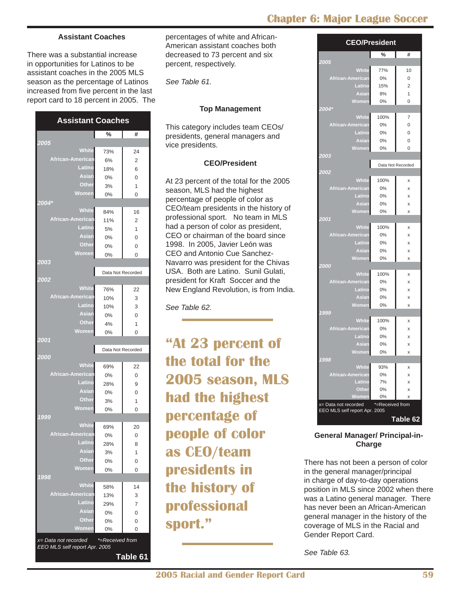#### **Assistant Coaches**

There was a substantial increase in opportunities for Latinos to be assistant coaches in the 2005 MLS season as the percentage of Latinos increased from five percent in the last report card to 18 percent in 2005. The

| <b>Assistant Coaches</b>      |                   |                |  |  |  |
|-------------------------------|-------------------|----------------|--|--|--|
|                               | $\%$              | #              |  |  |  |
| 2005                          |                   |                |  |  |  |
| <b>White</b>                  | 73%               | 24             |  |  |  |
| African-American              | 6%                | 2              |  |  |  |
| Latino                        | 18%               | 6              |  |  |  |
| Asian                         | 0%                | 0              |  |  |  |
| Other                         | 3%                | 1              |  |  |  |
| Women                         | 0%                | $\overline{0}$ |  |  |  |
| 2004*                         |                   |                |  |  |  |
| White                         | 84%               | 16             |  |  |  |
| African-American              | 11%               | 2              |  |  |  |
| Latino                        | 5%                | 1              |  |  |  |
| Asian                         | 0%                | 0              |  |  |  |
| Other                         | 0%                | $\overline{0}$ |  |  |  |
| Women                         | 0%                | 0              |  |  |  |
| 2003                          |                   |                |  |  |  |
|                               | Data Not Recorded |                |  |  |  |
| 2002                          |                   |                |  |  |  |
| <b>White</b>                  | 76%               | 22             |  |  |  |
| African-American              | 10%               | 3              |  |  |  |
| Latino                        | 10%               | 3              |  |  |  |
| Asian                         | 0%                | 0              |  |  |  |
| Other                         | 4%                | 1              |  |  |  |
| Women                         | 0%                | $\overline{0}$ |  |  |  |
| 2001                          |                   |                |  |  |  |
| 2000                          | Data Not Recorded |                |  |  |  |
| <b>White</b>                  | 69%               | 22             |  |  |  |
| African-American              | 0%                | 0              |  |  |  |
| Latino                        | 28%               | 9              |  |  |  |
| Asian                         | 0%                | $\overline{0}$ |  |  |  |
| Other                         | 3%                | 1              |  |  |  |
| Women                         | 0%                | $\overline{0}$ |  |  |  |
| 1999                          |                   |                |  |  |  |
| <b>White</b>                  | 69%               | 20             |  |  |  |
| African-American              | 0%                | 0              |  |  |  |
| Latino                        | 28%               | 8              |  |  |  |
| Asian                         | 3%                | 1              |  |  |  |
| Other                         | $0\%$             | 0              |  |  |  |
| Women                         | 0%                | $\overline{0}$ |  |  |  |
| 1998                          |                   |                |  |  |  |
| White                         | 58%               | 14             |  |  |  |
| African-American              | 13%               | 3              |  |  |  |
| Latino                        | 29%               | 7              |  |  |  |
| Asian                         | 0%                | $\overline{0}$ |  |  |  |
| Other                         | 0%                | 0              |  |  |  |
| Women                         | 0%                | 0              |  |  |  |
| x= Data not recorded          | *=Received from   |                |  |  |  |
| EEO MLS self report Apr. 2005 |                   |                |  |  |  |

**Table 61**

percentages of white and African-American assistant coaches both decreased to 73 percent and six percent, respectively.

*See Table 61.*

#### **Top Management**

This category includes team CEOs/ presidents, general managers and vice presidents.

#### **CEO/President**

At 23 percent of the total for the 2005 season, MLS had the highest percentage of people of color as CEO/team presidents in the history of professional sport. No team in MLS had a person of color as president, CEO or chairman of the board since 1998. In 2005, Javier León was CEO and Antonio Cue Sanchez-Navarro was president for the Chivas USA. Both are Latino. Sunil Gulati, president for Kraft Soccer and the New England Revolution, is from India.

*See Table 62.*

**"At 23 percent of the total for the 2005 season, MLS had the highest percentage of people of color as CEO/team presidents in the history of professional sport."**

| <b>CEO/President</b> |               |                         |  |  |  |
|----------------------|---------------|-------------------------|--|--|--|
| ı                    | $\frac{0}{0}$ | #                       |  |  |  |
| 2005                 |               |                         |  |  |  |
| White                | 77%           | 10                      |  |  |  |
| African-American     | 0%            | 0                       |  |  |  |
| Latino               | 15%           | $\overline{2}$          |  |  |  |
| Asian                | 8%            | $\overline{1}$          |  |  |  |
| Women                | 0%            | 0                       |  |  |  |
| $2004*$              |               |                         |  |  |  |
| White                | 100%          | 7                       |  |  |  |
| African-American     | 0%            | 0                       |  |  |  |
| Latino               | 0%            | $\Omega$                |  |  |  |
| Asian                | 0%            | 0                       |  |  |  |
| Women                | 0%            | 0                       |  |  |  |
| 2003                 |               |                         |  |  |  |
|                      |               | Data Not Recorded       |  |  |  |
| 2002                 |               |                         |  |  |  |
| <b>White</b>         | 100%          | x                       |  |  |  |
| African-American     | 0%            | X                       |  |  |  |
| Latino               | 0%            | X                       |  |  |  |
| Asian                | 0%            | X                       |  |  |  |
| Women                | 0%            | $\overline{\mathsf{x}}$ |  |  |  |
| 2001                 |               |                         |  |  |  |
| White                | 100%          | X                       |  |  |  |
| African-American     | 0%            | X                       |  |  |  |
| Latino               | 0%            | $\overline{\mathsf{x}}$ |  |  |  |
| Asian                | 0%            | X                       |  |  |  |
| Women                | 0%            | $\overline{\mathsf{x}}$ |  |  |  |
| 2000                 |               |                         |  |  |  |
| White                | 100%          | X                       |  |  |  |
| African-American     | 0%            | X                       |  |  |  |
| <u>Latino</u>        | 0%            | X                       |  |  |  |
| Asian                | 0%            | X                       |  |  |  |
| Women                | 0%            | $\overline{\mathsf{x}}$ |  |  |  |
| 1999                 |               |                         |  |  |  |
| White                | 100%          | X                       |  |  |  |
| African-American     | 0%            |                         |  |  |  |
| Latino               | 0%            | X<br>X                  |  |  |  |
| Asian                | 0%            | x                       |  |  |  |
|                      | 0%            |                         |  |  |  |
| Women<br>1998        |               | $\overline{\mathsf{x}}$ |  |  |  |
| White                | 93%           | X                       |  |  |  |
| African-American     | 0%            | x                       |  |  |  |
| <u>Latino</u>        | 7%            | X                       |  |  |  |
| Other                | 0%            | X                       |  |  |  |
|                      | 0%            | x                       |  |  |  |
| ome                  |               |                         |  |  |  |

### **General Manager/ Principal-in-Charge**

There has not been a person of color in the general manager/principal in charge of day-to-day operations position in MLS since 2002 when there was a Latino general manager. There has never been an African-American general manager in the history of the coverage of MLS in the Racial and Gender Report Card.

*See Table 63.*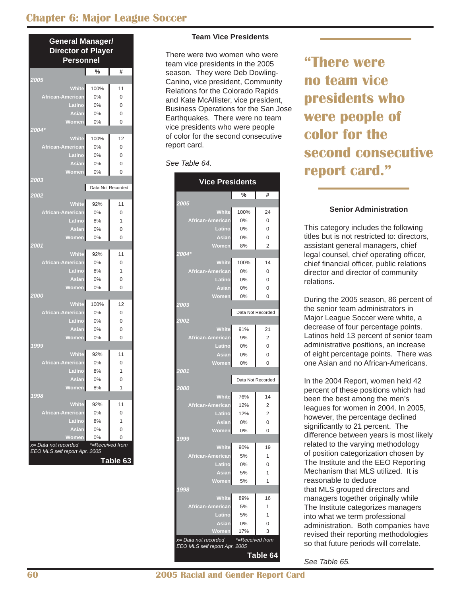| <b>General Manager/</b><br><b>Director of Player</b><br><b>Personnel</b> |      |                   |  |  |
|--------------------------------------------------------------------------|------|-------------------|--|--|
|                                                                          |      |                   |  |  |
|                                                                          | %    | #                 |  |  |
| 2005                                                                     |      |                   |  |  |
| <b>White</b>                                                             | 100% | 11                |  |  |
| African-American                                                         | 0%   | 0                 |  |  |
| Latino                                                                   | 0%   | 0                 |  |  |
| Asian                                                                    | 0%   | 0                 |  |  |
| Women                                                                    | 0%   | $\mathbf 0$       |  |  |
| 2004*                                                                    |      |                   |  |  |
| <b>White</b>                                                             | 100% | 12                |  |  |
| African-American                                                         | 0%   | 0                 |  |  |
| Latino                                                                   | 0%   | 0                 |  |  |
| Asian                                                                    | 0%   | 0                 |  |  |
| Women                                                                    | 0%   | 0                 |  |  |
| 2003                                                                     |      |                   |  |  |
|                                                                          |      | Data Not Recorded |  |  |
| 2002                                                                     |      |                   |  |  |
| <b>White</b>                                                             | 92%  | 11                |  |  |
| African-American                                                         | 0%   | 0                 |  |  |
| Latino                                                                   | 8%   | 1                 |  |  |
| Asian                                                                    | 0%   | 0                 |  |  |
| Women                                                                    | 0%   | $\mathbf 0$       |  |  |
| 2001                                                                     |      |                   |  |  |
| <b>White</b>                                                             | 92%  | 11                |  |  |
| African-American                                                         | 0%   | 0                 |  |  |
| Latino                                                                   | 8%   | 1                 |  |  |
| Asian                                                                    | 0%   | 0                 |  |  |
| Women                                                                    | 0%   | $\Omega$          |  |  |
| 2000                                                                     |      |                   |  |  |
| <b>White</b>                                                             | 100% | 12                |  |  |
| African-American                                                         | 0%   | 0                 |  |  |
| Latino                                                                   | 0%   | 0                 |  |  |
| Asian                                                                    | 0%   | 0                 |  |  |
| Women                                                                    | 0%   | 0                 |  |  |
| 1999                                                                     |      |                   |  |  |
| <b>White</b>                                                             | 92%  | 11                |  |  |
| African-American                                                         | 0%   | 0                 |  |  |
| Latino                                                                   | 8%   | 1                 |  |  |
| Asian                                                                    | 0%   | 0                 |  |  |
|                                                                          | 8%   | 1                 |  |  |
| Women<br>1998                                                            |      |                   |  |  |
|                                                                          |      |                   |  |  |
| White                                                                    | 92%  | 11                |  |  |
| African-American                                                         | 0%   | 0                 |  |  |
| Latino                                                                   | 8%   | 1                 |  |  |
| Asian                                                                    | 0%   | 0<br>0            |  |  |
| Womer<br>x= Data not recorded                                            | 0%   | *=Received from   |  |  |
| EEO MLS self report Apr. 2005                                            |      |                   |  |  |
|                                                                          |      | Table 63          |  |  |

## **Team Vice Presidents**

There were two women who were team vice presidents in the 2005 season. They were Deb Dowling-Canino, vice president, Community Relations for the Colorado Rapids and Kate McAllister, vice president, Business Operations for the San Jose Earthquakes. There were no team vice presidents who were people of color for the second consecutive report card.

### *See Table 64.*

| <b>Vice Presidents</b>                                |                 |                      |  |  |
|-------------------------------------------------------|-----------------|----------------------|--|--|
|                                                       | %               | #                    |  |  |
| 2005                                                  |                 |                      |  |  |
| <b>White</b>                                          | 100%            | 24                   |  |  |
| African-American                                      | 0%              | 0                    |  |  |
| Latino                                                | 0%              | $\Omega$             |  |  |
| <b>Asian</b>                                          | 0%              | 0                    |  |  |
| <u>Women</u>                                          | 8%              | $\overline{2}$       |  |  |
| $2004*$                                               |                 |                      |  |  |
| White                                                 | 100%            | 14                   |  |  |
| African-American                                      | 0%              | 0                    |  |  |
| Latino                                                | 0%              | $\Omega$             |  |  |
| <b>Asian</b>                                          | 0%              | 0                    |  |  |
| Women                                                 | 0%              | $\overline{0}$       |  |  |
| 2003                                                  |                 |                      |  |  |
|                                                       |                 | Data Not Recorded    |  |  |
| 2002                                                  |                 |                      |  |  |
| <b>White</b>                                          | 91%<br>9%       | 21<br>$\overline{2}$ |  |  |
| African-American                                      | 0%              | $\Omega$             |  |  |
| Latino<br>Asian                                       | 0%              | 0                    |  |  |
| Women                                                 | 0%              | $\Omega$             |  |  |
| 2001                                                  |                 |                      |  |  |
|                                                       |                 | Data Not Recorded    |  |  |
| 2000                                                  |                 |                      |  |  |
| White                                                 | 76%             | 14                   |  |  |
| African-American                                      | 12%             | $\overline{2}$       |  |  |
| Latino                                                | 12%             | $\overline{2}$       |  |  |
| Asian                                                 | 0%              | $\overline{0}$       |  |  |
| Women                                                 | 0%              | $\Omega$             |  |  |
| 1999                                                  |                 |                      |  |  |
| White                                                 | 90%             | 19                   |  |  |
| African-American                                      | 5%              | 1                    |  |  |
| Latino                                                | 0%              | 0                    |  |  |
| Asian                                                 | 5%              | 1                    |  |  |
| Women                                                 | 5%              | 1                    |  |  |
| 1998                                                  |                 |                      |  |  |
| White                                                 | 89%             | 16                   |  |  |
| African-American                                      | 5%              | 1                    |  |  |
| Latino                                                | 5%              | 1                    |  |  |
| Asian                                                 | 0%              | 0                    |  |  |
| /omen                                                 | 17%             | 3                    |  |  |
| x= Data not recorded<br>EEO MLS self report Apr. 2005 | *=Received from |                      |  |  |
|                                                       |                 | Table 64             |  |  |

**"There were no team vice presidents who were people of color for the second consecutive report card."**

### **Senior Administration**

This category includes the following titles but is not restricted to: directors, assistant general managers, chief legal counsel, chief operating officer, chief financial officer, public relations director and director of community relations.

During the 2005 season, 86 percent of the senior team administrators in Major League Soccer were white, a decrease of four percentage points. Latinos held 13 percent of senior team administrative positions, an increase of eight percentage points. There was one Asian and no African-Americans.

In the 2004 Report, women held 42 percent of these positions which had been the best among the men's leagues for women in 2004. In 2005, however, the percentage declined significantly to 21 percent. The difference between years is most likely related to the varying methodology of position categorization chosen by The Institute and the EEO Reporting Mechanism that MLS utilized. It is reasonable to deduce that MLS grouped directors and managers together originally while The Institute categorizes managers into what we term professional administration. Both companies have revised their reporting methodologies so that future periods will correlate.

*See Table 65.*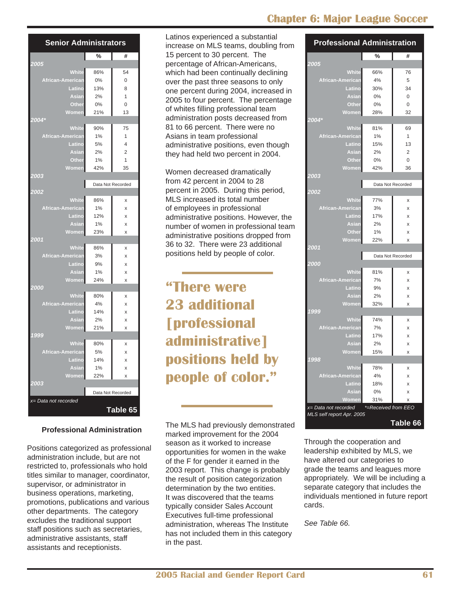## **Professional Administration**

Positions categorized as professional administration include, but are not restricted to, professionals who hold titles similar to manager, coordinator, supervisor, or administrator in business operations, marketing, promotions, publications and various other departments. The category excludes the traditional support staff positions such as secretaries, administrative assistants, staff assistants and receptionists.

Latinos experienced a substantial increase on MLS teams, doubling from 15 percent to 30 percent. The percentage of African-Americans, which had been continually declining over the past three seasons to only one percent during 2004, increased in 2005 to four percent. The percentage of whites filling professional team administration posts decreased from 81 to 66 percent. There were no Asians in team professional administrative positions, even though they had held two percent in 2004.

Women decreased dramatically from 42 percent in 2004 to 28 percent in 2005. During this period, MLS increased its total number of employees in professional administrative positions. However, the number of women in professional team administrative positions dropped from 36 to 32. There were 23 additional positions held by people of color.

**"There were 23 additional [professional administrative] positions held by people of color."** 

The MLS had previously demonstrated marked improvement for the 2004 season as it worked to increase opportunities for women in the wake of the F for gender it earned in the 2003 report. This change is probably the result of position categorization determination by the two entities. It was discovered that the teams typically consider Sales Account Executives full-time professional administration, whereas The Institute has not included them in this category in the past.

# **Chapter 6: Major League Soccer**

| <b>Professional Administration</b>                            |                     |                   |
|---------------------------------------------------------------|---------------------|-------------------|
|                                                               | $\frac{0}{0}$       | #                 |
| 2005                                                          |                     |                   |
| White                                                         | 66%                 | 76                |
| African-American                                              | 4%                  | 5                 |
| Latino                                                        | 30%                 | 34                |
| Asian                                                         | 0%                  | 0                 |
| Other                                                         | 0%                  | 0                 |
| Women                                                         | 28%                 | 32                |
| 2004*                                                         |                     |                   |
| White                                                         | 81%                 | 69                |
| African-American                                              | 1%                  | 1                 |
| <b>Latino</b>                                                 | 15%                 | 13                |
| Asian                                                         | 2%                  | $\overline{2}$    |
| Other                                                         | 0%                  | $\Omega$          |
| Women                                                         | 42%                 | 36                |
| 2003                                                          |                     |                   |
| 2002                                                          |                     | Data Not Recorded |
|                                                               |                     |                   |
| <b>White</b>                                                  | 77%                 | X                 |
| African-American                                              | 3%<br>17%           | X                 |
| Latino                                                        |                     | X                 |
| <u>Asian</u><br>Other                                         | 2%<br>1%            | X                 |
| Women                                                         | 22%                 | X<br>X            |
| 2001                                                          |                     |                   |
|                                                               |                     | Data Not Recorded |
| 2000                                                          |                     |                   |
| <b>White</b>                                                  | 81%                 | X                 |
| African-American                                              | 7%                  | X                 |
| Latino                                                        | 9%                  | X                 |
| Asian                                                         | 2%                  | X                 |
| Women                                                         | 32%                 | X                 |
| 1999                                                          |                     |                   |
| White                                                         | 74%                 | X                 |
| African-American                                              | 7%                  | X                 |
| Latino                                                        | 17%                 | X                 |
| Asian                                                         | 2%                  | X                 |
| Women                                                         | 15%                 | X                 |
| 1998                                                          |                     |                   |
| White                                                         | 78%                 | X                 |
| African-American                                              | 4%                  | X                 |
| Latino                                                        | 18%                 | X                 |
| Asian                                                         | 0%                  | X                 |
| Women                                                         | 31%                 | X                 |
| <b>Data not recorded</b><br>$x=$<br>MLS self report Apr. 2005 | *=Received from EEO |                   |
|                                                               |                     | Table 66          |

Through the cooperation and leadership exhibited by MLS, we have altered our categories to grade the teams and leagues more appropriately. We will be including a separate category that includes the individuals mentioned in future report cards.

*See Table 66.*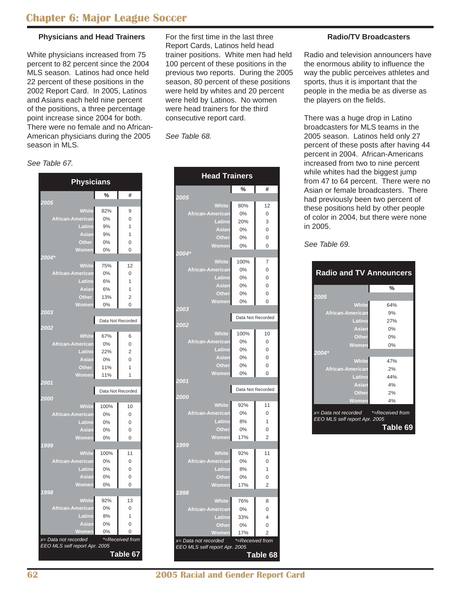### **Physicians and Head Trainers**

White physicians increased from 75 percent to 82 percent since the 2004 MLS season. Latinos had once held 22 percent of these positions in the 2002 Report Card. In 2005, Latinos and Asians each held nine percent of the positions, a three percentage point increase since 2004 for both. There were no female and no African-American physicians during the 2005 season in MLS.

#### *See Table 67.*

| <b>Physicians</b>                 |      |                   |
|-----------------------------------|------|-------------------|
|                                   | %    | #                 |
| 2005                              |      |                   |
| <b>White</b>                      | 82%  | 9                 |
| African-American                  | 0%   | 0                 |
| Latino                            | 9%   | 1                 |
| Asian                             | 9%   | $\overline{1}$    |
| Other                             | 0%   | $\overline{0}$    |
| Women                             | 0%   | 0                 |
| 2004*                             |      |                   |
| <b>White</b>                      | 75%  | 12                |
| African-American                  | 0%   | 0                 |
| Latino                            | 6%   | 1                 |
| Asian                             | 6%   | $\overline{1}$    |
| Other                             | 13%  | $\overline{2}$    |
| Women                             | 0%   | $\overline{0}$    |
| 2003                              |      |                   |
|                                   |      | Data Not Recorded |
| 2002                              |      |                   |
| <b>White</b>                      | 67%  | 6                 |
| African-American                  | 0%   | 0                 |
| Latino                            | 22%  | $\overline{2}$    |
| Asian                             | 0%   | $\overline{0}$    |
| Other                             | 11%  | 1                 |
| Women                             | 11%  | 1                 |
| 2001                              |      |                   |
|                                   |      | Data Not Recorded |
| 2000                              |      |                   |
| White                             | 100% | 10                |
| African-American                  | 0%   | 0                 |
| Latino                            | 0%   | 0                 |
| Asian                             | 0%   | 0                 |
| Women                             | 0%   | 0                 |
| 1999                              |      |                   |
| <b>White</b>                      | 100% | 11                |
| African-American                  | 0%   | 0                 |
| Latino                            | 0%   | 0                 |
| <b>Asian</b>                      | 0%   | $\overline{0}$    |
| <b>Women</b>                      | 0%   | 0                 |
| 1998                              |      |                   |
| <b>White</b>                      | 92%  | 13                |
| African-American                  | 0%   | $\overline{0}$    |
| Latino                            | 8%   | 1                 |
| Asian                             | 0%   | $\overline{0}$    |
| om                                | 0%   | $\overline{0}$    |
| <b>Data not recorded</b><br>$X =$ |      | *=Received from   |
| EEO MLS self report Apr. 2005     |      |                   |
|                                   |      | Table 67          |

For the first time in the last three Report Cards, Latinos held head trainer positions. White men had held 100 percent of these positions in the previous two reports. During the 2005 season, 80 percent of these positions were held by whites and 20 percent were held by Latinos. No women were head trainers for the third consecutive report card.

*See Table 68.*

| <b>Head Trainers</b>              |                 |                   |
|-----------------------------------|-----------------|-------------------|
|                                   |                 |                   |
|                                   | $\frac{1}{2}$   | #                 |
| 2005                              |                 |                   |
| <b>White</b>                      | 80%             | 12                |
| African-American                  | 0%              | 0                 |
| Latino                            | 20%             | 3                 |
| Asian                             | 0%              | 0                 |
| Other                             | 0%              | 0                 |
| Women                             | 0%              | 0                 |
| 2004*                             |                 |                   |
| White                             | 100%            | 7                 |
| African-American                  | 0%              | 0                 |
| Latino                            | 0%              | 0                 |
| Asian                             | 0%              | 0                 |
| Other                             | 0%              | 0                 |
| Women                             | 0%              | 0                 |
| 2003                              |                 |                   |
|                                   |                 | Data Not Recorded |
| 2002                              |                 |                   |
| <b>White</b>                      | 100%            | 10                |
| African-American                  | 0%              | 0                 |
| <b>Latino</b>                     | 0%              | 0                 |
| <b>Asian</b>                      | 0%              | 0                 |
| Other                             | 0%              | 0                 |
| Women                             | 0%              | $\Omega$          |
| 2001                              |                 |                   |
|                                   |                 | Data Not Recorded |
| 2000                              |                 |                   |
| <b>White</b>                      | 92%             | 11                |
| African-American                  | 0%              | 0                 |
| Latino                            | 8%              | 1                 |
| Other                             | 0%              | 0                 |
| Women                             | 17%             | 2                 |
| 1999                              |                 |                   |
| <b>White</b>                      | 92%             | 11                |
| African-American                  | 0%              | 0                 |
| Latino                            | 8%              | 1                 |
| Other                             | 0%              | 0                 |
| Women                             | 17%             | 2                 |
| 1998                              |                 |                   |
| White                             | 76%             | 8                 |
| African-American                  | 0%              | 0                 |
| Latino                            | 33%             | 4                 |
| Other                             | 0%              | 0                 |
| Women                             | 17%             | $\overline{2}$    |
| <b>Data not recorded</b><br>$X =$ | *=Received from |                   |
| EEO MLS self report Apr. 2005     |                 |                   |
|                                   |                 | Table 68          |

### **Radio/TV Broadcasters**

Radio and television announcers have the enormous ability to influence the way the public perceives athletes and sports, thus it is important that the people in the media be as diverse as the players on the fields.

There was a huge drop in Latino broadcasters for MLS teams in the 2005 season. Latinos held only 27 percent of these posts after having 44 percent in 2004. African-Americans increased from two to nine percent while whites had the biggest jump from 47 to 64 percent. There were no Asian or female broadcasters. There had previously been two percent of these positions held by other people of color in 2004, but there were none in 2005.

*See Table 69.*

| <b>Radio and TV Announcers</b>                                           |          |  |  |  |  |
|--------------------------------------------------------------------------|----------|--|--|--|--|
|                                                                          | %        |  |  |  |  |
| 2005                                                                     |          |  |  |  |  |
| <b>White</b>                                                             | 64%      |  |  |  |  |
| <b>African-American</b>                                                  | 9%       |  |  |  |  |
| Latino                                                                   | 27%      |  |  |  |  |
| <b>Asian</b>                                                             | 0%       |  |  |  |  |
| Other                                                                    | 0%       |  |  |  |  |
| Women                                                                    | 0%       |  |  |  |  |
| 2004*                                                                    |          |  |  |  |  |
| <b>White</b>                                                             | 47%      |  |  |  |  |
| African-American                                                         | 2%       |  |  |  |  |
| Latino                                                                   | 44%      |  |  |  |  |
| <b>Asian</b>                                                             | 4%       |  |  |  |  |
| Other                                                                    | 2%       |  |  |  |  |
| Women                                                                    | 4%       |  |  |  |  |
| *=Received from<br>x= Data not recorded<br>EEO MLS self report Apr. 2005 |          |  |  |  |  |
|                                                                          | Table 69 |  |  |  |  |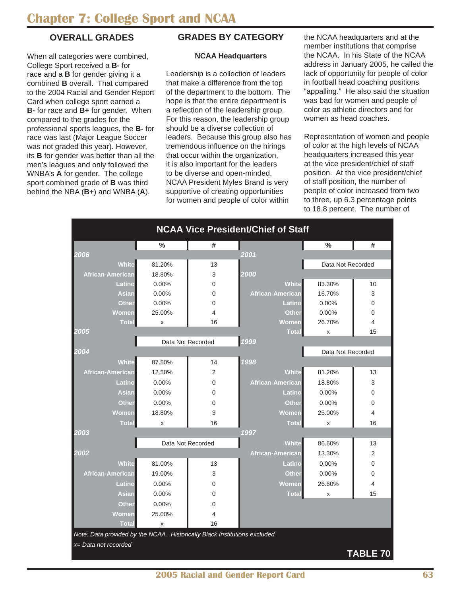# **OVERALL GRADES**

When all categories were combined, College Sport received a **B-** for race and a **B** for gender giving it a combined **B** overall. That compared to the 2004 Racial and Gender Report Card when college sport earned a **B-** for race and **B+** for gender. When compared to the grades for the professional sports leagues, the **B-** for race was last (Major League Soccer was not graded this year). However, its **B** for gender was better than all the men's leagues and only followed the WNBA's **A** for gender. The college sport combined grade of **B** was third behind the NBA (**B+**) and WNBA (**A**).

# **GRADES BY CATEGORY**

#### **NCAA Headquarters**

Leadership is a collection of leaders that make a difference from the top of the department to the bottom. The hope is that the entire department is a reflection of the leadership group. For this reason, the leadership group should be a diverse collection of leaders. Because this group also has tremendous influence on the hirings that occur within the organization, it is also important for the leaders to be diverse and open-minded. NCAA President Myles Brand is very supportive of creating opportunities for women and people of color within

the NCAA headquarters and at the member institutions that comprise the NCAA. In his State of the NCAA address in January 2005, he called the lack of opportunity for people of color in football head coaching positions "appalling." He also said the situation was bad for women and people of color as athletic directors and for women as head coaches.

Representation of women and people of color at the high levels of NCAA headquarters increased this year at the vice president/chief of staff position. At the vice president/chief of staff position, the number of people of color increased from two to three, up 6.3 percentage points to 18.8 percent. The number of

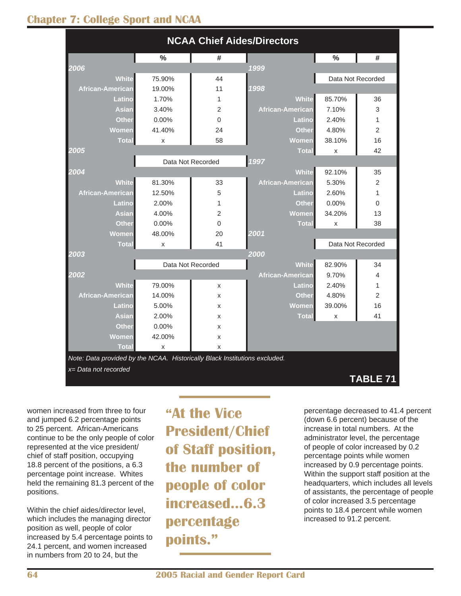| <b>NCAA Chief Aides/Directors</b>                                          |               |                   |                         |               |                   |  |
|----------------------------------------------------------------------------|---------------|-------------------|-------------------------|---------------|-------------------|--|
|                                                                            | $\frac{0}{0}$ | #                 |                         | $\frac{0}{0}$ | #                 |  |
| 2006                                                                       |               |                   | 1999                    |               |                   |  |
| <b>White</b>                                                               | 75.90%        | 44                |                         |               | Data Not Recorded |  |
| African-American                                                           | 19.00%        | 11                | 1998                    |               |                   |  |
| Latino                                                                     | 1.70%         | 1                 | <b>White</b>            | 85.70%        | 36                |  |
| <b>Asian</b>                                                               | 3.40%         | $\overline{2}$    | <b>African-American</b> | 7.10%         | 3                 |  |
| <b>Other</b>                                                               | $0.00\%$      | $\overline{0}$    | Latino                  | 2.40%         | 1                 |  |
| <b>Women</b>                                                               | 41.40%        | 24                | <b>Other</b>            | 4.80%         | $\overline{2}$    |  |
| Total                                                                      | x             | 58                | <b>Women</b>            | 38.10%        | 16                |  |
| 2005                                                                       |               |                   | <b>Total</b>            | X             | 42                |  |
|                                                                            |               | Data Not Recorded | 1997                    |               |                   |  |
| 2004                                                                       |               |                   | <b>White</b>            | 92.10%        | 35                |  |
| <b>White</b>                                                               | 81.30%        | 33                | <b>African-American</b> | 5.30%         | $\overline{2}$    |  |
| <b>African-American</b>                                                    | 12.50%        | 5                 | Latino                  | 2.60%         | 1                 |  |
| Latino                                                                     | 2.00%         | 1                 | <b>Other</b>            | $0.00\%$      | 0                 |  |
| Asian                                                                      | 4.00%         | $\overline{2}$    | Women                   | 34.20%        | 13                |  |
| <b>Other</b>                                                               | 0.00%         | $\Omega$          | <b>Total</b>            | X             | 38                |  |
| <b>Women</b>                                                               | 48.00%        | 20                | 2001                    |               |                   |  |
| Total                                                                      | x             | 41                |                         |               | Data Not Recorded |  |
| 2003                                                                       |               |                   | 2000                    |               |                   |  |
|                                                                            |               | Data Not Recorded | <b>White</b>            | 82.90%        | 34                |  |
| 2002                                                                       |               |                   | <b>African-American</b> | 9.70%         | 4                 |  |
| <b>White</b>                                                               | 79.00%        | X                 | Latino                  | 2.40%         | 1                 |  |
| <b>African-American</b>                                                    | 14.00%        | X                 | <b>Other</b>            | 4.80%         | 2                 |  |
| Latino                                                                     | 5.00%         | X                 | <b>Women</b>            | 39.00%        | 16                |  |
| <b>Asian</b>                                                               | 2.00%         | X                 | <b>Total</b>            | X             | 41                |  |
| <b>Other</b>                                                               | 0.00%         | X                 |                         |               |                   |  |
| Women                                                                      | 42.00%        | X                 |                         |               |                   |  |
| <b>Tota</b>                                                                | X             | X                 |                         |               |                   |  |
| Note: Data provided by the NCAA. Historically Black Institutions excluded. |               |                   |                         |               |                   |  |
| x= Data not recorded                                                       |               |                   |                         |               |                   |  |

women increased from three to four and jumped 6.2 percentage points to 25 percent. African-Americans continue to be the only people of color represented at the vice president/ chief of staff position, occupying 18.8 percent of the positions, a 6.3 percentage point increase. Whites held the remaining 81.3 percent of the positions.

Within the chief aides/director level, which includes the managing director position as well, people of color increased by 5.4 percentage points to 24.1 percent, and women increased in numbers from 20 to 24, but the

**"At the Vice President/Chief of Staff position, the number of people of color increased...6.3 percentage points."**

percentage decreased to 41.4 percent (down 6.6 percent) because of the increase in total numbers. At the administrator level, the percentage of people of color increased by 0.2 percentage points while women increased by 0.9 percentage points. Within the support staff position at the headquarters, which includes all levels of assistants, the percentage of people of color increased 3.5 percentage points to 18.4 percent while women increased to 91.2 percent.

**TABLE 71**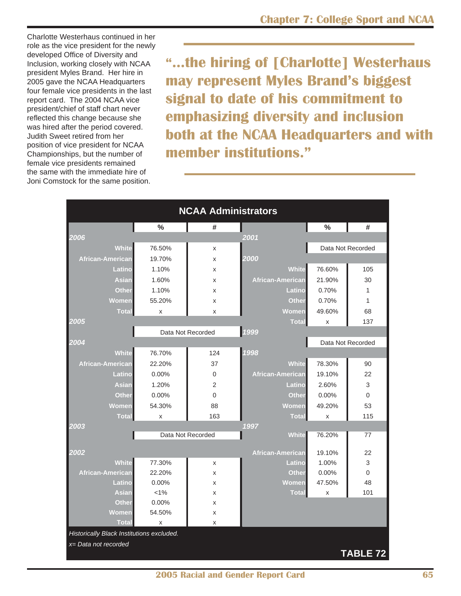Charlotte Westerhaus continued in her role as the vice president for the newly developed Office of Diversity and Inclusion, working closely with NCAA president Myles Brand. Her hire in 2005 gave the NCAA Headquarters four female vice presidents in the last report card. The 2004 NCAA vice president/chief of staff chart never reflected this change because she was hired after the period covered. Judith Sweet retired from her position of vice president for NCAA Championships, but the number of female vice presidents remained the same with the immediate hire of Joni Comstock for the same position.

**"...the hiring of [Charlotte] Westerhaus may represent Myles Brand's biggest signal to date of his commitment to emphasizing diversity and inclusion both at the NCAA Headquarters and with member institutions."**

| <b>NCAA Administrators</b>                |               |                   |                         |               |                   |  |
|-------------------------------------------|---------------|-------------------|-------------------------|---------------|-------------------|--|
|                                           | $\frac{0}{0}$ | #                 |                         | $\frac{0}{0}$ | #                 |  |
| 2006                                      |               |                   | 2001                    |               |                   |  |
| <b>White</b>                              | 76.50%        | X                 |                         |               | Data Not Recorded |  |
| African-American                          | 19.70%        | x                 | 2000                    |               |                   |  |
| Latino                                    | 1.10%         | X                 | <b>White</b>            | 76.60%        | 105               |  |
| <b>Asian</b>                              | 1.60%         | X                 | <b>African-American</b> | 21.90%        | 30                |  |
| <b>Other</b>                              | 1.10%         | X                 | Latino                  | 0.70%         | 1                 |  |
| Women                                     | 55.20%        | X                 | <b>Other</b>            | 0.70%         | 1                 |  |
| <b>Total</b>                              | X             | X                 | Women                   | 49.60%        | 68                |  |
| 2005                                      |               |                   | <b>Total</b>            | X             | 137               |  |
|                                           |               | Data Not Recorded | 1999                    |               |                   |  |
| 2004                                      |               |                   |                         |               | Data Not Recorded |  |
| <b>White</b>                              | 76.70%        | 124               | 1998                    |               |                   |  |
| African-American                          | 22.20%        | 37                | <b>White</b>            | 78.30%        | 90                |  |
| Latino                                    | 0.00%         | 0                 | <b>African-American</b> | 19.10%        | 22                |  |
| <b>Asian</b>                              | 1.20%         | $\overline{2}$    | Latino                  | 2.60%         | 3                 |  |
| <b>Other</b>                              | 0.00%         | 0                 | <b>Other</b>            | 0.00%         | $\Omega$          |  |
| <b>Women</b>                              | 54.30%        | 88                | <b>Women</b>            | 49.20%        | 53                |  |
| <b>Tota</b>                               | X             | 163               | <b>Total</b>            | X             | 115               |  |
| 2003                                      |               |                   | 1997                    |               |                   |  |
|                                           |               | Data Not Recorded | <b>White</b>            | 76.20%        | 77                |  |
| 2002                                      |               |                   | <b>African-American</b> | 19.10%        | 22                |  |
| <b>White</b>                              | 77.30%        | X                 | Latino                  | 1.00%         | 3                 |  |
| <b>African-American</b>                   | 22.20%        | X                 | <b>Other</b>            | 0.00%         | $\Omega$          |  |
| Latino                                    | 0.00%         | X                 | Women                   | 47.50%        | 48                |  |
| <b>Asian</b>                              | $< 1\%$       | X                 | <b>Total</b>            | X             | 101               |  |
| <b>Other</b>                              | 0.00%         | X                 |                         |               |                   |  |
| <b>Women</b>                              | 54.50%        | X                 |                         |               |                   |  |
| Total                                     | X             | X                 |                         |               |                   |  |
| Historically Black Institutions excluded. |               |                   |                         |               |                   |  |
| $x=$ Data not recorded                    |               |                   |                         |               | <b>TABLE 72</b>   |  |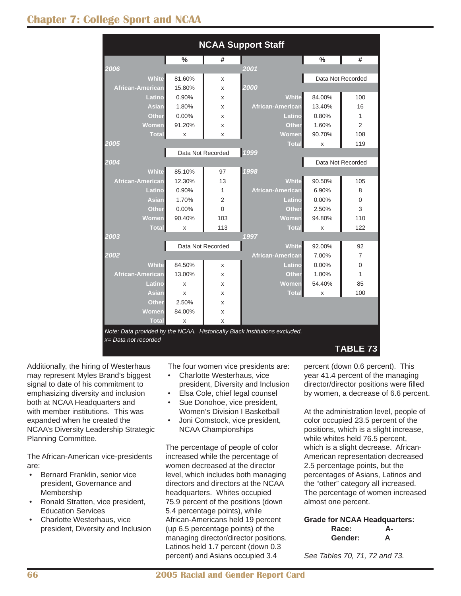| <b>NCAA Support Staff</b> |               |                   |                                                                            |               |                   |  |  |
|---------------------------|---------------|-------------------|----------------------------------------------------------------------------|---------------|-------------------|--|--|
|                           | $\frac{0}{0}$ | #                 |                                                                            | $\frac{0}{0}$ | #                 |  |  |
| 2006                      |               |                   | 2001                                                                       |               |                   |  |  |
| <b>White</b>              | 81.60%        | X                 |                                                                            |               | Data Not Recorded |  |  |
| <b>African-American</b>   | 15.80%        | X                 | 2000                                                                       |               |                   |  |  |
| Latino                    | 0.90%         | X                 | <b>White</b>                                                               | 84.00%        | 100               |  |  |
| <b>Asian</b>              | 1.80%         | X                 | African-American                                                           | 13.40%        | 16                |  |  |
| <b>Other</b>              | 0.00%         | х                 | Latino                                                                     | 0.80%         | 1                 |  |  |
| Women                     | 91.20%        | X                 | <b>Other</b>                                                               | 1.60%         | $\overline{2}$    |  |  |
| <b>Total</b>              | X             | X                 | Women                                                                      | 90.70%        | 108               |  |  |
| 2005                      |               |                   | Total                                                                      | x             | 119               |  |  |
|                           |               | Data Not Recorded | 1999                                                                       |               |                   |  |  |
| 2004                      |               |                   |                                                                            |               | Data Not Recorded |  |  |
| <b>White</b>              | 85.10%        | 97                | 1998                                                                       |               |                   |  |  |
| <b>African-American</b>   | 12.30%        | 13                | <b>White</b>                                                               | 90.50%        | 105               |  |  |
| Latino                    | 0.90%         | 1                 | <b>African-American</b>                                                    | 6.90%         | 8                 |  |  |
| <b>Asian</b>              | 1.70%         | $\overline{2}$    | Latino                                                                     | 0.00%         | $\Omega$          |  |  |
| <b>Other</b>              | 0.00%         | 0                 | <b>Other</b>                                                               | 2.50%         | 3                 |  |  |
| <b>Women</b>              | 90.40%        | 103               | Women                                                                      | 94.80%        | 110               |  |  |
| <b>Total</b>              | x             | 113               | Total                                                                      | x             | 122               |  |  |
| 2003                      |               |                   | 1997                                                                       |               |                   |  |  |
|                           |               | Data Not Recorded | <b>White</b>                                                               | 92.00%        | 92                |  |  |
| 2002                      |               |                   | African-American                                                           | 7.00%         | $\overline{7}$    |  |  |
| <b>White</b>              | 84.50%        | x                 | Latino                                                                     | $0.00\%$      | 0                 |  |  |
| <b>African-American</b>   | 13.00%        | x                 | Other                                                                      | 1.00%         | 1                 |  |  |
| Latino                    | X             | X                 | Women                                                                      | 54.40%        | 85                |  |  |
| <b>Asian</b>              | X             | X                 | <b>Total</b>                                                               | X             | 100               |  |  |
| Other                     | 2.50%         | X                 |                                                                            |               |                   |  |  |
| <b>Women</b>              | 84.00%        | X                 |                                                                            |               |                   |  |  |
| <b>Total</b>              | X             | X                 |                                                                            |               |                   |  |  |
|                           |               |                   | Note: Data provided by the NCAA. Historically Black Institutions excluded. |               |                   |  |  |
| x= Data not recorded      |               |                   |                                                                            |               |                   |  |  |

Additionally, the hiring of Westerhaus may represent Myles Brand's biggest signal to date of his commitment to emphasizing diversity and inclusion both at NCAA Headquarters and with member institutions. This was expanded when he created the NCAA's Diversity Leadership Strategic Planning Committee.

The African-American vice-presidents are:

- Bernard Franklin, senior vice president, Governance and Membership
- Ronald Stratten, vice president, Education Services
- Charlotte Westerhaus, vice president, Diversity and Inclusion

The four women vice presidents are:

- Charlotte Westerhaus, vice president, Diversity and Inclusion
- Elsa Cole, chief legal counsel Sue Donohoe, vice president, Women's Division I Basketball
- Joni Comstock, vice president, NCAA Championships

The percentage of people of color increased while the percentage of women decreased at the director level, which includes both managing directors and directors at the NCAA headquarters. Whites occupied 75.9 percent of the positions (down 5.4 percentage points), while African-Americans held 19 percent (up 6.5 percentage points) of the managing director/director positions. Latinos held 1.7 percent (down 0.3 percent) and Asians occupied 3.4

percent (down 0.6 percent). This year 41.4 percent of the managing director/director positions were filled by women, a decrease of 6.6 percent.

**TABLE 73**

At the administration level, people of color occupied 23.5 percent of the positions, which is a slight increase, while whites held 76.5 percent, which is a slight decrease. African-American representation decreased 2.5 percentage points, but the percentages of Asians, Latinos and the "other" category all increased. The percentage of women increased almost one percent.

**Grade for NCAA Headquarters: Race: A- Gender: A** 

*See Tables 70, 71, 72 and 73.*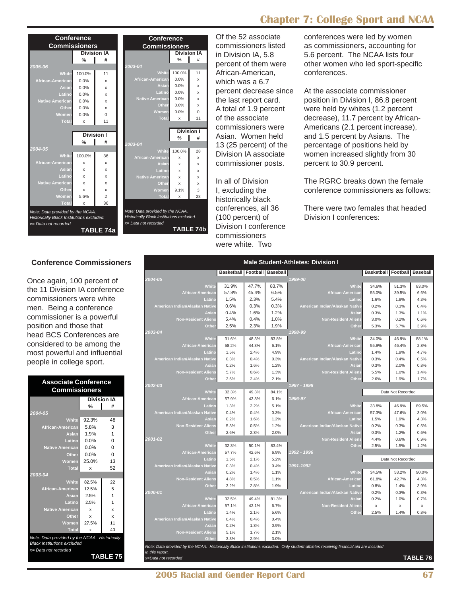| <b>Conference</b><br><b>Commissioners</b>                                     |                   |                     |  | <b>Conference</b><br><b>Commissioners</b>                                                                    |                   |                    |
|-------------------------------------------------------------------------------|-------------------|---------------------|--|--------------------------------------------------------------------------------------------------------------|-------------------|--------------------|
|                                                                               |                   | <b>Division IA</b>  |  |                                                                                                              |                   | <b>Division IA</b> |
|                                                                               | %                 | #                   |  |                                                                                                              | $\frac{0}{0}$     | #                  |
| 2005-06                                                                       |                   |                     |  | 2003-04                                                                                                      |                   |                    |
| <b>White</b>                                                                  | 100.0%            | 11                  |  | White                                                                                                        | 100.0%            | 11                 |
| African-American                                                              | 0.0%              | x                   |  | African-American                                                                                             | 0.0%              | x                  |
| Asian                                                                         | 0.0%              | x                   |  | Asian                                                                                                        | 0.0%              | $\mathbf{x}$       |
| Latino                                                                        | 0.0%              | x                   |  | Latino                                                                                                       | 0.0%              | x                  |
| <b>Native American</b>                                                        | 0.0%              | x                   |  | <b>Native American</b>                                                                                       | 0.0%              | x                  |
| Other                                                                         | 0.0%              | x                   |  | Other                                                                                                        | 0.0%              | x                  |
| Women                                                                         | 0.0%              | $\Omega$            |  | Women                                                                                                        | 0.0%              | U                  |
| <b>Total</b>                                                                  | X                 | 11                  |  | Tota                                                                                                         | $\mathsf{x}$      | 11                 |
|                                                                               |                   |                     |  |                                                                                                              |                   |                    |
|                                                                               | <b>Division I</b> |                     |  |                                                                                                              | <b>Division I</b> |                    |
|                                                                               | %                 | #                   |  |                                                                                                              | %                 | #                  |
| 2004-05                                                                       |                   |                     |  | 2003-04                                                                                                      |                   |                    |
| <b>White</b>                                                                  | 100.0%            | 36                  |  | White                                                                                                        | 100.0%            | 28                 |
| African-American                                                              | X                 | x                   |  | African-American                                                                                             | x                 | x                  |
| <b>Asian</b>                                                                  | x                 | x                   |  | Asian                                                                                                        | x                 | x                  |
| Latino                                                                        | x                 | X                   |  | Latino                                                                                                       | x                 | x                  |
| <b>Native American</b>                                                        | x                 | x                   |  | <b>Native American</b>                                                                                       | x                 | x                  |
| Other                                                                         |                   |                     |  | Other                                                                                                        | x                 | x<br>3             |
|                                                                               | X<br>5.6%         | X<br>$\overline{2}$ |  | Women<br>Tota                                                                                                | 9.1%              | 28                 |
| Women<br><b>Total</b>                                                         |                   | 36                  |  |                                                                                                              | X                 |                    |
| Note: Data provided by the NCAA.<br>Historically Black Institutions excluded. | x                 |                     |  | Note: Data provided by the NCAA.<br><b>Historically Black Institutions excluded.</b><br>x= Data not recorded |                   |                    |
| $x=$ Data not recorded                                                        |                   | <b>TABLE 74a</b>    |  |                                                                                                              |                   | <b>TABLE 74b</b>   |

Of the 52 associate commissioners listed in Division IA, 5.8 percent of them were African-American, which was a 6.7 percent decrease since the last report card. A total of 1.9 percent of the associate commissioners were Asian. Women held 13 (25 percent) of the Division IA associate commissioner posts.

In all of Division I, excluding the historically black conferences, all 36 (100 percent) of Division I conference commissioners were white. Two

conferences were led by women as commissioners, accounting for 5.6 percent. The NCAA lists four other women who led sport-specific conferences.

At the associate commissioner position in Division I, 86.8 percent were held by whites (1.2 percent decrease), 11.7 percent by African-Americans (2.1 percent increase), and 1.5 percent by Asians. The percentage of positions held by women increased slightly from 30 percent to 30.9 percent.

The RGRC breaks down the female conference commissioners as follows:

There were two females that headed Division I conferences:

## **Conference Commissioners**

Once again, 100 percent of the 11 Division IA conference commissioners were white men. Being a conference commissioner is a powerful position and those that head BCS Conferences are considered to be among the most powerful and influential people in college sport.

| <b>Associate Conference</b>                   |                    |          |  |  |  |  |  |
|-----------------------------------------------|--------------------|----------|--|--|--|--|--|
| <b>Commissioners</b>                          |                    |          |  |  |  |  |  |
|                                               | <b>Division IA</b> |          |  |  |  |  |  |
|                                               | %                  | #        |  |  |  |  |  |
| 2004-05                                       |                    |          |  |  |  |  |  |
| <b>White</b>                                  | 92.3%              | 48       |  |  |  |  |  |
| African-American                              | 5.8%               | 3        |  |  |  |  |  |
| Asian                                         | 1.9%               | 1        |  |  |  |  |  |
| Latino                                        | $0.0\%$            | $\Omega$ |  |  |  |  |  |
| <b>Native American</b>                        | 0.0%               | $\Omega$ |  |  |  |  |  |
| <b>Other</b>                                  | 0.0%               | $\Omega$ |  |  |  |  |  |
| Women                                         | 25.0%              | 13       |  |  |  |  |  |
| <b>Total</b>                                  | x                  | 52       |  |  |  |  |  |
| 2003-04                                       |                    |          |  |  |  |  |  |
| White                                         | 82.5%              | 22       |  |  |  |  |  |
| African-American                              | 12.5%              | 5        |  |  |  |  |  |
| Asian                                         | 2.5%               | 1        |  |  |  |  |  |
| Latino                                        | 2.5%               | 1        |  |  |  |  |  |
| <b>Native American</b>                        | x                  | x        |  |  |  |  |  |
| <b>Other</b>                                  | x                  | x        |  |  |  |  |  |
| Women                                         | 27.5%              | 11       |  |  |  |  |  |
| <b>Total</b><br>40<br>X                       |                    |          |  |  |  |  |  |
| Note: Data provided by the NCAA. Historically |                    |          |  |  |  |  |  |
| <b>Black Institutions excluded.</b>           |                    |          |  |  |  |  |  |
| x= Data not recorded                          |                    |          |  |  |  |  |  |
|                                               |                    | TABLE 75 |  |  |  |  |  |

| <b>Male Student-Athletes: Division I</b> |                                  |              |              |                                                                                                                                       |                                  |                   |                 |  |
|------------------------------------------|----------------------------------|--------------|--------------|---------------------------------------------------------------------------------------------------------------------------------------|----------------------------------|-------------------|-----------------|--|
|                                          | Basketball   Football   Baseball |              |              |                                                                                                                                       | Basketball   Football   Baseball |                   |                 |  |
| 2004-05                                  |                                  |              |              | 1999-00                                                                                                                               |                                  |                   |                 |  |
| White                                    | 31.9%                            | 47.7%        | 83.7%        | <b>White</b>                                                                                                                          | 34.6%                            | 51.3%             | 83.0%           |  |
| African-American                         | 57.8%                            | 45.4%        | 6.5%         | African-American                                                                                                                      | 55.0%                            | 39.5%             | 6.6%            |  |
| Latino                                   | 1.5%                             | 2.3%         | 5.4%         | Latino                                                                                                                                | 1.6%                             | 1.8%              | 4.3%            |  |
| American Indian/Alaskan Native           | 0.6%                             | 0.3%         | 0.3%         | American Indian/Alaskan Native                                                                                                        | 0.2%                             | 0.3%              | 0.4%            |  |
| Asian                                    | 0.4%                             | 1.6%         | 1.2%         | Asian                                                                                                                                 | 0.3%                             | 1.3%              | 1.1%            |  |
| <b>Non-Resident Aliens</b>               | 5.4%                             | 0.4%         | 1.0%         | <b>Non-Resident Aliens</b>                                                                                                            | 3.0%                             | 0.2%              | 0.6%            |  |
| Other                                    | 2.5%                             | 2.3%         | 1.9%         | Other                                                                                                                                 | 5.3%                             | 5.7%              | 3.9%            |  |
| 2003-04                                  |                                  |              |              | 1998-99                                                                                                                               |                                  |                   |                 |  |
| White                                    | 31.6%                            | 48.3%        | 83.8%        | White                                                                                                                                 | 34.0%                            | 46.9%             | 88.1%           |  |
| African-American                         | 58.2%                            | 44.3%        | 6.1%         | African-American                                                                                                                      | 55.9%                            | 46.4%             | 2.8%            |  |
| Latino                                   | 1.5%                             | 2.4%         | 4.9%         | Latino                                                                                                                                | 1.4%                             | 1.9%              | 4.7%            |  |
| American Indian/Alaskan Native           | 0.3%                             | 0.4%         | 0.3%         | American Indian/Alaskan Native                                                                                                        | 0.3%                             | 0.4%              | 0.5%            |  |
| Asian                                    | 0.2%                             | 1.6%         | 1.2%         | Asian                                                                                                                                 | 0.3%                             | 2.0%              | 0.8%            |  |
| <b>Non-Resident Aliens</b>               | 5.7%                             | 0.6%         | 1.3%         | <b>Non-Resident Aliens</b>                                                                                                            | 5.5%                             | 1.0%              | 1.4%            |  |
| Other                                    | 2.5%                             | 2.4%         | 2.1%         | Other                                                                                                                                 | 2.6%                             | 1.9%              | 1.7%            |  |
| 2002-03                                  |                                  |              |              | 1997 - 1998                                                                                                                           |                                  |                   |                 |  |
| White                                    | 32.3%                            | 49.3%        | 84.1%        |                                                                                                                                       |                                  | Data Not Recorded |                 |  |
| African-American                         | 57.9%                            | 43.8%        | 6.1%         | 1996-97                                                                                                                               |                                  |                   |                 |  |
| Latino                                   | 1.3%                             | 2.2%         | 5.1%         | White                                                                                                                                 | 33.8%                            | 46.9%             | 89.5%           |  |
| American Indian/Alaskan Native           | 0.4%                             | 0.4%         | 0.3%         | African-American                                                                                                                      | 57.3%                            | 47.6%             | 3.0%            |  |
| Asian                                    | 0.2%                             | 1.6%         | 1.2%         | Latino                                                                                                                                | 1.5%                             | 1.9%              | 4.3%            |  |
| <b>Non-Resident Aliens</b>               | 5.3%                             | 0.5%         | 1.2%         | American Indian/Alaskan Native                                                                                                        | 0.2%                             | 0.3%              | 0.5%            |  |
| Other                                    | 2.6%                             | 2.3%         | 2.0%         | Asian                                                                                                                                 | 0.3%                             | 1.2%              | 0.6%            |  |
| 2001-02                                  |                                  |              |              | <b>Non-Resident Aliens</b>                                                                                                            | 4.4%                             | 0.6%              | 0.9%            |  |
| White                                    | 32.3%                            | 50.1%        | 83.4%        | Other                                                                                                                                 | 2.5%                             | 1.5%              | 1.2%            |  |
| African-American                         | 57.7%                            | 42.6%        | 6.9%         | 1992 - 1996                                                                                                                           |                                  |                   |                 |  |
| Latino                                   | 1.5%                             | 2.1%         | 5.2%         |                                                                                                                                       |                                  | Data Not Recorded |                 |  |
| American Indian/Alaskan Native           | 0.3%                             | 0.4%         | 0.4%         | 1991-1992                                                                                                                             |                                  |                   |                 |  |
| Asian                                    | 0.2%                             | 1.4%         | 1.1%         | White                                                                                                                                 | 34.5%                            | 53.2%             | 90.0%           |  |
| <b>Non-Resident Aliens</b>               | 4.8%                             | 0.5%         | 1.1%         | African-American                                                                                                                      | 61.8%                            | 42.7%             | 4.3%            |  |
| Other<br>2000-01                         | 3.2%                             | 2.8%         | 1.9%         | Latino                                                                                                                                | 0.8%                             | 1.4%              | 3.9%            |  |
|                                          |                                  |              |              | American Indian/Alaskan Native                                                                                                        | 0.2%                             | 0.3%              | 0.3%            |  |
| White                                    | 32.5%                            | 49.4%        | 81.3%        | <b>Asian</b>                                                                                                                          | 0.2%                             | 1.0%              | 0.7%            |  |
| African-American                         | 57.1%                            | 42.1%        | 6.7%         | <b>Non-Resident Aliens</b>                                                                                                            | x                                | X                 | х               |  |
| Latino                                   | 1.4%                             | 2.1%         | 5.6%         | Other                                                                                                                                 | 2.5%                             | 1.4%              | 0.8%            |  |
| American Indian/Alaskan Native<br>Asian  | 0.4%<br>0.2%                     | 0.4%<br>1.3% | 0.4%<br>0.9% |                                                                                                                                       |                                  |                   |                 |  |
| <b>Non-Resident Aliens</b>               | 5.1%                             | 1.7%         | 2.1%         |                                                                                                                                       |                                  |                   |                 |  |
| Other                                    | 3.3%                             | 2.9%         | 3.0%         |                                                                                                                                       |                                  |                   |                 |  |
|                                          |                                  |              |              |                                                                                                                                       |                                  |                   |                 |  |
| in this report.                          |                                  |              |              | Note: Data provided by the NCAA. Historically Black institutions excluded. Only student-athletes receiving financial aid are included |                                  |                   |                 |  |
| x=Data not recorded                      |                                  |              |              |                                                                                                                                       |                                  |                   | <b>TABLE 76</b> |  |
|                                          |                                  |              |              |                                                                                                                                       |                                  |                   |                 |  |

**2005 Racial and Gender Report Card 67**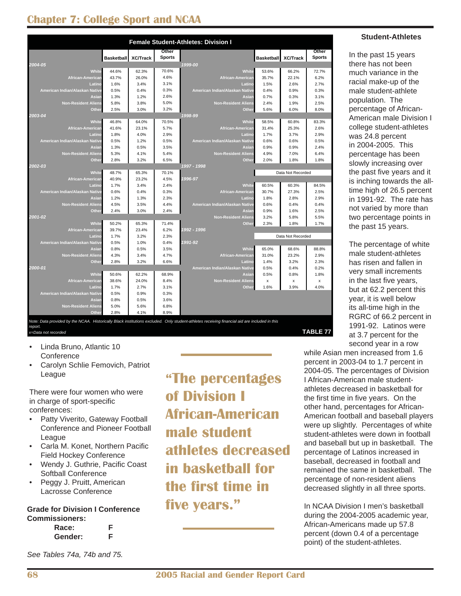| <b>Female Student-Athletes: Division I</b>                                                                                                               |                   |                 |                        |                                            |                   |                   |                        |
|----------------------------------------------------------------------------------------------------------------------------------------------------------|-------------------|-----------------|------------------------|--------------------------------------------|-------------------|-------------------|------------------------|
|                                                                                                                                                          | <b>Basketball</b> | <b>XC/Track</b> | Other<br><b>Sports</b> |                                            | <b>Basketball</b> | <b>XC/Track</b>   | Other<br><b>Sports</b> |
| 2004-05                                                                                                                                                  |                   |                 |                        | 1999-00                                    |                   |                   |                        |
| White                                                                                                                                                    | 44.6%             | 62.3%           | 70.6%                  | White                                      | 53.6%             | 66.2%             | 72.7%                  |
| African-American                                                                                                                                         | 43.7%             | 26.0%           | 4.6%                   | African-American                           | 35.7%             | 22.1%             | 6.2%                   |
| Latino                                                                                                                                                   | 1.6%              | 3.4%            | 3.1%                   | Latino                                     | 1.5%              | 2.6%              | 2.7%                   |
| American Indian/Alaskan Native                                                                                                                           | 0.5%              | 0.4%            | 0.3%                   | American Indian/Alaskan Native             | 0.4%              | 0.9%              | 0.3%                   |
| Asian                                                                                                                                                    | 1.3%              | 1.2%            | 2.6%                   | <b>Asian</b>                               | 0.7%              | 0.3%              | 3.1%                   |
| <b>Non-Resident Aliens</b>                                                                                                                               | 5.8%              | 3.8%            | 5.0%                   | <b>Non-Resident Aliens</b>                 | 2.4%              | 1.9%              | 2.5%                   |
| Other                                                                                                                                                    | 2.5%              | 3.0%            | 3.2%                   | Other                                      | 5.6%              | 6.0%              | 8.0%                   |
| 2003-04                                                                                                                                                  |                   |                 |                        | 1998-99                                    |                   |                   |                        |
| White                                                                                                                                                    | 46.8%             | 64.0%           | 70.5%                  | White                                      | 58.5%             | 60.8%             | 83.3%                  |
| African-American                                                                                                                                         | 41.6%             | 23.1%           | 5.7%                   | African-American                           | 31.4%             | 25.3%             | 2.6%                   |
| Latino                                                                                                                                                   | 1.8%              | 4.0%            | 2.9%                   | Latino                                     | 1.7%              | 3.7%              | 2.9%                   |
| American Indian/Alaskan Native                                                                                                                           | 0.5%              | 1.2%            | 0.5%                   | American Indian/Alaskan Native             | 0.6%              | 0.6%              | 0.5%                   |
| Asian                                                                                                                                                    | 1.3%              | 0.5%            | 3.5%                   | <b>Asian</b>                               | 0.9%              | 0.9%              | 2.4%                   |
| <b>Non-Resident Aliens</b>                                                                                                                               | 5.3%              | 4.1%            | 5.4%                   | <b>Non-Resident Aliens</b>                 | 4.9%              | 7.0%              | 6.4%                   |
| Other                                                                                                                                                    | 2.8%              | 3.2%            | 6.5%                   | Other                                      | 2.0%              | 1.8%              | 1.8%                   |
| 2002-03                                                                                                                                                  |                   |                 |                        | 1997 - 1998                                |                   |                   |                        |
| White                                                                                                                                                    | 48.7%             | 65.3%           | 70.1%                  |                                            |                   | Data Not Recorded |                        |
| African-American                                                                                                                                         | 40.9%             | 23.2%           | 4.5%                   | 1996-97                                    |                   |                   |                        |
| Latino                                                                                                                                                   | 1.7%              | 3.4%            | 2.4%                   | White                                      | 60.5%             | 60.3%             | 84.5%                  |
| American Indian/Alaskan Native                                                                                                                           | 0.6%              | 0.4%            | 0.3%                   | African-American                           | 30.7%             | 27.3%             | 2.5%                   |
| Asian                                                                                                                                                    | 1.2%              | 1.3%            | 2.3%                   | Latino                                     | 1.8%              | 2.8%              | 2.9%                   |
| <b>Non-Resident Aliens</b>                                                                                                                               | 4.5%              | 3.5%            | 4.4%                   | American Indian/Alaskan Native             | 0.6%              | 0.4%              | 0.4%                   |
|                                                                                                                                                          | 2.4%              | 3.0%            | 2.4%                   |                                            |                   | 1.6%              | 2.5%                   |
| Other<br>2001-02                                                                                                                                         |                   |                 |                        | <b>Asian</b><br><b>Non-Resident Aliens</b> | 0.9%              |                   | 5.5%                   |
|                                                                                                                                                          |                   |                 |                        |                                            | 3.2%              | 5.8%              |                        |
| White<br>African-American                                                                                                                                | 50.2%<br>39.7%    | 65.3%           | 71.4%<br>6.2%          | Other<br>1992 - 1996                       | 2.3%              | 1.8%              | 1.7%                   |
|                                                                                                                                                          |                   | 23.4%           |                        |                                            |                   |                   |                        |
| Latino                                                                                                                                                   | 1.7%              | 3.2%            | 2.3%                   |                                            |                   | Data Not Recorded |                        |
| American Indian/Alaskan Native                                                                                                                           | 0.5%              | 1.0%            | 0.4%                   | 1991-92                                    |                   |                   |                        |
| Asian                                                                                                                                                    | 0.8%              | 0.5%            | 3.5%                   | White                                      | 65.0%             | 68.6%             | 88.8%                  |
| <b>Non-Resident Aliens</b>                                                                                                                               | 4.3%              | 3.4%            | 4.7%                   | African-American                           | 31.0%             | 23.2%             | 2.9%                   |
| Other                                                                                                                                                    | 2.8%              | 3.2%            | 6.6%                   | Latino                                     | 1.4%              | 3.2%              | 2.3%                   |
| 2000-01                                                                                                                                                  |                   |                 |                        | American Indian/Alaskan Native             | 0.5%              | 0.4%              | 0.2%                   |
| <b>White</b>                                                                                                                                             | 50.6%             | 62.2%           | 68.9%                  | Asian                                      | 0.5%              | 0.8%              | 1.8%                   |
| African-American                                                                                                                                         | 38.6%             | 24.0%           | 8.4%                   | <b>Non-Resident Aliens</b>                 | x                 | x                 | x                      |
| Latino                                                                                                                                                   | 1.7%              | 2.7%            | 3.1%                   | Other                                      | 1.6%              | 3.9%              | 4.0%                   |
| American Indian/Alaskan Native                                                                                                                           | 0.5%              | 0.9%            | 0.3%                   |                                            |                   |                   |                        |
| Asian                                                                                                                                                    | 0.8%              | 0.5%            | 3.6%                   |                                            |                   |                   |                        |
| <b>Non-Resident Aliens</b>                                                                                                                               | 5.0%              | 5.6%            | 6.8%                   |                                            |                   |                   |                        |
| Other                                                                                                                                                    | 2.8%              | 4.1%            | 8.9%                   |                                            |                   |                   |                        |
| Note: Data provided by the NCAA. Historically Black institutions excluded. Only student-athletes receiving financial aid are included in this<br>report. |                   |                 |                        |                                            |                   |                   |                        |

• Linda Bruno, Atlantic 10 **Conference** 

*x=Data not recorded*

• Carolyn Schlie Femovich, Patriot League

There were four women who were in charge of sport-specific conferences:

- Patty Viverito, Gateway Football Conference and Pioneer Football League
- Carla M. Konet, Northern Pacific Field Hockey Conference
- Wendy J. Guthrie, Pacific Coast Softball Conference
- Peggy J. Pruitt, American Lacrosse Conference

### **Grade for Division I Conference Commissioners:**

| Race:   |  |
|---------|--|
| Gender: |  |

*See Tables 74a, 74b and 75.*

**"The percentages of Division I African-American male student athletes decreased in basketball for the first time in five years."**

## **Student-Athletes**

In the past 15 years there has not been much variance in the racial make-up of the male student-athlete population. The percentage of African-American male Division I college student-athletes was 24.8 percent in 2004-2005. This percentage has been slowly increasing over the past five years and it is inching towards the alltime high of 26.5 percent in 1991-92. The rate has not varied by more than two percentage points in the past 15 years.

The percentage of white male student-athletes has risen and fallen in very small increments in the last five years, but at 62.2 percent this year, it is well below its all-time high in the RGRC of 66.2 percent in 1991-92. Latinos were at 3.7 percent for the second year in a row

while Asian men increased from 1.6 percent in 2003-04 to 1.7 percent in 2004-05. The percentages of Division I African-American male studentathletes decreased in basketball for the first time in five years. On the other hand, percentages for African-American football and baseball players were up slightly. Percentages of white student-athletes were down in football and baseball but up in basketball. The percentage of Latinos increased in baseball, decreased in football and remained the same in basketball. The percentage of non-resident aliens decreased slightly in all three sports.

**TABLE 77**

In NCAA Division I men's basketball during the 2004-2005 academic year, African-Americans made up 57.8 percent (down 0.4 of a percentage point) of the student-athletes.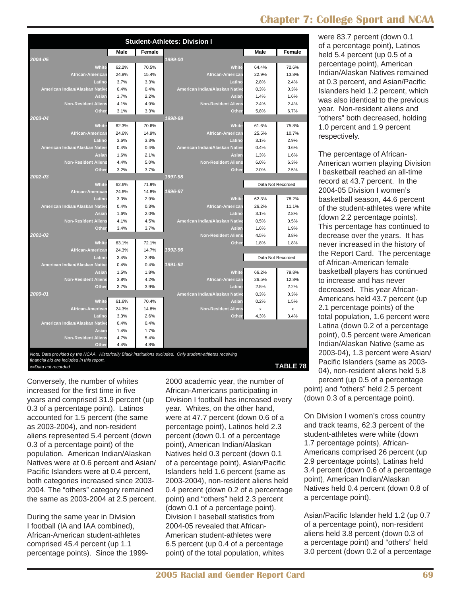| were 83.7 percent (down 0.1        |
|------------------------------------|
| of a percentage point), Latinos    |
| held 5.4 percent (up 0.5 of a      |
| percentage point), American        |
| Indian/Alaskan Natives remained    |
| at 0.3 percent, and Asian/Pacific  |
| Islanders held 1.2 percent, which  |
| was also identical to the previous |
| year. Non-resident aliens and      |
| "others" both decreased, holding   |
| 1.0 percent and 1.9 percent        |
| respectively.                      |
|                                    |

The percentage of African-American women playing Division I basketball reached an all-time record at 43.7 percent. In the 2004-05 Division I women's basketball season, 44.6 percent of the student-athletes were white (down 2.2 percentage points). This percentage has continued to decrease over the years. It has never increased in the history of the Report Card. The percentage of African-American female basketball players has continued to increase and has never decreased. This year African-Americans held 43.7 percent (up 2.1 percentage points) of the total population, 1.6 percent were Latina (down 0.2 of a percentage point), 0.5 percent were American Indian/Alaskan Native (same as 2003-04), 1.3 percent were Asian/ Pacific Islanders (same as 2003-04), non-resident aliens held 5.8

percent (up 0.5 of a percentage point) and "others" held 2.5 percent (down 0.3 of a percentage point).

On Division I women's cross country and track teams, 62.3 percent of the student-athletes were white (down 1.7 percentage points), African-Americans comprised 26 percent (up 2.9 percentage points), Latinas held 3.4 percent (down 0.6 of a percentage point), American Indian/Alaskan Natives held 0.4 percent (down 0.8 of a percentage point).

Asian/Pacific Islander held 1.2 (up 0.7) of a percentage point), non-resident aliens held 3.8 percent (down 0.3 of a percentage point) and "others" held 3.0 percent (down 0.2 of a percentage

| <b>Student-Athletes: Division I</b>                                                                        |              |              |                                         |                   |                 |
|------------------------------------------------------------------------------------------------------------|--------------|--------------|-----------------------------------------|-------------------|-----------------|
|                                                                                                            | Male         | Female       |                                         | Male              | Female          |
| 2004-05                                                                                                    |              |              | 1999-00                                 |                   |                 |
| White                                                                                                      | 62.2%        | 70.5%        | <b>White</b>                            | 64.4%             | 72.6%           |
| African-American                                                                                           | 24.8%        | 15.4%        | African-American                        | 22.9%             | 13.8%           |
| Latino                                                                                                     | 3.7%         | 3.3%         | Latino                                  | 2.8%              | 2.4%            |
| American Indian/Alaskan Native                                                                             | 0.4%         | 0.4%         | American Indian/Alaskan Native          | 0.3%              | 0.3%            |
| Asian                                                                                                      | 1.7%         | 2.2%         | Asian                                   | 1.4%              | 1.6%            |
| <b>Non-Resident Aliens</b>                                                                                 | 4.1%         | 4.9%         | <b>Non-Resident Aliens</b>              | 2.4%              | 2.4%            |
| Other                                                                                                      | 3.1%         | 3.3%         | Other                                   | 5.8%              | 6.7%            |
| 2003-04                                                                                                    |              |              | 1998-99                                 |                   |                 |
| White                                                                                                      | 62.3%        | 70.6%        | White                                   | 61.6%             | 75.8%           |
| African-American                                                                                           | 24.6%        | 14.9%        | African-American                        | 25.5%             | 10.7%           |
| Latino                                                                                                     | 3.6%         | 3.3%         | Latino                                  | 3.1%              | 2.9%            |
| American Indian/Alaskan Native                                                                             | 0.4%         | 0.4%         | American Indian/Alaskan Native          | 0.4%              | 0.6%            |
| <b>Asian</b>                                                                                               | 1.6%         | 2.1%         | Asian                                   | 1.3%              | 1.6%            |
| <b>Non-Resident Aliens</b>                                                                                 | 4.4%         | 5.0%         | <b>Non-Resident Aliens</b>              | 6.0%              | 6.3%            |
| Other                                                                                                      | 3.2%         | 3.7%         | Other                                   | 2.0%              | 2.5%            |
| 2002-03                                                                                                    |              |              | 1997-98                                 |                   |                 |
| White                                                                                                      | 62.6%        | 71.9%        |                                         | Data Not Recorded |                 |
| African-American                                                                                           | 24.6%        | 14.8%        | 1996-97                                 |                   |                 |
| Latino                                                                                                     | 3.3%         | 2.9%         | White                                   | 62.3%             | 78.2%           |
| American Indian/Alaskan Native                                                                             | 0.4%         | 0.3%         | African-American                        | 26.2%             | 11.1%           |
| Asian                                                                                                      | 1.6%<br>4.1% | 2.0%         | Latino                                  | 3.1%<br>0.5%      | 2.8%<br>0.5%    |
| <b>Non-Resident Aliens</b><br>Other                                                                        | 3.4%         | 4.5%<br>3.7% | American Indian/Alaskan Native<br>Asian | 1.6%              | 1.9%            |
| 2001-02                                                                                                    |              |              | <b>Non-Resident Aliens</b>              | 4.5%              | 3.8%            |
| White                                                                                                      | 63.1%        | 72.1%        | Other                                   | 1.8%              | 1.8%            |
| African-American                                                                                           | 24.3%        | 14.7%        | 1992-96                                 |                   |                 |
| Latino                                                                                                     | 3.4%         | 2.8%         |                                         | Data Not Recorded |                 |
| American Indian/Alaskan Native                                                                             | 0.4%         | 0.4%         | 1991-92                                 |                   |                 |
| <b>Asian</b>                                                                                               | 1.5%         | 1.8%         | White                                   | 66.2%             | 79.8%           |
| <b>Non-Resident Aliens</b>                                                                                 | 3.8%         | 4.2%         | African-American                        | 26.5%             | 12.8%           |
| Other                                                                                                      | 3.7%         | 3.9%         | Latino                                  | 2.5%              | 2.2%            |
| 2000-01                                                                                                    |              |              | American Indian/Alaskan Native          | 0.3%              | 0.3%            |
| White                                                                                                      | 61.6%        | 70.4%        | Asian                                   | 0.2%              | 1.5%            |
| African-American                                                                                           | 24.3%        | 14.8%        | <b>Non-Resident Aliens</b>              | X                 | x               |
| Latino                                                                                                     | 3.3%         | 2.6%         | Other                                   | 4.3%              | 3.4%            |
| American Indian/Alaskan Native                                                                             | 0.4%         | 0.4%         |                                         |                   |                 |
| <b>Asian</b>                                                                                               | 1.4%         | 1.7%         |                                         |                   |                 |
| <b>Non-Resident Aliens</b>                                                                                 | 4.7%         | 5.4%         |                                         |                   |                 |
| Other                                                                                                      | 4.4%         | 4.8%         |                                         |                   |                 |
| Note: Data provided by the NCAA. Historically Black institutions excluded. Only student-athletes receiving |              |              |                                         |                   |                 |
| financial aid are included in this report.                                                                 |              |              |                                         |                   |                 |
| x=Data not recorded                                                                                        |              |              |                                         |                   | <b>TABLE 78</b> |

Conversely, the number of whites increased for the first time in five years and comprised 31.9 percent (up 0.3 of a percentage point). Latinos accounted for 1.5 percent (the same as 2003-2004), and non-resident aliens represented 5.4 percent (down 0.3 of a percentage point) of the population. American Indian/Alaskan Natives were at 0.6 percent and Asian/ Pacific Islanders were at 0.4 percent, both categories increased since 2003- 2004. The "others" category remained the same as 2003-2004 at 2.5 percent.

During the same year in Division I football (IA and IAA combined), African-American student-athletes comprised 45.4 percent (up 1.1 percentage points). Since the 1999-

2000 academic year, the number of African-Americans participating in Division I football has increased every year. Whites, on the other hand, were at 47.7 percent (down 0.6 of a percentage point), Latinos held 2.3 percent (down 0.1 of a percentage point), American Indian/Alaskan Natives held 0.3 percent (down 0.1 of a percentage point), Asian/Pacific Islanders held 1.6 percent (same as 2003-2004), non-resident aliens held 0.4 percent (down 0.2 of a percentage point) and "others" held 2.3 percent (down 0.1 of a percentage point). Division I baseball statistics from 2004-05 revealed that African-American student-athletes were 6.5 percent (up 0.4 of a percentage point) of the total population, whites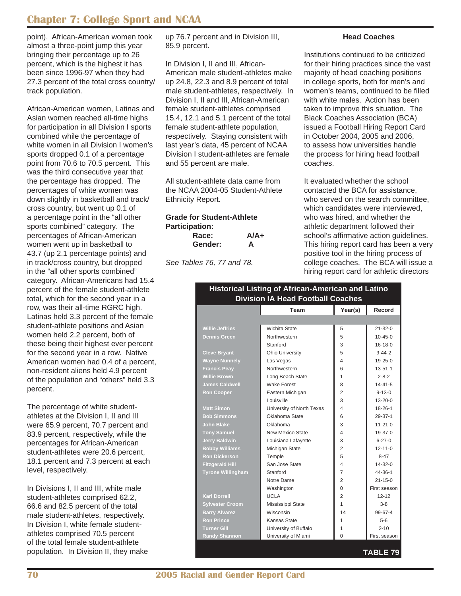point). African-American women took almost a three-point jump this year bringing their percentage up to 26 percent, which is the highest it has been since 1996-97 when they had 27.3 percent of the total cross country/ track population.

African-American women, Latinas and Asian women reached all-time highs for participation in all Division I sports combined while the percentage of white women in all Division I women's sports dropped 0.1 of a percentage point from 70.6 to 70.5 percent. This was the third consecutive year that the percentage has dropped. The percentages of white women was down slightly in basketball and track/ cross country, but went up 0.1 of a percentage point in the "all other sports combined" category. The percentages of African-American women went up in basketball to 43.7 (up 2.1 percentage points) and in track/cross country, but dropped in the "all other sports combined" category. African-Americans had 15.4 percent of the female student-athlete total, which for the second year in a row, was their all-time RGRC high. Latinas held 3.3 percent of the female student-athlete positions and Asian women held 2.2 percent, both of these being their highest ever percent for the second year in a row. Native American women had 0.4 of a percent, non-resident aliens held 4.9 percent of the population and "others" held 3.3 percent.

The percentage of white studentathletes at the Division I, II and III were 65.9 percent, 70.7 percent and 83.9 percent, respectively, while the percentages for African-American student-athletes were 20.6 percent, 18.1 percent and 7.3 percent at each level, respectively.

In Divisions I, II and III, white male student-athletes comprised 62.2, 66.6 and 82.5 percent of the total male student-athletes, respectively. In Division I, white female studentathletes comprised 70.5 percent of the total female student-athlete population. In Division II, they make up 76.7 percent and in Division III, 85.9 percent.

In Division I, II and III, African-American male student-athletes make up 24.8, 22.3 and 8.9 percent of total male student-athletes, respectively. In Division I, II and III, African-American female student-athletes comprised 15.4, 12.1 and 5.1 percent of the total female student-athlete population, respectively. Staying consistent with last year's data, 45 percent of NCAA Division I student-athletes are female and 55 percent are male.

All student-athlete data came from the NCAA 2004-05 Student-Athlete Ethnicity Report.

# **Grade for Student-Athlete Participation:**

| Race:   | $A/A+$ |
|---------|--------|
| Gender: | A      |

**Historical Listing of African-American and Latino**

*See Tables 76, 77 and 78.*

### **Head Coaches**

Institutions continued to be criticized for their hiring practices since the vast majority of head coaching positions in college sports, both for men's and women's teams, continued to be filled with white males. Action has been taken to improve this situation. The Black Coaches Association (BCA) issued a Football Hiring Report Card in October 2004, 2005 and 2006, to assess how universities handle the process for hiring head football coaches.

It evaluated whether the school contacted the BCA for assistance, who served on the search committee, which candidates were interviewed, who was hired, and whether the athletic department followed their school's affirmative action guidelines. This hiring report card has been a very positive tool in the hiring process of college coaches. The BCA will issue a hiring report card for athletic directors

| Historical Listing of Affican-Afflerican and Latino<br><b>Division IA Head Football Coaches</b> |                           |                |                 |  |  |
|-------------------------------------------------------------------------------------------------|---------------------------|----------------|-----------------|--|--|
|                                                                                                 | Team                      | Year(s)        | Record          |  |  |
|                                                                                                 |                           |                |                 |  |  |
| <b>Willie Jeffries</b>                                                                          | <b>Wichita State</b>      | 5              | $21 - 32 - 0$   |  |  |
| <b>Dennis Green</b>                                                                             | Northwestern              | 5              | $10 - 45 - 0$   |  |  |
|                                                                                                 | Stanford                  | 3              | $16 - 18 - 0$   |  |  |
| <b>Cleve Bryant</b>                                                                             | <b>Ohio University</b>    | 5              | $9 - 44 - 2$    |  |  |
| <b>Wayne Nunnely</b>                                                                            | Las Vegas                 | 4              | $19 - 25 - 0$   |  |  |
| <b>Francis Peay</b>                                                                             | Northwestern              | 6              | $13 - 51 - 1$   |  |  |
| <b>Willie Brown</b>                                                                             | Long Beach State          | 1              | $2 - 8 - 2$     |  |  |
| <b>James Caldwell</b>                                                                           | <b>Wake Forest</b>        | 8              | $14 - 41 - 5$   |  |  |
| <b>Ron Cooper</b>                                                                               | Eastern Michigan          | $\overline{2}$ | $9 - 13 - 0$    |  |  |
|                                                                                                 | Louisville                | 3              | $13 - 20 - 0$   |  |  |
| <b>Matt Simon</b>                                                                               | University of North Texas | 4              | $18 - 26 - 1$   |  |  |
| <b>Bob Simmons</b>                                                                              | Oklahoma State            | 6              | $29 - 37 - 1$   |  |  |
| <b>John Blake</b>                                                                               | Oklahoma                  | 3              | $11 - 21 - 0$   |  |  |
| <b>Tony Samuel</b>                                                                              | New Mexico State          | 4              | $19 - 37 - 0$   |  |  |
| <b>Jerry Baldwin</b>                                                                            | Louisiana Lafayette       | 3              | $6 - 27 - 0$    |  |  |
| <b>Bobby Williams</b>                                                                           | Michigan State            | $\mathfrak{p}$ | $12 - 11 - 0$   |  |  |
| <b>Ron Dickerson</b>                                                                            | Temple                    | 5              | $8 - 47$        |  |  |
| <b>Fitzgerald Hill</b>                                                                          | San Jose State            | 4              | $14 - 32 - 0$   |  |  |
| <b>Tyrone Willingham</b>                                                                        | Stanford                  | 7              | 44-36-1         |  |  |
|                                                                                                 | Notre Dame                | $\overline{2}$ | $21 - 15 - 0$   |  |  |
|                                                                                                 | Washington                | $\Omega$       | First season    |  |  |
| <b>Karl Dorrell</b>                                                                             | <b>UCLA</b>               | $\overline{2}$ | $12 - 12$       |  |  |
| <b>Sylvester Croom</b>                                                                          | Mississippi State         | 1              | $3 - 8$         |  |  |
| <b>Barry Alvarez</b>                                                                            | Wisconsin                 | 14             | 99-67-4         |  |  |
| <b>Ron Prince</b>                                                                               | Kansas State              | 1              | $5 - 6$         |  |  |
| <b>Turner Gill</b>                                                                              | University of Buffalo     | 1              | $2 - 10$        |  |  |
| Randy Shannon                                                                                   | University of Miami       | O              | First season    |  |  |
|                                                                                                 |                           |                | <b>TABLE 79</b> |  |  |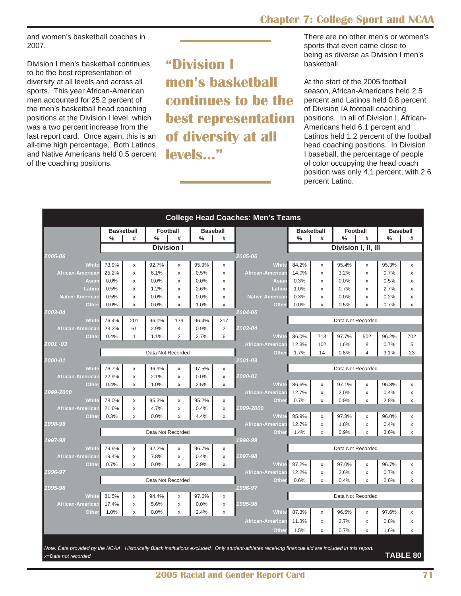and women's basketball coaches in 2007.

Division I men's basketball continues to be the best representation of diversity at all levels and across all sports. This year African-American men accounted for 25.2 percent of the men's basketball head coaching positions at the Division I level, which was a two percent increase from the last report card. Once again, this is an all-time high percentage. Both Latinos and Native Americans held 0.5 percent of the coaching positions.

**"Division I men's basketball continues to be the best representation of diversity at all levels..."**

There are no other men's or women's sports that even came close to being as diverse as Division I men's basketball.

At the start of the 2005 football season, African-Americans held 2.5 percent and Latinos held 0.8 percent of Division IA football coaching positions. In all of Division I, African-Americans held 6.1 percent and Latinos held 1.2 percent of the football head coaching positions. In Division I baseball, the percentage of people of color occupying the head coach position was only 4.1 percent, with 2.6 percent Latino.

|                                                                                                                                                       |                |                                    |                   |                |               |                   | <b>College Head Coaches: Men's Teams</b> |               |                   |                     |                   |               |                           |
|-------------------------------------------------------------------------------------------------------------------------------------------------------|----------------|------------------------------------|-------------------|----------------|---------------|-------------------|------------------------------------------|---------------|-------------------|---------------------|-------------------|---------------|---------------------------|
|                                                                                                                                                       |                | <b>Basketball</b>                  | Football          |                |               | <b>Baseball</b>   |                                          |               | <b>Basketball</b> |                     | Football          |               | <b>Baseball</b>           |
|                                                                                                                                                       | $\frac{0}{0}$  | #                                  | $\frac{0}{0}$     | #              | $\frac{0}{0}$ | #                 |                                          | $\frac{0}{0}$ | #                 | $\frac{9}{6}$       | #                 | $\frac{9}{6}$ | #                         |
|                                                                                                                                                       |                |                                    | <b>Division I</b> |                |               |                   |                                          |               |                   | Division I, II, III |                   |               |                           |
| 2005-06                                                                                                                                               |                |                                    |                   |                |               |                   | 2005-06                                  |               |                   |                     |                   |               |                           |
| <b>White</b>                                                                                                                                          | 73.9%          | X                                  | 92.7%             | X              | 95.9%         | X                 | <b>White</b>                             | 84.2%         | X                 | 95.4%               | X                 | 95.3%         | X                         |
| <b>African-Americar</b>                                                                                                                               | 25.2%          | $\pmb{\mathsf{X}}$                 | 6.1%              | $\mathsf{x}$   | 0.5%          | $\mathsf{x}$      | African-Americar                         | 14.0%         | $\mathsf{x}$      | 3.2%                | $\mathsf{x}$      | 0.7%          | X                         |
| <b>Asiar</b>                                                                                                                                          | 0.0%           | $\pmb{\times}$                     | 0.0%              | X              | 0.0%          | X                 | Asian                                    | 0.3%          | X                 | 0.0%                | X                 | 0.5%          | X                         |
| Latino                                                                                                                                                | 0.5%           | $\pmb{\times}$                     | 1.2%              | X              | 2.6%          | X                 | Latino                                   | 1.0%          | $\mathsf{x}$      | 0.7%                | X                 | 2.7%          | X                         |
| <b>Native American</b>                                                                                                                                | 0.5%           | X                                  | 0.0%              | X              | 0.0%          | $\mathsf{x}$      | <b>Native American</b>                   | 0.3%          | $\mathsf{x}$      | 0.0%                | X                 | 0.2%          | X                         |
| Othe                                                                                                                                                  | 0.0%           | X                                  | 0.0%              | X              | 1.0%          | X                 | Other                                    | 0.0%          | X                 | 0.5%                | X                 | 0.7%          | $\boldsymbol{\mathsf{x}}$ |
| 2003-04                                                                                                                                               |                |                                    |                   |                |               |                   | 2004-05                                  |               |                   |                     |                   |               |                           |
| White                                                                                                                                                 | 76.4%          | 201                                | 96.0%             | 179            | 96.4%         | 217               |                                          |               |                   |                     | Data Not Recorded |               |                           |
| African-American                                                                                                                                      | 23.2%          | 61                                 | 2.9%              | $\overline{4}$ | 0.9%          | $\overline{2}$    | 2003-04                                  |               |                   |                     |                   |               |                           |
| Othe                                                                                                                                                  | 0.4%           | 1                                  | 1.1%              | $\overline{2}$ | 2.7%          | 6                 | White                                    | 86.0%         | 713               | 97.7%               | 502               | 96.2%         | 702                       |
| 2001 - 03                                                                                                                                             |                |                                    |                   |                |               |                   | <b>African-Americar</b>                  | 12.3%         | 102               | 1.6%                | 8                 | 0.7%          | 5                         |
|                                                                                                                                                       |                |                                    | Data Not Recorded |                |               |                   | Other                                    | 1.7%          | 14                | 0.8%                | $\overline{4}$    | 3.1%          | 23                        |
| 2000-01                                                                                                                                               |                |                                    |                   |                |               |                   | 2001-03                                  |               |                   |                     |                   |               |                           |
| <b>White</b>                                                                                                                                          | 76.7%<br>22.9% | X                                  | 96.9%<br>2.1%     | X              | 97.5%<br>0.0% | X                 | 2000-01                                  |               |                   | Data Not Recorded   |                   |               |                           |
| African-American<br>Othe                                                                                                                              | 0.4%           | $\pmb{\mathsf{X}}$<br>$\mathsf{x}$ | 1.0%              | X<br>X         | 2.5%          | X<br>$\mathsf{x}$ | <b>White</b>                             | 86.6%         | X                 | 97.1%               | X                 | 96.8%         | X                         |
| 1999-2000                                                                                                                                             |                |                                    |                   |                |               |                   | African-Americar                         | 12.7%         | $\mathsf{x}$      | 2.0%                | $\mathsf{x}$      | 0.4%          | x                         |
| <b>White</b>                                                                                                                                          | 78.0%          | X                                  | 95.3%             | X              | 95.2%         | X                 | Other                                    | 0.7%          | X                 | 0.9%                | X                 | 2.8%          | X                         |
| African-American                                                                                                                                      | 21.6%          | $\pmb{\times}$                     | 4.7%              | X              | 0.4%          | X                 | 1999-2000                                |               |                   |                     |                   |               |                           |
| Othe                                                                                                                                                  | 0.3%           | X                                  | 0.0%              | X              | 4.4%          | X                 | White                                    | 85.9%         | X                 | 97.3%               | X                 | 96.0%         | X                         |
| 1998-99                                                                                                                                               |                |                                    |                   |                |               |                   | African-American                         | 12.7%         | X                 | 1.8%                | $\mathsf{x}$      | 0.4%          | X                         |
|                                                                                                                                                       |                |                                    | Data Not Recorded |                |               |                   | Othe                                     | 1.4%          | X                 | 0.9%                | X                 | 3.6%          | X                         |
| 1997-98                                                                                                                                               |                |                                    |                   |                |               |                   | 1998-99                                  |               |                   |                     |                   |               |                           |
| <b>White</b>                                                                                                                                          | 79.9%          | X                                  | 92.2%             | X              | 96.7%         | X                 |                                          |               |                   | Data Not Recorded   |                   |               |                           |
| African-American                                                                                                                                      | 19.4%          | $\pmb{\times}$                     | 7.8%              | X              | 0.4%          | X                 | 1997-98                                  |               |                   |                     |                   |               |                           |
| Othe                                                                                                                                                  | 0.7%           | $\mathsf{x}$                       | 0.0%              | X              | 2.9%          | $\mathsf{x}$      | White                                    | 87.2%         | X                 | 97.0%               | X                 | 96.7%         | X                         |
| 1996-97                                                                                                                                               |                |                                    |                   |                |               |                   | African-Americar                         | 12.2%         | X                 | 2.6%                | X                 | 0.7%          | X                         |
|                                                                                                                                                       |                |                                    | Data Not Recorded |                |               |                   | Other                                    | 0.6%          | X                 | 0.4%                | X                 | 2.6%          | X                         |
| 1995-96                                                                                                                                               |                |                                    |                   |                |               |                   | 1996-97                                  |               |                   |                     |                   |               |                           |
| <b>White</b>                                                                                                                                          | 81.5%          | X                                  | 94.4%             | X              | 97.6%         | X                 |                                          |               |                   |                     | Data Not Recorded |               |                           |
| <b>African-Americar</b>                                                                                                                               | 17.4%          | $\mathsf{x}$                       | 5.6%              | X              | 0.0%          | $\mathsf{x}$      | 1995-96                                  |               |                   |                     |                   |               |                           |
| Othe                                                                                                                                                  | 1.0%           | X                                  | 0.0%              | X              | 2.4%          | X                 | <b>White</b>                             | 87.3%         | X                 | 96.5%               | $\mathsf{x}$      | 97.6%         | X                         |
|                                                                                                                                                       |                |                                    |                   |                |               |                   | African-American                         | 11.3%         | X                 | 2.7%                | X                 | 0.8%          | X                         |
|                                                                                                                                                       |                |                                    |                   |                |               |                   | Other                                    | 1.5%          | $\mathsf{x}$      | 0.7%                | $\mathsf{x}$      | 1.6%          | $\pmb{\times}$            |
|                                                                                                                                                       |                |                                    |                   |                |               |                   |                                          |               |                   |                     |                   |               |                           |
| Note: Data provided by the NCAA. Historically Black institutions excluded. Only student-athletes receiving financial aid are included in this report. |                |                                    |                   |                |               |                   |                                          |               |                   |                     |                   |               |                           |
| x=Data not recorded                                                                                                                                   |                |                                    |                   |                |               |                   |                                          |               |                   |                     |                   |               | <b>TABLE 80</b>           |
|                                                                                                                                                       |                |                                    |                   |                |               |                   |                                          |               |                   |                     |                   |               |                           |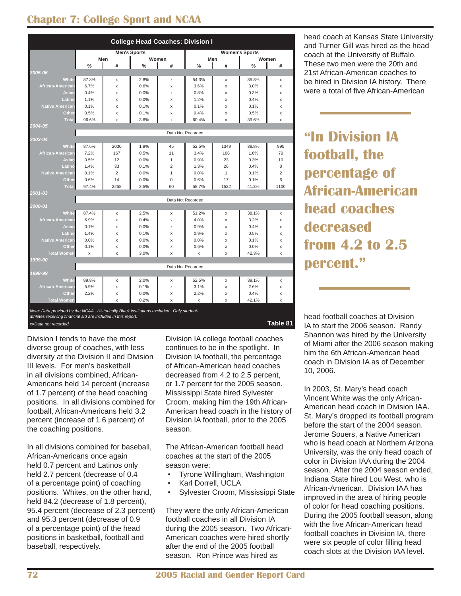|                                                                                          | <b>College Head Coaches: Division I</b> |                |                     |                |                   |      |                       |                |  |  |  |
|------------------------------------------------------------------------------------------|-----------------------------------------|----------------|---------------------|----------------|-------------------|------|-----------------------|----------------|--|--|--|
|                                                                                          |                                         |                | <b>Men's Sports</b> |                |                   |      | <b>Women's Sports</b> |                |  |  |  |
|                                                                                          |                                         | Men            |                     | Women          |                   | Men  |                       | Women          |  |  |  |
|                                                                                          | %                                       | #              | %                   | #              | $\%$              | #    | $\frac{0}{0}$         | #              |  |  |  |
| 2005-06                                                                                  |                                         |                |                     |                |                   |      |                       |                |  |  |  |
| White                                                                                    | 87.8%                                   | X              | 2.8%                | X              | 54.3%             | x    | 35.3%                 | x              |  |  |  |
| African-American                                                                         | 6.7%                                    | X              | 0.6%                | X              | 3.6%              | X    | 3.0%                  | x              |  |  |  |
| Asian                                                                                    | 0.4%                                    | X              | 0.0%                | X              | 0.8%              | x    | 0.3%                  | x              |  |  |  |
| Latino                                                                                   | 1.1%                                    | X              | 0.0%                | х              | 1.2%              | X    | 0.4%                  | X              |  |  |  |
| <b>Native American</b>                                                                   | 0.1%                                    | х              | 0.1%                | х              | 0.1%              | x    | 0.1%                  | х              |  |  |  |
| Other                                                                                    | 0.5%                                    | X              | 0.1%                | х              | 0.4%              | X    | 0.5%                  | х              |  |  |  |
| Tota                                                                                     | 96.6%                                   | X              | 3.6%                | X              | 60.4%             | x    | 39.6%                 | X              |  |  |  |
| 2004-05                                                                                  |                                         |                |                     |                |                   |      |                       |                |  |  |  |
|                                                                                          | Data Not Recorded                       |                |                     |                |                   |      |                       |                |  |  |  |
| 2003-04                                                                                  |                                         |                |                     |                |                   |      |                       |                |  |  |  |
| White                                                                                    | 87.6%                                   | 2030           | 1.9%                | 45             | 52.5%             | 1349 | 38.8%                 | 995            |  |  |  |
| African-American                                                                         | 7.2%                                    | 167            | 0.5%                | 11             | 3.4%              | 106  | 1.6%                  | 79             |  |  |  |
| Asian                                                                                    | 0.5%                                    | 12             | 0.0%                | $\mathbf{1}$   | 0.9%              | 23   | 0.3%                  | 10             |  |  |  |
| Latino                                                                                   | 1.4%                                    | 33             | 0.1%                | $\overline{2}$ | 1.3%              | 26   | 0.4%                  | 8              |  |  |  |
| <b>Native American</b>                                                                   | 0.1%                                    | $\overline{2}$ | 0.0%                | 1              | 0.0%              | 1    | 0.1%                  | $\overline{2}$ |  |  |  |
| Other                                                                                    | 0.6%                                    | 14             | 0.0%                | 0              | 0.6%              | 17   | 0.1%                  | 6              |  |  |  |
| Tota                                                                                     | 97.4%                                   | 2258           | 2.5%                | 60             | 58.7%             | 1522 | 41.3%                 | 1100           |  |  |  |
| 2001-03                                                                                  |                                         |                |                     |                |                   |      |                       |                |  |  |  |
|                                                                                          |                                         |                |                     |                | Data Not Recorded |      |                       |                |  |  |  |
| 2000-01                                                                                  |                                         |                |                     |                |                   |      |                       |                |  |  |  |
| White                                                                                    | 87.4%                                   | х              | 2.5%                | X              | 51.2%             | x    | 38.1%                 | X              |  |  |  |
| African-American                                                                         | 6.9%                                    | X              | 0.4%                | X              | 4.0%              | X    | 3.2%                  | x              |  |  |  |
| Asian                                                                                    | 0.1%                                    | X              | 0.0%                | X              | 0.9%              | X    | 0.4%                  | X              |  |  |  |
| Latino                                                                                   | 1.4%                                    | X              | 0.1%                | X              | 0.9%              | x    | 0.5%                  | x              |  |  |  |
| <b>Native American</b>                                                                   | 0.0%                                    | X              | 0.0%                | х              | 0.0%              | X    | 0.1%                  | х              |  |  |  |
| Other                                                                                    | 0.1%                                    | х              | 0.0%                | х              | 0.6%              | х    | 0.0%                  | х              |  |  |  |
| <b>Total Women</b>                                                                       | X                                       | X              | 3.0%                | X              | X                 | X    | 42.3%                 | X              |  |  |  |
| 1999-00                                                                                  |                                         |                |                     |                |                   |      |                       |                |  |  |  |
|                                                                                          |                                         |                |                     |                | Data Not Recorded |      |                       |                |  |  |  |
| 1998-99                                                                                  |                                         |                |                     |                |                   |      |                       |                |  |  |  |
| White                                                                                    | 89.8%                                   | X              | 2.0%                | X              | 52.5%             | X    | 39.1%                 | X              |  |  |  |
| African-American                                                                         | 5.9%                                    | X              | 0.1%                | X              | 3.1%              | x    | 2.6%                  | x              |  |  |  |
| Other                                                                                    | 2.2%                                    | х              | 0.0%                | x              | 2.2%              | X    | 0.4%                  | X              |  |  |  |
| <b>Total Women</b>                                                                       |                                         | X              | 0.2%                | x              | X                 | x    | 42.1%                 | x              |  |  |  |
| Note: Data provided by the NCAA. Historically Black institutions excluded. Only student- |                                         |                |                     |                |                   |      |                       |                |  |  |  |
| athletes receiving financial aid are included in this report.<br>x=Data not recorded     |                                         |                |                     |                |                   |      |                       | Table 81       |  |  |  |

Division I tends to have the most diverse group of coaches, with less diversity at the Division II and Division III levels. For men's basketball in all divisions combined, African-Americans held 14 percent (increase of 1.7 percent) of the head coaching positions. In all divisions combined for football, African-Americans held 3.2 percent (increase of 1.6 percent) of the coaching positions.

In all divisions combined for baseball, African-Americans once again held 0.7 percent and Latinos only held 2.7 percent (decrease of 0.4 of a percentage point) of coaching positions. Whites, on the other hand, held 84.2 (decrease of 1.8 percent), 95.4 percent (decrease of 2.3 percent) and 95.3 percent (decrease of 0.9 of a percentage point) of the head positions in basketball, football and baseball, respectively.

Division IA college football coaches continues to be in the spotlight. In Division IA football, the percentage of African-American head coaches decreased from 4.2 to 2.5 percent, or 1.7 percent for the 2005 season. Mississippi State hired Sylvester Croom, making him the 19th African-American head coach in the history of Division IA football, prior to the 2005 season.

The African-American football head coaches at the start of the 2005 season were:

- Tyrone Willingham, Washington
- Karl Dorrell, UCLA
- Sylvester Croom, Mississippi State

They were the only African-American football coaches in all Division IA during the 2005 season. Two African-American coaches were hired shortly after the end of the 2005 football season. Ron Prince was hired as

head coach at Kansas State University and Turner Gill was hired as the head coach at the University of Buffalo. These two men were the 20th and 21st African-American coaches to be hired in Division IA history. There were a total of five African-American

**"In Division IA football, the percentage of African-American head coaches decreased from 4.2 to 2.5 percent."**

head football coaches at Division IA to start the 2006 season. Randy Shannon was hired by the University of Miami after the 2006 season making him the 6th African-American head coach in Division IA as of December 10, 2006.

In 2003, St. Mary's head coach Vincent White was the only African-American head coach in Division IAA. St. Mary's dropped its football program before the start of the 2004 season. Jerome Souers, a Native American who is head coach at Northern Arizona University, was the only head coach of color in Division IAA during the 2004 season. After the 2004 season ended, Indiana State hired Lou West, who is African-American. Division IAA has improved in the area of hiring people of color for head coaching positions. During the 2005 football season, along with the five African-American head football coaches in Division IA, there were six people of color filling head coach slots at the Division IAA level.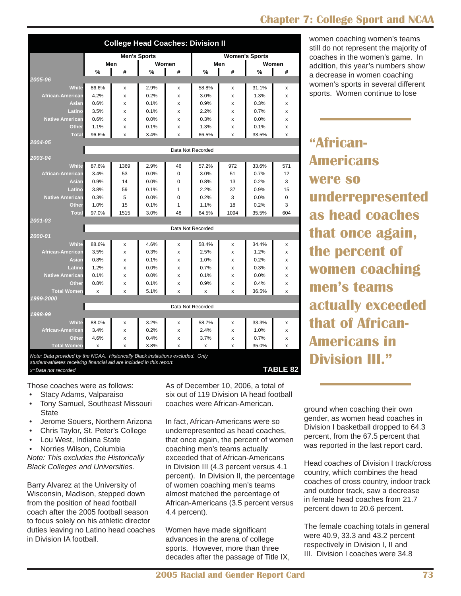| women coaching women's teams           |  |  |  |  |  |  |  |  |  |  |  |
|----------------------------------------|--|--|--|--|--|--|--|--|--|--|--|
| still do not represent the majority of |  |  |  |  |  |  |  |  |  |  |  |
| coaches in the women's game. In        |  |  |  |  |  |  |  |  |  |  |  |
| addition, this year's numbers show     |  |  |  |  |  |  |  |  |  |  |  |
| a decrease in women coaching           |  |  |  |  |  |  |  |  |  |  |  |
| women's sports in several different    |  |  |  |  |  |  |  |  |  |  |  |
| sports. Women continue to lose         |  |  |  |  |  |  |  |  |  |  |  |

|                                                                                 |                   |      | <b>Men's Sports</b> |       |                   | <b>Women's Sports</b> | Women<br>%<br>#<br>31.1%<br>x<br>1.3%<br>x<br>0.3%<br>x<br>0.7%<br>x<br>0.0%<br>x<br>0.1%<br>x<br>33.5%<br>x<br>571<br>33.6%<br>12<br>0.7%<br>3<br>0.2%<br>15<br>0.9%<br>0.0%<br>0<br>0.2%<br>3<br>35.5%<br>604<br>34.4%<br>x<br>1.2%<br>x<br>0.2%<br>x<br>0.3%<br>X |                 |  |  |  |
|---------------------------------------------------------------------------------|-------------------|------|---------------------|-------|-------------------|-----------------------|----------------------------------------------------------------------------------------------------------------------------------------------------------------------------------------------------------------------------------------------------------------------|-----------------|--|--|--|
|                                                                                 |                   | Men  |                     | Women |                   | Men                   |                                                                                                                                                                                                                                                                      |                 |  |  |  |
|                                                                                 | %                 | #    | %                   | #     | %                 | #                     |                                                                                                                                                                                                                                                                      |                 |  |  |  |
| 2005-06                                                                         |                   |      |                     |       |                   |                       |                                                                                                                                                                                                                                                                      |                 |  |  |  |
| <b>White</b>                                                                    | 86.6%             | x    | 2.9%                | x     | 58.8%             | х                     |                                                                                                                                                                                                                                                                      |                 |  |  |  |
| African-American                                                                | 4.2%              | x    | 0.2%                | x     | 3.0%              | x                     |                                                                                                                                                                                                                                                                      |                 |  |  |  |
| Asian                                                                           | 0.6%              | x    | 0.1%                | X     | 0.9%              | x                     |                                                                                                                                                                                                                                                                      |                 |  |  |  |
| Latino                                                                          | 3.5%              | x    | 0.1%                | x     | 2.2%              | x                     |                                                                                                                                                                                                                                                                      |                 |  |  |  |
| <b>Native American</b>                                                          | 0.6%              | x    | 0.0%                | x     | 0.3%              | x                     |                                                                                                                                                                                                                                                                      |                 |  |  |  |
| Other                                                                           | 1.1%              | x    | 0.1%                | x     | 1.3%              | x                     |                                                                                                                                                                                                                                                                      |                 |  |  |  |
| <b>Total</b>                                                                    | 96.6%             | x    | 3.4%                | x     | 66.5%             | x                     |                                                                                                                                                                                                                                                                      |                 |  |  |  |
| 2004-05                                                                         |                   |      |                     |       |                   |                       |                                                                                                                                                                                                                                                                      |                 |  |  |  |
|                                                                                 | Data Not Recorded |      |                     |       |                   |                       |                                                                                                                                                                                                                                                                      |                 |  |  |  |
| $2003 - 04$                                                                     |                   |      |                     |       |                   |                       |                                                                                                                                                                                                                                                                      |                 |  |  |  |
| <b>White</b>                                                                    | 87.6%             | 1369 | 2.9%                | 46    | 57.2%             | 972                   |                                                                                                                                                                                                                                                                      |                 |  |  |  |
| African-American                                                                | 3.4%              | 53   | 0.0%                | 0     | 3.0%              | 51                    |                                                                                                                                                                                                                                                                      |                 |  |  |  |
| Asian                                                                           | 0.9%              | 14   | 0.0%                | 0     | 0.8%              | 13                    |                                                                                                                                                                                                                                                                      |                 |  |  |  |
| Latino                                                                          | 3.8%              | 59   | 0.1%                | 1     | 2.2%              | 37                    |                                                                                                                                                                                                                                                                      |                 |  |  |  |
| <b>Native American</b>                                                          | 0.3%              | 5    | 0.0%                | 0     | 0.2%              | 3                     |                                                                                                                                                                                                                                                                      |                 |  |  |  |
| Other                                                                           | 1.0%              | 15   | 0.1%                | 1     | 1.1%              | 18                    |                                                                                                                                                                                                                                                                      |                 |  |  |  |
| <b>Total</b>                                                                    | 97.0%             | 1515 | 3.0%                | 48    | 64.5%             | 1094                  |                                                                                                                                                                                                                                                                      |                 |  |  |  |
| 2001-03                                                                         |                   |      |                     |       |                   |                       |                                                                                                                                                                                                                                                                      |                 |  |  |  |
|                                                                                 |                   |      |                     |       | Data Not Recorded |                       |                                                                                                                                                                                                                                                                      |                 |  |  |  |
| 2000-01                                                                         |                   |      |                     |       |                   |                       |                                                                                                                                                                                                                                                                      |                 |  |  |  |
| <b>White</b>                                                                    | 88.6%             | x    | 4.6%                | x     | 58.4%             | x                     |                                                                                                                                                                                                                                                                      |                 |  |  |  |
| African-American                                                                | 3.5%              | x    | 0.3%                | X     | 2.5%              | x                     |                                                                                                                                                                                                                                                                      |                 |  |  |  |
| Asian                                                                           | 0.8%              | x    | 0.1%                | x     | 1.0%              | x                     |                                                                                                                                                                                                                                                                      |                 |  |  |  |
| Latino                                                                          | 1.2%              | x    | 0.0%                | X     | 0.7%              | x                     |                                                                                                                                                                                                                                                                      |                 |  |  |  |
| <b>Native American</b>                                                          | 0.1%              | x    | 0.0%                | x     | 0.1%              | x                     | 0.0%                                                                                                                                                                                                                                                                 | x               |  |  |  |
| Other                                                                           | 0.8%              | x    | 0.1%                | x     | 0.9%              | x                     | 0.4%                                                                                                                                                                                                                                                                 | x               |  |  |  |
| <b>Total Women</b>                                                              | x                 | x    | 5.1%                | X     | х                 | x                     | 36.5%                                                                                                                                                                                                                                                                | X               |  |  |  |
| 1999-2000                                                                       |                   |      |                     |       |                   |                       |                                                                                                                                                                                                                                                                      |                 |  |  |  |
| 1998-99                                                                         |                   |      |                     |       | Data Not Recorded |                       |                                                                                                                                                                                                                                                                      |                 |  |  |  |
|                                                                                 |                   |      | 3.2%                |       | 58.7%             |                       |                                                                                                                                                                                                                                                                      |                 |  |  |  |
| <b>White</b>                                                                    | 88.0%             | x    |                     | x     |                   | x                     | 33.3%                                                                                                                                                                                                                                                                | x               |  |  |  |
| African-American<br>Other                                                       | 3.4%<br>4.6%      | x    | 0.2%<br>0.4%        | x     | 2.4%<br>3.7%      | х                     | 1.0%<br>0.7%                                                                                                                                                                                                                                                         | x               |  |  |  |
| <b>Total Women</b>                                                              |                   | x    | 3.8%                | X     |                   | x                     | 35.0%                                                                                                                                                                                                                                                                | x               |  |  |  |
|                                                                                 | x                 | x    |                     | x     | x                 | x                     |                                                                                                                                                                                                                                                                      | x               |  |  |  |
| Note: Data provided by the NCAA. Historically Black institutions excluded. Only |                   |      |                     |       |                   |                       |                                                                                                                                                                                                                                                                      |                 |  |  |  |
| student-athletes receiving financial aid are included in this report.           |                   |      |                     |       |                   |                       |                                                                                                                                                                                                                                                                      | <b>TABLE 82</b> |  |  |  |
| x=Data not recorded                                                             |                   |      |                     |       |                   |                       |                                                                                                                                                                                                                                                                      |                 |  |  |  |

**College Head Coaches: Division II**

**"African-Americans were so underrepresented as head coaches that once again, the percent of women coaching men's teams actually exceeded that of African-Americans in Division III."**

Those coaches were as follows:

- Stacy Adams, Valparaiso
- Tony Samuel, Southeast Missouri **State**
- Jerome Souers, Northern Arizona
- Chris Taylor, St. Peter's College
- Lou West, Indiana State
- Norries Wilson, Columbia

*Note: This excludes the Historically Black Colleges and Universities.*

Barry Alvarez at the University of Wisconsin, Madison, stepped down from the position of head football coach after the 2005 football season to focus solely on his athletic director duties leaving no Latino head coaches in Division IA football.

As of December 10, 2006, a total of six out of 119 Division IA head football coaches were African-American.

In fact, African-Americans were so underrepresented as head coaches, that once again, the percent of women coaching men's teams actually exceeded that of African-Americans in Division III (4.3 percent versus 4.1 percent). In Division II, the percentage of women coaching men's teams almost matched the percentage of African-Americans (3.5 percent versus 4.4 percent).

Women have made significant advances in the arena of college sports. However, more than three decades after the passage of Title IX, ground when coaching their own gender, as women head coaches in Division I basketball dropped to 64.3 percent, from the 67.5 percent that was reported in the last report card.

Head coaches of Division I track/cross country, which combines the head coaches of cross country, indoor track and outdoor track, saw a decrease in female head coaches from 21.7 percent down to 20.6 percent.

The female coaching totals in general were 40.9, 33.3 and 43.2 percent respectively in Division I, II and III. Division I coaches were 34.8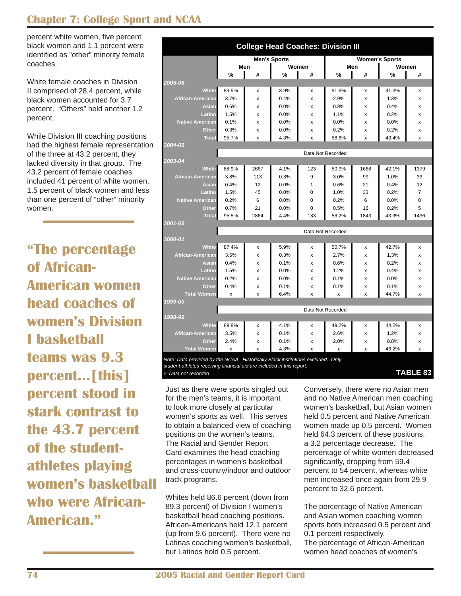percent white women, five percent black women and 1.1 percent were identified as "other" minority female coaches.

White female coaches in Division II comprised of 28.4 percent, while black women accounted for 3.7 percent. "Others" held another 1.2 percent.

While Division III coaching positions had the highest female representation of the three at 43.2 percent, they lacked diversity in that group. The 43.2 percent of female coaches included 41 percent of white women, 1.5 percent of black women and less than one percent of "other" minority women.

**"The percentage of African-American women head coaches of women's Division I basketball teams was 9.3 percent...[this] percent stood in stark contrast to the 43.7 percent of the studentathletes playing women's basketball who were African-American."**

|                        |                   |      | <b>Men's Sports</b> |             |                   |      | <b>Women's Sports</b> |                |  |  |  |
|------------------------|-------------------|------|---------------------|-------------|-------------------|------|-----------------------|----------------|--|--|--|
|                        |                   | Men  |                     | Women       |                   | Men  |                       | Women          |  |  |  |
|                        | %                 | #    | %                   | #           | %                 | #    | %                     | #              |  |  |  |
| 2005-06                |                   |      |                     |             |                   |      |                       |                |  |  |  |
| <b>White</b>           | 89.5%             | x    | 3.9%                | x           | 51.6%             | x    | 41.3%                 | x              |  |  |  |
| African-American       | 3.7%              | X    | 0.4%                | x           | 2.9%              | x    | 1.3%                  | x              |  |  |  |
| Asian                  | 0.6%              | X    | 0.0%                | x           | 0.8%              | x    | 0.4%                  | x              |  |  |  |
| Latino                 | 1.5%              | x    | 0.0%                | x           | 1.1%              | x    | 0.2%                  | x              |  |  |  |
| <b>Native American</b> | 0.1%              | X    | 0.0%                | x           | 0.0%              | x    | 0.0%                  | x              |  |  |  |
| Other                  | 0.3%              | X    | 0.0%                | x           | 0.2%              | x    | 0.2%                  | x              |  |  |  |
| <b>Total</b>           | 95.7%             | x    | 4.3%                | x           | 56.6%             | x    | 43.4%                 | x              |  |  |  |
| 2004-05                |                   |      |                     |             |                   |      |                       |                |  |  |  |
|                        | Data Not Recorded |      |                     |             |                   |      |                       |                |  |  |  |
| 2003-04                |                   |      |                     |             |                   |      |                       |                |  |  |  |
| <b>White</b>           | 88.9%             | 2667 | 4.1%                | 123         | 50.9%             | 1668 | 42.1%                 | 1379           |  |  |  |
| African-American       | 3.8%              | 113  | 0.3%                | 9           | 3.0%              | 99   | 1.0%                  | 33             |  |  |  |
| Asian                  | 0.4%              | 12   | 0.0%                | 1           | 0.6%              | 21   | 0.4%                  | 12             |  |  |  |
| Latino                 | 1.5%              | 45   | 0.0%                | 0           | 1.0%              | 33   | 0.2%                  | $\overline{7}$ |  |  |  |
| <b>Native American</b> | 0.2%              | 6    | 0.0%                | 0           | 0.2%              | 6    | 0.0%                  | 0              |  |  |  |
| Other                  | 0.7%              | 21   | 0.0%                | $\mathbf 0$ | 0.5%              | 16   | 0.2%                  | 5              |  |  |  |
| <b>Total</b>           | 95.5%             | 2864 | 4.4%                | 133         | 56.2%             | 1843 | 43.9%                 | 1436           |  |  |  |
| 2001-03                |                   |      |                     |             |                   |      |                       |                |  |  |  |
|                        |                   |      |                     |             | Data Not Recorded |      |                       |                |  |  |  |
| 2000-01                |                   |      |                     |             |                   |      |                       |                |  |  |  |
| <b>White</b>           | 87.4%             | x    | 5.9%                | x           | 50.7%             | x    | 42.7%                 | x              |  |  |  |
| African-American       | 3.5%              | X    | 0.3%                | x           | 2.7%              | x    | 1.3%                  | x              |  |  |  |
| Asian                  | 0.4%              | X    | 0.1%                | х           | 0.6%              | x    | 0.2%                  | x              |  |  |  |
| Latino                 | 1.5%              | X    | 0.0%                | x           | 1.2%              | x    | 0.4%                  | x              |  |  |  |
| <b>Native American</b> | 0.2%              | x    | 0.0%                | x           | 0.1%              | x    | 0.0%                  | x              |  |  |  |
| Other                  | 0.4%              | x    | 0.1%                | x           | 0.1%              | x    | 0.1%                  | x              |  |  |  |
| <b>Total Women</b>     | x                 | X    | 6.4%                | X           | x                 | x    | 44.7%                 | x              |  |  |  |
| 1999-00                |                   |      |                     |             |                   |      |                       |                |  |  |  |
|                        |                   |      |                     |             | Data Not Recorded |      |                       |                |  |  |  |
| 1998-99                |                   |      |                     |             |                   |      |                       |                |  |  |  |
| <b>White</b>           | 89.8%             | X    | 4.1%                | x           | 49.2%             | x    | 44.2%                 | x              |  |  |  |
| African-American       | 3.5%              | X    | 0.1%                | x           | 2.6%              | X    | 1.2%                  | x              |  |  |  |
| Other                  | 2.4%              | X    | 0.1%                | x           | 2.0%              | x    | 0.8%                  | х              |  |  |  |
| <b>Total Women</b>     | $\pmb{\times}$    | X    | 4.3%                | x           | x                 | X    | 46.2%                 | X              |  |  |  |

*x=Data not recorded*

Just as there were sports singled out for the men's teams, it is important to look more closely at particular women's sports as well. This serves to obtain a balanced view of coaching positions on the women's teams. The Racial and Gender Report Card examines the head coaching percentages in women's basketball and cross-country/indoor and outdoor track programs.

Whites held 86.6 percent (down from 89.3 percent) of Division I women's basketball head coaching positions. African-Americans held 12.1 percent (up from 9.6 percent). There were no Latinas coaching women's basketball, but Latinos hold 0.5 percent.

Conversely, there were no Asian men and no Native American men coaching women's basketball, but Asian women held 0.5 percent and Native American women made up 0.5 percent. Women held 64.3 percent of these positions, a 3.2 percentage decrease. The percentage of white women decreased significantly, dropping from 59.4 percent to 54 percent, whereas white men increased once again from 29.9 percent to 32.6 percent.

**TABLE 83**

The percentage of Native American and Asian women coaching women sports both increased 0.5 percent and 0.1 percent respectively. The percentage of African-American women head coaches of women's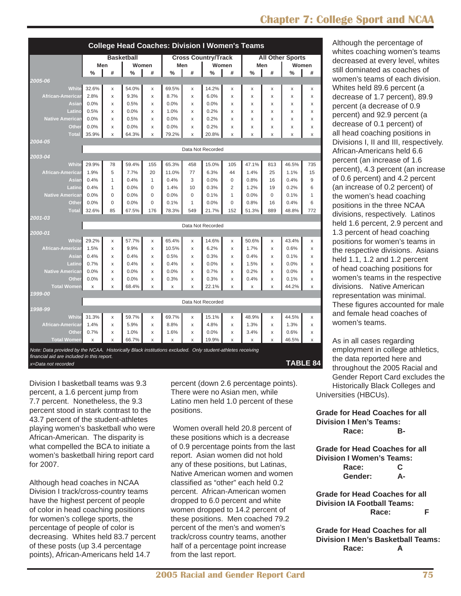|                                                                                                                                                          | <b>College Head Coaches: Division I Women's Teams</b> |          |                   |              |       |              |                            |                           |               |     |                         |                 |
|----------------------------------------------------------------------------------------------------------------------------------------------------------|-------------------------------------------------------|----------|-------------------|--------------|-------|--------------|----------------------------|---------------------------|---------------|-----|-------------------------|-----------------|
|                                                                                                                                                          |                                                       |          | <b>Basketball</b> |              |       |              | <b>Cross Country/Track</b> |                           |               |     | <b>All Other Sports</b> |                 |
|                                                                                                                                                          |                                                       | Men      | Women             |              | Men   |              | Women                      |                           | Men           |     |                         | Women           |
|                                                                                                                                                          | $\frac{0}{0}$                                         | #        | %                 | #            | %     | #            | $\frac{0}{0}$              | #                         | $\frac{0}{0}$ | #   | $\frac{0}{0}$           | #               |
| 2005-06                                                                                                                                                  |                                                       |          |                   |              |       |              |                            |                           |               |     |                         |                 |
| White                                                                                                                                                    | 32.6%                                                 | X        | 54.0%             | X            | 69.5% | X            | 14.2%                      | X                         | X             | X   | X                       | X               |
| African-Americar                                                                                                                                         | 2.8%                                                  | X        | 9.3%              | X            | 8.7%  | X            | 6.0%                       | x                         | X             | x   | X                       | x               |
| Asiar                                                                                                                                                    | 0.0%                                                  | X        | 0.5%              | X            | 0.0%  | X            | 0.0%                       | x                         | X             | x   | X                       | x               |
| Latino                                                                                                                                                   | 0.5%                                                  | X        | 0.0%              | X            | 1.0%  | X            | 0.2%                       | x                         | X             | x   | X                       | X               |
| <b>Native Americar</b>                                                                                                                                   | 0.0%                                                  | x        | 0.5%              | X            | 0.0%  | X            | 0.2%                       | X                         | X             | X   | X                       | х               |
| Other                                                                                                                                                    | 0.0%                                                  | X        | 0.0%              | X            | 0.0%  | X            | 0.2%                       | X                         | X             | x   | x                       | x               |
| <b>Total</b>                                                                                                                                             | 35.9%                                                 | X        | 64.3%             | X            | 79.2% | X            | 20.8%                      | X                         | X             | x   | X                       | x               |
| 2004-05                                                                                                                                                  |                                                       |          |                   |              |       |              |                            |                           |               |     |                         |                 |
|                                                                                                                                                          | Data Not Recorded                                     |          |                   |              |       |              |                            |                           |               |     |                         |                 |
| 2003-04                                                                                                                                                  |                                                       |          |                   |              |       |              |                            |                           |               |     |                         |                 |
| White                                                                                                                                                    | 29.9%                                                 | 78       | 59.4%             | 155          | 65.3% | 458          | 15.0%                      | 105                       | 47.1%         | 813 | 46.5%                   | 735             |
| African-Americar                                                                                                                                         | 1.9%                                                  | 5        | 7.7%              | 20           | 11.0% | 77           | 6.3%                       | 44                        | 1.4%          | 25  | 1.1%                    | 15              |
| Asiar                                                                                                                                                    | 0.4%                                                  | 1        | 0.4%              | $\mathbf{1}$ | 0.4%  | 3            | 0.0%                       | $\mathbf 0$               | 0.8%          | 16  | 0.4%                    | 9               |
| Latino                                                                                                                                                   | 0.4%                                                  | 1        | 0.0%              | $\mathbf 0$  | 1.4%  | 10           | 0.3%                       | $\overline{2}$            | 1.2%          | 19  | 0.2%                    | 6               |
| <b>Native Americar</b>                                                                                                                                   | 0.0%                                                  | $\Omega$ | 0.0%              | $\Omega$     | 0.0%  | $\Omega$     | 0.1%                       | 1                         | 0.0%          | 0   | 0.1%                    | 1               |
| Other                                                                                                                                                    | 0.0%                                                  | 0        | 0.0%              | $\mathbf 0$  | 0.1%  | 1            | 0.0%                       | $\Omega$                  | 0.8%          | 16  | 0.4%                    | 6               |
| <b>Total</b>                                                                                                                                             | 32.6%                                                 | 85       | 67.5%             | 176          | 78.3% | 549          | 21.7%                      | 152                       | 51.3%         | 889 | 48.8%                   | 772             |
| 2001-03                                                                                                                                                  |                                                       |          |                   |              |       |              |                            |                           |               |     |                         |                 |
|                                                                                                                                                          |                                                       |          |                   |              |       |              | Data Not Recorded          |                           |               |     |                         |                 |
| 2000-01                                                                                                                                                  |                                                       |          |                   |              |       |              |                            |                           |               |     |                         |                 |
| White                                                                                                                                                    | 29.2%                                                 | X        | 57.7%             | X            | 65.4% | X            | 14.6%                      | $\boldsymbol{\mathsf{x}}$ | 50.6%         | X   | 43.4%                   | X               |
| African-Americar                                                                                                                                         | 1.5%                                                  | X        | 9.9%              | X            | 10.5% | $\mathsf{x}$ | 6.2%                       | X                         | 1.7%          | X   | 0.6%                    | X               |
| Asiar                                                                                                                                                    | 0.4%                                                  | x        | 0.4%              | X            | 0.5%  | X            | 0.3%                       | x                         | 0.4%          | x   | 0.1%                    | x               |
| Latino                                                                                                                                                   | 0.7%                                                  | X        | 0.4%              | X            | 0.4%  | X            | 0.0%                       | X                         | 1.5%          | x   | 0.0%                    | x               |
| <b>Native Americar</b>                                                                                                                                   | 0.0%                                                  | X        | 0.0%              | X            | 0.0%  | X            | 0.7%                       | X                         | 0.2%          | x   | 0.0%                    | x               |
| Other                                                                                                                                                    | 0.0%                                                  | x        | 0.0%              | X            | 0.3%  | X            | 0.3%                       | X                         | 0.4%          | X   | 0.1%                    | х               |
| <b>Total Women</b>                                                                                                                                       | X                                                     | X        | 68.4%             | X            | х     | X            | 22.1%                      | X                         | x             | x   | 44.2%                   | x               |
| 1999-00                                                                                                                                                  |                                                       |          |                   |              |       |              |                            |                           |               |     |                         |                 |
|                                                                                                                                                          |                                                       |          |                   |              |       |              | Data Not Recorded          |                           |               |     |                         |                 |
| 1998-99                                                                                                                                                  |                                                       |          |                   |              |       |              |                            |                           |               |     |                         |                 |
| White                                                                                                                                                    | 31.3%                                                 | X        | 59.7%             | X            | 69.7% | X            | 15.1%                      | X                         | 48.9%         | x   | 44.5%                   | x               |
| <b>African-Americar</b>                                                                                                                                  | 1.4%                                                  | X        | 5.9%              | X            | 8.8%  | X            | 4.8%                       | X                         | 1.3%          | X   | 1.3%                    | x               |
| Other                                                                                                                                                    | 0.7%                                                  | x        | 1.0%              | X            | 1.6%  | X            | 0.0%                       | X                         | 3.4%          | x   | 0.6%                    | x               |
| <b>Total Women</b>                                                                                                                                       | x                                                     | x        | 66.7%             | X            | х     | X            | 19.9%                      | X                         | x             | Χ   | 46.5%                   | x               |
| Note: Data provided by the NCAA. Historically Black institutions excluded. Only student-athletes receiving<br>financial aid are included in this report. |                                                       |          |                   |              |       |              |                            |                           |               |     |                         |                 |
| x=Data not recorded                                                                                                                                      |                                                       |          |                   |              |       |              |                            |                           |               |     |                         | <b>TABLE 84</b> |

Division I basketball teams was 9.3 percent, a 1.6 percent jump from 7.7 percent. Nonetheless, the 9.3 percent stood in stark contrast to the 43.7 percent of the student-athletes playing women's basketball who were African-American. The disparity is what compelled the BCA to initiate a women's basketball hiring report card for 2007.

Although head coaches in NCAA Division I track/cross-country teams have the highest percent of people of color in head coaching positions for women's college sports, the percentage of people of color is decreasing. Whites held 83.7 percent of these posts (up 3.4 percentage points), African-Americans held 14.7

percent (down 2.6 percentage points). There were no Asian men, while Latino men held 1.0 percent of these positions.

 Women overall held 20.8 percent of these positions which is a decrease of 0.9 percentage points from the last report. Asian women did not hold any of these positions, but Latinas, Native American women and women classified as "other" each held 0.2 percent. African-American women dropped to 6.0 percent and white women dropped to 14.2 percent of these positions. Men coached 79.2 percent of the men's and women's track/cross country teams, another half of a percentage point increase from the last report.

Although the percentage of whites coaching women's teams decreased at every level, whites still dominated as coaches of women's teams of each division. Whites held 89.6 percent (a decrease of 1.7 percent), 89.9 percent (a decrease of 0.9 percent) and 92.9 percent (a decrease of 0.1 percent) of all head coaching positions in Divisions I, II and III, respectively. African-Americans held 6.6 percent (an increase of 1.6 percent), 4.3 percent (an increase of 0.6 percent) and 4.2 percent (an increase of 0.2 percent) of the women's head coaching positions in the three NCAA divisions, respectively. Latinos held 1.6 percent, 2.9 percent and 1.3 percent of head coaching positions for women's teams in the respective divisions. Asians held 1.1, 1.2 and 1.2 percent of head coaching positions for women's teams in the respective divisions. Native American representation was minimal. These figures accounted for male and female head coaches of women's teams.

As in all cases regarding employment in college athletics, the data reported here and throughout the 2005 Racial and Gender Report Card excludes the Historically Black Colleges and Universities (HBCUs).

**Grade for Head Coaches for all Division I Men's Teams:** Race: **B-**

**Grade for Head Coaches for all Division I Women's Teams: Race: C Gender: A-**

**Grade for Head Coaches for all Division IA Football Teams: Race: F**

**Grade for Head Coaches for all Division I Men's Basketball Teams: Race: A**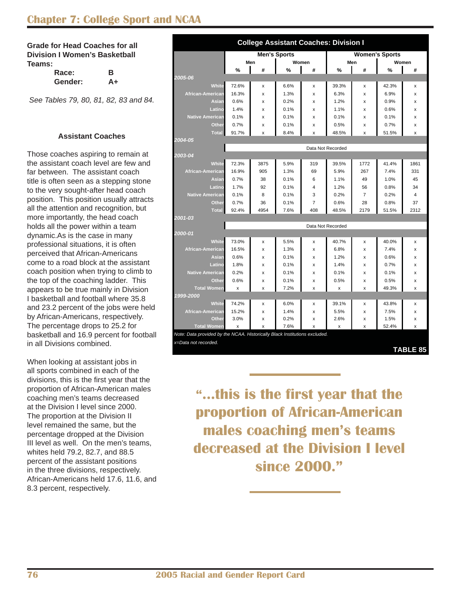**Grade for Head Coaches for all Division I Women's Basketball Teams:**

| Race:   | в    |
|---------|------|
| Gender: | $A+$ |

*See Tables 79, 80, 81, 82, 83 and 84.* 

#### **Assistant Coaches**

Those coaches aspiring to remain at the assistant coach level are few and far between. The assistant coach title is often seen as a stepping stone to the very sought-after head coach position. This position usually attracts all the attention and recognition, but more importantly, the head coach holds all the power within a team dynamic.As is the case in many professional situations, it is often perceived that African-Americans come to a road block at the assistant coach position when trying to climb to the top of the coaching ladder. This appears to be true mainly in Division I basketball and football where 35.8 and 23.2 percent of the jobs were held by African-Americans, respectively. The percentage drops to 25.2 for basketball and 16.9 percent for football in all Divisions combined.

When looking at assistant jobs in all sports combined in each of the divisions, this is the first year that the proportion of African-American males coaching men's teams decreased at the Division I level since 2000. The proportion at the Division II level remained the same, but the percentage dropped at the Division III level as well. On the men's teams, whites held 79.2, 82.7, and 88.5 percent of the assistant positions in the three divisions, respectively. African-Americans held 17.6, 11.6, and 8.3 percent, respectively.

|                                                                            |                           |      | <b>College Assistant Coaches: Division I</b> |                |                   |                |                       |                 |  |  |  |
|----------------------------------------------------------------------------|---------------------------|------|----------------------------------------------|----------------|-------------------|----------------|-----------------------|-----------------|--|--|--|
|                                                                            |                           |      | <b>Men's Sports</b>                          |                |                   |                | <b>Women's Sports</b> |                 |  |  |  |
|                                                                            |                           | Men  |                                              | Women          |                   | Men            |                       | Women           |  |  |  |
|                                                                            | %                         | #    | %                                            | #              | $\%$              | #              | %                     | #               |  |  |  |
| 2005-06                                                                    |                           |      |                                              |                |                   |                |                       |                 |  |  |  |
| <b>White</b>                                                               | 72.6%                     | X    | 6.6%                                         | x              | 39.3%             | X              | 42.3%                 | x               |  |  |  |
| African-American                                                           | 16.3%                     | x    | 1.3%                                         | x              | 6.3%              | X              | 6.9%                  | x               |  |  |  |
| Asian                                                                      | 0.6%                      | x    | 0.2%                                         | x              | 1.2%              | x              | 0.9%                  | x               |  |  |  |
| Latino                                                                     | 1.4%                      | X    | 0.1%                                         | x              | 1.1%              | x              | 0.6%                  | x               |  |  |  |
| <b>Native American</b>                                                     | 0.1%                      | x    | 0.1%                                         | x              | 0.1%              | х              | 0.1%                  | x               |  |  |  |
| Other                                                                      | 0.7%                      | x    | 0.1%                                         | x              | 0.5%              | x              | 0.7%                  | x               |  |  |  |
| <b>Total</b>                                                               | 91.7%                     | x    | 8.4%                                         | x              | 48.5%             | X              | 51.5%                 | x               |  |  |  |
| 2004-05                                                                    |                           |      |                                              |                |                   |                |                       |                 |  |  |  |
|                                                                            | Data Not Recorded         |      |                                              |                |                   |                |                       |                 |  |  |  |
| 2003-04                                                                    |                           |      |                                              |                |                   |                |                       |                 |  |  |  |
| <b>White</b>                                                               | 72.3%                     | 3875 | 5.9%                                         | 319            | 39.5%             | 1772           | 41.4%                 | 1861            |  |  |  |
| African-American                                                           | 16.9%                     | 905  | 1.3%                                         | 69             | 5.9%              | 267            | 7.4%                  | 331             |  |  |  |
| Asian                                                                      | 0.7%                      | 38   | 0.1%                                         | 6              | 1.1%              | 49             | 1.0%                  | 45              |  |  |  |
| Latino                                                                     | 1.7%                      | 92   | 0.1%                                         | 4              | 1.2%              | 56             | 0.8%                  | 34              |  |  |  |
| <b>Native American</b>                                                     | 0.1%                      | 8    | 0.1%                                         | 3              | 0.2%              | $\overline{7}$ | 0.2%                  | 4               |  |  |  |
| Other                                                                      | 0.7%                      | 36   | 0.1%                                         | $\overline{7}$ | 0.6%              | 28             | 0.8%                  | 37              |  |  |  |
| <b>Total</b>                                                               | 92.4%                     | 4954 | 7.6%                                         | 408            | 48.5%             | 2179           | 51.5%                 | 2312            |  |  |  |
| 2001-03                                                                    |                           |      |                                              |                |                   |                |                       |                 |  |  |  |
|                                                                            |                           |      |                                              |                | Data Not Recorded |                |                       |                 |  |  |  |
| 2000-01                                                                    |                           |      |                                              |                |                   |                |                       |                 |  |  |  |
| <b>White</b>                                                               | 73.0%                     | x    | 5.5%                                         | x              | 40.7%             | х              | 40.0%                 | x               |  |  |  |
| African-American                                                           | 16.5%                     | X    | 1.3%                                         | x              | 6.8%              | x              | 7.4%                  | x               |  |  |  |
| Asian                                                                      | 0.6%                      | х    | 0.1%                                         | x              | 1.2%              | х              | 0.6%                  | x               |  |  |  |
| Latino                                                                     | 1.8%                      | X    | 0.1%                                         | x              | 1.4%              | x              | 0.7%                  | x               |  |  |  |
| <b>Native American</b>                                                     | 0.2%                      | X    | 0.1%                                         | x              | 0.1%              | X              | 0.1%                  | x               |  |  |  |
| Other                                                                      | 0.6%                      | х    | 0.1%                                         | x              | 0.5%              | х              | 0.5%                  | x               |  |  |  |
| <b>Total Women</b>                                                         | X                         | X    | 7.2%                                         | X              | x                 | x              | 49.3%                 | x               |  |  |  |
| 1999-2000                                                                  |                           |      |                                              |                |                   |                |                       |                 |  |  |  |
| <b>White</b>                                                               | 74.2%                     | x    | 6.0%                                         | x              | 39.1%             | x              | 43.8%                 | x               |  |  |  |
| <b>African-American</b>                                                    | 15.2%                     | x    | 1.4%                                         | x              | 5.5%              | х              | 7.5%                  | x               |  |  |  |
| Other                                                                      | 3.0%                      | x    | 0.2%                                         | x              | 2.6%              | x              | 1.5%                  | x               |  |  |  |
| <b>Total Women</b>                                                         | $\boldsymbol{\mathsf{x}}$ | X    | 7.6%                                         | X              | x                 | x              | 52.4%                 | x               |  |  |  |
| Note: Data provided by the NCAA. Historically Black Institutions excluded. |                           |      |                                              |                |                   |                |                       |                 |  |  |  |
| x=Data not recorded.                                                       |                           |      |                                              |                |                   |                |                       |                 |  |  |  |
|                                                                            |                           |      |                                              |                |                   |                |                       | <b>TABLE 85</b> |  |  |  |

**"...this is the first year that the proportion of African-American males coaching men's teams decreased at the Division I level since 2000."**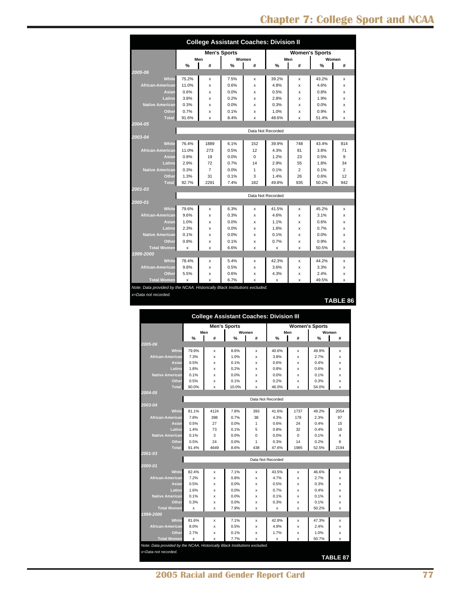|                         |       | <b>College Assistant Coaches: Division II</b> |                     |          |                   |                |                                                                                                                                                                                                                   |                |  |  |  |
|-------------------------|-------|-----------------------------------------------|---------------------|----------|-------------------|----------------|-------------------------------------------------------------------------------------------------------------------------------------------------------------------------------------------------------------------|----------------|--|--|--|
|                         |       |                                               | <b>Men's Sports</b> |          |                   |                | <b>Women's Sports</b><br>Women<br>%<br>43.2%<br>4.6%<br>0.8%<br>1.9%<br>0.0%<br>0.9%<br>51.4%<br>43.4%<br>3.8%<br>0.5%<br>1.8%<br>0.1%<br>0.6%<br>50.2%<br>45.2%<br>3.1%<br>0.6%<br>0.7%<br>0.0%<br>0.9%<br>50.5% |                |  |  |  |
|                         |       | Men                                           |                     | Women    |                   | Men            |                                                                                                                                                                                                                   |                |  |  |  |
|                         | %     | #                                             | %                   | #        | $\frac{9}{6}$     | #              |                                                                                                                                                                                                                   | #              |  |  |  |
| 2005-06                 |       |                                               |                     |          |                   |                |                                                                                                                                                                                                                   |                |  |  |  |
| <b>White</b>            | 75.2% | x                                             | 7.5%                | х        | 39.2%             | x              |                                                                                                                                                                                                                   | x              |  |  |  |
| African-American        | 11.0% | x                                             | 0.6%                | x        | 4.8%              | x              |                                                                                                                                                                                                                   | x              |  |  |  |
| <b>Asian</b>            | 0.6%  | x                                             | 0.0%                | x        | 0.5%              | x              |                                                                                                                                                                                                                   | X              |  |  |  |
| Latino                  | 3.8%  | X                                             | 0.2%                | x        | 2.8%              | x              |                                                                                                                                                                                                                   | X              |  |  |  |
| <b>Native American</b>  | 0.3%  | X                                             | 0.0%                | x        | 0.3%              | x              |                                                                                                                                                                                                                   | X              |  |  |  |
| Other                   | 0.7%  | X                                             | 0.1%                | x        | 1.0%              | x              |                                                                                                                                                                                                                   | x              |  |  |  |
| <b>Total</b>            | 91.6% | X                                             | 8.4%                | x        | 48.6%             | x              |                                                                                                                                                                                                                   | X              |  |  |  |
| 2004-05                 |       |                                               |                     |          |                   |                |                                                                                                                                                                                                                   |                |  |  |  |
|                         |       |                                               |                     |          | Data Not Recorded |                |                                                                                                                                                                                                                   |                |  |  |  |
| 2003-04                 |       |                                               |                     |          |                   |                |                                                                                                                                                                                                                   |                |  |  |  |
| <b>White</b>            | 76.4% | 1889                                          | 6.1%                | 152      | 39.9%             | 748            |                                                                                                                                                                                                                   | 814            |  |  |  |
| African-American        | 11.0% | 273                                           | 0.5%                | 12       | 4.3%              | 81             |                                                                                                                                                                                                                   | 71             |  |  |  |
| <b>Asian</b>            | 0.8%  | 19                                            | 0.0%                | $\Omega$ | 1.2%              | 23             |                                                                                                                                                                                                                   | 9              |  |  |  |
| Latino                  | 2.9%  | 72                                            | 0.7%                | 14       | 2.9%              | 55             |                                                                                                                                                                                                                   | 34             |  |  |  |
| <b>Native American</b>  | 0.3%  | $\overline{7}$                                | 0.0%                | 1        | 0.1%              | $\overline{2}$ |                                                                                                                                                                                                                   | $\overline{2}$ |  |  |  |
| Other                   | 1.3%  | 31                                            | 0.1%                | 3        | 1.4%              | 26             |                                                                                                                                                                                                                   | 12             |  |  |  |
| <b>Total</b>            | 92.7% | 2291                                          | 7.4%                | 182      | 49.8%             | 935            |                                                                                                                                                                                                                   | 942            |  |  |  |
| 2001-03                 |       |                                               |                     |          |                   |                |                                                                                                                                                                                                                   |                |  |  |  |
|                         |       |                                               |                     |          | Data Not Recorded |                |                                                                                                                                                                                                                   |                |  |  |  |
| 2000-01                 |       |                                               |                     |          |                   |                |                                                                                                                                                                                                                   |                |  |  |  |
| <b>White</b>            | 79.6% | x                                             | 6.3%                | x        | 41.5%             | x              |                                                                                                                                                                                                                   | x              |  |  |  |
| <b>African-American</b> | 9.6%  | $\mathbf x$                                   | 0.3%                | x        | 4.6%              | x              |                                                                                                                                                                                                                   | X              |  |  |  |
| <b>Asian</b>            | 1.0%  | x                                             | 0.0%                | x        | 1.1%              | x              |                                                                                                                                                                                                                   | x              |  |  |  |
| Latino                  | 2.3%  | $\mathbf x$                                   | 0.0%                | x        | 1.6%              | x              |                                                                                                                                                                                                                   | X              |  |  |  |
| <b>Native American</b>  | 0.1%  | x                                             | 0.0%                | x        | 0.1%              | x              |                                                                                                                                                                                                                   | x              |  |  |  |
| Other                   | 0.8%  | X                                             | 0.1%                | x        | 0.7%              | x              |                                                                                                                                                                                                                   | X              |  |  |  |
| <b>Total Women</b>      | x     | X                                             | 6.6%                | x        | x                 | x              |                                                                                                                                                                                                                   | X              |  |  |  |
| 1999-2000               |       |                                               |                     |          |                   |                |                                                                                                                                                                                                                   |                |  |  |  |
| <b>White</b>            | 78.4% | x                                             | 5.4%                | x        | 42.3%             | x              | 44.2%                                                                                                                                                                                                             | x              |  |  |  |
| African-American        | 9.8%  | x                                             | 0.5%                | x        | 3.6%              | x              | 3.3%                                                                                                                                                                                                              | X              |  |  |  |
| Other                   | 5.5%  | X                                             | 0.6%                | x        | 4.3%              | x              | 2.4%                                                                                                                                                                                                              | x              |  |  |  |
| <b>Total Women</b>      | x     | X                                             | 6.7%                | x        | x                 | x              | 49.5%                                                                                                                                                                                                             | X              |  |  |  |

*x=Data not recorded.*

**TABLE 86**

|                                                                            | <b>College Assistant Coaches: Division III</b> |              |              |              |                   |          |                       |                 |  |  |  |  |  |
|----------------------------------------------------------------------------|------------------------------------------------|--------------|--------------|--------------|-------------------|----------|-----------------------|-----------------|--|--|--|--|--|
|                                                                            |                                                |              | Men's Sports |              |                   |          | <b>Women's Sports</b> |                 |  |  |  |  |  |
|                                                                            |                                                | Men          |              | Women        |                   | Men      |                       | Women           |  |  |  |  |  |
|                                                                            | %                                              | #            | %            | #            | %                 | #        | %                     | #               |  |  |  |  |  |
| 2005-06                                                                    |                                                |              |              |              |                   |          |                       |                 |  |  |  |  |  |
| White                                                                      | 79.9%                                          | x            | 8.6%         | x            | 40.6%             | x        | 49.9%                 | x               |  |  |  |  |  |
| African-American                                                           | 7.3%                                           | x            | 1.0%         | x            | 3.8%              | x        | 2.7%                  | X               |  |  |  |  |  |
| Asian                                                                      | 0.5%                                           | x            | 0.1%         | x            | 0.6%              | x        | 0.4%                  | $\mathbf x$     |  |  |  |  |  |
| Latino                                                                     | 1.8%                                           | x            | 0.2%         | x            | 0.8%              | x        | 0.6%                  | $\mathbf x$     |  |  |  |  |  |
| <b>Native American</b>                                                     | 0.1%                                           | x            | 0.0%         | x            | 0.0%              | x        | 0.1%                  | X               |  |  |  |  |  |
| <b>Other</b>                                                               | 0.5%                                           | x            | 0.1%         | x            | 0.2%              | x        | 0.3%                  | X               |  |  |  |  |  |
| <b>Total</b>                                                               | 90.0%                                          | x            | 10.0%        | x            | 46.0%             | x        | 54.0%                 | $\mathbf x$     |  |  |  |  |  |
| 2004-05                                                                    |                                                |              |              |              |                   |          |                       |                 |  |  |  |  |  |
|                                                                            | Data Not Recorded                              |              |              |              |                   |          |                       |                 |  |  |  |  |  |
| 2003-04                                                                    |                                                |              |              |              |                   |          |                       |                 |  |  |  |  |  |
| <b>White</b>                                                               | 81.1%                                          | 4124         | 7.8%         | 393          | 41.6%             | 1737     | 49.2%                 | 2054            |  |  |  |  |  |
| African-American                                                           | 7.8%                                           | 398          | 0.7%         | 38           | 4.3%              | 178      | 2.3%                  | 97              |  |  |  |  |  |
| Asian                                                                      | 0.5%                                           | 27           | 0.0%         | 1            | 0.6%              | 24       | 0.4%                  | 15              |  |  |  |  |  |
| Latino                                                                     | 1.4%                                           | 73           | 0.1%         | 5            | 0.8%              | 32       | 0.4%                  | 16              |  |  |  |  |  |
| <b>Native American</b>                                                     | 0.1%                                           | 3            | 0.0%         | 0            | 0.0%              | $\Omega$ | 0.1%                  | 4               |  |  |  |  |  |
| Other                                                                      | 0.5%                                           | 24           | 0.0%         | 1            | 0.3%              | 14       | 0.2%                  | 8               |  |  |  |  |  |
| <b>Total</b>                                                               | 91.4%                                          | 4649         | 8.6%         | 438          | 47.6%             | 1985     | 52.5%                 | 2194            |  |  |  |  |  |
| 2001-03                                                                    |                                                |              |              |              |                   |          |                       |                 |  |  |  |  |  |
|                                                                            |                                                |              |              |              | Data Not Recorded |          |                       |                 |  |  |  |  |  |
| 2000-01                                                                    |                                                |              |              |              |                   |          |                       |                 |  |  |  |  |  |
| <b>White</b>                                                               | 82.4%                                          | x            | 7.1%         | x            | 43.5%             | x        | 46.6%                 | X               |  |  |  |  |  |
| African-American                                                           | 7.2%                                           | x            | 0.8%         | x            | 4.7%              | x        | 2.7%                  | X               |  |  |  |  |  |
| Asian                                                                      | 0.5%                                           | x            | 0.0%         | x            | 0.5%              | x        | 0.3%                  | X               |  |  |  |  |  |
| Latino                                                                     | 1.6%                                           | x            | 0.0%         | x            | 0.7%              | x        | 0.4%                  | x               |  |  |  |  |  |
| <b>Native American</b>                                                     | 0.1%                                           | x            | 0.0%         | x            | 0.1%              | x        | 0.1%                  | x               |  |  |  |  |  |
| Other                                                                      | 0.3%                                           | X            | 0.0%         | x            | 0.3%              | x        | 0.1%                  | X               |  |  |  |  |  |
| <b>Total Women</b>                                                         | x                                              | $\mathbf{x}$ | 7.9%         | x            | $\mathbf{x}$      | x        | 50.2%                 | $\mathbf{x}$    |  |  |  |  |  |
| 1999-2000                                                                  |                                                |              |              |              |                   |          |                       |                 |  |  |  |  |  |
| <b>White</b>                                                               | 81.6%                                          | x            | 7.1%         | x            | 42.8%             | x        | 47.3%                 | x               |  |  |  |  |  |
| African-American                                                           | 8.0%                                           | x            | 0.5%         | x            | 4.9%              | x        | 2.4%                  | x               |  |  |  |  |  |
| Other                                                                      | 2.7%                                           | x            | 0.1%         | x            | 1.7%              | x        | 1.0%                  | X               |  |  |  |  |  |
| <b>Total Women</b>                                                         | x                                              | x            | 7.7%         | $\mathbf{x}$ | x                 | x        | 50.7%                 | $\mathbf{x}$    |  |  |  |  |  |
| Note: Data provided by the NCAA. Historically Black Institutions excluded. |                                                |              |              |              |                   |          |                       |                 |  |  |  |  |  |
| x=Data not recorded.                                                       |                                                |              |              |              |                   |          |                       |                 |  |  |  |  |  |
|                                                                            |                                                |              |              |              |                   |          |                       | <b>TABLE 87</b> |  |  |  |  |  |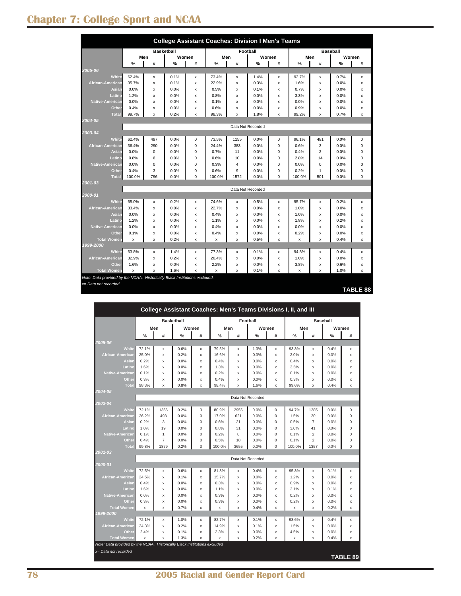|                                                                            | <b>College Assistant Coaches: Division I Men's Teams</b> |                           |                   |                |        |      |                   |                           |        |                |                 |                 |
|----------------------------------------------------------------------------|----------------------------------------------------------|---------------------------|-------------------|----------------|--------|------|-------------------|---------------------------|--------|----------------|-----------------|-----------------|
|                                                                            |                                                          |                           | <b>Basketball</b> |                |        |      | Football          |                           |        |                | <b>Baseball</b> |                 |
|                                                                            |                                                          | Men                       |                   | Women          | Men    |      |                   | Women                     |        | Men            |                 | Women           |
|                                                                            | %                                                        | #                         | %                 | #              | %      | #    | %                 | #                         | %      | #              | %               | #               |
| 2005-06                                                                    |                                                          |                           |                   |                |        |      |                   |                           |        |                |                 |                 |
| White                                                                      | 62.4%                                                    | x                         | 0.1%              | x              | 73.4%  | x    | 1.4%              | x                         | 92.7%  | x              | 0.7%            | х               |
| African-American                                                           | 35.7%                                                    | $\boldsymbol{\mathsf{x}}$ | 0.1%              | X              | 22.9%  | x    | 0.3%              | X                         | 1.6%   | x              | 0.0%            | х               |
| Asian                                                                      | 0.0%                                                     | X                         | 0.0%              | X              | 0.5%   | x    | 0.1%              | x                         | 0.7%   | x              | 0.0%            | x               |
| Latino                                                                     | 1.2%                                                     | $\boldsymbol{\mathsf{x}}$ | 0.0%              | X              | 0.8%   | X    | 0.0%              | X                         | 3.3%   | x              | 0.0%            | x               |
| <b>Native-American</b>                                                     | 0.0%                                                     | $\boldsymbol{\mathsf{x}}$ | 0.0%              | X              | 0.1%   | x    | 0.0%              | X                         | 0.0%   | x              | 0.0%            | x               |
| Other                                                                      | 0.4%                                                     | $\boldsymbol{\mathsf{x}}$ | 0.0%              | X              | 0.6%   | x    | 0.0%              | $\boldsymbol{\mathsf{x}}$ | 0.9%   | x              | 0.0%            | x               |
| <b>Total</b>                                                               | 99.7%                                                    | x                         | 0.2%              | X              | 98.3%  | x    | 1.8%              | X                         | 99.2%  | x              | 0.7%            | х               |
| 2004-05                                                                    |                                                          |                           |                   |                |        |      |                   |                           |        |                |                 |                 |
|                                                                            |                                                          |                           |                   |                |        |      | Data Not Recorded |                           |        |                |                 |                 |
| 2003-04                                                                    |                                                          |                           |                   |                |        |      |                   |                           |        |                |                 |                 |
| White                                                                      | 62.4%                                                    | 497                       | 0.0%              | 0              | 73.5%  | 1155 | 0.0%              | 0                         | 96.1%  | 481            | 0.0%            | 0               |
| African-American                                                           | 36.4%                                                    | 290                       | 0.0%              | $\overline{0}$ | 24.4%  | 383  | 0.0%              | 0                         | 0.6%   | 3              | 0.0%            | $\mathbf 0$     |
| Asian                                                                      | 0.0%                                                     | $\mathbf 0$               | 0.0%              | $\mathbf 0$    | 0.7%   | 11   | 0.0%              | 0                         | 0.4%   | $\overline{2}$ | 0.0%            | $\mathbf 0$     |
| Latino                                                                     | 0.8%                                                     | 6                         | 0.0%              | $\mathbf 0$    | 0.6%   | 10   | 0.0%              | $\Omega$                  | 2.8%   | 14             | 0.0%            | $\mathbf 0$     |
| <b>Native-American</b>                                                     | 0.0%                                                     | $\mathbf 0$               | 0.0%              | $\mathbf 0$    | 0.3%   | 4    | 0.0%              | 0                         | 0.0%   | 0              | 0.0%            | $\mathbf 0$     |
| Other                                                                      | 0.4%                                                     | 3                         | 0.0%              | $\mathbf 0$    | 0.6%   | 9    | 0.0%              | 0                         | 0.2%   | 1              | 0.0%            | 0               |
| <b>Total</b>                                                               | 100.0%                                                   | 796                       | 0.0%              | $\Omega$       | 100.0% | 1572 | 0.0%              | 0                         | 100.0% | 501            | 0.0%            | $\mathbf 0$     |
| 2001-03                                                                    |                                                          |                           |                   |                |        |      |                   |                           |        |                |                 |                 |
|                                                                            |                                                          |                           |                   |                |        |      | Data Not Recorded |                           |        |                |                 |                 |
| 2000-01                                                                    |                                                          |                           |                   |                |        |      |                   |                           |        |                |                 |                 |
| White                                                                      | 65.0%                                                    | x                         | 0.2%              | x              | 74.6%  | x    | 0.5%              | x                         | 95.7%  | x              | 0.2%            | х               |
| African-American                                                           | 33.4%                                                    | $\boldsymbol{\mathsf{x}}$ | 0.0%              | x              | 22.7%  | x    | 0.0%              | X                         | 1.0%   | x              | 0.0%            | х               |
| Asian                                                                      | 0.0%                                                     | X                         | 0.0%              | X              | 0.4%   | x    | 0.0%              | x                         | 1.0%   | x              | 0.0%            | x               |
| Latino                                                                     | 1.2%                                                     | X                         | 0.0%              | x              | 1.1%   | x    | 0.0%              | X                         | 1.8%   | x              | 0.2%            | x               |
| <b>Native-American</b>                                                     | 0.0%                                                     | $\boldsymbol{\mathsf{x}}$ | 0.0%              | X              | 0.4%   | x    | 0.0%              | X                         | 0.0%   | X              | 0.0%            | x               |
| Other                                                                      | 0.1%                                                     | $\boldsymbol{\mathsf{x}}$ | 0.0%              | X              | 0.4%   | x    | 0.0%              | $\boldsymbol{\mathsf{x}}$ | 0.2%   | x              | 0.0%            | x               |
| <b>Total Women</b>                                                         | $\boldsymbol{\mathsf{x}}$                                | $\boldsymbol{\mathsf{x}}$ | 0.2%              | X              | х      | x    | 0.5%              | X                         | x      | x              | 0.4%            | х               |
| 1999-2000                                                                  |                                                          |                           |                   |                |        |      |                   |                           |        |                |                 |                 |
| White                                                                      | 63.8%                                                    | x                         | 1.4%              | x              | 77.3%  | x    | 0.1%              | X                         | 94.8%  | x              | 0.4%            | x               |
| African-American                                                           | 32.9%                                                    | $\boldsymbol{\mathsf{x}}$ | 0.2%              | X              | 20.4%  | x    | 0.0%              | $\boldsymbol{\mathsf{x}}$ | 1.0%   | x              | 0.0%            | x               |
| Other                                                                      | 1.6%                                                     | x                         | 0.0%              | X              | 2.2%   | x    | 0.0%              | x                         | 3.8%   | x              | 0.6%            | х               |
| <b>Total Women</b>                                                         | $\boldsymbol{\mathsf{x}}$                                | $\boldsymbol{\mathsf{x}}$ | 1.6%              | X              | x      | X    | 0.1%              | X                         | x      | x              | 1.0%            | x               |
| Note: Data provided by the NCAA. Historically Black Institutions excluded. |                                                          |                           |                   |                |        |      |                   |                           |        |                |                 |                 |
| x= Data not recorded                                                       |                                                          |                           |                   |                |        |      |                   |                           |        |                |                 |                 |
|                                                                            |                                                          |                           |                   |                |        |      |                   |                           |        |                |                 | <b>TABLE 88</b> |

|                                                                           | College Assistant Coaches: Men's Teams Divisions I, II, and III |                   |                   |                |               |      |                   |                |               |                |                 |                 |
|---------------------------------------------------------------------------|-----------------------------------------------------------------|-------------------|-------------------|----------------|---------------|------|-------------------|----------------|---------------|----------------|-----------------|-----------------|
|                                                                           |                                                                 |                   | <b>Basketball</b> |                |               |      | Football          |                |               |                | <b>Baseball</b> |                 |
|                                                                           |                                                                 | Men               |                   | Women          |               | Men  |                   | Women          |               | Men            |                 | Women           |
|                                                                           | $\frac{0}{0}$                                                   | #                 | $\frac{9}{6}$     | #              | $\frac{9}{6}$ | #    | $\frac{9}{6}$     | #              | $\frac{0}{2}$ | #              | $\frac{9}{6}$   | #               |
| 2005-06                                                                   |                                                                 |                   |                   |                |               |      |                   |                |               |                |                 |                 |
| White                                                                     | 72.1%                                                           | x                 | 0.6%              | X              | 79.5%         | X    | 1.3%              | x              | 93.3%         | x              | 0.4%            | X               |
| African-American                                                          | 25.0%                                                           | X                 | 0.2%              | X              | 16.6%         | X    | 0.3%              | x              | 2.0%          | X              | 0.0%            | X               |
| Asian                                                                     | 0.2%                                                            | X                 | 0.0%              | x              | 0.4%          | X    | 0.0%              | x              | 0.4%          | x              | 0.0%            | x               |
| Latino                                                                    | 1.6%                                                            | x                 | 0.0%              | X              | 1.3%          | x    | 0.0%              | x              | 3.5%          | X              | 0.0%            | х               |
| Native-American                                                           | 0.1%                                                            | X                 | 0.0%              | х              | 0.2%          | x    | 0.0%              | x              | 0.1%          | X              | 0.0%            | x               |
| Other                                                                     | 0.3%                                                            | X                 | 0.0%              | X              | 0.4%          | X    | 0.0%              | x              | 0.3%          | X              | 0.0%            | x               |
| Tota                                                                      | 98.3%                                                           | x                 | 0.8%              | X              | 98.4%         | X    | 1.6%              | x              | 99.6%         | X              | 0.4%            | X               |
| 2004-05                                                                   |                                                                 |                   |                   |                |               |      |                   |                |               |                |                 |                 |
|                                                                           |                                                                 | Data Not Recorded |                   |                |               |      |                   |                |               |                |                 |                 |
| 2003-04                                                                   |                                                                 |                   |                   |                |               |      |                   |                |               |                |                 |                 |
| White                                                                     | 72.1%                                                           | 1356              | 0.2%              | 3              | 80.9%         | 2956 | 0.0%              | $\mathbf 0$    | 94.7%         | 1285           | 0.0%            | 0               |
| African-American                                                          | 26.2%                                                           | 493               | 0.0%              | $\overline{0}$ | 17.0%         | 621  | 0.0%              | $\overline{0}$ | 1.5%          | 20             | 0.0%            | 0               |
| Asian                                                                     | 0.2%                                                            | 3                 | 0.0%              | 0              | 0.6%          | 21   | 0.0%              | $\mathbf 0$    | 0.5%          | $\overline{7}$ | 0.0%            | 0               |
| Latino                                                                    | 1.0%                                                            | 19                | 0.0%              | 0              | 0.8%          | 31   | 0.0%              | 0              | 3.0%          | 41             | 0.0%            | 0               |
| Native-American                                                           | 0.1%                                                            | $\mathbf{1}$      | 0.0%              | $\mathbf 0$    | 0.2%          | 8    | 0.0%              | 0              | 0.1%          | 2              | 0.0%            | 0               |
| Other                                                                     | 0.4%                                                            | $\overline{7}$    | 0.0%              | 0              | 0.5%          | 18   | 0.0%              | $\mathbf 0$    | 0.1%          | $\overline{2}$ | 0.0%            | 0               |
| Total                                                                     | 99.8%                                                           | 1879              | 0.2%              | 3              | 100.0%        | 3655 | 0.0%              | $\mathbf 0$    | 100.0%        | 1357           | 0.0%            | 0               |
| 2001-03                                                                   |                                                                 |                   |                   |                |               |      |                   |                |               |                |                 |                 |
|                                                                           |                                                                 |                   |                   |                |               |      | Data Not Recorded |                |               |                |                 |                 |
| 2000-01                                                                   |                                                                 |                   |                   |                |               |      |                   |                |               |                |                 |                 |
| White                                                                     | 72.5%                                                           | х                 | 0.6%              | х              | 81.8%         | X    | 0.4%              | x              | 95.3%         | x              | 0.1%            | х               |
| African-American                                                          | 24.5%                                                           | x                 | 0.1%              | X              | 15.7%         | X    | 0.0%              | x              | 1.2%          | X              | 0.0%            | X               |
| Asian                                                                     | 0.4%                                                            | X                 | 0.0%              | X              | 0.3%          | X    | 0.0%              | x              | 0.9%          | x              | 0.0%            | x               |
| Latino                                                                    | 1.6%                                                            | X                 | 0.0%              | х              | 1.1%          | X    | 0.0%              | x              | 2.1%          | X              | 0.1%            | x               |
| Native-American                                                           | 0.0%                                                            | X                 | 0.0%              | X              | 0.3%          | X    | 0.0%              | x              | 0.2%          | X              | 0.0%            | x               |
| Other                                                                     | 0.3%                                                            | X                 | 0.0%              | x              | 0.3%          | X    | 0.0%              | x              | 0.2%          | X              | 0.0%            | x               |
| <b>Total Women</b>                                                        | X                                                               | x                 | 0.7%              | X              | x             | X    | 0.4%              | x              | X             | x              | 0.2%            | X               |
| 1999-2000                                                                 |                                                                 |                   |                   |                |               |      |                   |                |               |                |                 |                 |
| White                                                                     | 72.1%                                                           | x                 | 1.0%              | х              | 82.7%         | X    | 0.1%              | x              | 93.6%         | x              | 0.4%            | X               |
| African-American                                                          | 24.3%                                                           | х                 | 0.2%              | X              | 14.9%         | X    | 0.1%              | x              | 1.5%          | x              | 0.0%            | x               |
| Other                                                                     | 2.4%                                                            | x                 | 0.1%              | x              | 2.3%          | X    | 0.0%              | x              | 4.5%          | X              | 0.0%            | х               |
| <b>Total Women</b>                                                        | X                                                               | x                 | 1.3%              | X              | x             | X    | 0.2%              | x              | X             | x              | 0.4%            | x               |
| Note: Data provided by the NCAA. Historically Black Institutions excluded |                                                                 |                   |                   |                |               |      |                   |                |               |                |                 |                 |
| x= Data not recorded                                                      |                                                                 |                   |                   |                |               |      |                   |                |               |                |                 |                 |
|                                                                           |                                                                 |                   |                   |                |               |      |                   |                |               |                |                 | <b>TABLE 89</b> |

**78 2005 Racial and Gender Report Card**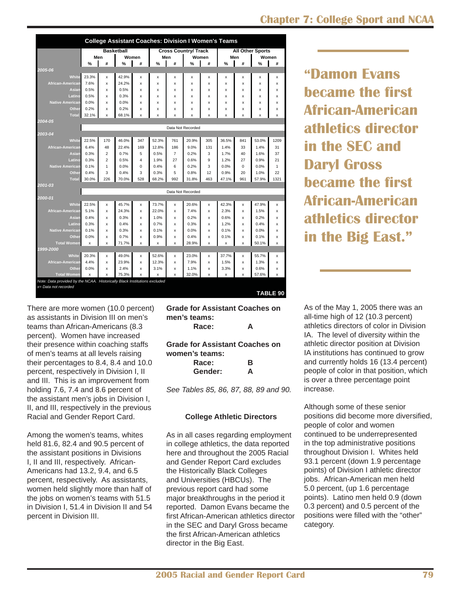| <b>College Assistant Coaches: Division I Women's Teams</b>                |                   |                           |       |          |                             |                |                           |              |                         |                           |       |          |
|---------------------------------------------------------------------------|-------------------|---------------------------|-------|----------|-----------------------------|----------------|---------------------------|--------------|-------------------------|---------------------------|-------|----------|
|                                                                           | <b>Basketball</b> |                           |       |          | <b>Cross Country/ Track</b> |                |                           |              | <b>All Other Sports</b> |                           |       |          |
|                                                                           |                   | Men                       | Women |          |                             | Men            |                           | Women        |                         | Men                       |       | Women    |
|                                                                           | %                 | #                         | %     | #        | %                           | #              | %                         | #            | %                       | #                         | %     | #        |
| 2005-06                                                                   |                   |                           |       |          |                             |                |                           |              |                         |                           |       |          |
| <b>White</b>                                                              | 23.3%             | x                         | 42.9% | x        | X                           | X              | $\boldsymbol{\mathsf{x}}$ | X            | x                       | x                         | x     | x        |
| African-American                                                          | 7.6%              | x                         | 24.2% | x        | X                           | x              | x                         | x            | x                       | x                         | x     | x        |
| Asian                                                                     | 0.5%              | X                         | 0.5%  | x        | X                           | X              | x                         | X            | x                       | x                         | X     | x        |
| Latino                                                                    | 0.5%              | X                         | 0.3%  | x        | X                           | X              | x                         | X            | x                       | x                         | X     | x        |
| <b>Native American</b>                                                    | 0.0%              | $\mathbf x$               | 0.0%  | x        | X                           | X              | x                         | $\mathbf x$  | x                       | x                         | x     | x        |
| Other                                                                     | 0.2%              | x                         | 0.2%  | x        | x                           | X              | x                         | X            | x                       | x                         | x     | x        |
| <b>Total</b>                                                              | 32.1%             | x                         | 68.1% | x        | x                           | X              | x                         | X            | x                       | x                         | x     | x        |
| 2004-05                                                                   |                   |                           |       |          |                             |                |                           |              |                         |                           |       |          |
|                                                                           |                   |                           |       |          |                             |                | Data Not Recorded         |              |                         |                           |       |          |
| 2003-04                                                                   |                   |                           |       |          |                             |                |                           |              |                         |                           |       |          |
| White                                                                     | 22.5%             | 170                       | 46.0% | 347      | 52.3%                       | 761            | 20.9%                     | 305          | 36.5%                   | 841                       | 53.0% | 1209     |
| African-American                                                          | 6.4%              | 48                        | 22.4% | 169      | 12.8%                       | 186            | 9.0%                      | 131          | 1.4%                    | 33                        | 1.4%  | 31       |
| Asian                                                                     | 0.3%              | $\overline{2}$            | 0.7%  | 5        | 0.5%                        | $\overline{7}$ | 0.2%                      | 3            | 1.7%                    | 40                        | 1.6%  | 37       |
| Latino                                                                    | 0.3%              | $\overline{2}$            | 0.5%  | 4        | 1.9%                        | 27             | 0.6%                      | 9            | 1.2%                    | 27                        | 0.9%  | 21       |
| <b>Native American</b>                                                    | 0.1%              | 1                         | 0.0%  | $\Omega$ | 0.4%                        | 6              | 0.2%                      | 3            | 0.0%                    | $\Omega$                  | 0.0%  | 1        |
| Other                                                                     | 0.4%              | 3                         | 0.4%  | 3        | 0.3%                        | 5              | 0.8%                      | 12           | 0.9%                    | 20                        | 1.0%  | 22       |
| <b>Total</b>                                                              | 30.0%             | 226                       | 70.0% | 528      | 68.2%                       | 992            | 31.8%                     | 463          | 47.1%                   | 961                       | 57.9% | 1321     |
| 2001-03                                                                   |                   |                           |       |          |                             |                |                           |              |                         |                           |       |          |
|                                                                           |                   |                           |       |          |                             |                | Data Not Recorded         |              |                         |                           |       |          |
| 2000-01                                                                   |                   |                           |       |          |                             |                |                           |              |                         |                           |       |          |
| White                                                                     | 22.5%             | $\boldsymbol{\mathsf{x}}$ | 45.7% | x        | 73.7%                       | $\mathbf{x}$   | 20.6%                     | X            | 42.3%                   | x                         | 47.9% | x        |
| African-American                                                          | 5.1%              | $\mathbf{x}$              | 24.3% | x        | 22.0%                       | $\mathsf{x}$   | 7.4%                      | $\mathsf{x}$ | 2.3%                    | $\mathbf x$               | 1.5%  | X        |
| Asian                                                                     | 0.4%              | x                         | 0.3%  | x        | 1.0%                        | X              | 0.2%                      | X            | 0.6%                    | x                         | 0.2%  | x        |
| Latino                                                                    | 0.3%              | X                         | 0.4%  | x        | 0.7%                        | X              | 0.3%                      | X            | 1.2%                    | x                         | 0.4%  | x        |
| <b>Native American</b>                                                    | 0.1%              | $\mathbf x$               | 0.3%  | x        | 0.1%                        | $\mathbf{x}$   | 0.0%                      | $\mathbf x$  | 0.1%                    | $\boldsymbol{\mathsf{x}}$ | 0.0%  | x        |
| Other                                                                     | 0.0%              | x                         | 0.7%  | x        | 0.9%                        | X              | 0.4%                      | x            | 0.1%                    | x                         | 0.1%  | x        |
| <b>Total Women</b>                                                        | x                 | X                         | 71.7% | x        | x                           | x              | 28.9%                     | X            | X                       | x                         | 50.1% | X        |
| 1999-2000                                                                 |                   |                           |       |          |                             |                |                           |              |                         |                           |       |          |
| White                                                                     | 20.3%             | x                         | 49.0% | x        | 52.6%                       | X              | 23.0%                     | x            | 37.7%                   | x                         | 55.7% | x        |
| African-American                                                          | 4.4%              | $\mathbf x$               | 23.9% | x        | 12.3%                       | X              | 7.9%                      | x            | 1.5%                    | x                         | 1.3%  | x        |
| Other                                                                     | 0.0%              | X                         | 2.4%  | x        | 3.1%                        | X              | 1.1%                      | x            | 3.3%                    | x                         | 0.6%  | x        |
| <b>Total Women</b>                                                        | X                 | X                         | 75.3% | x        | X                           | X              | 32.0%                     | X            | x                       | x                         | 57.6% | x        |
| Note: Data provided by the NCAA. Historically Black Institutions excluded |                   |                           |       |          |                             |                |                           |              |                         |                           |       |          |
| x= Data not recorded                                                      |                   |                           |       |          |                             |                |                           |              |                         |                           |       |          |
|                                                                           |                   |                           |       |          |                             |                |                           |              |                         |                           |       | TABLE 90 |

There are more women (10.0 percent) as assistants in Division III on men's teams than African-Americans (8.3 percent). Women have increased their presence within coaching staffs of men's teams at all levels raising their percentages to 8.4, 8.4 and 10.0 percent, respectively in Division I, II and III. This is an improvement from holding 7.6, 7.4 and 8.6 percent of the assistant men's jobs in Division I, II, and III, respectively in the previous Racial and Gender Report Card.

Among the women's teams, whites held 81.6, 82.4 and 90.5 percent of the assistant positions in Divisions I, II and III, respectively. African-Americans had 13.2, 9.4, and 6.5 percent, respectively. As assistants, women held slightly more than half of the jobs on women's teams with 51.5 in Division I, 51.4 in Division II and 54 percent in Division III.

| <b>Grade for Assistant Coaches on</b> |   |
|---------------------------------------|---|
| men's teams:                          |   |
| Race:                                 | A |

| <b>Grade for Assistant Coaches on</b> |   |  |  |  |  |  |  |
|---------------------------------------|---|--|--|--|--|--|--|
| women's teams:                        |   |  |  |  |  |  |  |
| Race:                                 | В |  |  |  |  |  |  |
| Gender:                               | A |  |  |  |  |  |  |

*See Tables 85, 86, 87, 88, 89 and 90.*

#### **College Athletic Directors**

As in all cases regarding employment in college athletics, the data reported here and throughout the 2005 Racial and Gender Report Card excludes the Historically Black Colleges and Universities (HBCUs). The previous report card had some major breakthroughs in the period it reported. Damon Evans became the first African-American athletics director in the SEC and Daryl Gross became the first African-American athletics director in the Big East.

**"Damon Evans became the first African-American athletics director in the SEC and Daryl Gross became the first African-American athletics director in the Big East."**

As of the May 1, 2005 there was an all-time high of 12 (10.3 percent) athletics directors of color in Division IA. The level of diversity within the athletic director position at Division IA institutions has continued to grow and currently holds 16 (13.4 percent) people of color in that position, which is over a three percentage point increase.

Although some of these senior positions did become more diversified, people of color and women continued to be underrepresented in the top administrative positions throughout Division I. Whites held 93.1 percent (down 1.9 percentage points) of Division I athletic director jobs. African-American men held 5.0 percent, (up 1.6 percentage points). Latino men held 0.9 (down 0.3 percent) and 0.5 percent of the positions were filled with the "other" category.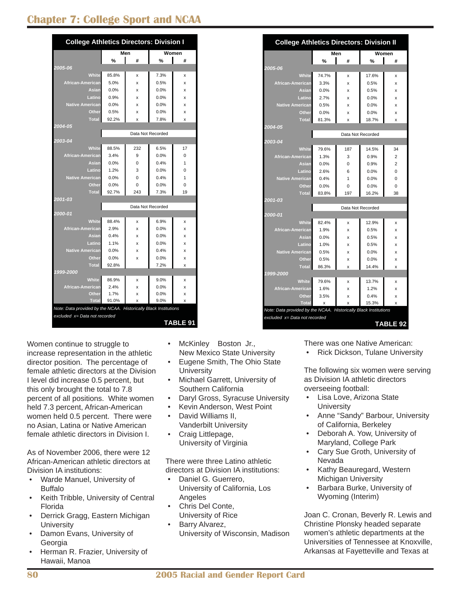| <b>College Athletics Directors: Division I</b>                   |       |          |                   |                 |  |  |  |  |
|------------------------------------------------------------------|-------|----------|-------------------|-----------------|--|--|--|--|
|                                                                  | Men   | Women    |                   |                 |  |  |  |  |
|                                                                  | %     | #        | %                 | #               |  |  |  |  |
| 2005-06                                                          |       |          |                   |                 |  |  |  |  |
| <b>White</b>                                                     | 85.8% | x        | 7.3%              | x               |  |  |  |  |
| African-American                                                 | 5.0%  | X        | 0.5%              | X               |  |  |  |  |
| Asian                                                            | 0.0%  | x        | 0.0%              | x               |  |  |  |  |
| Latino                                                           | 0.9%  | X        | 0.0%              | X               |  |  |  |  |
| <b>Native American</b>                                           | 0.0%  | X        | 0.0%              | X               |  |  |  |  |
| Other                                                            | 0.5%  | x        | 0.0%              | x               |  |  |  |  |
| <b>Total</b>                                                     | 92.2% | X        | 7.8%              | X               |  |  |  |  |
| 2004-05                                                          |       |          |                   |                 |  |  |  |  |
|                                                                  |       |          | Data Not Recorded |                 |  |  |  |  |
| 2003-04                                                          |       |          |                   |                 |  |  |  |  |
| <b>White</b>                                                     | 88.5% | 232      | 6.5%              | 17              |  |  |  |  |
| African-American                                                 | 3.4%  | 9        | 0.0%              | 0               |  |  |  |  |
| Asian                                                            | 0.0%  | 0        | 0.4%              | 1               |  |  |  |  |
| Latino                                                           | 1.2%  | 3        | 0.0%              | 0               |  |  |  |  |
| <b>Native American</b>                                           | 0.0%  | $\Omega$ | 0.4%              | 1               |  |  |  |  |
| Other                                                            | 0.0%  | 0        | 0.0%              | 0               |  |  |  |  |
| <b>Total</b>                                                     | 92.7% | 243      | 7.3%              | 19              |  |  |  |  |
| 2001-03                                                          |       |          |                   |                 |  |  |  |  |
|                                                                  |       |          | Data Not Recorded |                 |  |  |  |  |
| 2000-01                                                          |       |          |                   |                 |  |  |  |  |
| <b>White</b>                                                     | 88.4% | X        | 6.9%              | X               |  |  |  |  |
| African-American                                                 | 2.9%  | X        | 0.0%              | X               |  |  |  |  |
| Asian                                                            | 0.4%  | X        | 0.0%              | X               |  |  |  |  |
| Latino                                                           | 1.1%  | X        | 0.0%              | X               |  |  |  |  |
| <b>Native American</b>                                           | 0.0%  | x        | 0.4%              | x               |  |  |  |  |
| Other                                                            | 0.0%  | X        | 0.0%              | x               |  |  |  |  |
| <b>Total</b>                                                     | 92.8% |          | 7.2%              | x               |  |  |  |  |
| 1999-2000                                                        |       |          |                   |                 |  |  |  |  |
| <b>White</b>                                                     | 86.9% | x        | 9.0%              | X               |  |  |  |  |
| African-American                                                 | 2.4%  | x        | 0.0%              | x               |  |  |  |  |
| Other                                                            | 1.7%  | x        | 0.0%              | X               |  |  |  |  |
| <b>Total</b>                                                     | 91.0% | X        | 9.0%              | X               |  |  |  |  |
| Note: Data provided by the NCAA. Historically Black Institutions |       |          |                   |                 |  |  |  |  |
| excluded $x=Data$ not recorded                                   |       |          |                   |                 |  |  |  |  |
|                                                                  |       |          |                   | <b>TABLE 91</b> |  |  |  |  |

Women continue to struggle to increase representation in the athletic director position. The percentage of female athletic directors at the Division I level did increase 0.5 percent, but this only brought the total to 7.8 percent of all positions. White women held 7.3 percent, African-American women held 0.5 percent. There were no Asian, Latina or Native American female athletic directors in Division I.

As of November 2006, there were 12 African-American athletic directors at Division IA institutions:

- Warde Manuel, University of Buffalo
- Keith Tribble, University of Central Florida
- Derrick Gragg, Eastern Michigan **University**
- Damon Evans, University of **Georgia**
- Herman R. Frazier, University of Hawaii, Manoa
- McKinley Boston Jr., New Mexico State University
- Eugene Smith, The Ohio State **University**
- Michael Garrett, University of Southern California
- Daryl Gross, Syracuse University
- Kevin Anderson, West Point • David Williams II, Vanderbilt University
- Craig Littlepage, University of Virginia

There were three Latino athletic directors at Division IA institutions:

- Daniel G. Guerrero, University of California, Los Angeles
- Chris Del Conte, University of Rice
- Barry Alvarez, University of Wisconsin, Madison

| <b>College Athletics Directors: Division II</b>                  |       |                   |       |                |  |  |  |  |  |
|------------------------------------------------------------------|-------|-------------------|-------|----------------|--|--|--|--|--|
|                                                                  |       | Men               | Women |                |  |  |  |  |  |
|                                                                  | %     | #                 | %     | #              |  |  |  |  |  |
| 2005-06                                                          |       |                   |       |                |  |  |  |  |  |
| <b>White</b>                                                     | 74.7% | x                 | 17.6% | X              |  |  |  |  |  |
| African-American                                                 | 3.3%  | X                 | 0.5%  | X              |  |  |  |  |  |
| Asian                                                            | 0.0%  | X                 | 0.5%  | X              |  |  |  |  |  |
| Latino                                                           | 2.7%  | x                 | 0.0%  | x              |  |  |  |  |  |
| <b>Native American</b>                                           | 0.5%  | X                 | 0.0%  | X              |  |  |  |  |  |
| Other                                                            | 0.0%  | X                 | 0.0%  | X              |  |  |  |  |  |
| <b>Total</b>                                                     | 81.3% | x                 | 18.7% | X              |  |  |  |  |  |
| 2004-05                                                          |       |                   |       |                |  |  |  |  |  |
|                                                                  |       | Data Not Recorded |       |                |  |  |  |  |  |
| 2003-04                                                          |       |                   |       |                |  |  |  |  |  |
| <b>White</b>                                                     | 79.6% | 187               | 14.5% | 34             |  |  |  |  |  |
| African-American                                                 | 1.3%  | 3                 | 0.9%  | 2              |  |  |  |  |  |
| Asian                                                            | 0.0%  | 0                 | 0.9%  | $\overline{2}$ |  |  |  |  |  |
| Latino                                                           | 2.6%  | 6                 | 0.0%  | 0              |  |  |  |  |  |
| <b>Native American</b>                                           | 0.4%  | $\mathbf{1}$      | 0.0%  | 0              |  |  |  |  |  |
| Other                                                            | 0.0%  | 0                 | 0.0%  | 0              |  |  |  |  |  |
| <b>Total</b>                                                     | 83.8% | 197               | 16.2% | 38             |  |  |  |  |  |
| 2001-03                                                          |       |                   |       |                |  |  |  |  |  |
|                                                                  |       | Data Not Recorded |       |                |  |  |  |  |  |
| 2000-01                                                          |       |                   |       |                |  |  |  |  |  |
| White                                                            | 82.4% | x                 | 12.9% | X              |  |  |  |  |  |
| African-American                                                 | 1.9%  | X                 | 0.5%  | x              |  |  |  |  |  |
| Asian                                                            | 0.0%  | X                 | 0.5%  | X              |  |  |  |  |  |
| Latino                                                           | 1.0%  | X                 | 0.5%  | X              |  |  |  |  |  |
| <b>Native American</b>                                           | 0.5%  | x                 | 0.0%  | X              |  |  |  |  |  |
| Other                                                            | 0.5%  | X                 | 0.0%  | X              |  |  |  |  |  |
| <b>Total</b>                                                     | 86.3% | x                 | 14.4% | x              |  |  |  |  |  |
| 1999-2000                                                        |       |                   |       |                |  |  |  |  |  |
| White                                                            | 79.6% | x                 | 13.7% | X              |  |  |  |  |  |
| African-American                                                 | 1.6%  | X                 | 1.2%  | x              |  |  |  |  |  |
| Other                                                            | 3.5%  | X                 | 0.4%  | x              |  |  |  |  |  |
| Total                                                            | X     | X                 | 15.3% | X              |  |  |  |  |  |
| Note: Data provided by the NCAA. Historically Black Institutions |       |                   |       |                |  |  |  |  |  |
| excluded $x=Data$ not recorded                                   |       |                   |       |                |  |  |  |  |  |
|                                                                  |       |                   |       | TABLE 92       |  |  |  |  |  |

There was one Native American:

• Rick Dickson, Tulane University

The following six women were serving as Division IA athletic directors overseeing football:

- Lisa Love, Arizona State **University**
- Anne "Sandy" Barbour, University of California, Berkeley
- Deborah A. Yow, University of Maryland, College Park
- Cary Sue Groth, University of Nevada
- Kathy Beauregard, Western Michigan University
- Barbara Burke, University of Wyoming (Interim)

Joan C. Cronan, Beverly R. Lewis and Christine Plonsky headed separate women's athletic departments at the Universities of Tennessee at Knoxville, Arkansas at Fayetteville and Texas at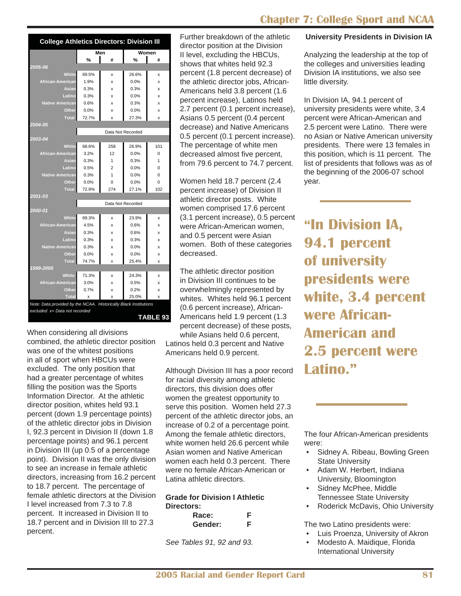| <b>Chapter 7: College Sport and NCAA</b> |  |  |  |  |  |
|------------------------------------------|--|--|--|--|--|
|------------------------------------------|--|--|--|--|--|

#### **College Athletics Directors: Division III**

|                                                                  |       | Men            |                   | Women    |  |
|------------------------------------------------------------------|-------|----------------|-------------------|----------|--|
|                                                                  | %     | #              | %                 | #        |  |
| 2005-06                                                          |       |                |                   |          |  |
| <b>White</b>                                                     | 69.5% | x              | 26.6%             | X        |  |
| African-American                                                 | 1.9%  | x              | 0.0%              | X        |  |
| Asian                                                            | 0.3%  | x              | 0.3%              | X        |  |
| Latino                                                           | 0.3%  | x              | 0.0%              | X        |  |
| <b>Native American</b>                                           | 0.6%  | x              | 0.3%              | X        |  |
| Other                                                            | 0.0%  | x              | 0.0%              | x        |  |
| <b>Total</b>                                                     | 72.7% | X              | 27.3%             | X        |  |
| 2004-05                                                          |       |                |                   |          |  |
|                                                                  |       |                | Data Not Recorded |          |  |
| 2003-04                                                          |       |                |                   |          |  |
| <b>White</b>                                                     | 68.6% | 258            | 26.9%             | 101      |  |
| African-American                                                 | 3.2%  | 12             | 0.0%              | 0        |  |
| Asian                                                            | 0.3%  | 1              | 0.3%              | 1        |  |
| Latino                                                           | 0.5%  | $\overline{2}$ | 0.0%              | $\Omega$ |  |
| <b>Native American</b>                                           | 0.3%  | 1              | 0.0%              | $\Omega$ |  |
| Other                                                            | 0.0%  | 0              | 0.0%              | 0        |  |
| <b>Total</b>                                                     | 72.9% | 274            | 27.1%             | 102      |  |
| 2001-03                                                          |       |                |                   |          |  |
|                                                                  |       |                | Data Not Recorded |          |  |
| 2000-01                                                          |       |                |                   |          |  |
| <b>White</b>                                                     | 69.3% | x              | 23.9%             | x        |  |
| <b>African-American</b>                                          | 4.5%  | x              | 0.6%              | x        |  |
| Asian                                                            | 0.3%  | x              | 0.6%              | x        |  |
| Latino                                                           | 0.3%  | x              | 0.3%              | x        |  |
| <b>Native American</b>                                           | 0.3%  | x              | 0.0%              | x        |  |
| Other                                                            | 0.0%  | x              | 0.0%              | X        |  |
| <b>Total</b>                                                     | 74.7% | X              | 25.4%             | X        |  |
| 1999-2000                                                        |       |                |                   |          |  |
| <b>White</b>                                                     | 71.3% | x              | 24.3%             | x        |  |
| African-American                                                 | 3.0%  | x              | 0.5%              | X        |  |
| Other                                                            | 0.7%  | x              | 0.2%              | X        |  |
| <b>Total</b>                                                     | X     | X              | 25.0%             | X        |  |
| Note: Data provided by the NCAA. Historically Black Institutions |       |                |                   |          |  |
| excluded $x=Data$ not recorded                                   |       |                |                   |          |  |
|                                                                  |       |                |                   | TABLE 93 |  |

When considering all divisions combined, the athletic director position was one of the whitest positions in all of sport when HBCUs were excluded. The only position that had a greater percentage of whites filling the position was the Sports Information Director. At the athletic director position, whites held 93.1 percent (down 1.9 percentage points) of the athletic director jobs in Division I, 92.3 percent in Division II (down 1.8 percentage points) and 96.1 percent in Division III (up 0.5 of a percentage point). Division II was the only division to see an increase in female athletic directors, increasing from 16.2 percent to 18.7 percent. The percentage of female athletic directors at the Division I level increased from 7.3 to 7.8 percent. It increased in Division II to 18.7 percent and in Division III to 27.3 percent.

Further breakdown of the athletic director position at the Division II level, excluding the HBCUs, shows that whites held 92.3 percent (1.8 percent decrease) of the athletic director jobs, African-Americans held 3.8 percent (1.6 percent increase), Latinos held 2.7 percent (0.1 percent increase), Asians 0.5 percent (0.4 percent decrease) and Native Americans 0.5 percent (0.1 percent increase). The percentage of white men decreased almost five percent, from 79.6 percent to 74.7 percent.

Women held 18.7 percent (2.4 percent increase) of Division II athletic director posts. White women comprised 17.6 percent (3.1 percent increase), 0.5 percent were African-American women, and 0.5 percent were Asian women. Both of these categories decreased.

The athletic director position in Division III continues to be overwhelmingly represented by whites. Whites held 96.1 percent (0.6 percent increase), African-Americans held 1.9 percent (1.3 percent decrease) of these posts, while Asians held 0.6 percent,

Latinos held 0.3 percent and Native Americans held 0.9 percent.

Although Division III has a poor record for racial diversity among athletic directors, this division does offer women the greatest opportunity to serve this position. Women held 27.3 percent of the athletic director jobs, an increase of 0.2 of a percentage point. Among the female athletic directors, white women held 26.6 percent while Asian women and Native American women each held 0.3 percent. There were no female African-American or Latina athletic directors.

#### **Grade for Division I Athletic Directors:**

 **Race: F Gender: F**

*See Tables 91, 92 and 93.*

#### **University Presidents in Division IA**

Analyzing the leadership at the top of the colleges and universities leading Division IA institutions, we also see little diversity.

In Division IA, 94.1 percent of university presidents were white, 3.4 percent were African-American and 2.5 percent were Latino. There were no Asian or Native American university presidents. There were 13 females in this position, which is 11 percent. The list of presidents that follows was as of the beginning of the 2006-07 school year.

**"In Division IA, 94.1 percent of university presidents were white, 3.4 percent were African-American and 2.5 percent were Latino."**

The four African-American presidents were:

- Sidney A. Ribeau, Bowling Green State University
- Adam W. Herbert, Indiana University, Bloomington
- Sidney McPhee, Middle Tennessee State University
- Roderick McDavis, Ohio University

The two Latino presidents were:

- Luis Proenza, University of Akron
- Modesto A. Maidique, Florida International University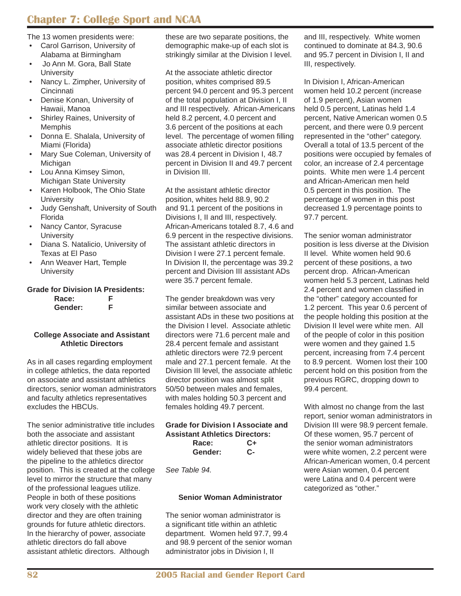The 13 women presidents were:

- Carol Garrison, University of Alabama at Birmingham
- Jo Ann M. Gora, Ball State **University**
- Nancy L. Zimpher, University of **Cincinnati**
- Denise Konan, University of Hawaii, Manoa
- Shirley Raines, University of Memphis
- Donna E. Shalala, University of Miami (Florida)
- Mary Sue Coleman, University of Michigan
- Lou Anna Kimsey Simon, Michigan State University
- Karen Holbook, The Ohio State **University**
- Judy Genshaft, University of South Florida
- Nancy Cantor, Syracuse **University**
- Diana S. Natalicio, University of Texas at El Paso
- Ann Weaver Hart, Temple **University**

#### **Grade for Division IA Presidents:**

| Race:   |  |
|---------|--|
| Gender: |  |

#### **College Associate and Assistant Athletic Directors**

As in all cases regarding employment in college athletics, the data reported on associate and assistant athletics directors, senior woman administrators and faculty athletics representatives excludes the HBCUs.

The senior administrative title includes both the associate and assistant athletic director positions. It is widely believed that these jobs are the pipeline to the athletics director position. This is created at the college level to mirror the structure that many of the professional leagues utilize. People in both of these positions work very closely with the athletic director and they are often training grounds for future athletic directors. In the hierarchy of power, associate athletic directors do fall above assistant athletic directors. Although

these are two separate positions, the demographic make-up of each slot is strikingly similar at the Division I level.

At the associate athletic director position, whites comprised 89.5 percent 94.0 percent and 95.3 percent of the total population at Division I, II and III respectively. African-Americans held 8.2 percent, 4.0 percent and 3.6 percent of the positions at each level. The percentage of women filling associate athletic director positions was 28.4 percent in Division I, 48.7 percent in Division II and 49.7 percent in Division III.

At the assistant athletic director position, whites held 88.9, 90.2 and 91.1 percent of the positions in Divisions I, II and III, respectively. African-Americans totaled 8.7, 4.6 and 6.9 percent in the respective divisions. The assistant athletic directors in Division I were 27.1 percent female. In Division II, the percentage was 39.2 percent and Division III assistant ADs were 35.7 percent female.

The gender breakdown was very similar between associate and assistant ADs in these two positions at the Division I level. Associate athletic directors were 71.6 percent male and 28.4 percent female and assistant athletic directors were 72.9 percent male and 27.1 percent female. At the Division III level, the associate athletic director position was almost split 50/50 between males and females, with males holding 50.3 percent and females holding 49.7 percent.

| <b>Grade for Division I Associate and</b> |    |  |  |  |  |  |  |  |
|-------------------------------------------|----|--|--|--|--|--|--|--|
| <b>Assistant Athletics Directors:</b>     |    |  |  |  |  |  |  |  |
| Race:                                     | C+ |  |  |  |  |  |  |  |
| Gender:                                   | C- |  |  |  |  |  |  |  |

*See Table 94.*

#### **Senior Woman Administrator**

The senior woman administrator is a significant title within an athletic department. Women held 97.7, 99.4 and 98.9 percent of the senior woman administrator jobs in Division I, II

and III, respectively. White women continued to dominate at 84.3, 90.6 and 95.7 percent in Division I, II and III, respectively.

In Division I, African-American women held 10.2 percent (increase of 1.9 percent), Asian women held 0.5 percent, Latinas held 1.4 percent, Native American women 0.5 percent, and there were 0.9 percent represented in the "other" category. Overall a total of 13.5 percent of the positions were occupied by females of color, an increase of 2.4 percentage points. White men were 1.4 percent and African-American men held 0.5 percent in this position. The percentage of women in this post decreased 1.9 percentage points to 97.7 percent.

The senior woman administrator position is less diverse at the Division II level. White women held 90.6 percent of these positions, a two percent drop. African-American women held 5.3 percent, Latinas held 2.4 percent and women classified in the "other" category accounted for 1.2 percent. This year 0.6 percent of the people holding this position at the Division II level were white men. All of the people of color in this position were women and they gained 1.5 percent, increasing from 7.4 percent to 8.9 percent. Women lost their 100 percent hold on this position from the previous RGRC, dropping down to 99.4 percent.

With almost no change from the last report, senior woman administrators in Division III were 98.9 percent female. Of these women, 95.7 percent of the senior woman administrators were white women, 2.2 percent were African-American women, 0.4 percent were Asian women, 0.4 percent were Latina and 0.4 percent were categorized as "other."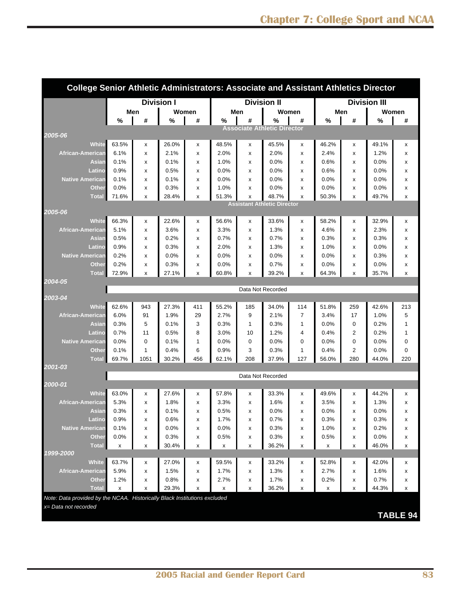| College Senior Athletic Administrators: Associate and Assistant Athletics Director |                |             |                   |        |               |             |                                    |                |       |                     |               |        |  |
|------------------------------------------------------------------------------------|----------------|-------------|-------------------|--------|---------------|-------------|------------------------------------|----------------|-------|---------------------|---------------|--------|--|
|                                                                                    |                |             | <b>Division I</b> |        |               |             | <b>Division II</b>                 |                |       | <b>Division III</b> |               |        |  |
|                                                                                    |                | Men         |                   | Women  |               | Men         |                                    | Women          | Men   |                     |               | Women  |  |
|                                                                                    | %              | #           | $\frac{0}{0}$     | #      | $\frac{0}{0}$ | #           | $\frac{0}{0}$                      | #              | %     | #                   | $\frac{0}{0}$ | #      |  |
| 2005-06                                                                            |                |             |                   |        |               |             | <b>Associate Athletic Director</b> |                |       |                     |               |        |  |
| <b>White</b>                                                                       | 63.5%          |             | 26.0%             |        | 48.5%         |             | 45.5%                              |                | 46.2% |                     | 49.1%         |        |  |
| <b>African-American</b>                                                            | 6.1%           | x<br>x      | 2.1%              | x<br>x | 2.0%          | x<br>x      | 2.0%                               | x<br>X         | 2.4%  | x<br>x              | 1.2%          | x<br>x |  |
| Asian                                                                              | 0.1%           | x           | 0.1%              | x      | 1.0%          | x           | 0.0%                               | X              | 0.6%  | x                   | 0.0%          | x      |  |
| Latino                                                                             | 0.9%           | x           | 0.5%              | X      | 0.0%          | X           | 0.0%                               | X              | 0.6%  | x                   | 0.0%          | x      |  |
| <b>Native American</b>                                                             | 0.1%           | x           | 0.1%              | x      | 0.0%          | x           | 0.0%                               | X              | 0.0%  | x                   | 0.0%          | x      |  |
| Other                                                                              | 0.0%           | x           | 0.3%              | x      | 1.0%          | x           | 0.0%                               | X              | 0.0%  | x                   | 0.0%          | x      |  |
| <b>Total</b>                                                                       | 71.6%          | x           | 28.4%             | X      | 51.3%         | X           | 48.7%                              | X              | 50.3% | x                   | 49.7%         | x      |  |
|                                                                                    |                |             |                   |        |               |             | <b>Assistant Athletic Director</b> |                |       |                     |               |        |  |
| 2005-06                                                                            |                |             |                   |        |               |             |                                    |                |       |                     |               |        |  |
| <b>White</b>                                                                       | 66.3%          | x           | 22.6%             | x      | 56.6%         | x           | 33.6%                              | X              | 58.2% | x                   | 32.9%         | x      |  |
| <b>African-American</b>                                                            | 5.1%           | X           | 3.6%              | X      | 3.3%          | X           | 1.3%                               | X              | 4.6%  | x                   | 2.3%          | x      |  |
| Asian                                                                              | 0.5%           | х           | 0.2%              | X      | 0.7%          | X           | 0.7%                               | X              | 0.3%  | x                   | 0.3%          | x      |  |
| Latino                                                                             | 0.9%           | x           | 0.3%              | X      | 2.0%          | X           | 1.3%                               | X              | 1.0%  | x                   | 0.0%          | x      |  |
| <b>Native American</b>                                                             | 0.2%           | x           | 0.0%              | X      | 0.0%          | X           | 0.0%                               | X              | 0.0%  | x                   | 0.3%          | x      |  |
| Other                                                                              | 0.2%           | х           | 0.3%              | X      | 0.0%          | X           | 0.7%                               | X              | 0.0%  | x                   | 0.0%          | x      |  |
| <b>Total</b>                                                                       | 72.9%          | х           | 27.1%             | x      | 60.8%         | X           | 39.2%                              | X              | 64.3% | x                   | 35.7%         | x      |  |
| 2004-05                                                                            |                |             |                   |        |               |             |                                    |                |       |                     |               |        |  |
|                                                                                    |                |             |                   |        |               |             | Data Not Recorded                  |                |       |                     |               |        |  |
| 2003-04                                                                            |                |             |                   |        |               |             |                                    |                |       |                     |               |        |  |
| <b>White</b>                                                                       | 62.6%          | 943         | 27.3%             | 411    | 55.2%         | 185         | 34.0%                              | 114            | 51.8% | 259                 | 42.6%         | 213    |  |
| <b>African-American</b>                                                            | 6.0%           | 91          | 1.9%              | 29     | 2.7%          | 9           | 2.1%                               | $\overline{7}$ | 3.4%  | 17                  | 1.0%          | 5      |  |
| Asian                                                                              | 0.3%           | 5           | 0.1%              | 3      | 0.3%          | 1           | 0.3%                               | 1              | 0.0%  | $\mathbf 0$         | 0.2%          | 1      |  |
| Latino                                                                             | 0.7%           | 11          | 0.5%              | 8      | 3.0%          | 10          | 1.2%                               | 4              | 0.4%  | 2                   | 0.2%          | 1      |  |
| <b>Native American</b>                                                             | 0.0%           | $\mathbf 0$ | 0.1%              | 1      | 0.0%          | $\mathbf 0$ | 0.0%                               | 0              | 0.0%  | 0                   | 0.0%          | 0      |  |
| Other                                                                              | 0.1%           | 1           | 0.4%              | 6      | 0.9%          | 3           | 0.3%                               | 1              | 0.4%  | 2                   | 0.0%          | 0      |  |
| Total                                                                              | 69.7%          | 1051        | 30.2%             | 456    | 62.1%         | 208         | 37.9%                              | 127            | 56.0% | 280                 | 44.0%         | 220    |  |
| 2001-03                                                                            |                |             |                   |        |               |             |                                    |                |       |                     |               |        |  |
|                                                                                    |                |             |                   |        |               |             | Data Not Recorded                  |                |       |                     |               |        |  |
| 2000-01                                                                            |                |             |                   |        |               |             |                                    |                |       |                     |               |        |  |
| <b>White</b>                                                                       | 63.0%          | x           | 27.6%             | x      | 57.8%         | x           | 33.3%                              | X              | 49.6% | x                   | 44.2%         | х      |  |
| <b>African-Americar</b>                                                            | 5.3%           | x           | 1.8%              | x      | 3.3%          | X           | 1.6%                               | X              | 3.5%  | x                   | 1.3%          | x      |  |
| Asian                                                                              | 0.3%           | x           | 0.1%              | x      | 0.5%          | X           | 0.0%                               | X              | 0.0%  | x                   | 0.0%          | x      |  |
| Latino                                                                             | 0.9%           | X           | 0.6%              | x      | $1.7\%$       | X           | 0.7%                               | X              | 0.3%  | x                   | 0.3%          | X      |  |
| <b>Native American</b>                                                             | 0.1%           | x           | 0.0%              | x      | 0.0%          | x           | 0.3%                               | x              | 1.0%  | x                   | 0.2%          | x      |  |
| <b>Other</b>                                                                       | 0.0%           | x           | 0.3%              | x      | 0.5%          | x           | 0.3%                               | X              | 0.5%  | x                   | 0.0%          | X      |  |
| <b>Total</b><br>1999-2000                                                          | $\pmb{\times}$ | x           | 30.4%             | х      | x             | x           | 36.2%                              | x              | x     | x                   | 46.0%         | x      |  |
|                                                                                    |                |             |                   |        |               |             |                                    |                |       |                     |               |        |  |
| <b>White</b>                                                                       | 63.7%          | x           | 27.0%             | X      | 59.5%         | x           | 33.2%                              | X              | 52.8% | x                   | 42.0%         | x      |  |
| <b>African-American</b>                                                            | 5.9%           | x           | 1.5%              | х      | 1.7%          | x           | 1.3%                               | X              | 2.7%  | x                   | 1.6%          | x      |  |
| <b>Other</b>                                                                       | 1.2%           | x           | 0.8%              | x      | 2.7%          | x           | 1.7%                               | X              | 0.2%  | x                   | 0.7%          | х      |  |
| <b>Total</b>                                                                       | x              | x           | 29.3%             | x      | x             | x           | 36.2%                              | x              | x     | x                   | 44.3%         | x      |  |
| Note: Data provided by the NCAA. Historically Black Institutions excluded          |                |             |                   |        |               |             |                                    |                |       |                     |               |        |  |
| x= Data not recorded                                                               |                |             |                   |        |               |             |                                    |                |       |                     |               |        |  |

**TABLE 94**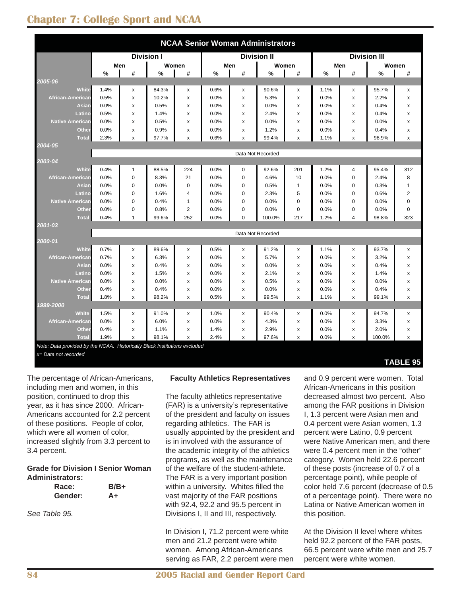| <b>NCAA Senior Woman Administrators</b>                                   |               |                           |                   |                           |               |             |                    |                           |      |                         |               |                |  |
|---------------------------------------------------------------------------|---------------|---------------------------|-------------------|---------------------------|---------------|-------------|--------------------|---------------------------|------|-------------------------|---------------|----------------|--|
|                                                                           |               |                           | <b>Division I</b> |                           |               |             | <b>Division II</b> |                           |      | <b>Division III</b>     |               |                |  |
|                                                                           |               | Men                       |                   | Women                     |               | Men         |                    | Women                     |      | Men                     |               | Women          |  |
|                                                                           | $\frac{9}{6}$ | #                         | $\frac{9}{6}$     | #                         | $\frac{9}{6}$ | #           | %                  | #                         | $\%$ | #                       | $\frac{9}{6}$ | #              |  |
| 2005-06                                                                   |               |                           |                   |                           |               |             |                    |                           |      |                         |               |                |  |
| <b>White</b>                                                              | 1.4%          | x                         | 84.3%             | X                         | 0.6%          | x           | 90.6%              | x                         | 1.1% | x                       | 95.7%         | x              |  |
| African-American                                                          | 0.5%          | $\mathbf{x}$              | 10.2%             | X                         | 0.0%          | x           | 5.3%               | $\boldsymbol{\mathsf{x}}$ | 0.0% | x                       | 2.2%          | x              |  |
| <b>Asian</b>                                                              | 0.0%          | x                         | 0.5%              | $\boldsymbol{\mathsf{x}}$ | 0.0%          | x           | 0.0%               | X                         | 0.0% | x                       | 0.4%          | x              |  |
| Latino                                                                    | 0.5%          | X                         | 1.4%              | x                         | 0.0%          | X           | 2.4%               | X                         | 0.0% | x                       | 0.4%          | x              |  |
| <b>Native American</b>                                                    | 0.0%          | $\boldsymbol{\mathsf{x}}$ | 0.5%              | X                         | 0.0%          | x           | 0.0%               | X                         | 0.0% | X                       | 0.0%          | x              |  |
| Other                                                                     | 0.0%          | x                         | 0.9%              | X                         | 0.0%          | x           | 1.2%               | x                         | 0.0% | x                       | 0.4%          | x              |  |
| <b>Total</b>                                                              | 2.3%          | $\boldsymbol{\mathsf{x}}$ | 97.7%             | X                         | 0.6%          | X           | 99.4%              | X                         | 1.1% | x                       | 98.9%         | x              |  |
| 2004-05                                                                   |               |                           |                   |                           |               |             |                    |                           |      |                         |               |                |  |
|                                                                           |               |                           |                   |                           |               |             | Data Not Recorded  |                           |      |                         |               |                |  |
| 2003-04                                                                   |               |                           |                   |                           |               |             |                    |                           |      |                         |               |                |  |
| <b>White</b>                                                              | 0.4%          | $\mathbf{1}$              | 88.5%             | 224                       | 0.0%          | $\pmb{0}$   | 92.6%              | 201                       | 1.2% | 4                       | 95.4%         | 312            |  |
| African-American                                                          | 0.0%          | $\Omega$                  | 8.3%              | 21                        | 0.0%          | $\mathbf 0$ | 4.6%               | 10                        | 0.0% | 0                       | 2.4%          | 8              |  |
| Asian                                                                     | 0.0%          | $\Omega$                  | 0.0%              | $\mathbf 0$               | 0.0%          | $\mathbf 0$ | 0.5%               | $\mathbf{1}$              | 0.0% | 0                       | 0.3%          | 1              |  |
| Latino                                                                    | 0.0%          | $\Omega$                  | 1.6%              | $\overline{4}$            | 0.0%          | $\mathbf 0$ | 2.3%               | 5                         | 0.0% | 0                       | 0.6%          | $\overline{2}$ |  |
| <b>Native American</b>                                                    | 0.0%          | $\Omega$                  | 0.4%              | $\mathbf{1}$              | 0.0%          | $\mathbf 0$ | 0.0%               | $\mathbf 0$               | 0.0% | 0                       | 0.0%          | 0              |  |
| Other                                                                     | 0.0%          | $\mathbf 0$               | 0.8%              | $\overline{2}$            | 0.0%          | $\pmb{0}$   | 0.0%               | 0                         | 0.0% | 0                       | 0.0%          | 0              |  |
| <b>Total</b>                                                              | 0.4%          | $\mathbf{1}$              | 99.6%             | 252                       | 0.0%          | $\Omega$    | 100.0%             | 217                       | 1.2% | $\overline{\mathbf{4}}$ | 98.8%         | 323            |  |
| 2001-03                                                                   |               |                           |                   |                           |               |             |                    |                           |      |                         |               |                |  |
|                                                                           |               |                           |                   |                           |               |             | Data Not Recorded  |                           |      |                         |               |                |  |
| 2000-01                                                                   |               |                           |                   |                           |               |             |                    |                           |      |                         |               |                |  |
| <b>White</b>                                                              | 0.7%          | x                         | 89.6%             | x                         | 0.5%          | x           | 91.2%              | $\pmb{\times}$            | 1.1% | x                       | 93.7%         | x              |  |
| African-American                                                          | 0.7%          | $\boldsymbol{\mathsf{x}}$ | 6.3%              | $\boldsymbol{\mathsf{x}}$ | 0.0%          | X           | 5.7%               | $\boldsymbol{\mathsf{x}}$ | 0.0% | x                       | 3.2%          | x              |  |
| <b>Asian</b>                                                              | 0.0%          | X                         | 0.4%              | x                         | 0.0%          | X           | 0.0%               | X                         | 0.0% | x                       | 0.4%          | x              |  |
| Latino                                                                    | 0.0%          | $\boldsymbol{\mathsf{x}}$ | 1.5%              | X                         | 0.0%          | X           | 2.1%               | X                         | 0.0% | X                       | 1.4%          | x              |  |
| <b>Native American</b>                                                    | 0.0%          | X                         | 0.0%              | X                         | 0.0%          | X           | 0.5%               | X                         | 0.0% | X                       | 0.0%          | x              |  |
| Other                                                                     | 0.4%          | x                         | 0.4%              | X                         | 0.0%          | x           | 0.0%               | x                         | 0.0% | x                       | 0.4%          | x              |  |
| <b>Total</b>                                                              | 1.8%          | $\boldsymbol{\mathsf{x}}$ | 98.2%             | X                         | 0.5%          | X           | 99.5%              | X                         | 1.1% | X                       | 99.1%         | X              |  |
| 1999-2000                                                                 |               |                           |                   |                           |               |             |                    |                           |      |                         |               |                |  |
| <b>White</b>                                                              | 1.5%          | x                         | 91.0%             | x                         | 1.0%          | x           | 90.4%              | x                         | 0.0% | x                       | 94.7%         | x              |  |
| African-American                                                          | 0.0%          | x                         | 6.0%              | x                         | 0.0%          | x           | 4.3%               | $\pmb{\times}$            | 0.0% | x                       | 3.3%          | x              |  |
| Other                                                                     | 0.4%          | x                         | 1.1%              | X                         | 1.4%          | х           | 2.9%               | x                         | 0.0% | x                       | 2.0%          | x              |  |
| <b>Total</b>                                                              | 1.9%          | X                         | 98.1%             | X                         | 2.4%          | X           | 97.6%              | $\boldsymbol{x}$          | 0.0% | X                       | 100.0%        | X              |  |
| Note: Data provided by the NCAA. Historically Black Institutions excluded |               |                           |                   |                           |               |             |                    |                           |      |                         |               |                |  |
| x= Data not recorded                                                      |               |                           |                   |                           |               |             |                    |                           |      |                         |               |                |  |

The percentage of African-Americans, including men and women, in this position, continued to drop this year, as it has since 2000. African-Americans accounted for 2.2 percent of these positions. People of color, which were all women of color, increased slightly from 3.3 percent to 3.4 percent.

#### **Grade for Division I Senior Woman Administrators:**

| Race:   | $B/B+$ |
|---------|--------|
| Gender: | $A+$   |

*See Table 95.*

#### **Faculty Athletics Representatives**

The faculty athletics representative (FAR) is a university's representative of the president and faculty on issues regarding athletics. The FAR is usually appointed by the president and is in involved with the assurance of the academic integrity of the athletics programs, as well as the maintenance of the welfare of the student-athlete. The FAR is a very important position within a university. Whites filled the vast majority of the FAR positions with 92.4, 92.2 and 95.5 percent in Divisions I, II and III, respectively.

In Division I, 71.2 percent were white men and 21.2 percent were white women. Among African-Americans serving as FAR, 2.2 percent were men and 0.9 percent were women. Total African-Americans in this position decreased almost two percent. Also among the FAR positions in Division I, 1.3 percent were Asian men and 0.4 percent were Asian women, 1.3 percent were Latino, 0.9 percent were Native American men, and there were 0.4 percent men in the "other" category. Women held 22.6 percent of these posts (increase of 0.7 of a percentage point), while people of color held 7.6 percent (decrease of 0.5 of a percentage point). There were no Latina or Native American women in this position.

**TABLE 95**

At the Division II level where whites held 92.2 percent of the FAR posts, 66.5 percent were white men and 25.7 percent were white women.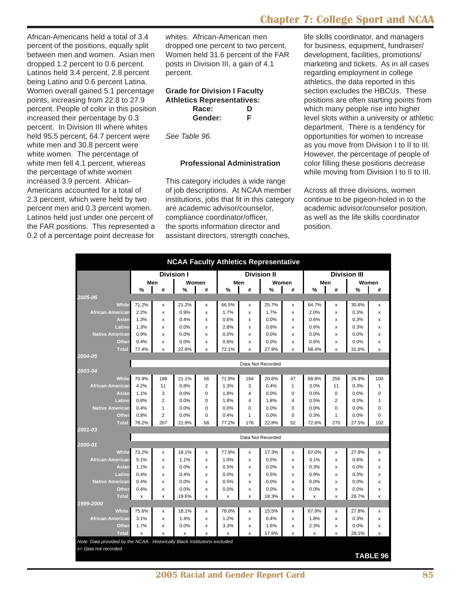African-Americans held a total of 3.4 percent of the positions, equally split between men and women. Asian men dropped 1.2 percent to 0.6 percent. Latinos held 3.4 percent, 2.8 percent being Latino and 0.6 percent Latina. Women overall gained 5.1 percentage points, increasing from 22.8 to 27.9 percent. People of color in this position increased their percentage by 0.3 percent. In Division III where whites held 95.5 percent, 64.7 percent were white men and 30.8 percent were white women. The percentage of white men fell 4.1 percent, whereas the percentage of white women increased 3.9 percent. African-Americans accounted for a total of 2.3 percent, which were held by two percent men and 0.3 percent women. Latinos held just under one percent of the FAR positions. This represented a 0.2 of a percentage point decrease for

whites. African-American men dropped one percent to two percent. Women held 31.6 percent of the FAR posts in Division III, a gain of 4.1 percent.

**Grade for Division I Faculty Athletics Representatives: Race: D Gender: F**

*See Table 96.*

#### **Professional Administration**

This category includes a wide range of job descriptions. At NCAA member institutions, jobs that fit in this category are academic advisor/counselor, compliance coordinator/officer, the sports information director and assistant directors, strength coaches,

life skills coordinator, and managers for business, equipment, fundraiser/ development, facilities, promotions/ marketing and tickets. As in all cases regarding employment in college athletics, the data reported in this section excludes the HBCUs. These positions are often starting points from which many people rise into higher level slots within a university or athletic department. There is a tendency for opportunities for women to increase as you move from Division I to II to III. However, the percentage of people of color filling these positions decrease while moving from Division I to II to III.

Across all three divisions, women continue to be pigeon-holed in to the academic advisor/counselor position, as well as the life skills coordinator position.

| <b>NCAA Faculty Athletics Representative</b>                                                      |                   |                           |               |                           |               |                           |                   |                     |               |                |               |                 |  |
|---------------------------------------------------------------------------------------------------|-------------------|---------------------------|---------------|---------------------------|---------------|---------------------------|-------------------|---------------------|---------------|----------------|---------------|-----------------|--|
|                                                                                                   |                   |                           |               |                           |               |                           |                   |                     |               |                |               |                 |  |
|                                                                                                   | <b>Division I</b> |                           |               |                           |               | <b>Division II</b>        |                   | <b>Division III</b> |               |                |               |                 |  |
|                                                                                                   |                   | Men                       |               | Women                     |               | Men                       |                   | Women               |               | Men            |               | Women<br>#      |  |
|                                                                                                   | %                 | #                         | %             | #                         | %             | #                         | %                 | #                   | %             | #              | %             |                 |  |
| $2005 - 06$                                                                                       |                   |                           |               |                           |               |                           |                   |                     |               |                |               |                 |  |
| <b>White</b>                                                                                      | 71.2%             | X                         | 21.2%         | $\mathsf{x}$              | 66.5%         | x                         | 25.7%             | x                   | 64.7%         | x              | 30.8%         | x               |  |
| African-American                                                                                  | 2.2%              | $\boldsymbol{\mathsf{x}}$ | 0.9%          | $\boldsymbol{\mathsf{x}}$ | 1.7%          | $\boldsymbol{\mathsf{x}}$ | 1.7%              | x                   | 2.0%          | X              | 0.3%          | x               |  |
| Asian                                                                                             | 1.3%              | X                         | 0.4%          | X                         | 0.6%          | x                         | 0.0%              | x                   | 0.6%          | x              | 0.3%          | x               |  |
| Latino                                                                                            | 1.3%              | х                         | 0.0%          | x                         | 2.8%          | х                         | 0.6%              | x                   | 0.6%          | x              | 0.3%          | x               |  |
| <b>Native American</b>                                                                            | 0.9%              | X                         | 0.0%          | x                         | 0.0%          | x                         | 0.0%              | x                   | 0.0%          | x              | 0.0%          | x               |  |
| Other<br><b>Total</b>                                                                             | 0.4%<br>77.4%     | X                         | 0.0%<br>22.6% | X                         | 0.6%<br>72.1% | $\boldsymbol{\mathsf{x}}$ | 0.0%<br>27.9%     | X                   | 0.6%<br>68.4% | X              | 0.0%<br>31.6% | x               |  |
| 2004-05                                                                                           |                   | X                         |               | $\boldsymbol{\mathsf{x}}$ |               | $\boldsymbol{\mathsf{x}}$ |                   | X                   |               | X              |               | x               |  |
|                                                                                                   |                   |                           |               |                           |               |                           |                   |                     |               |                |               |                 |  |
| 2003-04                                                                                           |                   |                           |               |                           |               |                           | Data Not Recorded |                     |               |                |               |                 |  |
| <b>White</b>                                                                                      | 70.9%             | 188                       | 21.1%         | 56                        | 71.9%         | 164                       | 20.6%             | 47                  | 68.8%         | 256            | 26.9%         | 100             |  |
| African-American                                                                                  | 4.2%              | 11                        | 0.8%          | $\overline{2}$            | 1.3%          | 3                         | 0.4%              | $\mathbf{1}$        | 3.0%          | 11             | 0.3%          | 1               |  |
| Asian                                                                                             | 1.1%              | 3                         | 0.0%          | 0                         | 1.8%          | 4                         | 0.0%              | $\mathbf 0$         | 0.0%          | 0              | 0.0%          | 0               |  |
| Latino                                                                                            | 0.8%              | $\overline{2}$            | 0.0%          | $\mathbf 0$               | 1.8%          | 4                         | 1.8%              | 4                   | 0.5%          | $\overline{2}$ | 0.3%          | 1               |  |
| <b>Native American</b>                                                                            | 0.4%              | 1                         | 0.0%          | $\Omega$                  | 0.0%          | $\Omega$                  | 0.0%              | $\Omega$            | 0.0%          | $\Omega$       | 0.0%          | $\Omega$        |  |
| Other                                                                                             | 0.8%              | $\overline{2}$            | 0.0%          | $\Omega$                  | 0.4%          | $\mathbf{1}$              | 0.0%              | $\mathbf 0$         | 0.3%          | $\mathbf{1}$   | 0.0%          | 0               |  |
| <b>Total</b>                                                                                      | 78.2%             | 207                       | 21.9%         | 58                        | 77.2%         | 176                       | 22.8%             | 52                  | 72.6%         | 270            | 27.5%         | 102             |  |
| 2001-03                                                                                           |                   |                           |               |                           |               |                           |                   |                     |               |                |               |                 |  |
|                                                                                                   |                   |                           |               |                           |               |                           | Data Not Recorded |                     |               |                |               |                 |  |
| 2000-01                                                                                           |                   |                           |               |                           |               |                           |                   |                     |               |                |               |                 |  |
| White                                                                                             | 73.2%             | х                         | 18.1%         | x                         | 77.9%         | x                         | 17.3%             | x                   | 67.0%         | x              | 27.8%         | x               |  |
| African-American                                                                                  | 5.1%              | X                         | 1.1%          | x                         | 1.0%          | X                         | 0.5%              | x                   | 3.1%          | x              | 0.6%          | x               |  |
| Asian                                                                                             | 1.1%              | $\boldsymbol{\mathsf{x}}$ | 0.0%          | $\boldsymbol{\mathsf{x}}$ | 0.5%          | $\boldsymbol{\mathsf{x}}$ | 0.0%              | X                   | 0.3%          | X              | 0.0%          | x               |  |
| Latino                                                                                            | 0.4%              | $\boldsymbol{\mathsf{x}}$ | 0.4%          | $\boldsymbol{\mathsf{x}}$ | 0.0%          | $\boldsymbol{\mathsf{x}}$ | 0.5%              | X                   | 0.9%          | X              | 0.3%          | x               |  |
| <b>Native American</b>                                                                            | 0.4%              | X                         | 0.0%          | X                         | 0.5%          | X                         | 0.0%              | X                   | 0.0%          | x              | 0.0%          | x               |  |
| Other                                                                                             | 0.4%              | x                         | 0.0%          | X                         | 0.0%          | X                         | 0.0%              | X                   | 0.0%          | x              | 0.0%          | x               |  |
| <b>Total</b>                                                                                      | X                 | x                         | 19.6%         | X                         | x             | X                         | 18.3%             | x                   | X             | x              | 28.7%         | x               |  |
| 1999-2000                                                                                         |                   |                           |               |                           |               |                           |                   |                     |               |                |               |                 |  |
| <b>White</b>                                                                                      | 75.6%             | X                         | 18.1%         | X                         | 78.0%         | x                         | 15.5%             | x                   | 67.9%         | x              | 27.8%         | x               |  |
| African-American                                                                                  | 3.1%              | x                         | 1.4%          | X                         | 1.2%          | X                         | 0.4%              | x                   | 1.8%          | x              | 0.3%          | x               |  |
| Other                                                                                             | 1.7%              | $\boldsymbol{\mathsf{x}}$ | 0.0%          | $\boldsymbol{\mathsf{x}}$ | 3.3%          | $\boldsymbol{\mathsf{x}}$ | 1.6%              | x                   | 2.3%          | X              | 0.0%          | x               |  |
| <b>Total</b>                                                                                      | X                 | x                         | x             | X                         | x             | $\boldsymbol{\mathsf{x}}$ | 17.6%             | X                   | X             | X              | 28.1%         | x               |  |
|                                                                                                   |                   |                           |               |                           |               |                           |                   |                     |               |                |               |                 |  |
| Note: Data provided by the NCAA. Historically Black Institutions excluded<br>x= Data not recorded |                   |                           |               |                           |               |                           |                   |                     |               |                |               |                 |  |
|                                                                                                   |                   |                           |               |                           |               |                           |                   |                     |               |                |               | <b>TABLE 96</b> |  |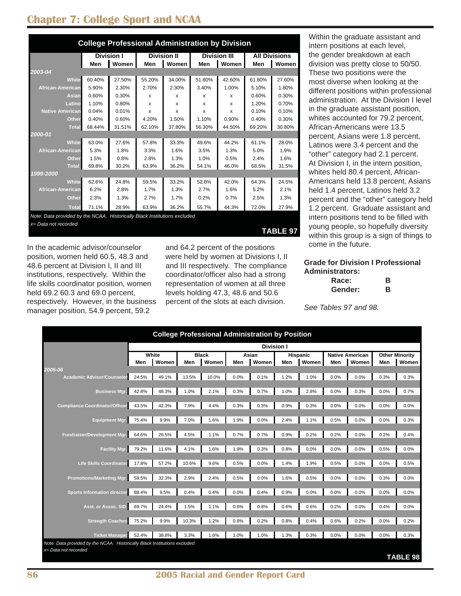| <b>College Professional Administration by Division</b>                    |                   |        |              |                    |              |                     |                      |        |  |
|---------------------------------------------------------------------------|-------------------|--------|--------------|--------------------|--------------|---------------------|----------------------|--------|--|
|                                                                           | <b>Division I</b> |        |              | <b>Division II</b> |              | <b>Division III</b> | <b>All Divisions</b> |        |  |
|                                                                           | Women<br>Men      |        | Women<br>Men |                    | Women<br>Men |                     | Men                  | Women  |  |
| 2003-04                                                                   |                   |        |              |                    |              |                     |                      |        |  |
| <b>White</b>                                                              | 60.40%            | 27.50% | 55.20%       | 34.00%             | 51.80%       | 42.60%              | 61.80%               | 27.60% |  |
| African-American                                                          | 5.90%             | 2.30%  | 2.70%        | 2.30%              | 3.40%        | 1.00%               | 5.10%                | 1.80%  |  |
| <b>Asian</b>                                                              | 0.60%             | 0.30%  | x            | x                  | x            | X                   | 0.60%                | 0.30%  |  |
| Latino                                                                    | 1.10%             | 0.80%  | x            | X                  | x            | x                   | 1.20%                | 0.70%  |  |
| <b>Native American</b>                                                    | 0.04%             | 0.01%  | X            | X                  | X            | X                   | 0.10%                | 0.10%  |  |
| Other                                                                     | 0.40%             | 0.60%  | 4.20%        | 1.50%              | 1.10%        | 0.90%               | 0.40%                | 0.30%  |  |
| <b>Total</b>                                                              | 68.44%            | 31.51% | 62.10%       | 37.80%             | 56.30%       | 44.50%              | 69.20%               | 30.80% |  |
| 2000-01                                                                   |                   |        |              |                    |              |                     |                      |        |  |
| <b>White</b>                                                              | 63.0%             | 27.6%  | 57.8%        | 33.3%              | 49.6%        | 44.2%               | 61.1%                | 28.0%  |  |
| African-American                                                          | 5.3%              | 1.8%   | 3.3%         | 1.6%               | 3.5%         | 1.3%                | 5.0%                 | 1.9%   |  |
| <b>Other</b>                                                              | 1.5%              | 0.8%   | 2.8%         | 1.3%               | 1.0%         | 0.5%                | 2.4%                 | 1.6%   |  |
| <b>Total</b>                                                              | 69.8%             | 30.2%  | 63.9%        | 36.2%              | 54.1%        | 46.0%               | 68.5%                | 31.5%  |  |
| 1999-2000                                                                 |                   |        |              |                    |              |                     |                      |        |  |
| <b>White</b>                                                              | 62.6%             | 24.8%  | 59.5%        | 33.2%              | 52.8%        | 42.0%               | 64.3%                | 24.5%  |  |
| African-American                                                          | 6.2%              | 2.8%   | 1.7%         | 1.3%               | 2.7%         | 1.6%                | 5.2%                 | 2.1%   |  |
| Other                                                                     | 2.3%              | 1.3%   | 2.7%         | 1.7%               | 0.2%         | 0.7%                | 2.5%                 | 1.3%   |  |
| <b>Total</b>                                                              | 71.1%             | 28.9%  | 63.9%        | 36.2%              | 55.7%        | 44.3%               | 72.0%                | 27.9%  |  |
| Note: Data provided by the NCAA. Historically Black Institutions excluded |                   |        |              |                    |              |                     |                      |        |  |
| y Data not recorded                                                       |                   |        |              |                    |              |                     |                      |        |  |

*x= Data not recorded*

In the academic advisor/counselor position, women held 60.5, 48.3 and 48.6 percent at Division I, II and III institutions, respectively. Within the life skills coordinator position, women held 69.2 60.3 and 69.0 percent, respectively. However, in the business manager position, 54.9 percent, 59.2

and 64.2 percent of the positions were held by women at Divisions I, II and III respectively. The compliance coordinator/officer also had a strong representation of women at all three levels holding 47.3, 48.6 and 50.6 percent of the slots at each division.

**TABLE 97**

Within the graduate assistant and intern positions at each level, the gender breakdown at each division was pretty close to 50/50. These two positions were the most diverse when looking at the different positions within professional administration. At the Division I level in the graduate assistant position, whites accounted for 79.2 percent, African-Americans were 13.5 percent, Asians were 1.8 percent, Latinos were 3.4 percent and the "other" category had 2.1 percent. At Division I, in the intern position, whites held 80.4 percent, African-Americans held 13.8 percent, Asians held 1.4 percent, Latinos held 3.2 percent and the "other" category held 1.2 percent. Graduate assistant and intern positions tend to be filled with young people, so hopefully diversity within this group is a sign of things to come in the future.

#### **Grade for Division I Professional Administrators:**

| Race:   | B |
|---------|---|
| Gender: | в |

*See Tables 97 and 98.*

|                                                                                                                         |                   |       |              |       |       | <b>College Professional Administration by Position</b> |                 |       |                        |       |                       |       |
|-------------------------------------------------------------------------------------------------------------------------|-------------------|-------|--------------|-------|-------|--------------------------------------------------------|-----------------|-------|------------------------|-------|-----------------------|-------|
|                                                                                                                         | <b>Division I</b> |       |              |       |       |                                                        |                 |       |                        |       |                       |       |
|                                                                                                                         |                   | White | <b>Black</b> |       | Asian |                                                        | <b>Hispanic</b> |       | <b>Native American</b> |       | <b>Other Minority</b> |       |
| 2005-06                                                                                                                 | Men               | Women | Men          | Women | Men   | Women                                                  | Men             | Women | Men                    | Women | Men                   | Women |
| <b>Academic Advisor/Counselor</b>                                                                                       | 24.5%             | 49.1% | 13.5%        | 10.0% | 0.0%  | 0.1%                                                   | 1.2%            | 1.0%  | 0.0%                   | 0.0%  | 0.3%                  | 0.3%  |
| <b>Business Mgr.</b>                                                                                                    | 42.8%             | 48.3% | 1.0%         | 2.1%  | 0.3%  | 0.7%                                                   | 1.0%            | 2.8%  | 0.0%                   | 0.3%  | 0.0%                  | 0.7%  |
| <b>Compliance Coordinator/Officer</b>                                                                                   | 43.5%             | 42.3% | 7.9%         | 4.4%  | 0.3%  | 0.3%                                                   | 0.9%            | 0.3%  | 0.0%                   | 0.0%  | 0.0%                  | 0.0%  |
| <b>Equipment Mgr.</b>                                                                                                   | 75.4%             | 9.9%  | 7.0%         | 1.6%  | 1.9%  | 0.0%                                                   | 2.4%            | 1.1%  | 0.5%                   | 0.0%  | 0.0%                  | 0.3%  |
| Fundraiser/Development Mgr.                                                                                             | 64.6%             | 26.5% | 4.5%         | 1.1%  | 0.7%  | 0.7%                                                   | 0.9%            | 0.2%  | 0.2%                   | 0.0%  | 0.2%                  | 0.4%  |
| <b>Facility Mgr.</b>                                                                                                    | 79.2%             | 11.6% | 4.1%         | 1.6%  | 1.9%  | 0.3%                                                   | 0.8%            | 0.0%  | 0.0%                   | 0.0%  | 0.5%                  | 0.0%  |
| <b>Life Skills Coordinator</b>                                                                                          | 17.8%             | 57.2% | 10.6%        | 9.6%  | 0.5%  | 0.0%                                                   | 1.4%            | 1.9%  | 0.5%                   | 0.0%  | 0.0%                  | 0.5%  |
| Promotions/Marketing Mgr.                                                                                               | 59.5%             | 32.3% | 2.9%         | 2.4%  | 0.5%  | 0.0%                                                   | 1.6%            | 0.5%  | 0.0%                   | 0.0%  | 0.3%                  | 0.0%  |
| <b>Sports Information director</b>                                                                                      | 88.4%             | 9.5%  | 0.4%         | 0.4%  | 0.0%  | 0.4%                                                   | 0.9%            | 0.0%  | 0.0%                   | 0.0%  | 0.0%                  | 0.0%  |
| Asst. or Assoc. SID                                                                                                     | 69.7%             | 24.4% | 1.5%         | 1.1%  | 0.6%  | 0.8%                                                   | 0.6%            | 0.6%  | 0.2%                   | 0.0%  | 0.4%                  | 0.0%  |
| <b>Strength Coaches</b>                                                                                                 | 75.2%             | 9.9%  | 10.3%        | 1.2%  | 0.8%  | 0.2%                                                   | 0.8%            | 0.4%  | 0.6%                   | 0.2%  | 0.0%                  | 0.2%  |
| <b>Ticket Manager</b>                                                                                                   | 52.4%             | 38.8% | 3.3%         | 1.6%  | 1.0%  | 1.0%                                                   | 1.3%            | 0.3%  | 0.0%                   | 0.0%  | 0.0%                  | 0.3%  |
| Note: Data provided by the NCAA. Historically Black Institutions excluded<br>$x = Data not recorded$<br><b>TABLE 98</b> |                   |       |              |       |       |                                                        |                 |       |                        |       |                       |       |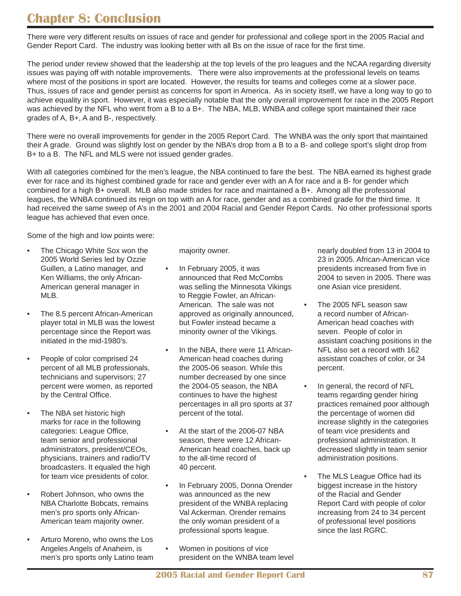# **Chapter 8: Conclusion**

There were very different results on issues of race and gender for professional and college sport in the 2005 Racial and Gender Report Card. The industry was looking better with all Bs on the issue of race for the first time.

The period under review showed that the leadership at the top levels of the pro leagues and the NCAA regarding diversity issues was paying off with notable improvements. There were also improvements at the professional levels on teams where most of the positions in sport are located. However, the results for teams and colleges come at a slower pace. Thus, issues of race and gender persist as concerns for sport in America. As in society itself, we have a long way to go to achieve equality in sport. However, it was especially notable that the only overall improvement for race in the 2005 Report was achieved by the NFL who went from a B to a B+. The NBA, MLB, WNBA and college sport maintained their race grades of A, B+, A and B-, respectively.

There were no overall improvements for gender in the 2005 Report Card. The WNBA was the only sport that maintained their A grade. Ground was slightly lost on gender by the NBA's drop from a B to a B- and college sport's slight drop from B+ to a B. The NFL and MLS were not issued gender grades.

With all categories combined for the men's league, the NBA continued to fare the best. The NBA earned its highest grade ever for race and its highest combined grade for race and gender ever with an A for race and a B- for gender which combined for a high B+ overall. MLB also made strides for race and maintained a B+. Among all the professional leagues, the WNBA continued its reign on top with an A for race, gender and as a combined grade for the third time. It had received the same sweep of A's in the 2001 and 2004 Racial and Gender Report Cards. No other professional sports league has achieved that even once.

Some of the high and low points were:

- The Chicago White Sox won the 2005 World Series led by Ozzie Guillen, a Latino manager, and Ken Williams, the only African-American general manager in MLB.
- The 8.5 percent African-American player total in MLB was the lowest percentage since the Report was initiated in the mid-1980's.
- People of color comprised 24 percent of all MLB professionals, technicians and supervisors; 27 percent were women, as reported by the Central Office.
- The NBA set historic high marks for race in the following categories: League Office, team senior and professional administrators, president/CEOs, physicians, trainers and radio/TV broadcasters. It equaled the high for team vice presidents of color.
- Robert Johnson, who owns the NBA Charlotte Bobcats, remains men's pro sports only African-American team majority owner.
- Arturo Moreno, who owns the Los Angeles Angels of Anaheim, is men's pro sports only Latino team

majority owner.

- In February 2005, it was announced that Red McCombs was selling the Minnesota Vikings to Reggie Fowler, an African-American. The sale was not approved as originally announced, but Fowler instead became a minority owner of the Vikings.
- In the NBA, there were 11 African-American head coaches during the 2005-06 season. While this number decreased by one since the 2004-05 season, the NBA continues to have the highest percentages in all pro sports at 37 percent of the total.
- At the start of the 2006-07 NBA season, there were 12 African-American head coaches, back up to the all-time record of 40 percent.
- In February 2005, Donna Orender was announced as the new president of the WNBA replacing Val Ackerman. Orender remains the only woman president of a professional sports league.
- Women in positions of vice president on the WNBA team level

nearly doubled from 13 in 2004 to 23 in 2005. African-American vice presidents increased from five in 2004 to seven in 2005. There was one Asian vice president.

- The 2005 NFL season saw a record number of African-American head coaches with seven. People of color in assistant coaching positions in the NFL also set a record with 162 assistant coaches of color, or 34 percent.
- In general, the record of NFL teams regarding gender hiring practices remained poor although the percentage of women did increase slightly in the categories of team vice presidents and professional administration. It decreased slightly in team senior administration positions.
- The MLS League Office had its biggest increase in the history of the Racial and Gender Report Card with people of color increasing from 24 to 34 percent of professional level positions since the last RGRC.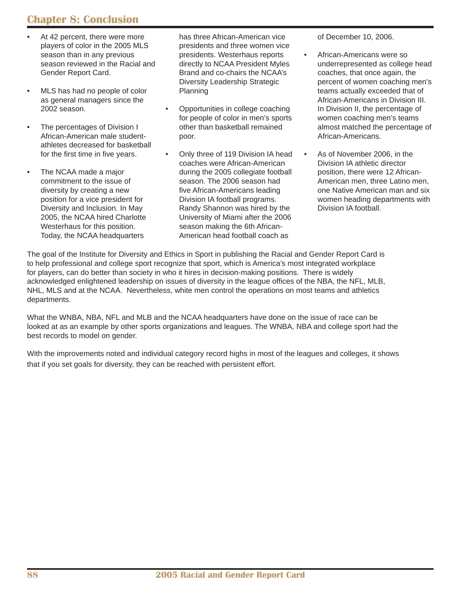### **Chapter 8: Conclusion**

- At 42 percent, there were more players of color in the 2005 MLS season than in any previous season reviewed in the Racial and Gender Report Card.
- MLS has had no people of color as general managers since the 2002 season.
- The percentages of Division I African-American male studentathletes decreased for basketball for the first time in five years.
- The NCAA made a major commitment to the issue of diversity by creating a new position for a vice president for Diversity and Inclusion. In May 2005, the NCAA hired Charlotte Westerhaus for this position. Today, the NCAA headquarters

has three African-American vice presidents and three women vice presidents. Westerhaus reports directly to NCAA President Myles Brand and co-chairs the NCAA's Diversity Leadership Strategic Planning

- Opportunities in college coaching for people of color in men's sports other than basketball remained poor.
- Only three of 119 Division IA head coaches were African-American during the 2005 collegiate football season. The 2006 season had five African-Americans leading Division IA football programs. Randy Shannon was hired by the University of Miami after the 2006 season making the 6th African-American head football coach as

of December 10, 2006.

- African-Americans were so underrepresented as college head coaches, that once again, the percent of women coaching men's teams actually exceeded that of African-Americans in Division III. In Division II, the percentage of women coaching men's teams almost matched the percentage of African-Americans.
- As of November 2006, in the Division IA athletic director position, there were 12 African-American men, three Latino men, one Native American man and six women heading departments with Division IA football.

The goal of the Institute for Diversity and Ethics in Sport in publishing the Racial and Gender Report Card is to help professional and college sport recognize that sport, which is America's most integrated workplace for players, can do better than society in who it hires in decision-making positions. There is widely acknowledged enlightened leadership on issues of diversity in the league offices of the NBA, the NFL, MLB, NHL, MLS and at the NCAA. Nevertheless, white men control the operations on most teams and athletics departments.

What the WNBA, NBA, NFL and MLB and the NCAA headquarters have done on the issue of race can be looked at as an example by other sports organizations and leagues. The WNBA, NBA and college sport had the best records to model on gender.

With the improvements noted and individual category record highs in most of the leagues and colleges, it shows that if you set goals for diversity, they can be reached with persistent effort.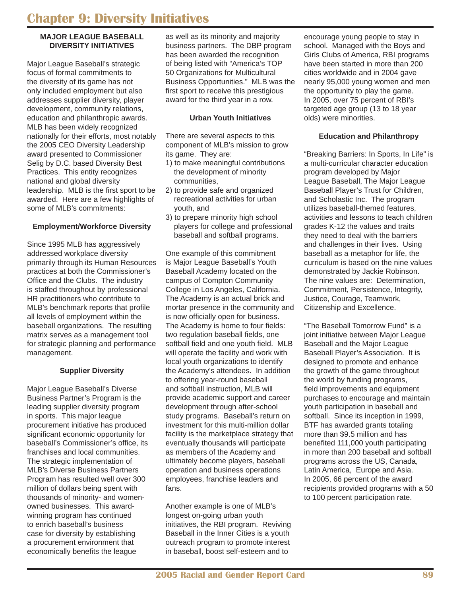#### **MAJOR LEAGUE BASEBALL DIVERSITY INITIATIVES**

Major League Baseball's strategic focus of formal commitments to the diversity of its game has not only included employment but also addresses supplier diversity, player development, community relations, education and philanthropic awards. MLB has been widely recognized nationally for their efforts, most notably the 2005 CEO Diversity Leadership award presented to Commissioner Selig by D.C. based Diversity Best Practices. This entity recognizes national and global diversity leadership. MLB is the first sport to be awarded. Here are a few highlights of some of MLB's commitments:

#### **Employment/Workforce Diversity**

Since 1995 MLB has aggressively addressed workplace diversity primarily through its Human Resources practices at both the Commissioner's Office and the Clubs. The industry is staffed throughout by professional HR practitioners who contribute to MLB's benchmark reports that profile all levels of employment within the baseball organizations. The resulting matrix serves as a management tool for strategic planning and performance management.

#### **Supplier Diversity**

Major League Baseball's Diverse Business Partner's Program is the leading supplier diversity program in sports. This major league procurement initiative has produced significant economic opportunity for baseball's Commissioner's office, its franchises and local communities. The strategic implementation of MLB's Diverse Business Partners Program has resulted well over 300 million of dollars being spent with thousands of minority- and womenowned businesses. This awardwinning program has continued to enrich baseball's business case for diversity by establishing a procurement environment that economically benefits the league

as well as its minority and majority business partners. The DBP program has been awarded the recognition of being listed with "America's TOP 50 Organizations for Multicultural Business Opportunities." MLB was the first sport to receive this prestigious award for the third year in a row.

#### **Urban Youth Initiatives**

There are several aspects to this component of MLB's mission to grow its game. They are:

- 1) to make meaningful contributions the development of minority communities,
- 2) to provide safe and organized recreational activities for urban youth, and
- 3) to prepare minority high school players for college and professional baseball and softball programs.

One example of this commitment is Major League Baseball's Youth Baseball Academy located on the campus of Compton Community College in Los Angeles, California. The Academy is an actual brick and mortar presence in the community and is now officially open for business. The Academy is home to four fields: two regulation baseball fields, one softball field and one youth field. MLB will operate the facility and work with local youth organizations to identify the Academy's attendees. In addition to offering year-round baseball and softball instruction, MLB will provide academic support and career development through after-school study programs. Baseball's return on investment for this multi-million dollar facility is the marketplace strategy that eventually thousands will participate as members of the Academy and ultimately become players, baseball operation and business operations employees, franchise leaders and fans.

Another example is one of MLB's longest on-going urban youth initiatives, the RBI program. Reviving Baseball in the Inner Cities is a youth outreach program to promote interest in baseball, boost self-esteem and to

encourage young people to stay in school. Managed with the Boys and Girls Clubs of America, RBI programs have been started in more than 200 cities worldwide and in 2004 gave nearly 95,000 young women and men the opportunity to play the game. In 2005, over 75 percent of RBI's targeted age group (13 to 18 year olds) were minorities.

#### **Education and Philanthropy**

"Breaking Barriers: In Sports, In Life" is a multi-curricular character education program developed by Major League Baseball, The Major League Baseball Player's Trust for Children, and Scholastic Inc. The program utilizes baseball-themed features, activities and lessons to teach children grades K-12 the values and traits they need to deal with the barriers and challenges in their lives. Using baseball as a metaphor for life, the curriculum is based on the nine values demonstrated by Jackie Robinson. The nine values are: Determination, Commitment, Persistence, Integrity, Justice, Courage, Teamwork, Citizenship and Excellence.

"The Baseball Tomorrow Fund" is a joint initiative between Major League Baseball and the Major League Baseball Player's Association. It is designed to promote and enhance the growth of the game throughout the world by funding programs, field improvements and equipment purchases to encourage and maintain youth participation in baseball and softball. Since its inception in 1999, BTF has awarded grants totaling more than \$9.5 million and has benefited 111,000 youth participating in more than 200 baseball and softball programs across the US, Canada, Latin America, Europe and Asia. In 2005, 66 percent of the award recipients provided programs with a 50 to 100 percent participation rate.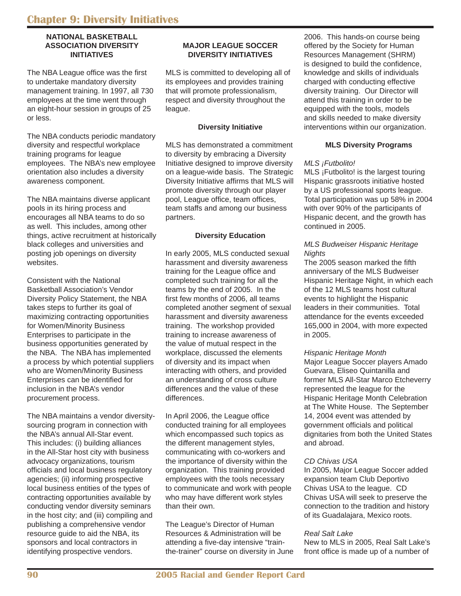#### **NATIONAL BASKETBALL ASSOCIATION DIVERSITY INITIATIVES**

The NBA League office was the first to undertake mandatory diversity management training. In 1997, all 730 employees at the time went through an eight-hour session in groups of 25 or less.

The NBA conducts periodic mandatory diversity and respectful workplace training programs for league employees. The NBA's new employee orientation also includes a diversity awareness component.

The NBA maintains diverse applicant pools in its hiring process and encourages all NBA teams to do so as well. This includes, among other things, active recruitment at historically black colleges and universities and posting job openings on diversity websites.

Consistent with the National Basketball Association's Vendor Diversity Policy Statement, the NBA takes steps to further its goal of maximizing contracting opportunities for Women/Minority Business Enterprises to participate in the business opportunities generated by the NBA. The NBA has implemented a process by which potential suppliers who are Women/Minority Business Enterprises can be identified for inclusion in the NBA's vendor procurement process.

The NBA maintains a vendor diversitysourcing program in connection with the NBA's annual All-Star event. This includes: (i) building alliances in the All-Star host city with business advocacy organizations, tourism officials and local business regulatory agencies; (ii) informing prospective local business entities of the types of contracting opportunities available by conducting vendor diversity seminars in the host city; and (iii) compiling and publishing a comprehensive vendor resource guide to aid the NBA, its sponsors and local contractors in identifying prospective vendors.

#### **MAJOR LEAGUE SOCCER DIVERSITY INITIATIVES**

MLS is committed to developing all of its employees and provides training that will promote professionalism, respect and diversity throughout the league.

#### **Diversity Initiative**

MLS has demonstrated a commitment to diversity by embracing a Diversity Initiative designed to improve diversity on a league-wide basis. The Strategic Diversity Initiative affirms that MLS will promote diversity through our player pool, League office, team offices, team staffs and among our business partners.

#### **Diversity Education**

In early 2005, MLS conducted sexual harassment and diversity awareness training for the League office and completed such training for all the teams by the end of 2005. In the first few months of 2006, all teams completed another segment of sexual harassment and diversity awareness training. The workshop provided training to increase awareness of the value of mutual respect in the workplace, discussed the elements of diversity and its impact when interacting with others, and provided an understanding of cross culture differences and the value of these differences.

In April 2006, the League office conducted training for all employees which encompassed such topics as the different management styles, communicating with co-workers and the importance of diversity within the organization. This training provided employees with the tools necessary to communicate and work with people who may have different work styles than their own.

The League's Director of Human Resources & Administration will be attending a five-day intensive "trainthe-trainer" course on diversity in June 2006. This hands-on course being offered by the Society for Human Resources Management (SHRM) is designed to build the confidence, knowledge and skills of individuals charged with conducting effective diversity training. Our Director will attend this training in order to be equipped with the tools, models and skills needed to make diversity interventions within our organization.

#### **MLS Diversity Programs**

#### *MLS ¡Futbolito!*

MLS *¡Futbolito!* is the largest touring Hispanic grassroots initiative hosted by a US professional sports league. Total participation was up 58% in 2004 with over 90% of the participants of Hispanic decent, and the growth has continued in 2005.

#### *MLS Budweiser Hispanic Heritage Nights*

The 2005 season marked the fifth anniversary of the MLS Budweiser Hispanic Heritage Night, in which each of the 12 MLS teams host cultural events to highlight the Hispanic leaders in their communities. Total attendance for the events exceeded 165,000 in 2004, with more expected in 2005.

#### *Hispanic Heritage Month*

Major League Soccer players Amado Guevara, Eliseo Quintanilla and former MLS All-Star Marco Etcheverry represented the league for the Hispanic Heritage Month Celebration at The White House. The September 14, 2004 event was attended by government officials and political dignitaries from both the United States and abroad.

#### *CD Chivas USA*

In 2005, Major League Soccer added expansion team Club Deportivo Chivas USA to the league. CD Chivas USA will seek to preserve the connection to the tradition and history of its Guadalajara, Mexico roots.

#### *Real Salt Lake*

New to MLS in 2005, Real Salt Lake's front office is made up of a number of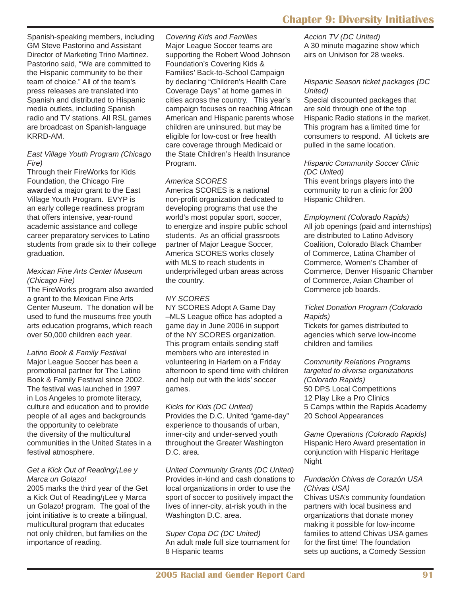Spanish-speaking members, including GM Steve Pastorino and Assistant Director of Marketing Trino Martinez. Pastorino said, "We are committed to the Hispanic community to be their team of choice." All of the team's press releases are translated into Spanish and distributed to Hispanic media outlets, including Spanish radio and TV stations. All RSL games are broadcast on Spanish-language KRRD-AM.

#### *East Village Youth Program (Chicago Fire)*

Through their FireWorks for Kids Foundation, the Chicago Fire awarded a major grant to the East Village Youth Program. EVYP is an early college readiness program that offers intensive, year-round academic assistance and college career preparatory services to Latino students from grade six to their college graduation.

#### *Mexican Fine Arts Center Museum (Chicago Fire)*

The FireWorks program also awarded a grant to the Mexican Fine Arts Center Museum. The donation will be used to fund the museums free youth arts education programs, which reach over 50,000 children each year.

*Latino Book & Family Festival* Major League Soccer has been a promotional partner for The Latino Book & Family Festival since 2002. The festival was launched in 1997 in Los Angeles to promote literacy, culture and education and to provide people of all ages and backgrounds the opportunity to celebrate the diversity of the multicultural communities in the United States in a festival atmosphere.

#### *Get a Kick Out of Reading/¡Lee y Marca un Golazo!*

2005 marks the third year of the Get a Kick Out of Reading/¡Lee y Marca un Golazo! program. The goal of the joint initiative is to create a bilingual, multicultural program that educates not only children, but families on the importance of reading.

*Covering Kids and Families* Major League Soccer teams are supporting the Robert Wood Johnson Foundation's Covering Kids & Families' Back-to-School Campaign by declaring "Children's Health Care Coverage Days" at home games in cities across the country. This year's campaign focuses on reaching African American and Hispanic parents whose children are uninsured, but may be eligible for low-cost or free health care coverage through Medicaid or the State Children's Health Insurance Program.

#### *America SCORES*

America SCORES is a national non-profit organization dedicated to developing programs that use the world's most popular sport, soccer, to energize and inspire public school students. As an official grassroots partner of Major League Soccer, America SCORES works closely with MLS to reach students in underprivileged urban areas across the country.

#### *NY SCORES*

NY SCORES Adopt A Game Day –MLS League office has adopted a game day in June 2006 in support of the NY SCORES organization. This program entails sending staff members who are interested in volunteering in Harlem on a Friday afternoon to spend time with children and help out with the kids' soccer games.

*Kicks for Kids (DC United)* Provides the D.C. United "game-day" experience to thousands of urban, inner-city and under-served youth throughout the Greater Washington D.C. area.

*United Community Grants (DC United)* Provides in-kind and cash donations to local organizations in order to use the sport of soccer to positively impact the lives of inner-city, at-risk youth in the Washington D.C. area.

*Super Copa DC (DC United)* An adult male full size tournament for 8 Hispanic teams

*Accion TV (DC United)* A 30 minute magazine show which airs on Univison for 28 weeks.

#### *Hispanic Season ticket packages (DC United)*

Special discounted packages that are sold through one of the top Hispanic Radio stations in the market. This program has a limited time for consumers to respond. All tickets are pulled in the same location.

#### *Hispanic Community Soccer Clinic (DC United)*

This event brings players into the community to run a clinic for 200 Hispanic Children.

#### *Employment (Colorado Rapids)*

All job openings (paid and internships) are distributed to Latino Advisory Coalition, Colorado Black Chamber of Commerce, Latina Chamber of Commerce, Women's Chamber of Commerce, Denver Hispanic Chamber of Commerce, Asian Chamber of Commerce job boards.

#### *Ticket Donation Program (Colorado Rapids)*

Tickets for games distributed to agencies which serve low-income children and families

*Community Relations Programs targeted to diverse organizations (Colorado Rapids)* 50 DPS Local Competitions 12 Play Like a Pro Clinics 5 Camps within the Rapids Academy 20 School Appearances

*Game Operations (Colorado Rapids)* Hispanic Hero Award presentation in conjunction with Hispanic Heritage Night

#### *Fundación Chivas de Corazón USA (Chivas USA)*

Chivas USA's community foundation partners with local business and organizations that donate money making it possible for low-income families to attend Chivas USA games for the first time! The foundation sets up auctions, a Comedy Session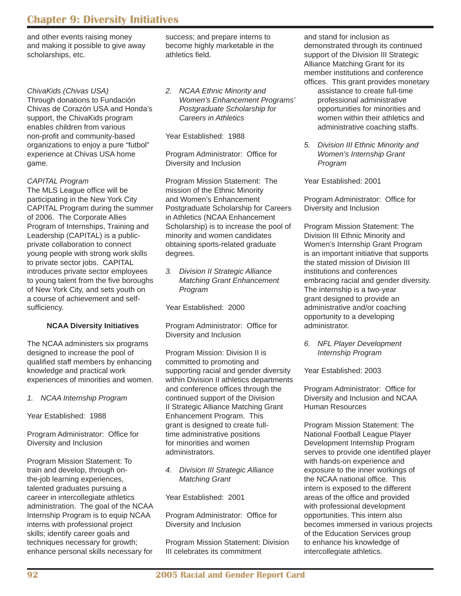### **Chapter 9: Diversity Initiatives**

and other events raising money and making it possible to give away scholarships, etc.

*ChivaKids (Chivas USA)* Through donations to Fundación

Chivas de Corazón USA and Honda's support, the ChivaKids program enables children from various non-profit and community-based organizations to enjoy a pure "futbol" experience at Chivas USA home game.

#### *CAPITAL Program*

The MLS League office will be participating in the New York City CAPITAL Program during the summer of 2006. The Corporate Allies Program of Internships, Training and Leadership (CAPITAL) is a publicprivate collaboration to connect young people with strong work skills to private sector jobs. CAPITAL introduces private sector employees to young talent from the five boroughs of New York City, and sets youth on a course of achievement and selfsufficiency.

#### **NCAA Diversity Initiatives**

The NCAA administers six programs designed to increase the pool of qualified staff members by enhancing knowledge and practical work experiences of minorities and women.

#### *1. NCAA Internship Program*

Year Established: 1988

Program Administrator: Office for Diversity and Inclusion

Program Mission Statement: To train and develop, through onthe-job learning experiences, talented graduates pursuing a career in intercollegiate athletics administration. The goal of the NCAA Internship Program is to equip NCAA interns with professional project skills; identify career goals and techniques necessary for growth; enhance personal skills necessary for

success; and prepare interns to become highly marketable in the athletics field.

*2. NCAA Ethnic Minority and Women's Enhancement Programs' Postgraduate Scholarship for Careers in Athletics*

Year Established: 1988

Program Administrator: Office for Diversity and Inclusion

Program Mission Statement: The mission of the Ethnic Minority and Women's Enhancement Postgraduate Scholarship for Careers in Athletics (NCAA Enhancement Scholarship) is to increase the pool of minority and women candidates obtaining sports-related graduate degrees.

*3. Division II Strategic Alliance Matching Grant Enhancement Program* 

Year Established: 2000

Program Administrator: Office for Diversity and Inclusion

Program Mission: Division II is committed to promoting and supporting racial and gender diversity within Division II athletics departments and conference offices through the continued support of the Division II Strategic Alliance Matching Grant Enhancement Program. This grant is designed to create fulltime administrative positions for minorities and women administrators.

*4. Division III Strategic Alliance Matching Grant*

Year Established: 2001

Program Administrator: Office for Diversity and Inclusion

Program Mission Statement: Division III celebrates its commitment

and stand for inclusion as demonstrated through its continued support of the Division III Strategic Alliance Matching Grant for its member institutions and conference

- offices. This grant provides monetary assistance to create full-time professional administrative opportunities for minorities and women within their athletics and administrative coaching staffs.
- *5. Division III Ethnic Minority and Women's Internship Grant Program*

Year Established: 2001

Program Administrator: Office for Diversity and Inclusion

Program Mission Statement: The Division III Ethnic Minority and Women's Internship Grant Program is an important initiative that supports the stated mission of Division III institutions and conferences embracing racial and gender diversity. The internship is a two-year grant designed to provide an administrative and/or coaching opportunity to a developing administrator.

*6. NFL Player Development Internship Program*

Year Established: 2003

Program Administrator: Office for Diversity and Inclusion and NCAA Human Resources

Program Mission Statement: The National Football League Player Development Internship Program serves to provide one identified player with hands-on experience and exposure to the inner workings of the NCAA national office. This intern is exposed to the different areas of the office and provided with professional development opportunities. This intern also becomes immersed in various projects of the Education Services group to enhance his knowledge of intercollegiate athletics.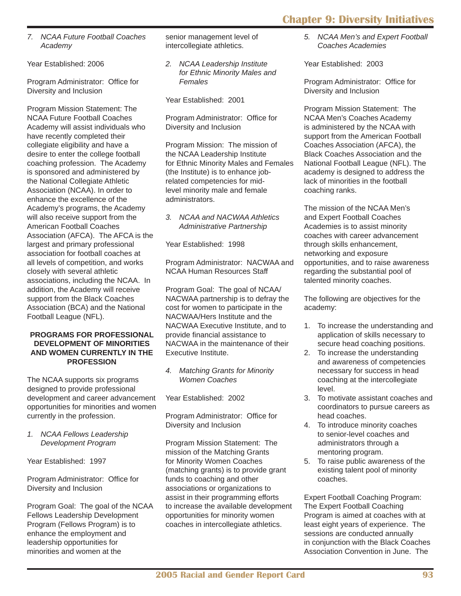**Chapter 9: Diversity Initiatives**

*7. NCAA Future Football Coaches Academy*

Year Established: 2006

Program Administrator: Office for Diversity and Inclusion

Program Mission Statement: The NCAA Future Football Coaches Academy will assist individuals who have recently completed their collegiate eligibility and have a desire to enter the college football coaching profession. The Academy is sponsored and administered by the National Collegiate Athletic Association (NCAA). In order to enhance the excellence of the Academy's programs, the Academy will also receive support from the American Football Coaches Association (AFCA). The AFCA is the largest and primary professional association for football coaches at all levels of competition, and works closely with several athletic associations, including the NCAA. In addition, the Academy will receive support from the Black Coaches Association (BCA) and the National Football League (NFL).

#### **PROGRAMS FOR PROFESSIONAL DEVELOPMENT OF MINORITIES AND WOMEN CURRENTLY IN THE PROFESSION**

The NCAA supports six programs designed to provide professional development and career advancement opportunities for minorities and women currently in the profession.

*1. NCAA Fellows Leadership Development Program* 

Year Established: 1997

Program Administrator: Office for Diversity and Inclusion

Program Goal: The goal of the NCAA Fellows Leadership Development Program (Fellows Program) is to enhance the employment and leadership opportunities for minorities and women at the

senior management level of intercollegiate athletics.

*2. NCAA Leadership Institute for Ethnic Minority Males and Females*

Year Established: 2001

Program Administrator: Office for Diversity and Inclusion

Program Mission: The mission of the NCAA Leadership Institute for Ethnic Minority Males and Females (the Institute) is to enhance jobrelated competencies for midlevel minority male and female administrators.

*3. NCAA and NACWAA Athletics Administrative Partnership*

Year Established: 1998

Program Administrator: NACWAA and NCAA Human Resources Staff

Program Goal: The goal of NCAA/ NACWAA partnership is to defray the cost for women to participate in the NACWAA/Hers Institute and the NACWAA Executive Institute, and to provide financial assistance to NACWAA in the maintenance of their Executive Institute.

*4. Matching Grants for Minority Women Coaches*

Year Established: 2002

Program Administrator: Office for Diversity and Inclusion

Program Mission Statement: The mission of the Matching Grants for Minority Women Coaches (matching grants) is to provide grant funds to coaching and other associations or organizations to assist in their programming efforts to increase the available development opportunities for minority women coaches in intercollegiate athletics.

*5. NCAA Men's and Expert Football Coaches Academies*

Year Established: 2003

Program Administrator: Office for Diversity and Inclusion

Program Mission Statement: The NCAA Men's Coaches Academy is administered by the NCAA with support from the American Football Coaches Association (AFCA), the Black Coaches Association and the National Football League (NFL). The academy is designed to address the lack of minorities in the football coaching ranks.

The mission of the NCAA Men's and Expert Football Coaches Academies is to assist minority coaches with career advancement through skills enhancement, networking and exposure opportunities, and to raise awareness regarding the substantial pool of talented minority coaches.

The following are objectives for the academy:

- 1. To increase the understanding and application of skills necessary to secure head coaching positions.
- 2. To increase the understanding and awareness of competencies necessary for success in head coaching at the intercollegiate level.
- 3. To motivate assistant coaches and coordinators to pursue careers as head coaches.
- 4. To introduce minority coaches to senior-level coaches and administrators through a mentoring program.
- 5. To raise public awareness of the existing talent pool of minority coaches.

Expert Football Coaching Program: The Expert Football Coaching Program is aimed at coaches with at least eight years of experience. The sessions are conducted annually in conjunction with the Black Coaches Association Convention in June. The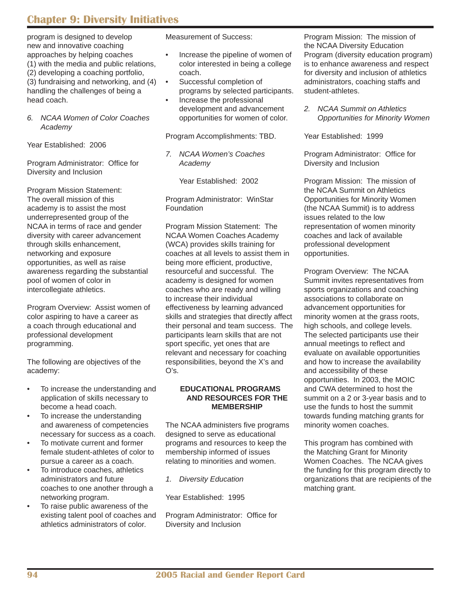### **Chapter 9: Diversity Initiatives**

program is designed to develop new and innovative coaching approaches by helping coaches (1) with the media and public relations, (2) developing a coaching portfolio, (3) fundraising and networking, and (4) handling the challenges of being a head coach.

*6. NCAA Women of Color Coaches Academy*

Year Established: 2006

Program Administrator: Office for Diversity and Inclusion

Program Mission Statement: The overall mission of this academy is to assist the most underrepresented group of the NCAA in terms of race and gender diversity with career advancement through skills enhancement, networking and exposure opportunities, as well as raise awareness regarding the substantial pool of women of color in intercollegiate athletics.

Program Overview: Assist women of color aspiring to have a career as a coach through educational and professional development programming.

The following are objectives of the academy:

- To increase the understanding and application of skills necessary to become a head coach.
- To increase the understanding and awareness of competencies necessary for success as a coach.
- To motivate current and former female student-athletes of color to pursue a career as a coach.
- To introduce coaches, athletics administrators and future coaches to one another through a networking program.
- To raise public awareness of the existing talent pool of coaches and athletics administrators of color.

Measurement of Success:

- Increase the pipeline of women of color interested in being a college coach.
- Successful completion of programs by selected participants.
- Increase the professional development and advancement opportunities for women of color.

Program Accomplishments: TBD.

*7. NCAA Women's Coaches Academy*

Year Established: 2002

Program Administrator: WinStar Foundation

Program Mission Statement: The NCAA Women Coaches Academy (WCA) provides skills training for coaches at all levels to assist them in being more efficient, productive, resourceful and successful. The academy is designed for women coaches who are ready and willing to increase their individual effectiveness by learning advanced skills and strategies that directly affect their personal and team success. The participants learn skills that are not sport specific, yet ones that are relevant and necessary for coaching responsibilities, beyond the X's and O's.

#### **EDUCATIONAL PROGRAMS AND RESOURCES FOR THE MEMBERSHIP**

The NCAA administers five programs designed to serve as educational programs and resources to keep the membership informed of issues relating to minorities and women.

#### *1. Diversity Education*

Year Established: 1995

Program Administrator: Office for Diversity and Inclusion

Program Mission: The mission of the NCAA Diversity Education Program (diversity education program) is to enhance awareness and respect for diversity and inclusion of athletics administrators, coaching staffs and student-athletes.

*2. NCAA Summit on Athletics Opportunities for Minority Women*

Year Established: 1999

Program Administrator: Office for Diversity and Inclusion

Program Mission: The mission of the NCAA Summit on Athletics Opportunities for Minority Women (the NCAA Summit) is to address issues related to the low representation of women minority coaches and lack of available professional development opportunities.

Program Overview: The NCAA Summit invites representatives from sports organizations and coaching associations to collaborate on advancement opportunities for minority women at the grass roots, high schools, and college levels. The selected participants use their annual meetings to reflect and evaluate on available opportunities and how to increase the availability and accessibility of these opportunities. In 2003, the MOIC and CWA determined to host the summit on a 2 or 3-year basis and to use the funds to host the summit towards funding matching grants for minority women coaches.

This program has combined with the Matching Grant for Minority Women Coaches. The NCAA gives the funding for this program directly to organizations that are recipients of the matching grant.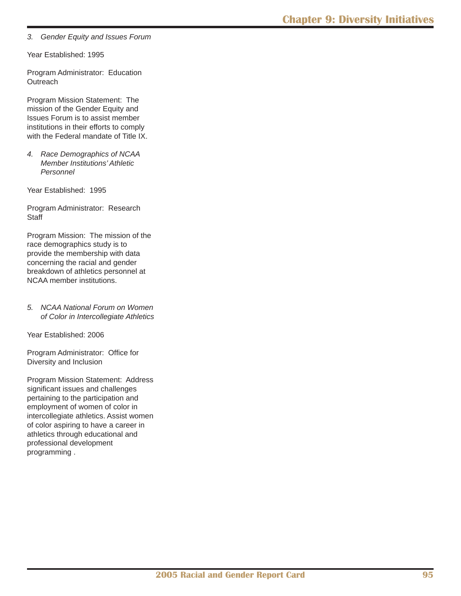#### *3. Gender Equity and Issues Forum*

Year Established: 1995

Program Administrator: Education **Outreach** 

Program Mission Statement: The mission of the Gender Equity and Issues Forum is to assist member institutions in their efforts to comply with the Federal mandate of Title IX.

*4. Race Demographics of NCAA Member Institutions' Athletic Personnel*

Year Established: 1995

Program Administrator: Research **Staff** 

Program Mission: The mission of the race demographics study is to provide the membership with data concerning the racial and gender breakdown of athletics personnel at NCAA member institutions.

*5. NCAA National Forum on Women of Color in Intercollegiate Athletics*

Year Established: 2006

Program Administrator: Office for Diversity and Inclusion

Program Mission Statement: Address significant issues and challenges pertaining to the participation and employment of women of color in intercollegiate athletics. Assist women of color aspiring to have a career in athletics through educational and professional development programming .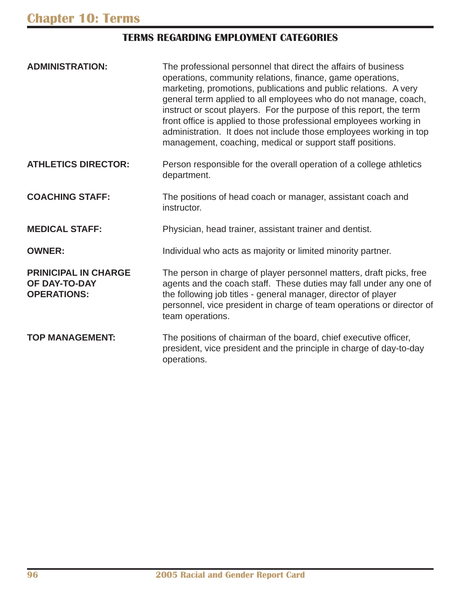### **TERMS REGARDING EMPLOYMENT CATEGORIES**

| <b>ADMINISTRATION:</b>                                             | The professional personnel that direct the affairs of business<br>operations, community relations, finance, game operations,<br>marketing, promotions, publications and public relations. A very<br>general term applied to all employees who do not manage, coach,<br>instruct or scout players. For the purpose of this report, the term<br>front office is applied to those professional employees working in<br>administration. It does not include those employees working in top<br>management, coaching, medical or support staff positions. |
|--------------------------------------------------------------------|-----------------------------------------------------------------------------------------------------------------------------------------------------------------------------------------------------------------------------------------------------------------------------------------------------------------------------------------------------------------------------------------------------------------------------------------------------------------------------------------------------------------------------------------------------|
| <b>ATHLETICS DIRECTOR:</b>                                         | Person responsible for the overall operation of a college athletics<br>department.                                                                                                                                                                                                                                                                                                                                                                                                                                                                  |
| <b>COACHING STAFF:</b>                                             | The positions of head coach or manager, assistant coach and<br>instructor.                                                                                                                                                                                                                                                                                                                                                                                                                                                                          |
| <b>MEDICAL STAFF:</b>                                              | Physician, head trainer, assistant trainer and dentist.                                                                                                                                                                                                                                                                                                                                                                                                                                                                                             |
| <b>OWNER:</b>                                                      | Individual who acts as majority or limited minority partner.                                                                                                                                                                                                                                                                                                                                                                                                                                                                                        |
| <b>PRINICIPAL IN CHARGE</b><br>OF DAY-TO-DAY<br><b>OPERATIONS:</b> | The person in charge of player personnel matters, draft picks, free<br>agents and the coach staff. These duties may fall under any one of<br>the following job titles - general manager, director of player<br>personnel, vice president in charge of team operations or director of<br>team operations.                                                                                                                                                                                                                                            |
| <b>TOP MANAGEMENT:</b>                                             | The positions of chairman of the board, chief executive officer,<br>president, vice president and the principle in charge of day-to-day<br>operations.                                                                                                                                                                                                                                                                                                                                                                                              |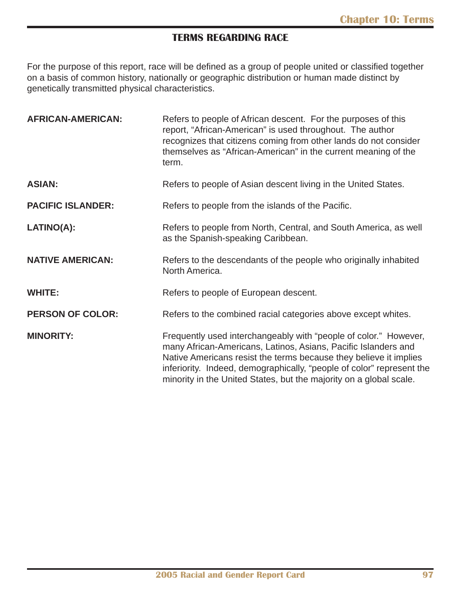### **TERMS REGARDING RACE**

For the purpose of this report, race will be defined as a group of people united or classified together on a basis of common history, nationally or geographic distribution or human made distinct by genetically transmitted physical characteristics.

| <b>AFRICAN-AMERICAN:</b> | Refers to people of African descent. For the purposes of this<br>report, "African-American" is used throughout. The author<br>recognizes that citizens coming from other lands do not consider<br>themselves as "African-American" in the current meaning of the<br>term.                                                                              |
|--------------------------|--------------------------------------------------------------------------------------------------------------------------------------------------------------------------------------------------------------------------------------------------------------------------------------------------------------------------------------------------------|
| <b>ASIAN:</b>            | Refers to people of Asian descent living in the United States.                                                                                                                                                                                                                                                                                         |
| <b>PACIFIC ISLANDER:</b> | Refers to people from the islands of the Pacific.                                                                                                                                                                                                                                                                                                      |
| LATINO(A):               | Refers to people from North, Central, and South America, as well<br>as the Spanish-speaking Caribbean.                                                                                                                                                                                                                                                 |
| <b>NATIVE AMERICAN:</b>  | Refers to the descendants of the people who originally inhabited<br>North America.                                                                                                                                                                                                                                                                     |
| <b>WHITE:</b>            | Refers to people of European descent.                                                                                                                                                                                                                                                                                                                  |
| <b>PERSON OF COLOR:</b>  | Refers to the combined racial categories above except whites.                                                                                                                                                                                                                                                                                          |
| <b>MINORITY:</b>         | Frequently used interchangeably with "people of color." However,<br>many African-Americans, Latinos, Asians, Pacific Islanders and<br>Native Americans resist the terms because they believe it implies<br>inferiority. Indeed, demographically, "people of color" represent the<br>minority in the United States, but the majority on a global scale. |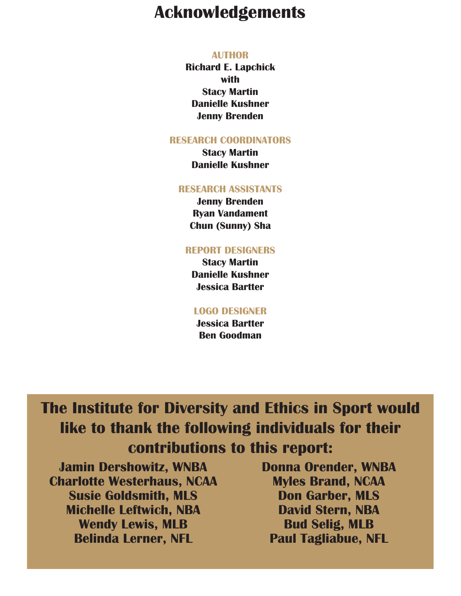# **Acknowledgements**

#### **AUTHOR**

**Richard E. Lapchick with Stacy Martin Danielle Kushner Jenny Brenden**

#### **RESEARCH COORDINATORS**

**Stacy Martin Danielle Kushner**

#### **RESEARCH ASSISTANTS**

**Jenny Brenden Ryan Vandament Chun (Sunny) Sha**

#### **REPORT DESIGNERS**

**Stacy Martin Danielle Kushner Jessica Bartter**

#### **LOGO DESIGNER**

**Jessica Bartter Ben Goodman**

**The Institute for Diversity and Ethics in Sport would like to thank the following individuals for their contributions to this report:**

**Jamin Dershowitz, WNBA Charlotte Westerhaus, NCAA Susie Goldsmith, MLS Michelle Leftwich, NBA Wendy Lewis, MLB Belinda Lerner, NFL**

**Donna Orender, WNBA Myles Brand, NCAA Don Garber, MLS David Stern, NBA Bud Selig, MLB Paul Tagliabue, NFL**